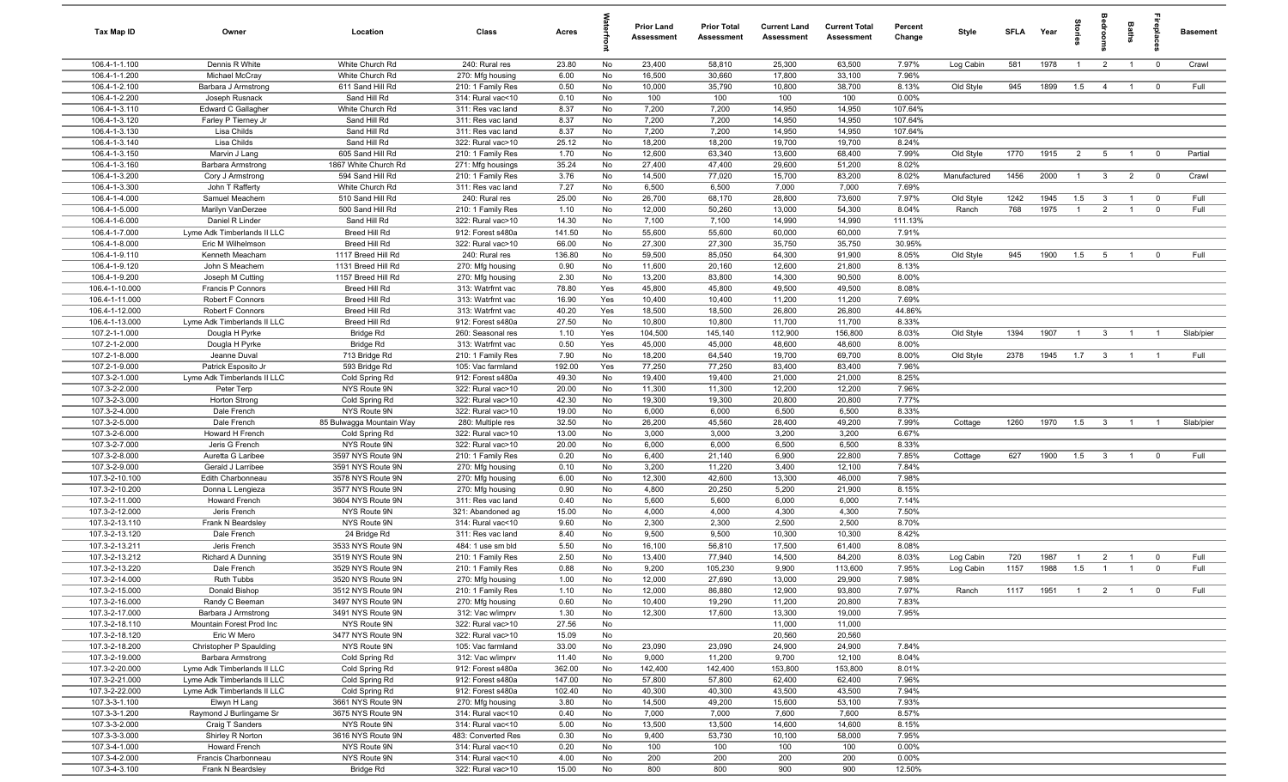| <b>Tax Map ID</b>                | Owner                                            | Location                                 | Class                                  | Acres            |          | <b>Prior Land</b><br><b>Assessment</b> | <b>Prior Total</b><br>Assessment | <b>Current Land</b><br><b>Assessment</b> | <b>Current Total</b><br><b>Assessment</b> | Percent<br>Change  | Style        | <b>SFLA</b> | Year | terie          |                         | Baths          | epia                    | <b>Basement</b> |
|----------------------------------|--------------------------------------------------|------------------------------------------|----------------------------------------|------------------|----------|----------------------------------------|----------------------------------|------------------------------------------|-------------------------------------------|--------------------|--------------|-------------|------|----------------|-------------------------|----------------|-------------------------|-----------------|
| 106.4-1-1.100                    | Dennis R White                                   | White Church Rd                          | 240: Rural res                         | 23.80            | No       | 23,400                                 | 58,810                           | 25,300                                   | 63,500                                    | 7.97%              | Log Cabin    | 581         | 1978 | $\overline{1}$ | $\overline{2}$          | $\overline{1}$ | $\mathbf{0}$            | Crawl           |
| 106.4-1-1.200                    | Michael McCray                                   | White Church Rd                          | 270: Mfg housing                       | 6.00             | No       | 16,500                                 | 30,660                           | 17,800                                   | 33,100                                    | 7.96%              |              |             |      |                |                         |                |                         |                 |
| 106.4-1-2.100                    | Barbara J Armstrong                              | 611 Sand Hill Rd                         | 210: 1 Family Res                      | 0.50             | No       | 10,000                                 | 35,790                           | 10,800                                   | 38,700                                    | 8.13%              | Old Style    | 945         | 1899 | 1.5            | $\overline{4}$          | $\overline{1}$ | $\mathbf 0$             | Full            |
| 106.4-1-2.200                    | Joseph Rusnack                                   | Sand Hill Rd                             | 314: Rural vac<10                      | 0.10             | No       | 100                                    | 100                              | 100                                      | 100                                       | 0.00%              |              |             |      |                |                         |                |                         |                 |
| 106.4-1-3.110<br>106.4-1-3.120   | <b>Edward C Gallagher</b><br>Farley P Tierney Jr | White Church Rd<br>Sand Hill Rd          | 311: Res vac land<br>311: Res vac land | 8.37<br>8.37     | No<br>No | 7,200<br>7,200                         | 7,200<br>7,200                   | 14,950<br>14,950                         | 14,950<br>14,950                          | 107.64%<br>107.64% |              |             |      |                |                         |                |                         |                 |
| 106.4-1-3.130                    | Lisa Childs                                      | Sand Hill Rd                             | 311: Res vac land                      | 8.37             | No       | 7,200                                  | 7,200                            | 14,950                                   | 14,950                                    | 107.64%            |              |             |      |                |                         |                |                         |                 |
| 106.4-1-3.140                    | Lisa Childs                                      | Sand Hill Rd                             | 322: Rural vac>10                      | 25.12            | No       | 18,200                                 | 18,200                           | 19,700                                   | 19,700                                    | 8.24%              |              |             |      |                |                         |                |                         |                 |
| 106.4-1-3.150                    | Marvin J Lang                                    | 605 Sand Hill Rd                         | 210: 1 Family Res                      | 1.70             | No       | 12,600                                 | 63,340                           | 13,600                                   | 68,400                                    | 7.99%              | Old Style    | 1770        | 1915 | $\overline{2}$ | 5                       | $\overline{1}$ | $\mathbf{0}$            | Partial         |
| 106.4-1-3.160                    | Barbara Armstrong                                | 1867 White Church Rd                     | 271: Mfg housings                      | 35.24            | No       | 27,400                                 | 47,400                           | 29,600                                   | 51,200                                    | 8.02%              |              |             |      |                |                         |                |                         |                 |
| 106.4-1-3.200                    | Cory J Armstrong                                 | 594 Sand Hill Rd                         | 210: 1 Family Res                      | 3.76             | No       | 14,500                                 | 77,020                           | 15,700                                   | 83,200                                    | 8.02%              | Manufactured | 1456        | 2000 | $\overline{1}$ | $\mathbf{3}$            | $\overline{2}$ | $\mathbf 0$             | Crawl           |
| 106.4-1-3.300                    | John T Rafferty                                  | White Church Rd                          | 311: Res vac land                      | 7.27             | No       | 6,500                                  | 6,500                            | 7,000                                    | 7,000                                     | 7.69%              |              |             |      |                |                         |                |                         |                 |
| 106.4-1-4.000                    | Samuel Meachem                                   | 510 Sand Hill Rd                         | 240: Rural res                         | 25.00            | No       | 26,700                                 | 68,170                           | 28,800                                   | 73,600                                    | 7.97%              | Old Style    | 1242        | 1945 | 1.5            | $\mathbf{3}$            | $\overline{1}$ | $^{\circ}$              | Full            |
| 106.4-1-5.000                    | Marilyn VanDerzee                                | 500 Sand Hill Rd                         | 210: 1 Family Res                      | 1.10             | No       | 12,000                                 | 50,260                           | 13,000                                   | 54,300                                    | 8.04%              | Ranch        | 768         | 1975 | $\overline{1}$ | $\overline{2}$          | $\overline{1}$ | $\mathbf 0$             | Full            |
| 106.4-1-6.000                    | Daniel R Linder                                  | Sand Hill Rd                             | 322: Rural vac>10                      | 14.30            | No       | 7,100                                  | 7,100                            | 14,990                                   | 14,990                                    | 111.13%            |              |             |      |                |                         |                |                         |                 |
| 106.4-1-7.000                    | Lyme Adk Timberlands II LLC                      | Breed Hill Rd                            | 912: Forest s480a                      | 141.50           | No       | 55,600                                 | 55,600                           | 60,000                                   | 60,000                                    | 7.91%              |              |             |      |                |                         |                |                         |                 |
| 106.4-1-8.000                    | Eric M Wilhelmson<br>Kenneth Meacham             | Breed Hill Rd                            | 322: Rural vac>10                      | 66.00            | No       | 27,300                                 | 27,300                           | 35,750                                   | 35,750                                    | 30.95%             |              |             |      |                |                         |                |                         | Full            |
| 106.4-1-9.110<br>106.4-1-9.120   | John S Meachem                                   | 1117 Breed Hill Rd<br>1131 Breed Hill Rd | 240: Rural res<br>270: Mfg housing     | 136.80<br>0.90   | No<br>No | 59,500<br>11,600                       | 85,050<br>20,160                 | 64,300<br>12,600                         | 91,900<br>21,800                          | 8.05%<br>8.13%     | Old Style    | 945         | 1900 | 1.5            | 5                       | $\overline{1}$ | $^{\circ}$              |                 |
| 106.4-1-9.200                    | Joseph M Cutting                                 | 1157 Breed Hill Rd                       | 270: Mfg housing                       | 2.30             | No       | 13,200                                 | 83,800                           | 14,300                                   | 90,500                                    | 8.00%              |              |             |      |                |                         |                |                         |                 |
| 106.4-1-10.000                   | Francis P Connors                                | Breed Hill Rd                            | 313: Watrfrnt vac                      | 78.80            | Yes      | 45,800                                 | 45,800                           | 49,500                                   | 49,500                                    | 8.08%              |              |             |      |                |                         |                |                         |                 |
| 106.4-1-11.000                   | Robert F Connors                                 | Breed Hill Rd                            | 313: Watrfrnt vac                      | 16.90            | Yes      | 10,400                                 | 10,400                           | 11,200                                   | 11,200                                    | 7.69%              |              |             |      |                |                         |                |                         |                 |
| 106.4-1-12.000                   | Robert F Connors                                 | Breed Hill Rd                            | 313: Watrfrnt vac                      | 40.20            | Yes      | 18,500                                 | 18,500                           | 26,800                                   | 26,800                                    | 44.86%             |              |             |      |                |                         |                |                         |                 |
| 106.4-1-13.000                   | Lyme Adk Timberlands II LLC                      | Breed Hill Rd                            | 912: Forest s480a                      | 27.50            | No       | 10,800                                 | 10,800                           | 11,700                                   | 11,700                                    | 8.33%              |              |             |      |                |                         |                |                         |                 |
| 107.2-1-1.000                    | Dougla H Pyrke                                   | Bridge Rd                                | 260: Seasonal res                      | 1.10             | Yes      | 104,500                                | 145,140                          | 112,900                                  | 156,800                                   | 8.03%              | Old Style    | 1394        | 1907 | $\overline{1}$ | $\overline{3}$          | $\overline{1}$ | $\overline{1}$          | Slab/pier       |
| 107.2-1-2.000                    | Dougla H Pyrke                                   | Bridge Rd                                | 313: Watrfrnt vac                      | 0.50             | Yes      | 45,000                                 | 45,000                           | 48,600                                   | 48,600                                    | 8.00%              |              |             |      |                |                         |                |                         |                 |
| 107.2-1-8.000                    | Jeanne Duval                                     | 713 Bridge Rd                            | 210: 1 Family Res                      | 7.90             | No       | 18,200                                 | 64,540                           | 19,700                                   | 69,700                                    | 8.00%              | Old Style    | 2378        | 1945 | $1.7\qquad 3$  |                         | $\overline{1}$ | $\overline{1}$          | Full            |
| 107.2-1-9.000                    | Patrick Esposito Jr                              | 593 Bridge Rd                            | 105: Vac farmland                      | 192.00           | Yes      | 77,250                                 | 77,250                           | 83,400                                   | 83,400                                    | 7.96%              |              |             |      |                |                         |                |                         |                 |
| 107.3-2-1.000                    | Lyme Adk Timberlands II LLC                      | Cold Spring Rd                           | 912: Forest s480a                      | 49.30            | No       | 19,400                                 | 19,400                           | 21,000                                   | 21,000                                    | 8.25%              |              |             |      |                |                         |                |                         |                 |
| 107.3-2-2.000<br>107.3-2-3.000   | Peter Terp                                       | NYS Route 9N                             | 322: Rural vac>10<br>322: Rural vac>10 | 20.00<br>42.30   | No       | 11,300                                 | 11,300                           | 12,200                                   | 12,200                                    | 7.96%<br>7.77%     |              |             |      |                |                         |                |                         |                 |
| 107.3-2-4.000                    | <b>Horton Strong</b><br>Dale French              | Cold Spring Rd<br>NYS Route 9N           | 322: Rural vac>10                      | 19.00            | No<br>No | 19,300<br>6,000                        | 19,300<br>6,000                  | 20,800<br>6,500                          | 20,800<br>6,500                           | 8.33%              |              |             |      |                |                         |                |                         |                 |
| 107.3-2-5.000                    | Dale French                                      | 85 Bulwagga Mountain Way                 | 280: Multiple res                      | 32.50            | No       | 26,200                                 | 45,560                           | 28,400                                   | 49,200                                    | 7.99%              | Cottage      | 1260        | 1970 | 1.5            | $\overline{\mathbf{3}}$ | $\overline{1}$ | $\overline{1}$          | Slab/pier       |
| 107.3-2-6.000                    | Howard H French                                  | Cold Spring Rd                           | 322: Rural vac>10                      | 13.00            | No       | 3,000                                  | 3,000                            | 3,200                                    | 3,200                                     | 6.67%              |              |             |      |                |                         |                |                         |                 |
| 107.3-2-7.000                    | Jeris G French                                   | NYS Route 9N                             | 322: Rural vac>10                      | 20.00            | No       | 6,000                                  | 6,000                            | 6,500                                    | 6,500                                     | 8.33%              |              |             |      |                |                         |                |                         |                 |
| 107.3-2-8.000                    | Auretta G Laribee                                | 3597 NYS Route 9N                        | 210: 1 Family Res                      | 0.20             | No       | 6,400                                  | 21,140                           | 6,900                                    | 22,800                                    | 7.85%              | Cottage      | 627         | 1900 | 1.5            | $\overline{\mathbf{3}}$ | $\overline{1}$ | $^{\circ}$              | Full            |
| 107.3-2-9.000                    | Gerald J Larribee                                | 3591 NYS Route 9N                        | 270: Mfg housing                       | 0.10             | No       | 3,200                                  | 11,220                           | 3,400                                    | 12,100                                    | 7.84%              |              |             |      |                |                         |                |                         |                 |
| 107.3-2-10.100                   | Edith Charbonneau                                | 3578 NYS Route 9N                        | 270: Mfg housing                       | 6.00             | No       | 12,300                                 | 42,600                           | 13,300                                   | 46,000                                    | 7.98%              |              |             |      |                |                         |                |                         |                 |
| 107.3-2-10.200                   | Donna L Lengieza                                 | 3577 NYS Route 9N                        | 270: Mfg housing                       | 0.90             | No       | 4,800                                  | 20,250                           | 5,200                                    | 21,900                                    | 8.15%              |              |             |      |                |                         |                |                         |                 |
| 107.3-2-11.000                   | Howard French                                    | 3604 NYS Route 9N                        | 311: Res vac land                      | 0.40             | No       | 5,600                                  | 5,600                            | 6,000                                    | 6,000                                     | 7.14%              |              |             |      |                |                         |                |                         |                 |
| 107.3-2-12.000                   | Jeris French                                     | NYS Route 9N                             | 321: Abandoned ag                      | 15.00            | No       | 4,000                                  | 4,000                            | 4,300                                    | 4,300                                     | 7.50%              |              |             |      |                |                         |                |                         |                 |
| 107.3-2-13.110                   | Frank N Beardsley                                | NYS Route 9N                             | 314: Rural vac<10                      | 9.60             | No       | 2,300                                  | 2,300                            | 2,500                                    | 2,500                                     | 8.70%              |              |             |      |                |                         |                |                         |                 |
| 107.3-2-13.120<br>107.3-2-13.211 | Dale French<br>Jeris French                      | 24 Bridge Rd<br>3533 NYS Route 9N        | 311: Res vac land<br>484: 1 use sm bld | 8.40<br>5.50     | No<br>No | 9,500<br>16,100                        | 9,500<br>56,810                  | 10,300<br>17,500                         | 10,300<br>61,400                          | 8.42%<br>8.08%     |              |             |      |                |                         |                |                         |                 |
| 107.3-2-13.212                   | Richard A Dunning                                | 3519 NYS Route 9N                        | 210: 1 Family Res                      | 2.50             | No       | 13,400                                 | 77,940                           | 14,500                                   | 84,200                                    | 8.03%              | Log Cabin    | 720         | 1987 | -1             | $\overline{2}$          | $\overline{1}$ | $\overline{\mathbf{0}}$ | Full            |
| 107.3-2-13.220                   | Dale French                                      | 3529 NYS Route 9N                        | 210: 1 Family Res                      | 0.88             | No       | 9,200                                  | 105,230                          | 9,900                                    | 113,600                                   | 7.95%              | Log Cabin    | 1157        | 1988 | 1.5            | $\overline{1}$          | $\overline{1}$ | $\Omega$                | Full            |
| 107.3-2-14.000                   | Ruth Tubbs                                       | 3520 NYS Route 9N                        | 270: Mfg housing                       | 1.00             | No       | 12,000                                 | 27,690                           | 13,000                                   | 29,900                                    | 7.98%              |              |             |      |                |                         |                |                         |                 |
| 107.3-2-15.000                   | Donald Bishop                                    | 3512 NYS Route 9N                        | 210: 1 Family Res                      | 1.10             | No       | 12,000                                 | 86,880                           | 12,900                                   | 93,800                                    | 7.97%              | Ranch        | 1117        | 1951 | $\overline{1}$ | $\overline{2}$          | $\overline{1}$ | $\overline{0}$          | Full            |
| 107.3-2-16.000                   | Randy C Beeman                                   | 3497 NYS Route 9N                        | 270: Mfg housing                       | 0.60             | No       | 10,400                                 | 19,290                           | 11,200                                   | 20,800                                    | 7.83%              |              |             |      |                |                         |                |                         |                 |
| 107.3-2-17.000                   | Barbara J Armstrong                              | 3491 NYS Route 9N                        | 312: Vac w/imprv                       | 1.30             | No       | 12,300                                 | 17,600                           | 13,300                                   | 19,000                                    | 7.95%              |              |             |      |                |                         |                |                         |                 |
| 107.3-2-18.110                   | Mountain Forest Prod Inc                         | NYS Route 9N                             | 322: Rural vac>10                      | 27.56            | No       |                                        |                                  | 11,000                                   | 11,000                                    |                    |              |             |      |                |                         |                |                         |                 |
| 107.3-2-18.120                   | Eric W Mero                                      | 3477 NYS Route 9N                        | 322: Rural vac>10                      | 15.09            | No       |                                        |                                  | 20,560                                   | 20,560                                    |                    |              |             |      |                |                         |                |                         |                 |
| 107.3-2-18.200                   | Christopher P Spaulding                          | NYS Route 9N                             | 105: Vac farmland                      | 33.00            | No       | 23,090                                 | 23,090                           | 24,900                                   | 24,900                                    | 7.84%              |              |             |      |                |                         |                |                         |                 |
| 107.3-2-19.000                   | Barbara Armstrong                                | Cold Spring Rd                           | 312: Vac w/imprv                       | 11.40            | No       | 9,000                                  | 11,200                           | 9,700                                    | 12,100                                    | 8.04%              |              |             |      |                |                         |                |                         |                 |
| 107.3-2-20.000                   | Lyme Adk Timberlands II LLC                      | Cold Spring Rd                           | 912: Forest s480a                      | 362.00           | No       | 142,400                                | 142,400                          | 153,800                                  | 153,800                                   | 8.01%              |              |             |      |                |                         |                |                         |                 |
| 107.3-2-21.000<br>107.3-2-22.000 | Lyme Adk Timberlands II LLC                      | Cold Spring Rd<br>Cold Spring Rd         | 912: Forest s480a                      | 147.00<br>102.40 | No       | 57,800                                 | 57,800<br>40,300                 | 62,400<br>43,500                         | 62,400                                    | 7.96%<br>7.94%     |              |             |      |                |                         |                |                         |                 |
| 107.3-3-1.100                    | Lyme Adk Timberlands II LLC<br>Elwyn H Lang      | 3661 NYS Route 9N                        | 912: Forest s480a<br>270: Mfg housing  | 3.80             | No<br>No | 40,300<br>14,500                       | 49,200                           | 15,600                                   | 43,500<br>53,100                          | 7.93%              |              |             |      |                |                         |                |                         |                 |
| 107.3-3-1.200                    | Raymond J Burlingame Sr                          | 3675 NYS Route 9N                        | 314: Rural vac<10                      | 0.40             | No       | 7,000                                  | 7,000                            | 7,600                                    | 7,600                                     | 8.57%              |              |             |      |                |                         |                |                         |                 |
| 107.3-3-2.000                    | Craig T Sanders                                  | NYS Route 9N                             | 314: Rural vac<10                      | 5.00             | No       | 13,500                                 | 13,500                           | 14,600                                   | 14,600                                    | 8.15%              |              |             |      |                |                         |                |                         |                 |
| 107.3-3-3.000                    | Shirley R Norton                                 | 3616 NYS Route 9N                        | 483: Converted Res                     | 0.30             | No       | 9,400                                  | 53,730                           | 10,100                                   | 58,000                                    | 7.95%              |              |             |      |                |                         |                |                         |                 |
| 107.3-4-1.000                    | Howard French                                    | NYS Route 9N                             | 314: Rural vac<10                      | 0.20             | No       | 100                                    | 100                              | 100                                      | 100                                       | 0.00%              |              |             |      |                |                         |                |                         |                 |
| 107.3-4-2.000                    | Francis Charbonneau                              | NYS Route 9N                             | 314: Rural vac<10                      | 4.00             | No       | 200                                    | 200                              | 200                                      | 200                                       | 0.00%              |              |             |      |                |                         |                |                         |                 |
| 107.3-4-3.100                    | Frank N Beardsley                                | Bridge Rd                                | 322: Rural vac>10                      | 15.00            | No       | 800                                    | 800                              | 900                                      | 900                                       | 12.50%             |              |             |      |                |                         |                |                         |                 |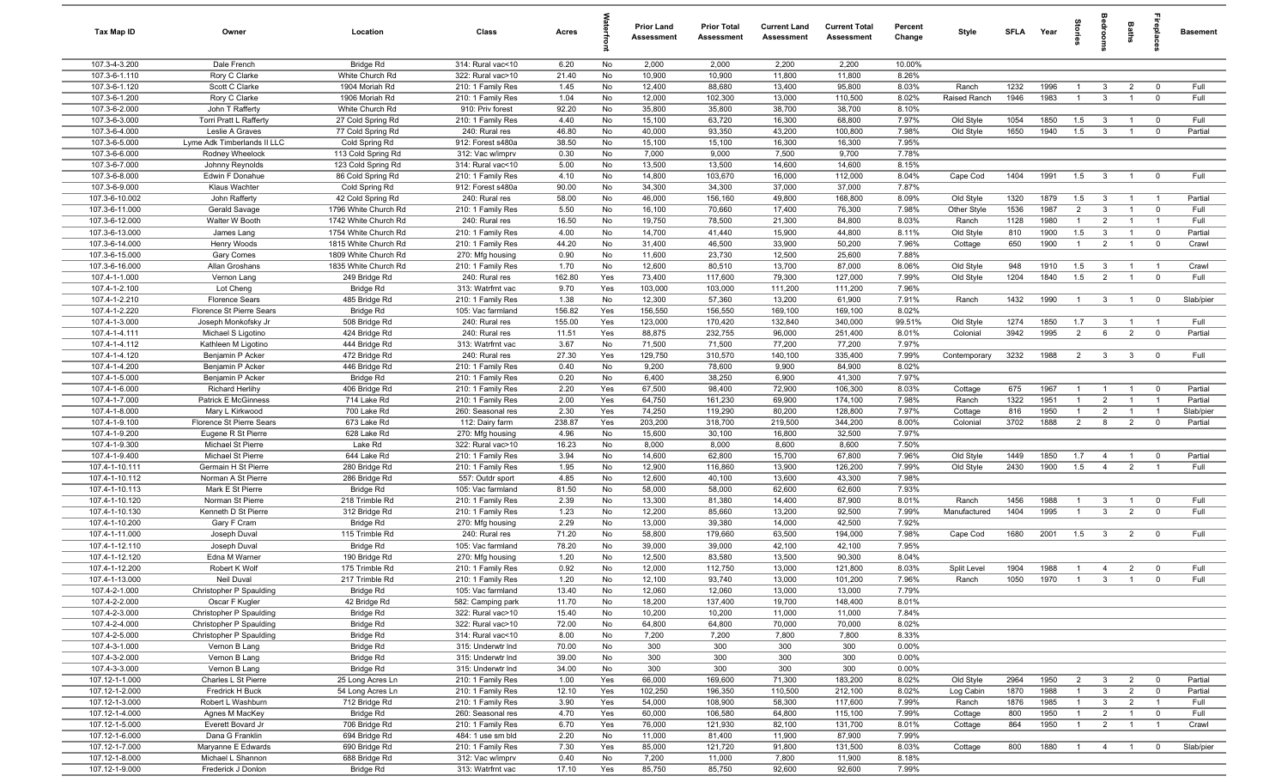| Tax Map ID                       | Owner                                     | Location                                     | Class                                  | Acres          |            | <b>Prior Land</b><br>Assessment | <b>Prior Total</b><br>Assessment | <b>Current Land</b><br>Assessment | <b>Current Total</b><br><b>Assessment</b> | Percent<br>Change | Style              | <b>SFLA</b>  | Year         | grie                             | edrool                           | Baths                            | repla                                     | <b>Basement</b> |
|----------------------------------|-------------------------------------------|----------------------------------------------|----------------------------------------|----------------|------------|---------------------------------|----------------------------------|-----------------------------------|-------------------------------------------|-------------------|--------------------|--------------|--------------|----------------------------------|----------------------------------|----------------------------------|-------------------------------------------|-----------------|
| 107.3-4-3.200                    | Dale French                               | Bridge Rd                                    | 314: Rural vac<10                      | 6.20           | No         | 2,000                           | 2,000                            | 2,200                             | 2,200                                     | 10.00%            |                    |              |              |                                  |                                  |                                  |                                           |                 |
| 107.3-6-1.110                    | Rory C Clarke                             | White Church Rd                              | 322: Rural vac>10                      | 21.40          | No         | 10,900                          | 10,900                           | 11,800                            | 11,800                                    | 8.26%             |                    |              |              |                                  |                                  |                                  |                                           |                 |
| 107.3-6-1.120<br>107.3-6-1.200   | Scott C Clarke                            | 1904 Moriah Rd                               | 210: 1 Family Res                      | 1.45           | No         | 12,400                          | 88,680                           | 13,400                            | 95,800                                    | 8.03%             | Ranch              | 1232<br>1946 | 1996<br>1983 |                                  | 3                                | $\overline{2}$<br>$\overline{1}$ | $\overline{\mathbf{0}}$<br>$\overline{0}$ | Full<br>Full    |
| 107.3-6-2.000                    | Rory C Clarke<br>John T Rafferty          | 1906 Moriah Rd<br>White Church Rd            | 210: 1 Family Res<br>910: Priv forest  | 1.04<br>92.20  | No<br>No   | 12,000<br>35,800                | 102,300<br>35,800                | 13,000<br>38,700                  | 110,500<br>38,700                         | 8.02%<br>8.10%    | Raised Ranch       |              |              |                                  | $\overline{3}$                   |                                  |                                           |                 |
| 107.3-6-3.000                    | Torri Pratt L Rafferty                    | 27 Cold Spring Rd                            | 210: 1 Family Res                      | 4.40           | No         | 15,100                          | 63,720                           | 16,300                            | 68,800                                    | 7.97%             | Old Style          | 1054         | 1850         | 1.5                              | $\overline{3}$                   | $\overline{1}$                   | $\overline{0}$                            | Full            |
| 107.3-6-4.000                    | Leslie A Graves                           | 77 Cold Spring Rd                            | 240: Rural res                         | 46.80          | No         | 40,000                          | 93,350                           | 43,200                            | 100,800                                   | 7.98%             | Old Style          | 1650         | 1940         | 1.5                              | $\mathbf{3}$                     | $\overline{1}$                   | $\overline{0}$                            | Partial         |
| 107.3-6-5.000                    | Lyme Adk Timberlands II LLC               | Cold Spring Rd                               | 912: Forest s480a                      | 38.50          | No         | 15,100                          | 15,100                           | 16,300                            | 16,300                                    | 7.95%             |                    |              |              |                                  |                                  |                                  |                                           |                 |
| 107.3-6-6.000                    | Rodney Wheelock                           | 113 Cold Spring Rd                           | 312: Vac w/imprv                       | 0.30           | No         | 7,000                           | 9,000                            | 7,500                             | 9,700                                     | 7.78%             |                    |              |              |                                  |                                  |                                  |                                           |                 |
| 107.3-6-7.000                    | Johnny Reynolds                           | 123 Cold Spring Rd                           | 314: Rural vac<10                      | 5.00           | No         | 13,500                          | 13,500                           | 14,600                            | 14,600                                    | 8.15%             |                    |              |              |                                  |                                  |                                  |                                           |                 |
| 107.3-6-8.000                    | Edwin F Donahue                           | 86 Cold Spring Rd                            | 210: 1 Family Res                      | 4.10           | No         | 14,800                          | 103,670                          | 16,000                            | 112,000                                   | 8.04%             | Cape Cod           | 1404         | 1991         | 1.5                              | $\mathbf{3}$                     | $\mathbf{1}$                     | $\overline{0}$                            | Full            |
| 107.3-6-9.000                    | Klaus Wachter                             | Cold Spring Rd                               | 912: Forest s480a                      | 90.00          | No         | 34,300                          | 34,300                           | 37,000                            | 37,000                                    | 7.87%             |                    |              |              |                                  |                                  |                                  |                                           |                 |
| 107.3-6-10.002                   | John Rafferty                             | 42 Cold Spring Rd                            | 240: Rural res                         | 58.00          | No         | 46,000                          | 156,160                          | 49,800                            | 168,800                                   | 8.09%             | Old Style          | 1320         | 1879         | 1.5                              | $\mathbf{3}$                     | $\overline{1}$                   | $\overline{1}$                            | Partial         |
| 107.3-6-11.000                   | Gerald Savage                             | 1796 White Church Rd                         | 210: 1 Family Res                      | 5.50           | No         | 16,100                          | 70,660                           | 17,400                            | 76,300                                    | 7.98%             | Other Style        | 1536         | 1987         | $\overline{2}$                   | $\mathbf{3}$                     | $\overline{1}$                   | $\overline{0}$                            | Full            |
| 107.3-6-12.000<br>107.3-6-13.000 | Walter W Booth                            | 1742 White Church Rd<br>1754 White Church Rd | 240: Rural res<br>210: 1 Family Res    | 16.50<br>4.00  | No<br>No   | 19,750<br>14,700                | 78,500<br>41,440                 | 21,300<br>15,900                  | 84,800<br>44,800                          | 8.03%<br>8.11%    | Ranch<br>Old Style | 1128<br>810  | 1980<br>1900 | $\mathbf{1}$<br>1.5              | 2<br>$\overline{3}$              | -1<br>$\overline{1}$             | $\overline{1}$<br>$\mathbf 0$             | Full<br>Partial |
| 107.3-6-14.000                   | James Lang<br>Henry Woods                 | 1815 White Church Rd                         | 210: 1 Family Res                      | 44.20          | No         | 31,400                          | 46,500                           | 33,900                            | 50,200                                    | 7.96%             | Cottage            | 650          | 1900         | $\overline{1}$                   | $\overline{2}$                   | -1                               | $\overline{0}$                            | Crawl           |
| 107.3-6-15.000                   | Gary Comes                                | 1809 White Church Rd                         | 270: Mfg housing                       | 0.90           | No         | 11,600                          | 23,730                           | 12,500                            | 25,600                                    | 7.88%             |                    |              |              |                                  |                                  |                                  |                                           |                 |
| 107.3-6-16.000                   | Allan Groshans                            | 1835 White Church Rd                         | 210: 1 Family Res                      | 1.70           | No         | 12,600                          | 80,510                           | 13,700                            | 87,000                                    | 8.06%             | Old Style          | 948          | 1910         | 1.5                              | $\overline{3}$                   | $\overline{1}$                   | $\overline{1}$                            | Crawl           |
| 107.4-1-1.000                    | Vernon Lang                               | 249 Bridge Rd                                | 240: Rural res                         | 162.80         | Yes        | 73,400                          | 117,600                          | 79,300                            | 127,000                                   | 7.99%             | Old Style          | 1204         | 1840         | 1.5                              | $\overline{2}$                   | $\mathbf{1}$                     | $\overline{0}$                            | Full            |
| 107.4-1-2.100                    | Lot Cheng                                 | Bridge Rd                                    | 313: Watrfrnt vac                      | 9.70           | Yes        | 103,000                         | 103,000                          | 111,200                           | 111,200                                   | 7.96%             |                    |              |              |                                  |                                  |                                  |                                           |                 |
| 107.4-1-2.210                    | <b>Florence Sears</b>                     | 485 Bridge Rd                                | 210: 1 Family Res                      | 1.38           | No         | 12,300                          | 57,360                           | 13,200                            | 61,900                                    | 7.91%             | Ranch              | 1432         | 1990         | $\overline{1}$                   | $\overline{3}$                   | $\overline{1}$                   | $\overline{0}$                            | Slab/pier       |
| 107.4-1-2.220                    | Florence St Pierre Sears                  | Bridge Rd                                    | 105: Vac farmland                      | 156.82         | Yes        | 156,550                         | 156,550                          | 169,100                           | 169,100                                   | 8.02%             |                    |              |              |                                  |                                  |                                  |                                           |                 |
| 107.4-1-3.000                    | Joseph Monkofsky Jr                       | 508 Bridge Rd                                | 240: Rural res                         | 155.00         | Yes        | 123,000                         | 170,420                          | 132,840                           | 340,000                                   | 99.51%            | Old Style          | 1274         | 1850         | 1.7                              | $\overline{3}$                   | $\overline{1}$                   | $\overline{1}$                            | Full            |
| 107.4-1-4.111                    | Michael S Ligotino                        | 424 Bridge Rd                                | 240: Rural res                         | 11.51          | Yes        | 88,875                          | 232,755                          | 96,000                            | 251,400                                   | 8.01%             | Colonial           | 3942         | 1995         | $\overline{2}$                   | 6                                | $\overline{2}$                   | $\overline{0}$                            | Partial         |
| 107.4-1-4.112<br>107.4-1-4.120   | Kathleen M Ligotino<br>Benjamin P Acker   | 444 Bridge Rd<br>472 Bridge Rd               | 313: Watrfrnt vac<br>240: Rural res    | 3.67<br>27.30  | No<br>Yes  | 71,500<br>129,750               | 71,500                           | 77,200<br>140,100                 | 77,200<br>335,400                         | 7.97%<br>7.99%    | Contemporary       | 3232         | 1988         | $\overline{2}$                   | $\overline{3}$                   | $\mathbf{3}$                     | $\overline{\mathbf{0}}$                   | Full            |
| 107.4-1-4.200                    | Benjamin P Acker                          | 446 Bridge Rd                                | 210: 1 Family Res                      | 0.40           | No         | 9,200                           | 310,570<br>78,600                | 9,900                             | 84,900                                    | 8.02%             |                    |              |              |                                  |                                  |                                  |                                           |                 |
| 107.4-1-5.000                    | Benjamin P Acker                          | Bridge Rd                                    | 210: 1 Family Res                      | 0.20           | No         | 6,400                           | 38,250                           | 6,900                             | 41,300                                    | 7.97%             |                    |              |              |                                  |                                  |                                  |                                           |                 |
| 107.4-1-6.000                    | <b>Richard Herlihy</b>                    | 406 Bridge Rd                                | 210: 1 Family Res                      | 2.20           | Yes        | 67,500                          | 98,400                           | 72,900                            | 106,300                                   | 8.03%             | Cottage            | 675          | 1967         | $\overline{1}$                   |                                  |                                  | $\overline{\mathbf{0}}$                   | Partial         |
| 107.4-1-7.000                    | Patrick E McGinness                       | 714 Lake Rd                                  | 210: 1 Family Res                      | 2.00           | Yes        | 64,750                          | 161,230                          | 69,900                            | 174,100                                   | 7.98%             | Ranch              | 1322         | 1951         | $\overline{1}$                   | $\overline{2}$                   | $\overline{1}$                   | $\overline{1}$                            | Partial         |
| 107.4-1-8.000                    | Mary L Kirkwood                           | 700 Lake Rd                                  | 260: Seasonal res                      | 2.30           | Yes        | 74,250                          | 119,290                          | 80,200                            | 128,800                                   | 7.97%             | Cottage            | 816          | 1950         | $\overline{1}$                   | $\overline{2}$                   | $\overline{1}$                   | $\overline{1}$                            | Slab/pier       |
| 107.4-1-9.100                    | Florence St Pierre Sears                  | 673 Lake Rd                                  | 112: Dairy farm                        | 238.87         | Yes        | 203,200                         | 318,700                          | 219,500                           | 344,200                                   | 8.00%             | Colonial           | 3702         | 1888         | 2                                | 8                                | $\overline{2}$                   | $\overline{0}$                            | Partial         |
| 107.4-1-9.200                    | Eugene R St Pierre                        | 628 Lake Rd                                  | 270: Mfg housing                       | 4.96           | No         | 15,600                          | 30,100                           | 16,800                            | 32,500                                    | 7.97%             |                    |              |              |                                  |                                  |                                  |                                           |                 |
| 107.4-1-9.300                    | Michael St Pierre                         | Lake Rd                                      | 322: Rural vac>10                      | 16.23          | No         | 8,000                           | 8,000                            | 8,600                             | 8,600                                     | 7.50%             |                    |              |              |                                  |                                  |                                  |                                           |                 |
| 107.4-1-9.400                    | Michael St Pierre                         | 644 Lake Rd                                  | 210: 1 Family Res                      | 3.94           | No         | 14,600                          | 62,800                           | 15,700                            | 67,800                                    | 7.96%             | Old Style          | 1449         | 1850         | 1.7                              | $\overline{4}$                   | $\overline{1}$                   | $\overline{0}$                            | Partial         |
| 107.4-1-10.111<br>107.4-1-10.112 | Germain H St Pierre<br>Norman A St Pierre | 280 Bridge Rd<br>286 Bridge Rd               | 210: 1 Family Res<br>557: Outdr sport  | 1.95<br>4.85   | No<br>No   | 12,900<br>12,600                | 116,860<br>40,100                | 13,900<br>13,600                  | 126,200<br>43,300                         | 7.99%<br>7.98%    | Old Style          | 2430         | 1900         | 1.5                              | $\overline{4}$                   | 2                                | $\overline{1}$                            | Full            |
| 107.4-1-10.113                   | Mark E St Pierre                          | <b>Bridge Rd</b>                             | 105: Vac farmland                      | 81.50          | No         | 58,000                          | 58,000                           | 62,600                            | 62,600                                    | 7.93%             |                    |              |              |                                  |                                  |                                  |                                           |                 |
| 107.4-1-10.120                   | Norman St Pierre                          | 218 Trimble Rd                               | 210: 1 Family Res                      | 2.39           | No         | 13,300                          | 81,380                           | 14,400                            | 87,900                                    | 8.01%             | Ranch              | 1456         | 1988         | $\overline{1}$                   | 3                                | $\overline{1}$                   | $\overline{0}$                            | Full            |
| 107.4-1-10.130                   | Kenneth D St Pierre                       | 312 Bridge Rd                                | 210: 1 Family Res                      | 1.23           | No         | 12,200                          | 85,660                           | 13,200                            | 92,500                                    | 7.99%             | Manufactured       | 1404         | 1995         | $\overline{1}$                   | 3                                | 2                                | $\overline{0}$                            | Full            |
| 107.4-1-10.200                   | Gary F Cram                               | <b>Bridge Rd</b>                             | 270: Mfg housing                       | 2.29           | No         | 13,000                          | 39,380                           | 14,000                            | 42,500                                    | 7.92%             |                    |              |              |                                  |                                  |                                  |                                           |                 |
| 107.4-1-11.000                   | Joseph Duval                              | 115 Trimble Rd                               | 240: Rural res                         | 71.20          | No         | 58,800                          | 179,660                          | 63,500                            | 194,000                                   | 7.98%             | Cape Cod           | 1680         | 2001         | 1.5                              | $\overline{\mathbf{3}}$          | $\overline{2}$                   | $\overline{\mathbf{0}}$                   | Full            |
| 107.4-1-12.110                   | Joseph Duval                              | Bridge Rd                                    | 105: Vac farmland                      | 78.20          | No         | 39,000                          | 39,000                           | 42,100                            | 42,100                                    | 7.95%             |                    |              |              |                                  |                                  |                                  |                                           |                 |
| 107.4-1-12.120                   | Edna M Warner                             | 190 Bridge Rd                                | 270: Mfg housing                       | 1.20           | No         | 12,500                          | 83,580                           | 13,500                            | 90,300                                    | 8.04%             |                    |              |              |                                  |                                  |                                  |                                           |                 |
| 107.4-1-12.200                   | Robert K Wolf                             | 175 Trimble Rd                               | 210: 1 Family Res                      | 0.92           | No         | 12,000                          | 112,750                          | 13,000                            | 121,800                                   | 8.03%             | Split Level        | 1904         | 1988         | $\overline{1}$                   | $\overline{4}$                   | $\overline{2}$                   | $\overline{0}$                            | Full            |
| 107.4-1-13.000                   | Neil Duval                                | 217 Trimble Rd                               | 210: 1 Family Res                      | 1.20           | No         | 12,100                          | 93,740                           | 13,000                            | 101,200                                   | 7.96%             | Ranch              | 1050         | 1970         | $\overline{1}$                   | $\mathbf{B}$                     |                                  |                                           | Full            |
| 107.4-2-1.000<br>107.4-2-2.000   | Christopher P Spaulding<br>Oscar F Kugler | Bridge Rd<br>42 Bridge Rd                    | 105: Vac farmland<br>582: Camping park | 13.40<br>11.70 | No<br>No   | 12,060<br>18,200                | 12,060<br>137,400                | 13,000<br>19,700                  | 13,000<br>148,400                         | 7.79%<br>8.01%    |                    |              |              |                                  |                                  |                                  |                                           |                 |
| 107.4-2-3.000                    | Christopher P Spaulding                   | Bridge Rd                                    | 322: Rural vac>10                      | 15.40          | No         | 10,200                          | 10,200                           | 11,000                            | 11,000                                    | 7.84%             |                    |              |              |                                  |                                  |                                  |                                           |                 |
| 107.4-2-4.000                    | Christopher P Spaulding                   | Bridge Rd                                    | 322: Rural vac>10                      | 72.00          | No         | 64,800                          | 64,800                           | 70,000                            | 70,000                                    | 8.02%             |                    |              |              |                                  |                                  |                                  |                                           |                 |
| 107.4-2-5.000                    | Christopher P Spaulding                   | Bridge Rd                                    | 314: Rural vac<10                      | 8.00           | No         | 7,200                           | 7,200                            | 7,800                             | 7,800                                     | 8.33%             |                    |              |              |                                  |                                  |                                  |                                           |                 |
| 107.4-3-1.000                    | Vernon B Lang                             | Bridge Rd                                    | 315: Underwtr Ind                      | 70.00          | No         | 300                             | 300                              | 300                               | 300                                       | 0.00%             |                    |              |              |                                  |                                  |                                  |                                           |                 |
| 107.4-3-2.000                    | Vernon B Lang                             | Bridge Rd                                    | 315: Underwtr Ind                      | 39.00          | No         | 300                             | 300                              | 300                               | 300                                       | 0.00%             |                    |              |              |                                  |                                  |                                  |                                           |                 |
| 107.4-3-3.000                    | Vernon B Lang                             | Bridge Rd                                    | 315: Underwtr Ind                      | 34.00          | No         | 300                             | 300                              | 300                               | 300                                       | 0.00%             |                    |              |              |                                  |                                  |                                  |                                           |                 |
| 107.12-1-1.000                   | Charles L St Pierre                       | 25 Long Acres Ln                             | 210: 1 Family Res                      | 1.00           | Yes        | 66,000                          | 169,600                          | 71,300                            | 183,200                                   | 8.02%             | Old Style          | 2964         | 1950         | $\overline{2}$                   | $\overline{3}$                   | $\overline{2}$                   | $\overline{0}$                            | Partial         |
| 107.12-1-2.000                   | Fredrick H Buck                           | 54 Long Acres Ln                             | 210: 1 Family Res                      | 12.10          | Yes        | 102,250                         | 196,350                          | 110,500                           | 212,100                                   | 8.02%             | Log Cabin          | 1870         | 1988         | $\overline{1}$                   | $\mathbf{3}$                     | $\overline{2}$                   | $\overline{0}$                            | Partial         |
| 107.12-1-3.000                   | Robert L Washburn                         | 712 Bridge Rd                                | 210: 1 Family Res                      | 3.90           | Yes        | 54,000                          | 108,900                          | 58,300                            | 117,600                                   | 7.99%             | Ranch              | 1876         | 1985         | $\overline{1}$                   | $\mathbf{3}$                     | $\overline{2}$                   | $\overline{1}$                            | Full            |
| 107.12-1-4.000<br>107.12-1-5.000 | Agnes M MacKey<br>Everett Bovard Jr       | Bridge Rd<br>706 Bridge Rd                   | 260: Seasonal res<br>210: 1 Family Res | 4.70<br>6.70   | Yes<br>Yes | 60,000<br>76,000                | 106,580<br>121,930               | 64,800<br>82,100                  | 115,100<br>131,700                        | 7.99%<br>8.01%    | Cottage<br>Cottage | 800<br>864   | 1950<br>1950 | $\overline{1}$<br>$\overline{1}$ | $\overline{2}$<br>$\overline{2}$ | $\overline{1}$<br>$\overline{1}$ | $\overline{0}$<br>$\overline{1}$          | Full<br>Crawl   |
| 107.12-1-6.000                   | Dana G Franklin                           | 694 Bridge Rd                                | 484: 1 use sm bld                      | 2.20           | No         | 11,000                          | 81,400                           | 11,900                            | 87,900                                    | 7.99%             |                    |              |              |                                  |                                  |                                  |                                           |                 |
| 107.12-1-7.000                   | Maryanne E Edwards                        | 690 Bridge Rd                                | 210: 1 Family Res                      | 7.30           | Yes        | 85,000                          | 121,720                          | 91,800                            | 131,500                                   | 8.03%             | Cottage            | 800          | 1880         | $\overline{1}$                   | $\overline{4}$                   | $\overline{1}$                   | $\overline{0}$                            | Slab/pier       |
| 107.12-1-8.000                   | Michael L Shannon                         | 688 Bridge Rd                                | 312: Vac w/imprv                       | 0.40           | No         | 7,200                           | 11,000                           | 7,800                             | 11,900                                    | 8.18%             |                    |              |              |                                  |                                  |                                  |                                           |                 |
| 107.12-1-9.000                   | Frederick J Donlon                        | Bridge Rd                                    | 313: Watrfrnt vac                      | 17.10          | Yes        | 85,750                          | 85,750                           | 92,600                            | 92,600                                    | 7.99%             |                    |              |              |                                  |                                  |                                  |                                           |                 |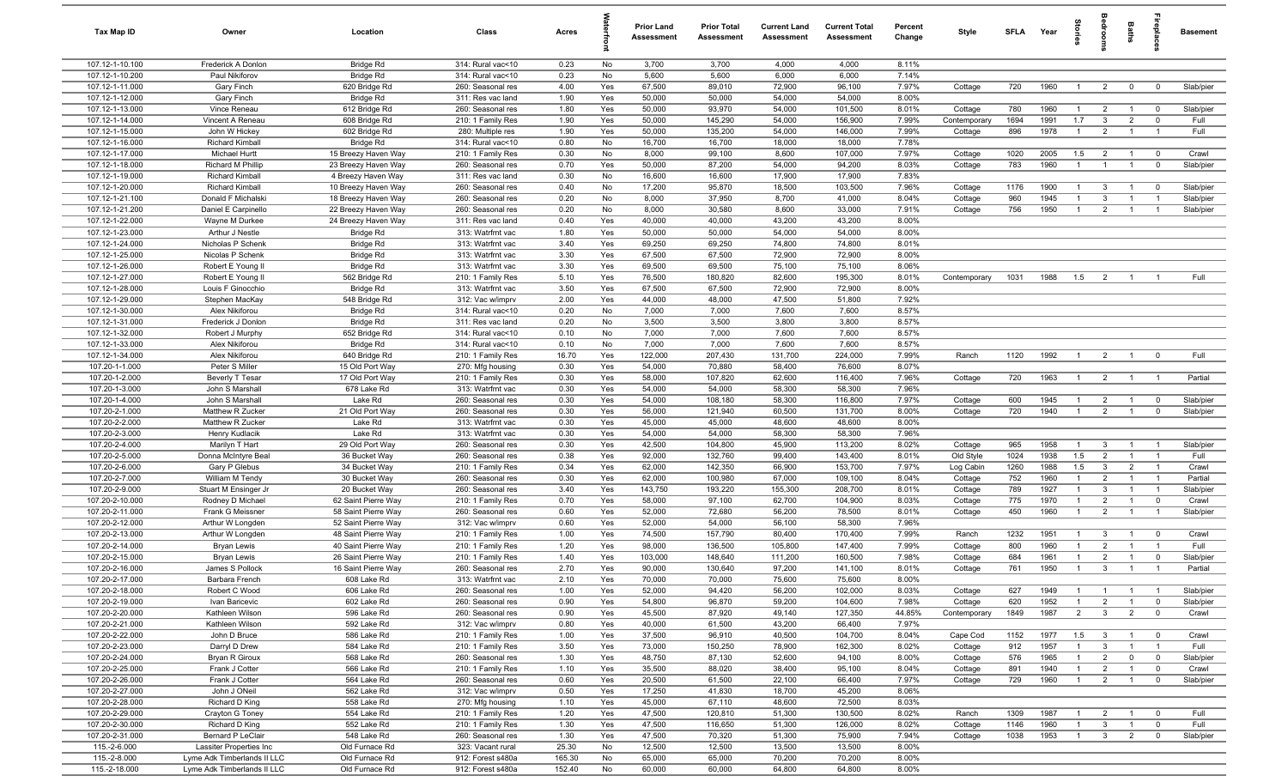| Tax Map ID                         | Owner                                                      | Location                         | Class                                  | Acres            |            | <b>Prior Land</b><br>Assessment | <b>Prior Total</b><br>Assessment | <b>Current Land</b><br>Assessment | <b>Current Total</b><br><b>Assessment</b> | Percent<br>Change | Style                   | SFLA        | Year         | ğ                              |                                  | Baths                            | Lebia                            | <b>Basement</b>        |
|------------------------------------|------------------------------------------------------------|----------------------------------|----------------------------------------|------------------|------------|---------------------------------|----------------------------------|-----------------------------------|-------------------------------------------|-------------------|-------------------------|-------------|--------------|--------------------------------|----------------------------------|----------------------------------|----------------------------------|------------------------|
| 107.12-1-10.100                    | Frederick A Donlon                                         | Bridge Rd                        | 314: Rural vac<10                      | 0.23             | No         | 3,700                           | 3,700                            | 4,000                             | 4,000                                     | 8.11%             |                         |             |              |                                |                                  |                                  |                                  |                        |
| 107.12-1-10.200                    | Paul Nikiforov                                             | Bridge Rd                        | 314: Rural vac<10                      | 0.23             | No         | 5,600                           | 5,600                            | 6,000                             | 6,000                                     | 7.14%             |                         |             |              |                                |                                  |                                  |                                  |                        |
| 107.12-1-11.000                    | <b>Gary Finch</b>                                          | 620 Bridge Rd                    | 260: Seasonal res                      | 4.00             | Yes        | 67,500                          | 89,010                           | 72,900                            | 96,100                                    | 7.97%             | Cottage                 | 720         | 1960         | -1                             | $\overline{2}$                   | $\mathbf 0$                      | $\overline{\mathbf{0}}$          | Slab/pier              |
| 107.12-1-12.000                    | <b>Gary Finch</b>                                          | Bridge Rd                        | 311: Res vac land                      | 1.90             | Yes        | 50,000                          | 50,000                           | 54,000                            | 54,000                                    | 8.00%             |                         | 780         | 1960         |                                |                                  |                                  |                                  |                        |
| 107.12-1-13.000<br>107.12-1-14.000 | Vince Reneau<br>Vincent A Reneau                           | 612 Bridge Rd<br>608 Bridge Rd   | 260: Seasonal res<br>210: 1 Family Res | 1.80<br>1.90     | Yes<br>Yes | 50,000<br>50,000                | 93,970<br>145,290                | 54,000<br>54,000                  | 101,500<br>156,900                        | 8.01%<br>7.99%    | Cottage<br>Contemporary | 1694        | 1991         | $\overline{1}$<br>1.7          | $\overline{2}$<br>$\overline{3}$ | $\overline{1}$<br>$\overline{2}$ | $\overline{0}$<br>$\mathbf 0$    | Slab/pier<br>Full      |
| 107.12-1-15.000                    | John W Hickey                                              | 602 Bridge Rd                    | 280: Multiple res                      | 1.90             | Yes        | 50,000                          | 135,200                          | 54,000                            | 146,000                                   | 7.99%             | Cottage                 | 896         | 1978         | $\overline{1}$                 | $\overline{2}$                   | $\overline{1}$                   | $\overline{1}$                   | Full                   |
| 107.12-1-16.000                    | <b>Richard Kimball</b>                                     | Bridge Rd                        | 314: Rural vac<10                      | 0.80             | No         | 16,700                          | 16,700                           | 18,000                            | 18,000                                    | 7.78%             |                         |             |              |                                |                                  |                                  |                                  |                        |
| 107.12-1-17.000                    | Michael Hurtt                                              | 15 Breezy Haven Way              | 210: 1 Family Res                      | 0.30             | No         | 8,000                           | 99,100                           | 8,600                             | 107,000                                   | 7.97%             | Cottage                 | 1020        | 2005         | 1.5                            | $\overline{2}$                   | $\overline{1}$                   | $\overline{0}$                   | Crawl                  |
| 107.12-1-18.000                    | Richard M Phillip                                          | 23 Breezy Haven Way              | 260: Seasonal res                      | 0.70             | Yes        | 50,000                          | 87,200                           | 54,000                            | 94,200                                    | 8.03%             | Cottage                 | 783         | 1960         | $\overline{1}$                 | $\overline{1}$                   | $\mathbf{1}$                     | $\mathbf 0$                      | Slab/pier              |
| 107.12-1-19.000                    | <b>Richard Kimball</b>                                     | 4 Breezy Haven Way               | 311: Res vac land                      | 0.30             | No         | 16,600                          | 16,600                           | 17,900                            | 17,900                                    | 7.83%             |                         |             |              |                                |                                  |                                  |                                  |                        |
| 107.12-1-20.000                    | Richard Kimball                                            | 10 Breezy Haven Way              | 260: Seasonal res                      | 0.40             | No         | 17,200                          | 95,870                           | 18,500                            | 103,500                                   | 7.96%             | Cottage                 | 1176        | 1900         | $\mathbf{1}$                   | $\overline{3}$                   | -1                               | $\mathbf 0$                      | Slab/pier              |
| 107.12-1-21.100                    | Donald F Michalski                                         | 18 Breezy Haven Way              | 260: Seasonal res                      | 0.20             | No         | 8,000                           | 37,950                           | 8,700                             | 41,000                                    | 8.04%             | Cottage                 | 960         | 1945         |                                | $\overline{3}$                   |                                  | $\overline{1}$                   | Slab/pier              |
| 107.12-1-21.200                    | Daniel E Carpinello                                        | 22 Breezy Haven Way              | 260: Seasonal res                      | 0.20             | No         | 8,000                           | 30,580                           | 8,600                             | 33,000                                    | 7.91%             | Cottage                 | 756         | 1950         | $\mathbf{1}$                   | $\overline{2}$                   |                                  |                                  | Slab/pier              |
| 107.12-1-22.000                    | Wayne M Durkee                                             | 24 Breezy Haven Way              | 311: Res vac land                      | 0.40             | Yes        | 40,000                          | 40,000                           | 43,200                            | 43,200                                    | 8.00%             |                         |             |              |                                |                                  |                                  |                                  |                        |
| 107.12-1-23.000                    | Arthur J Nestle                                            | Bridge Rd                        | 313: Watrfrnt vac                      | 1.80             | Yes        | 50,000                          | 50,000                           | 54,000                            | 54,000                                    | 8.00%             |                         |             |              |                                |                                  |                                  |                                  |                        |
| 107.12-1-24.000                    | Nicholas P Schenk                                          | Bridge Rd                        | 313: Watrfrnt vac                      | 3.40             | Yes        | 69,250                          | 69,250                           | 74,800                            | 74,800                                    | 8.01%             |                         |             |              |                                |                                  |                                  |                                  |                        |
| 107.12-1-25.000                    | Nicolas P Schenk                                           | Bridge Rd                        | 313: Watrfrnt vac                      | 3.30             | Yes        | 67,500                          | 67,500                           | 72,900                            | 72,900                                    | 8.00%             |                         |             |              |                                |                                  |                                  |                                  |                        |
| 107.12-1-26.000<br>107.12-1-27.000 | Robert E Young II<br>Robert E Young I                      | Bridge Rd                        | 313: Watrfrnt vac                      | 3.30             | Yes        | 69,500                          | 69,500                           | 75,100                            | 75,100                                    | 8.06%<br>8.01%    |                         |             | 1988         | 1.5                            |                                  |                                  |                                  | Full                   |
| 107.12-1-28.000                    | Louis F Ginocchio                                          | 562 Bridge Rd<br>Bridge Rd       | 210: 1 Family Res<br>313: Watrfrnt vac | 5.10<br>3.50     | Yes<br>Yes | 76,500<br>67,500                | 180,820<br>67,500                | 82,600<br>72,900                  | 195,300<br>72,900                         | 8.00%             | Contemporary            | 1031        |              |                                | $\overline{2}$                   |                                  |                                  |                        |
| 107.12-1-29.000                    | Stephen MacKay                                             | 548 Bridge Rd                    | 312: Vac w/imprv                       | 2.00             | Yes        | 44,000                          | 48,000                           | 47,500                            | 51,800                                    | 7.92%             |                         |             |              |                                |                                  |                                  |                                  |                        |
| 107.12-1-30.000                    | Alex Nikiforou                                             | Bridge Rd                        | 314: Rural vac<10                      | 0.20             | No         | 7,000                           | 7,000                            | 7,600                             | 7,600                                     | 8.57%             |                         |             |              |                                |                                  |                                  |                                  |                        |
| 107.12-1-31.000                    | Frederick J Donlon                                         | Bridge Rd                        | 311: Res vac land                      | 0.20             | No         | 3,500                           | 3,500                            | 3,800                             | 3,800                                     | 8.57%             |                         |             |              |                                |                                  |                                  |                                  |                        |
| 107.12-1-32.000                    | Robert J Murphy                                            | 652 Bridge Rd                    | 314: Rural vac<10                      | 0.10             | No         | 7,000                           | 7,000                            | 7,600                             | 7,600                                     | 8.57%             |                         |             |              |                                |                                  |                                  |                                  |                        |
| 107.12-1-33.000                    | Alex Nikiforou                                             | Bridge Rd                        | 314: Rural vac<10                      | 0.10             | No         | 7,000                           | 7,000                            | 7,600                             | 7,600                                     | 8.57%             |                         |             |              |                                |                                  |                                  |                                  |                        |
| 107.12-1-34.000                    | Alex Nikiforou                                             | 640 Bridge Rd                    | 210: 1 Family Res                      | 16.70            | Yes        | 122,000                         | 207,430                          | 131,700                           | 224,000                                   | 7.99%             | Ranch                   | 1120        | 1992         | $\overline{1}$                 | $\overline{2}$                   | $\overline{1}$                   | $\overline{0}$                   | Full                   |
| 107.20-1-1.000                     | Peter S Miller                                             | 15 Old Port Way                  | 270: Mfg housing                       | 0.30             | Yes        | 54,000                          | 70,880                           | 58,400                            | 76,600                                    | 8.07%             |                         |             |              |                                |                                  |                                  |                                  |                        |
| 107.20-1-2.000                     | Beverly T Tesar                                            | 17 Old Port Way                  | 210: 1 Family Res                      | 0.30             | Yes        | 58,000                          | 107,820                          | 62,600                            | 116,400                                   | 7.96%             | Cottage                 | 720         | 1963         | $\overline{1}$                 | $\overline{2}$                   | $\overline{1}$                   | $\overline{1}$                   | Partial                |
| 107.20-1-3.000                     | John S Marshall                                            | 678 Lake Rd                      | 313: Watrfrnt vac                      | 0.30             | Yes        | 54,000                          | 54,000                           | 58,300                            | 58,300                                    | 7.96%             |                         |             |              |                                |                                  |                                  |                                  |                        |
| 107.20-1-4.000                     | John S Marshall                                            | Lake Rd                          | 260: Seasonal res                      | 0.30             | Yes        | 54,000                          | 108,180                          | 58,300                            | 116,800                                   | 7.97%             | Cottage                 | 600         | 1945         | $\overline{1}$                 | $\overline{2}$                   | $\overline{1}$                   | $\overline{0}$                   | Slab/pier              |
| 107.20-2-1.000                     | Matthew R Zucker                                           | 21 Old Port Way                  | 260: Seasonal res                      | 0.30             | Yes        | 56,000                          | 121,940                          | 60,500                            | 131,700                                   | 8.00%             | Cottage                 | 720         | 1940         | $\overline{1}$                 | 2                                | $\mathbf{1}$                     | $\overline{0}$                   | Slab/pier              |
| 107.20-2-2.000                     | Matthew R Zucker                                           | Lake Rd                          | 313: Watrfrnt vac                      | 0.30             | Yes        | 45,000                          | 45,000                           | 48,600                            | 48,600                                    | 8.00%             |                         |             |              |                                |                                  |                                  |                                  |                        |
| 107.20-2-3.000                     | Henry Kudlacik                                             | Lake Rd                          | 313: Watrfrnt vac                      | 0.30             | Yes        | 54,000<br>42,500                | 54,000                           | 58,300                            | 58,300                                    | 7.96%             |                         |             | 1958         | $\overline{1}$                 |                                  |                                  |                                  |                        |
| 107.20-2-4.000<br>107.20-2-5.000   | Marilyn T Hart<br>Donna McIntyre Beal                      | 29 Old Port Way<br>36 Bucket Way | 260: Seasonal res<br>260: Seasonal res | 0.30<br>0.38     | Yes<br>Yes | 92,000                          | 104,800<br>132,760               | 45,900<br>99,400                  | 113,200<br>143,400                        | 8.02%<br>8.01%    | Cottage<br>Old Style    | 965<br>1024 | 1938         | 1.5                            | $\mathbf{3}$<br>$\overline{2}$   | $\overline{1}$<br>$\overline{1}$ | - 1<br>$\overline{1}$            | Slab/pier<br>Full      |
| 107.20-2-6.000                     | Gary P Glebus                                              | 34 Bucket Way                    | 210: 1 Family Res                      | 0.34             | Yes        | 62,000                          | 142,350                          | 66,900                            | 153,700                                   | 7.97%             | Log Cabin               | 1260        | 1988         | 1.5                            | $\mathbf{3}$                     | $\overline{2}$                   | $\overline{1}$                   | Crawl                  |
| 107.20-2-7.000                     | William M Tendy                                            | 30 Bucket Way                    | 260: Seasonal res                      | 0.30             | Yes        | 62,000                          | 100,980                          | 67,000                            | 109,100                                   | 8.04%             | Cottage                 | 752         | 1960         | $\mathbf{1}$                   | $\overline{2}$                   |                                  | $\overline{1}$                   | Partial                |
| 107.20-2-9.000                     | Stuart M Ensinger Jr                                       | 20 Bucket Way                    | 260: Seasonal res                      | 3.40             | Yes        | 143,750                         | 193,220                          | 155,300                           | 208,700                                   | 8.01%             | Cottage                 | 789         | 1927         |                                | $\overline{3}$                   |                                  | - 1                              | Slab/pier              |
| 107.20-2-10.000                    | Rodney D Michael                                           | 62 Saint Pierre Way              | 210: 1 Family Res                      | 0.70             | Yes        | 58,000                          | 97,100                           | 62,700                            | 104,900                                   | 8.03%             | Cottage                 | 775         | 1970         | $\overline{1}$                 | $\overline{2}$                   |                                  | $\overline{0}$                   | Crawl                  |
| 107.20-2-11.000                    | Frank G Meissner                                           | 58 Saint Pierre Way              | 260: Seasonal res                      | 0.60             | Yes        | 52,000                          | 72,680                           | 56,200                            | 78,500                                    | 8.01%             | Cottage                 | 450         | 1960         | $\overline{1}$                 | 2                                |                                  | $\overline{1}$                   | Slab/pier              |
| 107.20-2-12.000                    | Arthur W Longden                                           | 52 Saint Pierre Way              | 312: Vac w/imprv                       | 0.60             | Yes        | 52,000                          | 54,000                           | 56,100                            | 58,300                                    | 7.96%             |                         |             |              |                                |                                  |                                  |                                  |                        |
| 107.20-2-13.000                    | Arthur W Longden                                           | 48 Saint Pierre Way              | 210: 1 Family Res                      | 1.00             | Yes        | 74,500                          | 157,790                          | 80,400                            | 170,400                                   | 7.99%             | Ranch                   | 1232        | 1951         | $\overline{1}$                 | $\overline{3}$                   | $\overline{1}$                   | $\overline{0}$                   | Crawl                  |
| 107.20-2-14.000                    | Bryan Lewis                                                | 40 Saint Pierre Way              | 210: 1 Family Res                      | 1.20             | Yes        | 98,000                          | 136,500                          | 105,800                           | 147,400                                   | 7.99%             | Cottage                 | 800         | 1960         | $\mathbf{1}$                   | $\overline{2}$                   | $\overline{1}$                   | $\overline{1}$                   | Full                   |
| 107.20-2-15.000                    | Bryan Lewis                                                | 26 Saint Pierre Way              | 210: 1 Family Res                      | 1.40             | Yes        | 103,000                         | 148,640                          | 111,200                           | 160,500                                   | 7.98%             | Cottage                 | 684         | 1961         | $\overline{1}$                 | $\overline{2}$                   |                                  | $\mathbf 0$                      | Slab/pier              |
| 107.20-2-16.000                    | James S Pollock                                            | 16 Saint Pierre Way              | 260: Seasonal res                      | 2.70             | Yes        | 90,000                          | 130,640                          | 97,200                            | 141,100                                   | 8.01%             | Cottage                 | 761         | 1950         | $\overline{1}$                 | $\mathbf{3}$                     | $\overline{1}$                   | $\overline{1}$                   | Partial                |
| 107.20-2-17.000                    | Barbara French                                             | 608 Lake Rd                      | 313: Watrfrnt vac                      | 2.10             | Yes        | 70.000                          | 70.000                           | 75,600                            | 75,600                                    | 8.00%             |                         |             |              |                                |                                  |                                  |                                  |                        |
| 107.20-2-18.000<br>107.20-2-19.000 | Robert C Wood<br>Ivan Baricevic                            | 606 Lake Rd<br>602 Lake Rd       | 260: Seasonal res<br>260: Seasonal res | 1.00<br>0.90     | Yes<br>Yes | 52,000<br>54,800                | 94,420<br>96,870                 | 56,200<br>59,200                  | 102,000<br>104,600                        | 8.03%<br>7.98%    | Cottage<br>Cottage      | 627<br>620  | 1949<br>1952 | $\overline{1}$<br>$\mathbf{1}$ | $\overline{1}$<br>$\overline{2}$ | $\overline{1}$<br>$\mathbf{1}$   | $\overline{1}$<br>$\overline{0}$ | Slab/pier<br>Slab/pier |
| 107.20-2-20.000                    | Kathleen Wilson                                            | 596 Lake Rd                      | 260: Seasonal res                      | 0.90             | Yes        | 45,500                          | 87,920                           | 49,140                            | 127,350                                   | 44.85%            | Contemporary            | 1849        | 1987         | $\overline{2}$                 | $\mathbf{3}$                     | $\overline{2}$                   | $\overline{0}$                   | Crawl                  |
| 107.20-2-21.000                    | Kathleen Wilson                                            | 592 Lake Rd                      | 312: Vac w/imprv                       | 0.80             | Yes        | 40,000                          | 61,500                           | 43,200                            | 66,400                                    | 7.97%             |                         |             |              |                                |                                  |                                  |                                  |                        |
| 107.20-2-22.000                    | John D Bruce                                               | 586 Lake Rd                      | 210: 1 Family Res                      | 1.00             | Yes        | 37,500                          | 96,910                           | 40,500                            | 104,700                                   | 8.04%             | Cape Cod                | 1152        | 1977         | 1.5                            | $\mathbf{3}$                     |                                  | $\overline{0}$                   | Crawl                  |
| 107.20-2-23.000                    | Darryl D Drew                                              | 584 Lake Rd                      | 210: 1 Family Res                      | 3.50             | Yes        | 73,000                          | 150,250                          | 78,900                            | 162,300                                   | 8.02%             | Cottage                 | 912         | 1957         |                                | $\mathbf{3}$                     |                                  | $\overline{1}$                   | Full                   |
| 107.20-2-24.000                    | Bryan R Giroux                                             | 568 Lake Rd                      | 260: Seasonal res                      | 1.30             | Yes        | 48,750                          | 87,130                           | 52,600                            | 94,100                                    | 8.00%             | Cottage                 | 576         | 1965         | $\overline{1}$                 | $\overline{2}$                   | $\mathbf 0$                      | $\overline{0}$                   | Slab/pier              |
| 107.20-2-25.000                    | Frank J Cotter                                             | 566 Lake Rd                      | 210: 1 Family Res                      | 1.10             | Yes        | 35,500                          | 88,020                           | 38,400                            | 95,100                                    | 8.04%             | Cottage                 | 891         | 1940         | $\overline{1}$                 | $\overline{2}$                   | $\overline{1}$                   | $\overline{0}$                   | Crawl                  |
| 107.20-2-26.000                    | Frank J Cotter                                             | 564 Lake Rd                      | 260: Seasonal res                      | 0.60             | Yes        | 20,500                          | 61,500                           | 22,100                            | 66,400                                    | 7.97%             | Cottage                 | 729         | 1960         | $\overline{1}$                 | $\overline{2}$                   | $\overline{1}$                   | $\mathbf 0$                      | Slab/pier              |
| 107.20-2-27.000                    | John J ONeil                                               | 562 Lake Rd                      | 312: Vac w/imprv                       | 0.50             | Yes        | 17,250                          | 41,830                           | 18,700                            | 45,200                                    | 8.06%             |                         |             |              |                                |                                  |                                  |                                  |                        |
| 107.20-2-28.000                    | Richard D King                                             | 558 Lake Rd                      | 270: Mfg housing                       | 1.10             | Yes        | 45,000                          | 67,110                           | 48,600                            | 72,500                                    | 8.03%             |                         |             |              |                                |                                  |                                  |                                  |                        |
| 107.20-2-29.000                    | Crayton G Toney                                            | 554 Lake Rd                      | 210: 1 Family Res                      | 1.20             | Yes        | 47,500                          | 120,810                          | 51,300                            | 130,500                                   | 8.02%             | Ranch                   | 1309        | 1987         | $\overline{1}$                 | $\overline{2}$                   | $\overline{1}$                   | $\overline{0}$                   | Full                   |
| 107.20-2-30.000                    | Richard D King                                             | 552 Lake Rd                      | 210: 1 Family Res                      | 1.30             | Yes        | 47,500                          | 116,650                          | 51,300                            | 126,000                                   | 8.02%             | Cottage                 | 1146        | 1960         | $\overline{1}$                 | $\mathbf{3}$                     | $\overline{1}$                   | $\mathbf 0$                      | Full                   |
| 107.20-2-31.000                    | <b>Bernard P LeClair</b>                                   | 548 Lake Rd                      | 260: Seasonal res                      | 1.30             | Yes        | 47,500                          | 70,320                           | 51,300                            | 75,900                                    | 7.94%             | Cottage                 | 1038        | 1953         | $\overline{1}$                 | $\mathbf{3}$                     | $\overline{2}$                   | $\mathbf{0}$                     | Slab/pier              |
| 115.-2-6.000                       | Lassiter Properties Inc                                    | Old Furnace Rd                   | 323: Vacant rural                      | 25.30            | No         | 12,500                          | 12,500                           | 13,500                            | 13,500                                    | 8.00%             |                         |             |              |                                |                                  |                                  |                                  |                        |
| 115.-2-8.000<br>115.-2-18.000      | Lyme Adk Timberlands II LLC<br>Lyme Adk Timberlands II LLC | Old Furnace Rd<br>Old Furnace Rd | 912: Forest s480a<br>912: Forest s480a | 165.30<br>152.40 | No<br>No   | 65,000<br>60,000                | 65,000<br>60,000                 | 70,200<br>64,800                  | 70,200<br>64,800                          | 8.00%<br>8.00%    |                         |             |              |                                |                                  |                                  |                                  |                        |
|                                    |                                                            |                                  |                                        |                  |            |                                 |                                  |                                   |                                           |                   |                         |             |              |                                |                                  |                                  |                                  |                        |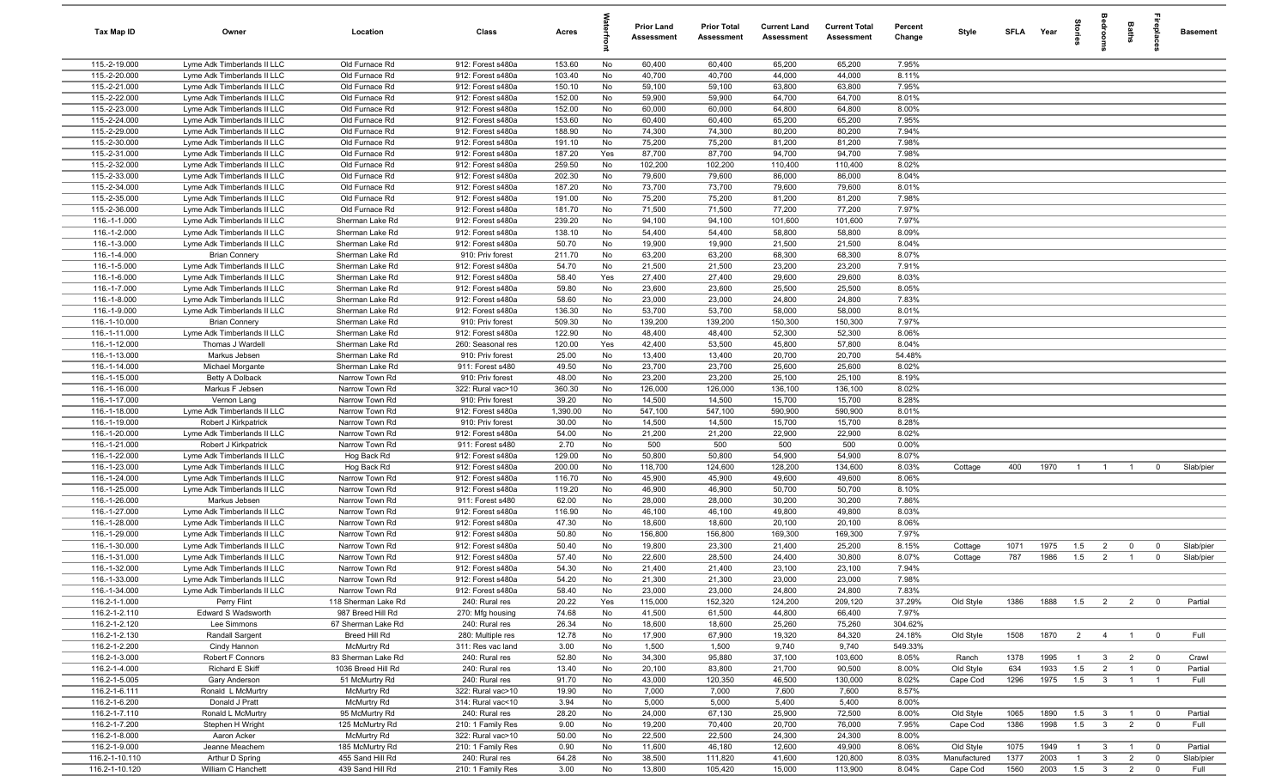| Tax Map ID                       | Owner                                                      | Location                              | Class                                  | Acres            |           | Prior Land<br><b>Assessment</b> | <b>Prior Total</b><br><b>Assessment</b> | <b>Current Land</b><br>Assessment | <b>Current Total</b><br>Assessment | Percent<br>Change | Style                    | SFLA Year    |              | g.                    | ă                                       | Baths               | epla                             | <b>Basement</b>   |
|----------------------------------|------------------------------------------------------------|---------------------------------------|----------------------------------------|------------------|-----------|---------------------------------|-----------------------------------------|-----------------------------------|------------------------------------|-------------------|--------------------------|--------------|--------------|-----------------------|-----------------------------------------|---------------------|----------------------------------|-------------------|
| 115.-2-19.000                    | Lyme Adk Timberlands II LLC                                | Old Furnace Rd                        | 912: Forest s480a                      | 153.60           | No        | 60,400                          | 60,400                                  | 65,200                            | 65,200                             | 7.95%             |                          |              |              |                       |                                         |                     |                                  |                   |
| 115.-2-20.000                    | Lyme Adk Timberlands II LLC                                | Old Furnace Rd                        | 912: Forest s480a                      | 103.40           | No        | 40,700                          | 40,700                                  | 44,000                            | 44,000                             | 8.11%             |                          |              |              |                       |                                         |                     |                                  |                   |
| 115.-2-21.000                    | Lyme Adk Timberlands II LLC                                | Old Furnace Rd                        | 912: Forest s480a                      | 150.10           | No        | 59,100                          | 59,100                                  | 63,800                            | 63,800                             | 7.95%             |                          |              |              |                       |                                         |                     |                                  |                   |
| 115.-2-22.000                    | Lyme Adk Timberlands II LLC                                | Old Furnace Rd                        | 912: Forest s480a                      | 152.00           | No        | 59,900                          | 59,900                                  | 64,700                            | 64,700                             | 8.01%             |                          |              |              |                       |                                         |                     |                                  |                   |
| 115.-2-23.000                    | Lyme Adk Timberlands II LLC                                | Old Furnace Rd                        | 912: Forest s480a                      | 152.00<br>153.60 | No        | 60,000<br>60,400                | 60,000                                  | 64,800<br>65,200                  | 64,800<br>65,200                   | 8.00%<br>7.95%    |                          |              |              |                       |                                         |                     |                                  |                   |
| 115.-2-24.000<br>115.-2-29.000   | Lyme Adk Timberlands II LLC<br>Lyme Adk Timberlands II LLC | Old Furnace Rd<br>Old Furnace Rd      | 912: Forest s480a<br>912: Forest s480a | 188.90           | No<br>No  | 74,300                          | 60,400<br>74,300                        | 80,200                            | 80,200                             | 7.94%             |                          |              |              |                       |                                         |                     |                                  |                   |
| 115.-2-30.000                    | Lyme Adk Timberlands II LLC                                | Old Furnace Rd                        | 912: Forest s480a                      | 191.10           | No        | 75,200                          | 75,200                                  | 81,200                            | 81,200                             | 7.98%             |                          |              |              |                       |                                         |                     |                                  |                   |
| 115.-2-31.000                    | Lyme Adk Timberlands II LLC                                | Old Furnace Rd                        | 912: Forest s480a                      | 187.20           | Yes       | 87,700                          | 87,700                                  | 94,700                            | 94,700                             | 7.98%             |                          |              |              |                       |                                         |                     |                                  |                   |
| 115.-2-32.000                    | Lyme Adk Timberlands II LLC                                | Old Furnace Rd                        | 912: Forest s480a                      | 259.50           | No        | 102,200                         | 102,200                                 | 110,400                           | 110,400                            | 8.02%             |                          |              |              |                       |                                         |                     |                                  |                   |
| 115.-2-33.000                    | Lyme Adk Timberlands II LLC                                | Old Furnace Rd                        | 912: Forest s480a                      | 202.30           | No        | 79,600                          | 79,600                                  | 86,000                            | 86,000                             | 8.04%             |                          |              |              |                       |                                         |                     |                                  |                   |
| 115.-2-34.000                    | Lyme Adk Timberlands II LLC                                | Old Furnace Rd                        | 912: Forest s480a                      | 187.20           | No        | 73,700                          | 73,700                                  | 79,600                            | 79,600                             | 8.01%             |                          |              |              |                       |                                         |                     |                                  |                   |
| 115.-2-35.000                    | Lyme Adk Timberlands II LLC                                | Old Furnace Rd                        | 912: Forest s480a                      | 191.00           | No        | 75,200                          | 75,200                                  | 81,200                            | 81,200                             | 7.98%             |                          |              |              |                       |                                         |                     |                                  |                   |
| 115.-2-36.000                    | Lyme Adk Timberlands II LLC                                | Old Furnace Rd                        | 912: Forest s480a                      | 181.70           | No        | 71,500                          | 71,500                                  | 77,200                            | 77,200                             | 7.97%             |                          |              |              |                       |                                         |                     |                                  |                   |
| 116.-1-1.000                     | Lyme Adk Timberlands II LLC                                | Sherman Lake Rd                       | 912: Forest s480a                      | 239.20           | No        | 94,100                          | 94,100                                  | 101,600                           | 101,600                            | 7.97%             |                          |              |              |                       |                                         |                     |                                  |                   |
| 116.-1-2.000                     | Lyme Adk Timberlands II LLC                                | Sherman Lake Rd                       | 912: Forest s480a                      | 138.10           | No        | 54,400                          | 54,400                                  | 58,800                            | 58,800                             | 8.09%             |                          |              |              |                       |                                         |                     |                                  |                   |
| 116.-1-3.000                     | Lyme Adk Timberlands II LLC                                | Sherman Lake Rd                       | 912: Forest s480a                      | 50.70            | No        | 19,900                          | 19,900                                  | 21,500                            | 21,500                             | 8.04%             |                          |              |              |                       |                                         |                     |                                  |                   |
| 116.-1-4.000                     | <b>Brian Connery</b>                                       | Sherman Lake Rd                       | 910: Priv forest                       | 211.70           | No        | 63,200                          | 63,200                                  | 68,300                            | 68,300                             | 8.07%             |                          |              |              |                       |                                         |                     |                                  |                   |
| 116.-1-5.000<br>116.-1-6.000     | Lyme Adk Timberlands II LLC<br>Lyme Adk Timberlands II LLC | Sherman Lake Rd                       | 912: Forest s480a                      | 54.70<br>58.40   | No        | 21,500                          | 21,500<br>27,400                        | 23,200<br>29,600                  | 23,200<br>29,600                   | 7.91%<br>8.03%    |                          |              |              |                       |                                         |                     |                                  |                   |
| 116.-1-7.000                     | Lyme Adk Timberlands II LLC                                | Sherman Lake Rd<br>Sherman Lake Rd    | 912: Forest s480a<br>912: Forest s480a | 59.80            | Yes<br>No | 27,400<br>23,600                | 23,600                                  | 25,500                            | 25,500                             | 8.05%             |                          |              |              |                       |                                         |                     |                                  |                   |
| 116.-1-8.000                     | Lyme Adk Timberlands II LLC                                | Sherman Lake Rd                       | 912: Forest s480a                      | 58.60            | No        | 23,000                          | 23,000                                  | 24,800                            | 24,800                             | 7.83%             |                          |              |              |                       |                                         |                     |                                  |                   |
| 116.-1-9.000                     | Lyme Adk Timberlands II LLC                                | Sherman Lake Rd                       | 912: Forest s480a                      | 136.30           | No        | 53,700                          | 53,700                                  | 58,000                            | 58,000                             | 8.01%             |                          |              |              |                       |                                         |                     |                                  |                   |
| 116.-1-10.000                    | <b>Brian Connery</b>                                       | Sherman Lake Rd                       | 910: Priv forest                       | 509.30           | No        | 139,200                         | 139,200                                 | 150,300                           | 150,300                            | 7.97%             |                          |              |              |                       |                                         |                     |                                  |                   |
| 116.-1-11.000                    | Lyme Adk Timberlands II LLC                                | Sherman Lake Rd                       | 912: Forest s480a                      | 122.90           | No        | 48,400                          | 48,400                                  | 52,300                            | 52,300                             | 8.06%             |                          |              |              |                       |                                         |                     |                                  |                   |
| 116.-1-12.000                    | Thomas J Wardell                                           | Sherman Lake Rd                       | 260: Seasonal res                      | 120.00           | Yes       | 42,400                          | 53,500                                  | 45,800                            | 57,800                             | 8.04%             |                          |              |              |                       |                                         |                     |                                  |                   |
| 116.-1-13.000                    | Markus Jebsen                                              | Sherman Lake Rd                       | 910: Priv forest                       | 25.00            | No        | 13,400                          | 13,400                                  | 20,700                            | 20,700                             | 54.48%            |                          |              |              |                       |                                         |                     |                                  |                   |
| 116.-1-14.000                    | Michael Morgante                                           | Sherman Lake Rd                       | 911: Forest s480                       | 49.50            | No        | 23,700                          | 23,700                                  | 25,600                            | 25,600                             | 8.02%             |                          |              |              |                       |                                         |                     |                                  |                   |
| 116.-1-15.000                    | Betty A Dolback                                            | Narrow Town Rd                        | 910: Priv forest                       | 48.00            | No        | 23,200                          | 23,200                                  | 25,100                            | 25,100                             | 8.19%             |                          |              |              |                       |                                         |                     |                                  |                   |
| 116.-1-16.000                    | Markus F Jebsen                                            | Narrow Town Rd                        | 322: Rural vac>10                      | 360.30           | No        | 126,000                         | 126,000                                 | 136,100                           | 136,100                            | 8.02%             |                          |              |              |                       |                                         |                     |                                  |                   |
| 116.-1-17.000                    | Vernon Lang                                                | Narrow Town Rd                        | 910: Priv forest                       | 39.20            | No        | 14,500                          | 14,500                                  | 15,700                            | 15,700                             | 8.28%             |                          |              |              |                       |                                         |                     |                                  |                   |
| 116.-1-18.000                    | Lyme Adk Timberlands II LLC                                | Narrow Town Rd                        | 912: Forest s480a                      | 1,390.00         | No        | 547,100                         | 547,100                                 | 590,900                           | 590,900                            | 8.01%             |                          |              |              |                       |                                         |                     |                                  |                   |
| 116.-1-19.000                    | Robert J Kirkpatrick                                       | Narrow Town Rd                        | 910: Priv forest                       | 30.00            | No        | 14,500                          | 14,500                                  | 15,700                            | 15,700                             | 8.28%             |                          |              |              |                       |                                         |                     |                                  |                   |
| 116.-1-20.000<br>116.-1-21.000   | Lyme Adk Timberlands II LLC                                | Narrow Town Rd                        | 912: Forest s480a                      | 54.00<br>2.70    | No        | 21,200<br>500                   | 21,200<br>500                           | 22,900<br>500                     | 22,900<br>500                      | 8.02%<br>0.00%    |                          |              |              |                       |                                         |                     |                                  |                   |
| 116.-1-22.000                    | Robert J Kirkpatrick<br>Lyme Adk Timberlands II LLC        | Narrow Town Rd<br>Hog Back Rd         | 911: Forest s480<br>912: Forest s480a  | 129.00           | No<br>No  | 50,800                          | 50,800                                  | 54,900                            | 54,900                             | 8.07%             |                          |              |              |                       |                                         |                     |                                  |                   |
| 116.-1-23.000                    | Lyme Adk Timberlands II LLC                                | Hog Back Rd                           | 912: Forest s480a                      | 200.00           | No        | 118,700                         | 124,600                                 | 128,200                           | 134,600                            | 8.03%             | Cottage                  | 400          | 1970         | $\overline{1}$        | $\overline{1}$                          | $\overline{1}$      | $^{\circ}$                       | Slab/pier         |
| 116.-1-24.000                    | Lyme Adk Timberlands II LLC                                | Narrow Town Rd                        | 912: Forest s480a                      | 116.70           | No        | 45,900                          | 45,900                                  | 49,600                            | 49,600                             | 8.06%             |                          |              |              |                       |                                         |                     |                                  |                   |
| 116.-1-25.000                    | Lyme Adk Timberlands II LLC                                | Narrow Town Rd                        | 912: Forest s480a                      | 119.20           | No        | 46,900                          | 46,900                                  | 50,700                            | 50,700                             | 8.10%             |                          |              |              |                       |                                         |                     |                                  |                   |
| 116.-1-26.000                    | Markus Jebsen                                              | Narrow Town Rd                        | 911: Forest s480                       | 62.00            | No        | 28,000                          | 28,000                                  | 30,200                            | 30,200                             | 7.86%             |                          |              |              |                       |                                         |                     |                                  |                   |
| 116.-1-27.000                    | Lyme Adk Timberlands II LLC                                | Narrow Town Rd                        | 912: Forest s480a                      | 116.90           | No        | 46,100                          | 46,100                                  | 49,800                            | 49,800                             | 8.03%             |                          |              |              |                       |                                         |                     |                                  |                   |
| 116.-1-28.000                    | Lyme Adk Timberlands II LLC                                | Narrow Town Rd                        | 912: Forest s480a                      | 47.30            | No        | 18,600                          | 18,600                                  | 20,100                            | 20,100                             | 8.06%             |                          |              |              |                       |                                         |                     |                                  |                   |
| 116.-1-29.000                    | Lyme Adk Timberlands II LLC                                | Narrow Town Rd                        | 912: Forest s480a                      | 50.80            | No        | 156,800                         | 156,800                                 | 169,300                           | 169,300                            | 7.97%             |                          |              |              |                       |                                         |                     |                                  |                   |
| 116.-1-30.000                    | Lyme Adk Timberlands II LLC                                | Narrow Town Rd                        | 912: Forest s480a                      | 50.40            | No        | 19,800                          | 23,300                                  | 21,400                            | 25,200                             | 8.15%             | Cottage                  | 1071         | 1975         | 1.5                   | $\overline{2}$                          | $\mathbf 0$         | $\mathbf 0$                      | Slab/pier         |
| 116.-1-31.000                    | Lyme Adk Timberlands II LLC                                | Narrow Town Rd                        | 912: Forest s480a                      | 57.40            | No        | 22,600                          | 28,500                                  | 24,400                            | 30,800                             | 8.07%             | Cottage                  | 787          | 1986         | 1.5                   | $\overline{2}$                          | $\overline{1}$      | $\mathbf 0$                      | Slab/pier         |
| 116.-1-32.000                    | Lyme Adk Timberlands II LLC                                | Narrow Town Rd                        | 912: Forest s480a                      | 54.30            | No        | 21,400                          | 21,400                                  | 23,100                            | 23,100                             | 7.94%             |                          |              |              |                       |                                         |                     |                                  |                   |
| 116.-1-33.000                    | Lyme Adk Timberlands II LLC                                | Narrow Town Rd                        | 912: Forest s480a                      | 54.20            | No        | 21,300                          | 21,300                                  | 23,000                            | 23,000                             | 7.98%             |                          |              |              |                       |                                         |                     |                                  |                   |
| 116.-1-34.000<br>116.2-1-1.000   | Lyme Adk Timberlands II LLC<br>Perry Flint                 | Narrow Town Rd<br>118 Sherman Lake Rd | 912: Forest s480a<br>240: Rural res    | 58.40<br>20.22   | No<br>Yes | 23,000<br>115,000               | 23,000<br>152,320                       | 24,800<br>124,200                 | 24,800<br>209,120                  | 7.83%<br>37.29%   | Old Style                | 1386         | 1888         | 1.5                   | $\overline{2}$                          | 2                   | $\overline{0}$                   | Partial           |
| 116.2-1-2.110                    | <b>Edward S Wadsworth</b>                                  | 987 Breed Hill Rd                     | 270: Mfg housing                       | 74.68            | No        | 41,500                          | 61,500                                  | 44,800                            | 66,400                             | 7.97%             |                          |              |              |                       |                                         |                     |                                  |                   |
| 116.2-1-2.120                    | Lee Simmons                                                | 67 Sherman Lake Rd                    | 240: Rural res                         | 26.34            | No        | 18,600                          | 18,600                                  | 25,260                            | 75,260                             | 304.62%           |                          |              |              |                       |                                         |                     |                                  |                   |
| 116.2-1-2.130                    | Randall Sargent                                            | Breed Hill Rd                         | 280: Multiple res                      | 12.78            | No        | 17,900                          | 67,900                                  | 19,320                            | 84,320                             | 24.18%            | Old Style                | 1508         | 1870         | $\overline{2}$        | $\overline{4}$                          | $\overline{1}$      | $\overline{0}$                   | Full              |
| 116.2-1-2.200                    | Cindy Hannon                                               | McMurtry Rd                           | 311: Res vac land                      | 3.00             | No        | 1,500                           | 1,500                                   | 9,740                             | 9,740                              | 549.33%           |                          |              |              |                       |                                         |                     |                                  |                   |
| 116.2-1-3.000                    | Robert F Connors                                           | 83 Sherman Lake Rd                    | 240: Rural res                         | 52.80            | No        | 34,300                          | 95,880                                  | 37,100                            | 103,600                            | 8.05%             | Ranch                    | 1378         | 1995         | $\overline{1}$        | $\mathbf{3}$                            | $\overline{2}$      | $\overline{0}$                   | Crawl             |
| 116.2-1-4.000                    | Richard E Skiff                                            | 1036 Breed Hill Rd                    | 240: Rural res                         | 13.40            | No        | 20,100                          | 83,800                                  | 21,700                            | 90,500                             | 8.00%             | Old Style                | 634          | 1933         | 1.5                   | $\overline{2}$                          | $\overline{1}$      | $\overline{0}$                   | Partial           |
| 116.2-1-5.005                    | Gary Anderson                                              | 51 McMurtry Rd                        | 240: Rural res                         | 91.70            | No        | 43,000                          | 120,350                                 | 46,500                            | 130,000                            | 8.02%             | Cape Cod                 | 1296         | 1975         | 1.5                   | $\mathbf{3}$                            | $\overline{1}$      | $\overline{1}$                   | Full              |
| 116.2-1-6.111                    | Ronald L McMurtry                                          | McMurtry Rd                           | 322: Rural vac>10                      | 19.90            | No        | 7,000                           | 7,000                                   | 7,600                             | 7,600                              | 8.57%             |                          |              |              |                       |                                         |                     |                                  |                   |
| 116.2-1-6.200                    | Donald J Pratt                                             | <b>McMurtry Rd</b>                    | 314: Rural vac<10                      | 3.94             | No        | 5,000                           | 5,000                                   | 5,400                             | 5,400                              | 8.00%             |                          |              |              |                       |                                         |                     |                                  |                   |
| 116.2-1-7.110                    | Ronald L McMurtry                                          | 95 McMurtry Rd                        | 240: Rural res                         | 28.20            | No        | 24,000                          | 67,130                                  | 25,900                            | 72,500                             | 8.00%             | Old Style                | 1065         | 1890         | 1.5                   | $\mathbf{3}$                            | $\overline{1}$      | $\overline{\mathbf{0}}$          | Partial           |
| 116.2-1-7.200                    | Stephen H Wright                                           | 125 McMurtry Rd                       | 210: 1 Family Res                      | 9.00             | No        | 19,200                          | 70,400                                  | 20,700                            | 76,000                             | 7.95%             | Cape Cod                 | 1386         | 1998         | 1.5                   | $\mathbf{3}$                            | 2                   | $\overline{0}$                   | Full              |
| 116.2-1-8.000                    | Aaron Acker                                                | <b>McMurtry Rd</b>                    | 322: Rural vac>10                      | 50.00            | No        | 22,500                          | 22,500                                  | 24,300                            | 24,300                             | 8.00%             |                          |              |              |                       |                                         |                     |                                  |                   |
| 116.2-1-9.000                    | Jeanne Meachem                                             | 185 McMurtry Rd                       | 210: 1 Family Res                      | 0.90             | No        | 11,600                          | 46,180                                  | 12,600                            | 49,900                             | 8.06%             | Old Style                | 1075         | 1949         | $\overline{1}$        | $\mathbf{3}$                            | $\overline{1}$      | $\overline{0}$                   | Partial           |
| 116.2-1-10.110<br>116.2-1-10.120 | Arthur D Spring<br>William C Hanchett                      | 455 Sand Hill Rd<br>439 Sand Hill Rd  | 240: Rural res<br>210: 1 Family Res    | 64.28<br>3.00    | No<br>No  | 38,500<br>13,800                | 111,820<br>105,420                      | 41,600<br>15,000                  | 120,800<br>113,900                 | 8.03%<br>8.04%    | Manufactured<br>Cape Cod | 1377<br>1560 | 2003<br>2003 | $\overline{1}$<br>1.5 | $\mathbf{3}$<br>$\overline{\mathbf{3}}$ | $\overline{2}$<br>2 | $\overline{0}$<br>$\overline{0}$ | Slab/pier<br>Full |
|                                  |                                                            |                                       |                                        |                  |           |                                 |                                         |                                   |                                    |                   |                          |              |              |                       |                                         |                     |                                  |                   |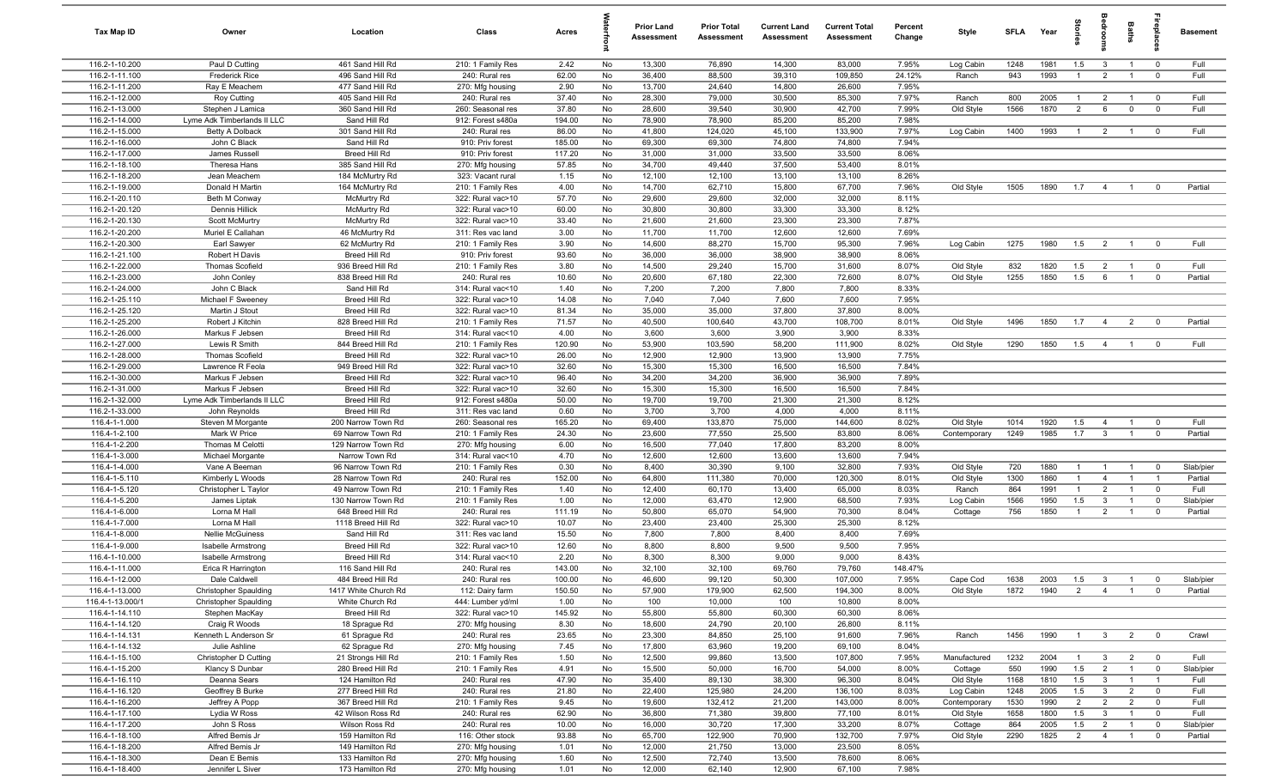| Tax Map ID                       | Owner                                                | Location                               | Class                                  | Acres          |          | Prior Land<br>Assessment | <b>Prior Total</b><br>Assessment | <b>Current Land</b><br>Assessment | <b>Current Total</b><br>Assessment | Percent<br>Change | Style                  | SFLA        | Year         | tories                | edroom                           | Baths                            | replac                           | <b>Basement</b>      |
|----------------------------------|------------------------------------------------------|----------------------------------------|----------------------------------------|----------------|----------|--------------------------|----------------------------------|-----------------------------------|------------------------------------|-------------------|------------------------|-------------|--------------|-----------------------|----------------------------------|----------------------------------|----------------------------------|----------------------|
| 116.2-1-10.200                   | Paul D Cutting                                       | 461 Sand Hill Rd                       | 210: 1 Family Res                      | 2.42           | No       | 13,300                   | 76,890                           | 14,300                            | 83,000                             | 7.95%             | Log Cabin              | 1248        | 1981         | 1.5                   | $\overline{\mathbf{3}}$          | $\overline{1}$                   | $\overline{\mathbf{0}}$          | Full                 |
| 116.2-1-11.100<br>116.2-1-11.200 | <b>Frederick Rice</b>                                | 496 Sand Hill Rd<br>477 Sand Hill Rd   | 240: Rural res                         | 62.00          | No<br>No | 36,400<br>13,700         | 88,500<br>24,640                 | 39,310<br>14,800                  | 109,850<br>26,600                  | 24.12%<br>7.95%   | Ranch                  | 943         | 1993         | $\overline{1}$        | $\overline{2}$                   | $\overline{1}$                   | $\overline{0}$                   | Full                 |
| 116.2-1-12.000                   | Ray E Meachem<br><b>Roy Cutting</b>                  | 405 Sand Hill Rd                       | 270: Mfg housing<br>240: Rural res     | 2.90<br>37.40  | No       | 28,300                   | 79,000                           | 30,500                            | 85,300                             | 7.97%             | Ranch                  | 800         | 2005         | $\overline{1}$        | 2                                | $\overline{1}$                   | $\overline{0}$                   | Full                 |
| 116.2-1-13.000                   | Stephen J Lamica                                     | 360 Sand Hill Rd                       | 260: Seasonal res                      | 37.80          | No       | 28,600                   | 39,540                           | 30,900                            | 42,700                             | 7.99%             | Old Style              | 1566        | 1870         | 2                     | 6                                | $\mathbf 0$                      | $\overline{0}$                   | Full                 |
| 116.2-1-14.000                   | Lyme Adk Timberlands II LLC                          | Sand Hill Rd                           | 912: Forest s480a                      | 194.00         | No       | 78,900                   | 78,900                           | 85,200                            | 85,200                             | 7.98%             |                        |             |              |                       |                                  |                                  |                                  |                      |
| 116.2-1-15.000                   | <b>Betty A Dolback</b>                               | 301 Sand Hill Rd                       | 240: Rural res                         | 86.00          | No       | 41,800                   | 124,020                          | 45,100                            | 133,900                            | 7.97%             | Log Cabin              | 1400        | 1993         | $\overline{1}$        | $\overline{2}$                   | $\overline{1}$                   | $\overline{0}$                   | Full                 |
| 116.2-1-16.000                   | John C Black                                         | Sand Hill Rd                           | 910: Priv forest                       | 185.00         | No       | 69,300                   | 69,300                           | 74,800                            | 74,800                             | 7.94%             |                        |             |              |                       |                                  |                                  |                                  |                      |
| 116.2-1-17.000                   | James Russell                                        | Breed Hill Rd                          | 910: Priv forest                       | 117.20         | No       | 31,000                   | 31,000                           | 33,500                            | 33,500                             | 8.06%             |                        |             |              |                       |                                  |                                  |                                  |                      |
| 116.2-1-18.100                   | Theresa Hans                                         | 385 Sand Hill Rd                       | 270: Mfg housing                       | 57.85          | No       | 34,700<br>12,100         | 49,440                           | 37,500                            | 53,400                             | 8.01%<br>8.26%    |                        |             |              |                       |                                  |                                  |                                  |                      |
| 116.2-1-18.200<br>116.2-1-19.000 | Jean Meachem<br>Donald H Martin                      | 184 McMurtry Rd<br>164 McMurtry Rd     | 323: Vacant rural<br>210: 1 Family Res | 1.15<br>4.00   | No<br>No | 14,700                   | 12,100<br>62,710                 | 13,100<br>15,800                  | 13,100<br>67,700                   | 7.96%             | Old Style              | 1505        | 1890         | 1.7                   | $\overline{4}$                   | $\overline{1}$                   | $\overline{0}$                   | Partial              |
| 116.2-1-20.110                   | Beth M Conway                                        | McMurtry Rd                            | 322: Rural vac>10                      | 57.70          | No       | 29,600                   | 29,600                           | 32,000                            | 32,000                             | 8.11%             |                        |             |              |                       |                                  |                                  |                                  |                      |
| 116.2-1-20.120                   | Dennis Hillick                                       | <b>McMurtry Rd</b>                     | 322: Rural vac>10                      | 60.00          | No       | 30,800                   | 30,800                           | 33,300                            | 33,300                             | 8.12%             |                        |             |              |                       |                                  |                                  |                                  |                      |
| 116.2-1-20.130                   | <b>Scott McMurtry</b>                                | <b>McMurtry Rd</b>                     | 322: Rural vac>10                      | 33.40          | No       | 21,600                   | 21,600                           | 23,300                            | 23,300                             | 7.87%             |                        |             |              |                       |                                  |                                  |                                  |                      |
| 116.2-1-20.200                   | Muriel E Callahan                                    | 46 McMurtry Rd                         | 311: Res vac land                      | 3.00           | No       | 11,700                   | 11,700                           | 12,600                            | 12,600                             | 7.69%             |                        |             |              |                       |                                  |                                  |                                  |                      |
| 116.2-1-20.300                   | Earl Sawyer                                          | 62 McMurtry Rd                         | 210: 1 Family Res                      | 3.90           | No       | 14,600                   | 88,270                           | 15,700                            | 95,300                             | 7.96%             | Log Cabin              | 1275        | 1980         | 1.5                   | $\overline{2}$                   | $\overline{1}$                   | $\overline{0}$                   | Full                 |
| 116.2-1-21.100                   | Robert H Davis                                       | Breed Hill Rd                          | 910: Priv forest                       | 93.60          | No       | 36,000                   | 36,000                           | 38,900                            | 38,900                             | 8.06%             |                        |             |              |                       |                                  |                                  |                                  |                      |
| 116.2-1-22.000<br>116.2-1-23.000 | Thomas Scofield<br>John Conley                       | 936 Breed Hill Rd<br>838 Breed Hill Rd | 210: 1 Family Res<br>240: Rural res    | 3.80<br>10.60  | No<br>No | 14,500<br>20,600         | 29,240<br>67,180                 | 15,700<br>22,300                  | 31,600<br>72,600                   | 8.07%<br>8.07%    | Old Style<br>Old Style | 832<br>1255 | 1820<br>1850 | 1.5<br>1.5            | $\overline{2}$<br>6              | $\overline{1}$<br>$\overline{1}$ | $\overline{0}$<br>$\overline{0}$ | Full<br>Partial      |
| 116.2-1-24.000                   | John C Black                                         | Sand Hill Rd                           | 314: Rural vac<10                      | 1.40           | No       | 7,200                    | 7,200                            | 7,800                             | 7,800                              | 8.33%             |                        |             |              |                       |                                  |                                  |                                  |                      |
| 116.2-1-25.110                   | Michael F Sweeney                                    | Breed Hill Rd                          | 322: Rural vac>10                      | 14.08          | No       | 7,040                    | 7,040                            | 7,600                             | 7,600                              | 7.95%             |                        |             |              |                       |                                  |                                  |                                  |                      |
| 116.2-1-25.120                   | Martin J Stout                                       | Breed Hill Rd                          | 322: Rural vac>10                      | 81.34          | No       | 35,000                   | 35,000                           | 37,800                            | 37,800                             | 8.00%             |                        |             |              |                       |                                  |                                  |                                  |                      |
| 116.2-1-25.200                   | Robert J Kitchin                                     | 828 Breed Hill Rd                      | 210: 1 Family Res                      | 71.57          | No       | 40,500                   | 100,640                          | 43,700                            | 108,700                            | 8.01%             | Old Style              | 1496        | 1850         | 1.7                   | $\overline{4}$                   | $\overline{2}$                   | $\overline{0}$                   | Partial              |
| 116.2-1-26.000                   | Markus F Jebsen                                      | Breed Hill Rd                          | 314: Rural vac<10                      | 4.00           | No       | 3,600                    | 3,600                            | 3,900                             | 3,900                              | 8.33%             |                        |             |              |                       |                                  |                                  |                                  |                      |
| 116.2-1-27.000                   | Lewis R Smith                                        | 844 Breed Hill Rd                      | 210: 1 Family Res                      | 120.90         | No       | 53,900                   | 103,590                          | 58,200                            | 111,900                            | 8.02%             | Old Style              | 1290        | 1850         | 1.5                   | $\overline{4}$                   | $\overline{1}$                   | $\overline{0}$                   | Full                 |
| 116.2-1-28.000<br>116.2-1-29.000 | <b>Thomas Scofield</b><br>Lawrence R Feola           | Breed Hill Rd<br>949 Breed Hill Rd     | 322: Rural vac>10<br>322: Rural vac>10 | 26.00<br>32.60 | No<br>No | 12,900<br>15,300         | 12,900<br>15,300                 | 13,900<br>16,500                  | 13,900<br>16,500                   | 7.75%<br>7.84%    |                        |             |              |                       |                                  |                                  |                                  |                      |
| 116.2-1-30.000                   | Markus F Jebsen                                      | Breed Hill Rd                          | 322: Rural vac>10                      | 96.40          | No       | 34,200                   | 34,200                           | 36,900                            | 36,900                             | 7.89%             |                        |             |              |                       |                                  |                                  |                                  |                      |
| 116.2-1-31.000                   | Markus F Jebsen                                      | Breed Hill Rd                          | 322: Rural vac>10                      | 32.60          | No       | 15,300                   | 15,300                           | 16,500                            | 16,500                             | 7.84%             |                        |             |              |                       |                                  |                                  |                                  |                      |
| 116.2-1-32.000                   | Lyme Adk Timberlands II LLC                          | Breed Hill Rd                          | 912: Forest s480a                      | 50.00          | No       | 19,700                   | 19,700                           | 21,300                            | 21,300                             | 8.12%             |                        |             |              |                       |                                  |                                  |                                  |                      |
| 116.2-1-33.000                   | John Reynolds                                        | Breed Hill Rd                          | 311: Res vac land                      | 0.60           | No       | 3,700                    | 3,700                            | 4,000                             | 4,000                              | 8.11%             |                        |             |              |                       |                                  |                                  |                                  |                      |
| 116.4-1-1.000                    | Steven M Morgante                                    | 200 Narrow Town Rd                     | 260: Seasonal res                      | 165.20         | No       | 69,400                   | 133,870                          | 75,000                            | 144,600                            | 8.02%             | Old Style              | 1014        | 1920         | 1.5                   | $\overline{4}$                   | $\overline{1}$                   | $\overline{0}$                   | Full                 |
| 116.4-1-2.100                    | Mark W Price                                         | 69 Narrow Town Rd                      | 210: 1 Family Res                      | 24.30          | No       | 23,600                   | 77,550                           | 25,500                            | 83,800                             | 8.06%             | Contemporary           | 1249        | 1985         | 1.7                   | $\mathbf{3}$                     | $\mathbf{1}$                     | $\overline{0}$                   | Partial              |
| 116.4-1-2.200<br>116.4-1-3.000   | Thomas M Celotti<br>Michael Morgante                 | 129 Narrow Town Rd<br>Narrow Town Rd   | 270: Mfg housing<br>314: Rural vac<10  | 6.00<br>4.70   | No<br>No | 16,500<br>12,600         | 77,040<br>12,600                 | 17,800<br>13,600                  | 83,200<br>13,600                   | 8.00%<br>7.94%    |                        |             |              |                       |                                  |                                  |                                  |                      |
| 116.4-1-4.000                    | Vane A Beeman                                        | 96 Narrow Town Rd                      | 210: 1 Family Res                      | 0.30           | No       | 8,400                    | 30,390                           | 9,100                             | 32,800                             | 7.93%             | Old Style              | 720         | 1880         | $\overline{1}$        |                                  | $\overline{1}$                   | $\overline{0}$                   | Slab/pier            |
| 116.4-1-5.110                    | Kimberly L Woods                                     | 28 Narrow Town Rd                      | 240: Rural res                         | 152.00         | No       | 64,800                   | 111,380                          | 70,000                            | 120,300                            | 8.01%             | Old Style              | 1300        | 1860         | $\overline{1}$        | $\overline{4}$                   | $\overline{1}$                   |                                  | Partial              |
| 116.4-1-5.120                    | Christopher L Taylor                                 | 49 Narrow Town Rd                      | 210: 1 Family Res                      | 1.40           | No       | 12,400                   | 60,170                           | 13,400                            | 65,000                             | 8.03%             | Ranch                  | 864         | 1991         | $\overline{1}$        | $\overline{2}$                   |                                  | $\overline{0}$                   | Full                 |
| 116.4-1-5.200                    | James Liptak                                         | 130 Narrow Town Rd                     | 210: 1 Family Res                      | 1.00           | No       | 12,000                   | 63,470                           | 12,900                            | 68,500                             | 7.93%             | Log Cabin              | 1566        | 1950         | 1.5                   | $\overline{3}$                   | $\overline{1}$                   | $\overline{\mathbf{0}}$          | Slab/pier            |
| 116.4-1-6.000                    | Lorna M Hall                                         | 648 Breed Hill Rd                      | 240: Rural res                         | 111.19         | No       | 50,800                   | 65,070                           | 54,900                            | 70,300                             | 8.04%             | Cottage                | 756         | 1850         | $\overline{1}$        | $\overline{2}$                   | $\overline{1}$                   | $\overline{\mathbf{0}}$          | Partial              |
| 116.4-1-7.000                    | Lorna M Hall                                         | 1118 Breed Hill Rd                     | 322: Rural vac>10                      | 10.07          | No       | 23,400                   | 23,400                           | 25,300                            | 25,300                             | 8.12%             |                        |             |              |                       |                                  |                                  |                                  |                      |
| 116.4-1-8.000<br>116.4-1-9.000   | <b>Nellie McGuiness</b><br><b>Isabelle Armstrong</b> | Sand Hill Rd<br>Breed Hill Rd          | 311: Res vac land<br>322: Rural vac>10 | 15.50<br>12.60 | No<br>No | 7,800<br>8,800           | 7,800<br>8,800                   | 8,400<br>9,500                    | 8,400<br>9,500                     | 7.69%<br>7.95%    |                        |             |              |                       |                                  |                                  |                                  |                      |
| 116.4-1-10.000                   | <b>Isabelle Armstrong</b>                            | Breed Hill Rd                          | 314: Rural vac<10                      | 2.20           | No       | 8,300                    | 8,300                            | 9,000                             | 9,000                              | 8.43%             |                        |             |              |                       |                                  |                                  |                                  |                      |
| 116.4-1-11.000                   | Erica R Harrington                                   | 116 Sand Hill Rd                       | 240: Rural res                         | 143.00         | No       | 32,100                   | 32,100                           | 69,760                            | 79,760                             | 148.47%           |                        |             |              |                       |                                  |                                  |                                  |                      |
| 116.4-1-12.000                   | Dale Caldwell                                        | 484 Breed Hill Rd                      | 240: Rural res                         | 100.00         | No       | 46,600                   | 99,120                           | 50,300                            | 107,000                            | 7.95%             | Cape Cod               | 1638        | 2003         | 1.5                   | $\mathbf{3}$                     |                                  | $\mathbf 0$                      | Slab/pier            |
| 116.4-1-13.000                   | <b>Christopher Spaulding</b>                         | 1417 White Church Rd                   | 112: Dairy farm                        | 150.50         | No       | 57,900                   | 179,900                          | 62,500                            | 194,300                            | 8.00%             | Old Style              | 1872        | 1940         | 2                     | $\overline{4}$                   | $\overline{1}$                   | $\overline{0}$                   | Partial              |
| 116.4-1-13.000/1                 | <b>Christopher Spaulding</b>                         | White Church Rd                        | 444: Lumber yd/ml                      | 1.00           | No       | 100                      | 10,000                           | 100                               | 10,800                             | 8.00%             |                        |             |              |                       |                                  |                                  |                                  |                      |
| 116.4-1-14.110                   | Stephen MacKay                                       | Breed Hill Rd                          | 322: Rural vac>10                      | 145.92         | No       | 55,800                   | 55,800                           | 60,300                            | 60,300                             | 8.06%             |                        |             |              |                       |                                  |                                  |                                  |                      |
| 116.4-1-14.120<br>116.4-1-14.131 | Craig R Woods<br>Kenneth L Anderson Sr               | 18 Sprague Rd<br>61 Sprague Rd         | 270: Mfg housing<br>240: Rural res     | 8.30<br>23.65  | No<br>No | 18,600<br>23,300         | 24,790<br>84,850                 | 20,100<br>25,100                  | 26,800<br>91,600                   | 8.11%<br>7.96%    | Ranch                  | 1456        | 1990         | $\overline{1}$        | $\overline{3}$                   | $\overline{2}$                   | $\overline{0}$                   | Crawl                |
| 116.4-1-14.132                   | Julie Ashline                                        | 62 Sprague Rd                          | 270: Mfg housing                       | 7.45           | No       | 17,800                   | 63,960                           | 19,200                            | 69,100                             | 8.04%             |                        |             |              |                       |                                  |                                  |                                  |                      |
| 116.4-1-15.100                   | Christopher D Cutting                                | 21 Strongs Hill Rd                     | 210: 1 Family Res                      | 1.50           | No       | 12,500                   | 99,860                           | 13,500                            | 107,800                            | 7.95%             | Manufactured           | 1232        | 2004         | $\overline{1}$        | $\overline{3}$                   | $\overline{2}$                   | $\overline{0}$                   | Full                 |
| 116.4-1-15.200                   | Klancy S Dunbar                                      | 280 Breed Hill Rd                      | 210: 1 Family Res                      | 4.91           | No       | 15,500                   | 50,000                           | 16,700                            | 54,000                             | 8.00%             | Cottage                | 550         | 1990         | 1.5                   | $\overline{2}$                   | $\overline{1}$                   | $\overline{0}$                   | Slab/pier            |
| 116.4-1-16.110                   | Deanna Sears                                         | 124 Hamilton Rd                        | 240: Rural res                         | 47.90          | No       | 35,400                   | 89,130                           | 38,300                            | 96,300                             | 8.04%             | Old Style              | 1168        | 1810         | 1.5                   | $\overline{\mathbf{3}}$          | $\mathbf{1}$                     | $\overline{1}$                   | Full                 |
| 116.4-1-16.120                   | Geoffrey B Burke                                     | 277 Breed Hill Rd                      | 240: Rural res                         | 21.80          | No       | 22,400                   | 125,980                          | 24,200                            | 136,100                            | 8.03%             | Log Cabin              | 1248        | 2005         | 1.5                   | $\overline{3}$                   | $\overline{2}$                   | $\overline{0}$                   | Full                 |
| 116.4-1-16.200                   | Jeffrey A Popp                                       | 367 Breed Hill Rd                      | 210: 1 Family Res                      | 9.45           | No       | 19,600                   | 132,412                          | 21,200                            | 143,000                            | 8.00%             | Contemporary           | 1530        | 1990         | $\overline{2}$        | $\overline{2}$                   | $\overline{2}$                   | $\overline{0}$                   | Full                 |
| 116.4-1-17.100                   | Lydia W Ross                                         | 42 Wilson Ross Rd                      | 240: Rural res                         | 62.90          | No       | 36,800                   | 71,380                           | 39,800                            | 77,100                             | 8.01%             | Old Style              | 1658        | 1800         | 1.5                   | $\overline{3}$                   | $\mathbf{1}$                     | $\overline{0}$                   | Full                 |
| 116.4-1-17.200<br>116.4-1-18.100 | John S Ross<br>Alfred Bemis Jr                       | Wilson Ross Rd<br>159 Hamilton Rd      | 240: Rural res<br>116: Other stock     | 10.00<br>93.88 | No<br>No | 16,000<br>65,700         | 30,720<br>122,900                | 17,300<br>70,900                  | 33,200<br>132,700                  | 8.07%<br>7.97%    | Cottage<br>Old Style   | 864<br>2290 | 2005<br>1825 | 1.5<br>$\overline{2}$ | $\overline{2}$<br>$\overline{4}$ | $\mathbf{1}$<br>$\overline{1}$   | $\overline{0}$<br>$\mathbf{0}$   | Slab/pier<br>Partial |
| 116.4-1-18.200                   | Alfred Bemis Jr                                      | 149 Hamilton Rd                        | 270: Mfg housing                       | 1.01           | No       | 12,000                   | 21,750                           | 13,000                            | 23,500                             | 8.05%             |                        |             |              |                       |                                  |                                  |                                  |                      |
| 116.4-1-18.300                   | Dean E Bemis                                         | 133 Hamilton Rd                        | 270: Mfg housing                       | 1.60           | No       | 12,500                   | 72,740                           | 13,500                            | 78,600                             | 8.06%             |                        |             |              |                       |                                  |                                  |                                  |                      |
| 116.4-1-18.400                   | Jennifer L Siver                                     | 173 Hamilton Rd                        | 270: Mfg housing                       | 1.01           | No       | 12,000                   | 62,140                           | 12,900                            | 67,100                             | 7.98%             |                        |             |              |                       |                                  |                                  |                                  |                      |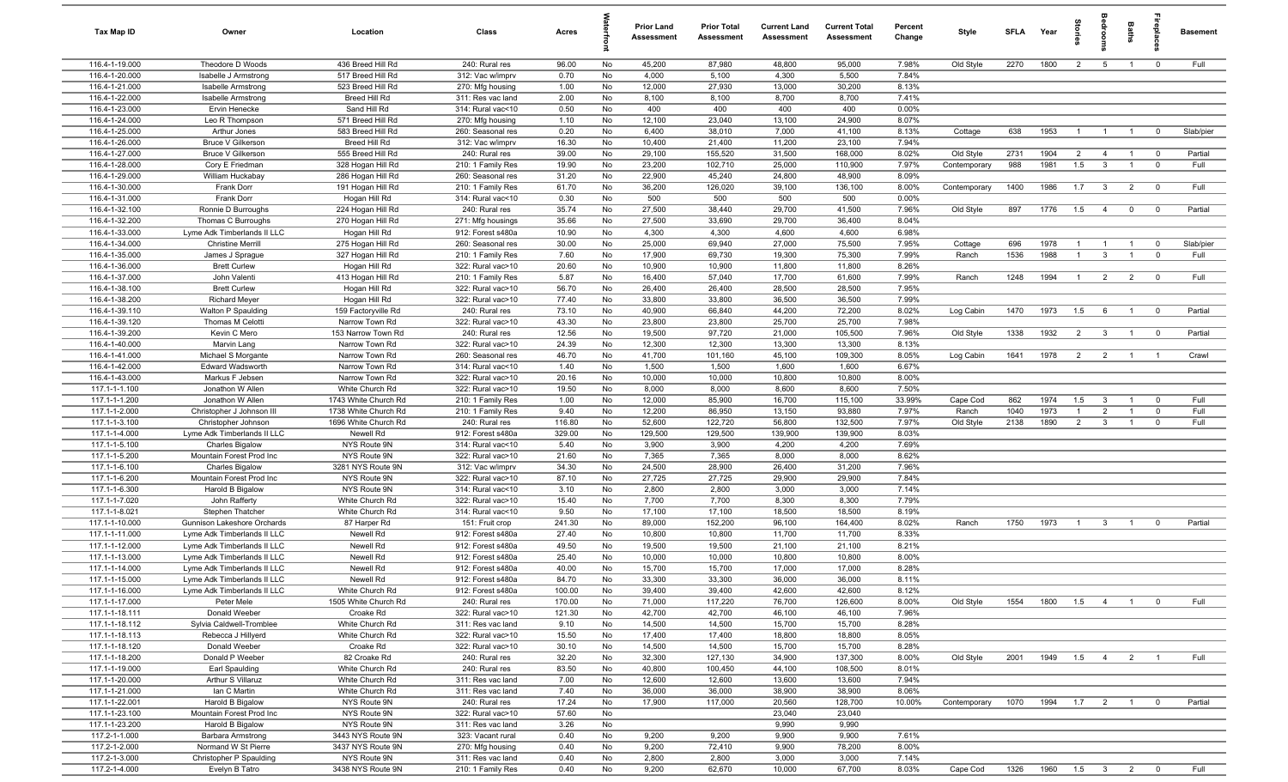| Tax Map ID                       | Owner                                                      | Location                                     | Class                                  | Acres          |           | <b>Prior Land</b><br><b>Assessment</b> | <b>Prior Total</b><br>Assessment | <b>Current Land</b><br>Assessment | <b>Current Total</b><br>Assessment | Percent<br>Change | Style             | <b>SFLA</b> | Year               | 을<br>등         | <b>edroo</b>                              | Baths                            | <b>G</b> bia                  | <b>Basement</b>   |
|----------------------------------|------------------------------------------------------------|----------------------------------------------|----------------------------------------|----------------|-----------|----------------------------------------|----------------------------------|-----------------------------------|------------------------------------|-------------------|-------------------|-------------|--------------------|----------------|-------------------------------------------|----------------------------------|-------------------------------|-------------------|
| 116.4-1-19.000                   | Theodore D Woods                                           | 436 Breed Hill Rd                            | 240: Rural res                         | 96.00          | No        | 45,200                                 | 87,980                           | 48,800                            | 95,000                             | 7.98%             | Old Style         | 2270        | 1800               | $\overline{2}$ | $5\overline{)}$                           | $\overline{1}$                   | $\mathbf 0$                   | Full              |
| 116.4-1-20.000                   | Isabelle J Armstrong                                       | 517 Breed Hill Rd                            | 312: Vac w/imprv                       | 0.70           | No        | 4,000                                  | 5,100                            | 4,300                             | 5,500                              | 7.84%             |                   |             |                    |                |                                           |                                  |                               |                   |
| 116.4-1-21.000                   | <b>Isabelle Armstrong</b>                                  | 523 Breed Hill Rd                            | 270: Mfg housing                       | 1.00           | No        | 12,000                                 | 27,930                           | 13,000                            | 30,200                             | 8.13%             |                   |             |                    |                |                                           |                                  |                               |                   |
| 116.4-1-22.000                   | <b>Isabelle Armstrong</b>                                  | Breed Hill Rd                                | 311: Res vac land                      | 2.00           | No        | 8,100                                  | 8,100<br>400                     | 8,700<br>400                      | 8,700                              | 7.41%             |                   |             |                    |                |                                           |                                  |                               |                   |
| 116.4-1-23.000<br>116.4-1-24.000 | Ervin Henecke<br>Leo R Thompson                            | Sand Hill Rd<br>571 Breed Hill Rd            | 314: Rural vac<10<br>270: Mfg housing  | 0.50<br>1.10   | No<br>No  | 400<br>12,100                          | 23,040                           | 13,100                            | 400<br>24,900                      | 0.00%<br>8.07%    |                   |             |                    |                |                                           |                                  |                               |                   |
| 116.4-1-25.000                   | Arthur Jones                                               | 583 Breed Hill Rd                            | 260: Seasonal res                      | 0.20           | No        | 6,400                                  | 38,010                           | 7,000                             | 41,100                             | 8.13%             | Cottage           | 638         | 1953               | $\overline{1}$ | $\overline{1}$                            | $\overline{1}$                   | $\mathbf 0$                   | Slab/pier         |
| 116.4-1-26.000                   | <b>Bruce V Gilkerson</b>                                   | Breed Hill Rd                                | 312: Vac w/imprv                       | 16.30          | No        | 10,400                                 | 21,400                           | 11,200                            | 23,100                             | 7.94%             |                   |             |                    |                |                                           |                                  |                               |                   |
| 116.4-1-27.000                   | <b>Bruce V Gilkerson</b>                                   | 555 Breed Hill Rd                            | 240: Rural res                         | 39.00          | No        | 29,100                                 | 155,520                          | 31,500                            | 168,000                            | 8.02%             | Old Style         | 2731        | 1904               | $\overline{2}$ | $\overline{4}$                            | $\overline{1}$                   | $\overline{0}$                | Partial           |
| 116.4-1-28.000                   | Cory E Friedman                                            | 328 Hogan Hill Rd                            | 210: 1 Family Res                      | 19.90          | No        | 23,200                                 | 102,710                          | 25,000                            | 110,900                            | 7.97%             | Contemporary      | 988         | 1981               | 1.5            | $\mathbf{3}$                              | $\overline{1}$                   | $\mathbf 0$                   | Full              |
| 116.4-1-29.000                   | William Huckabay                                           | 286 Hogan Hill Rd                            | 260: Seasonal res                      | 31.20          | No        | 22,900                                 | 45,240                           | 24,800                            | 48,900                             | 8.09%             |                   |             |                    |                |                                           |                                  |                               |                   |
| 116.4-1-30.000                   | Frank Dorr                                                 | 191 Hogan Hill Rd                            | 210: 1 Family Res                      | 61.70          | No        | 36,200                                 | 126,020                          | 39,100                            | 136,100                            | 8.00%             | Contemporary      | 1400        | 1986               | 1.7            | $\overline{\mathbf{3}}$                   | $\overline{2}$                   | $\mathbf 0$                   | Full              |
| 116.4-1-31.000                   | Frank Dorr                                                 | Hogan Hill Rd                                | 314: Rural vac<10                      | 0.30           | No        | 500                                    | 500                              | 500                               | 500                                | 0.00%             |                   |             |                    |                |                                           |                                  |                               |                   |
| 116.4-1-32.100                   | Ronnie D Burroughs                                         | 224 Hogan Hill Rd                            | 240: Rural res                         | 35.74          | No        | 27,500                                 | 38,440                           | 29,700                            | 41,500                             | 7.96%             | Old Style         | 897         | 1776               | 1.5            | $\overline{4}$                            | $\overline{0}$                   | $\overline{0}$                | Partial           |
| 116.4-1-32.200                   | Thomas C Burroughs                                         | 270 Hogan Hill Rd                            | 271: Mfg housings                      | 35.66          | No        | 27,500                                 | 33,690                           | 29,700                            | 36,400                             | 8.04%             |                   |             |                    |                |                                           |                                  |                               |                   |
| 116.4-1-33.000                   | Lyme Adk Timberlands II LLC                                | Hogan Hill Rd                                | 912: Forest s480a                      | 10.90          | No        | 4,300                                  | 4,300                            | 4,600                             | 4,600                              | 6.98%             |                   |             |                    |                |                                           |                                  |                               |                   |
| 116.4-1-34.000<br>116.4-1-35.000 | <b>Christine Merrill</b>                                   | 275 Hogan Hill Rd<br>327 Hogan Hill Rd       | 260: Seasonal res                      | 30.00<br>7.60  | No<br>No  | 25,000<br>17,900                       | 69,940<br>69,730                 | 27,000<br>19,300                  | 75,500<br>75,300                   | 7.95%<br>7.99%    | Cottage<br>Ranch  | 696<br>1536 | 1978<br>1988       | $\overline{1}$ | $\mathbf{3}$                              | $\overline{1}$<br>$\overline{1}$ | $\mathbf 0$<br>$\overline{0}$ | Slab/pier<br>Full |
| 116.4-1-36.000                   | James J Sprague<br><b>Brett Curlew</b>                     | Hogan Hill Rd                                | 210: 1 Family Res<br>322: Rural vac>10 | 20.60          | No        | 10,900                                 | 10,900                           | 11,800                            | 11,800                             | 8.26%             |                   |             |                    |                |                                           |                                  |                               |                   |
| 116.4-1-37.000                   | John Valenti                                               | 413 Hogan Hill Rd                            | 210: 1 Family Res                      | 5.87           | No        | 16,400                                 | 57,040                           | 17,700                            | 61,600                             | 7.99%             | Ranch             | 1248        | 1994               | $\overline{1}$ | $\overline{2}$                            | $\overline{2}$                   | $\overline{\mathbf{0}}$       | Full              |
| 116.4-1-38.100                   | <b>Brett Curlew</b>                                        | Hogan Hill Rd                                | 322: Rural vac>10                      | 56.70          | No        | 26,400                                 | 26,400                           | 28,500                            | 28,500                             | 7.95%             |                   |             |                    |                |                                           |                                  |                               |                   |
| 116.4-1-38.200                   | <b>Richard Meyer</b>                                       | Hogan Hill Rd                                | 322: Rural vac>10                      | 77.40          | No        | 33,800                                 | 33,800                           | 36,500                            | 36,500                             | 7.99%             |                   |             |                    |                |                                           |                                  |                               |                   |
| 116.4-1-39.110                   | Walton P Spaulding                                         | 159 Factoryville Rd                          | 240: Rural res                         | 73.10          | No        | 40,900                                 | 66,840                           | 44,200                            | 72,200                             | 8.02%             | Log Cabin         | 1470        | 1973               | 1.5            | 6                                         | $\overline{1}$                   | $\mathbf 0$                   | Partial           |
| 116.4-1-39.120                   | Thomas M Celotti                                           | Narrow Town Rd                               | 322: Rural vac>10                      | 43.30          | No        | 23,800                                 | 23,800                           | 25,700                            | 25,700                             | 7.98%             |                   |             |                    |                |                                           |                                  |                               |                   |
| 116.4-1-39.200                   | Kevin C Mero                                               | 153 Narrow Town Rd                           | 240: Rural res                         | 12.56          | No        | 19,500                                 | 97,720                           | 21,000                            | 105,500                            | 7.96%             | Old Style         | 1338        | 1932               | $\overline{2}$ | $\overline{\mathbf{3}}$                   | $\overline{1}$                   | $\mathbf 0$                   | Partial           |
| 116.4-1-40.000                   | Marvin Lang                                                | Narrow Town Rd                               | 322: Rural vac>10                      | 24.39          | No        | 12,300                                 | 12,300                           | 13,300                            | 13,300                             | 8.13%             |                   |             |                    |                |                                           |                                  |                               |                   |
| 116.4-1-41.000                   | Michael S Morgante                                         | Narrow Town Rd                               | 260: Seasonal res                      | 46.70          | No        | 41,700                                 | 101,160                          | 45,100                            | 109,300                            | 8.05%             | Log Cabin         | 1641        | 1978               | $\overline{2}$ | $\overline{2}$                            | $\overline{1}$                   | $\overline{1}$                | Crawl             |
| 116.4-1-42.000                   | Edward Wadsworth                                           | Narrow Town Rd                               | 314: Rural vac<10                      | 1.40           | No        | 1,500                                  | 1,500                            | 1,600                             | 1,600                              | 6.67%             |                   |             |                    |                |                                           |                                  |                               |                   |
| 116.4-1-43.000                   | Markus F Jebsen                                            | Narrow Town Rd                               | 322: Rural vac>10                      | 20.16          | No        | 10,000                                 | 10,000                           | 10,800                            | 10,800                             | 8.00%             |                   |             |                    |                |                                           |                                  |                               |                   |
| 117.1-1-1.100                    | Jonathon W Allen                                           | White Church Rd                              | 322: Rural vac>10                      | 19.50          | No        | 8,000                                  | 8,000                            | 8,600                             | 8,600                              | 7.50%<br>33.99%   |                   | 862         | 1974               | 1.5            |                                           | $\overline{1}$                   | $\overline{0}$                | Full              |
| 117.1-1-1.200<br>117.1-1-2.000   | Jonathon W Allen<br>Christopher J Johnson III              | 1743 White Church Rd<br>1738 White Church Rd | 210: 1 Family Res<br>210: 1 Family Res | 1.00<br>9.40   | No<br>No  | 12,000<br>12,200                       | 85,900<br>86,950                 | 16,700<br>13,150                  | 115,100<br>93,880                  | 7.97%             | Cape Cod<br>Ranch | 1040        | 1973               | $\overline{1}$ | $\overline{\mathbf{3}}$<br>$\overline{2}$ | $\overline{1}$                   | $\mathbf 0$                   | Full              |
| 117.1-1-3.100                    | Christopher Johnson                                        | 1696 White Church Rd                         | 240: Rural res                         | 116.80         | No        | 52,600                                 | 122,720                          | 56,800                            | 132,500                            | 7.97%             | Old Style         | 2138        | 1890               | $\overline{2}$ | $\mathbf{3}$                              | $\overline{1}$                   | $\mathbf{0}$                  | Full              |
| 117.1-1-4.000                    | Lyme Adk Timberlands II LLC                                | Newell Rd                                    | 912: Forest s480a                      | 329.00         | No        | 129,500                                | 129,500                          | 139,900                           | 139,900                            | 8.03%             |                   |             |                    |                |                                           |                                  |                               |                   |
| 117.1-1-5.100                    | <b>Charles Bigalow</b>                                     | NYS Route 9N                                 | 314: Rural vac<10                      | 5.40           | No        | 3,900                                  | 3,900                            | 4,200                             | 4,200                              | 7.69%             |                   |             |                    |                |                                           |                                  |                               |                   |
| 117.1-1-5.200                    | Mountain Forest Prod Inc                                   | NYS Route 9N                                 | 322: Rural vac>10                      | 21.60          | No        | 7,365                                  | 7,365                            | 8,000                             | 8,000                              | 8.62%             |                   |             |                    |                |                                           |                                  |                               |                   |
| 117.1-1-6.100                    | <b>Charles Bigalow</b>                                     | 3281 NYS Route 9N                            | 312: Vac w/imprv                       | 34.30          | No        | 24,500                                 | 28,900                           | 26,400                            | 31,200                             | 7.96%             |                   |             |                    |                |                                           |                                  |                               |                   |
| 117.1-1-6.200                    | Mountain Forest Prod Inc                                   | NYS Route 9N                                 | 322: Rural vac>10                      | 87.10          | No        | 27,725                                 | 27,725                           | 29,900                            | 29,900                             | 7.84%             |                   |             |                    |                |                                           |                                  |                               |                   |
| 117.1-1-6.300                    | Harold B Bigalow                                           | NYS Route 9N                                 | 314: Rural vac<10                      | 3.10           | No        | 2,800                                  | 2,800                            | 3,000                             | 3,000                              | 7.14%             |                   |             |                    |                |                                           |                                  |                               |                   |
| 117.1-1-7.020                    | John Rafferty                                              | White Church Rd                              | 322: Rural vac>10                      | 15.40          | No        | 7,700                                  | 7,700                            | 8,300                             | 8,300                              | 7.79%             |                   |             |                    |                |                                           |                                  |                               |                   |
| 117.1-1-8.021                    | Stephen Thatcher                                           | White Church Rd                              | 314: Rural vac<10                      | 9.50           | No        | 17,100                                 | 17,100                           | 18,500                            | 18,500                             | 8.19%             |                   |             |                    |                |                                           |                                  |                               |                   |
| 117.1-1-10.000                   | Gunnison Lakeshore Orchards                                | 87 Harper Rd                                 | 151: Fruit crop                        | 241.30         | No        | 89,000                                 | 152,200<br>10,800                | 96,100                            | 164,400                            | 8.02%<br>8.33%    | Ranch             | 1750        | 1973               | $\overline{1}$ | $\mathbf{3}$                              | $\overline{1}$                   | $\mathbf 0$                   | Partial           |
| 117.1-1-11.000<br>117.1-1-12.000 | Lyme Adk Timberlands II LLC<br>Lyme Adk Timberlands II LLC | Newell Rd<br>Newell Rd                       | 912: Forest s480a<br>912: Forest s480a | 27.40<br>49.50 | No<br>No  | 10,800<br>19,500                       | 19,500                           | 11,700<br>21,100                  | 11,700<br>21,100                   | 8.21%             |                   |             |                    |                |                                           |                                  |                               |                   |
| 117.1-1-13.000                   | Lyme Adk Timberlands II LLC                                | Newell Rd                                    | 912: Forest s480a                      | 25.40          | <b>No</b> | 10,000                                 | 10,000                           | 10,800                            | 10,800                             | 8.00%             |                   |             |                    |                |                                           |                                  |                               |                   |
| 117.1-1-14.000                   | Lyme Adk Timberlands II LLC                                | Newell Rd                                    | 912: Forest s480a                      | 40.00          | No        | 15,700                                 | 15,700                           | 17,000                            | 17,000                             | 8.28%             |                   |             |                    |                |                                           |                                  |                               |                   |
| 117.1-1-15.000                   | Lyme Adk Timberlands II LLC                                | Newell Rd                                    | 912: Forest s480a                      | 84.70          | <b>No</b> | 33,300                                 | 33,300                           | 36,000                            | 36,000                             | 8.11%             |                   |             |                    |                |                                           |                                  |                               |                   |
| 117.1-1-16.000                   | Lyme Adk Timberlands II LLC                                | White Church Rd                              | 912: Forest s480a                      | 100.00         | No        | 39,400                                 | 39,400                           | 42,600                            | 42,600                             | 8.12%             |                   |             |                    |                |                                           |                                  |                               |                   |
| 117.1-1-17.000                   | Peter Mele                                                 | 1505 White Church Rd                         | 240: Rural res                         | 170.00         | No        | 71,000                                 | 117,220                          | 76,700                            | 126,600                            | 8.00%             | Old Style         | 1554        | 1800  1.5  4       |                |                                           | $\overline{1}$                   | $\mathbf 0$                   | Full              |
| 117.1-1-18.111                   | Donald Weeber                                              | Croake Rd                                    | 322: Rural vac>10                      | 121.30         | No        | 42,700                                 | 42,700                           | 46,100                            | 46,100                             | 7.96%             |                   |             |                    |                |                                           |                                  |                               |                   |
| 117.1-1-18.112                   | Sylvia Caldwell-Tromblee                                   | White Church Rd                              | 311: Res vac land                      | 9.10           | No        | 14,500                                 | 14,500                           | 15,700                            | 15,700                             | 8.28%             |                   |             |                    |                |                                           |                                  |                               |                   |
| 117.1-1-18.113                   | Rebecca J Hillyerd                                         | White Church Rd                              | 322: Rural vac>10                      | 15.50          | No        | 17,400                                 | 17,400                           | 18,800                            | 18,800                             | 8.05%             |                   |             |                    |                |                                           |                                  |                               |                   |
| 117.1-1-18.120                   | Donald Weeber                                              | Croake Rd                                    | 322: Rural vac>10                      | 30.10          | No        | 14,500                                 | 14,500                           | 15,700                            | 15,700                             | 8.28%             |                   |             |                    |                |                                           |                                  |                               |                   |
| 117.1-1-18.200<br>117.1-1-19.000 | Donald P Weeber                                            | 82 Croake Rd<br>White Church Rd              | 240: Rural res<br>240: Rural res       | 32.20<br>83.50 | No<br>No  | 32,300<br>40,800                       | 127,130<br>100,450               | 34,900<br>44,100                  | 137,300<br>108,500                 | 8.00%<br>8.01%    | Old Style         | 2001        | 1949               | 1.5            | $\overline{4}$                            | $\overline{2}$                   |                               | Full              |
| 117.1-1-20.000                   | Earl Spaulding<br>Arthur S Villaruz                        | White Church Rd                              | 311: Res vac land                      | 7.00           | No        | 12,600                                 | 12,600                           | 13,600                            | 13,600                             | 7.94%             |                   |             |                    |                |                                           |                                  |                               |                   |
| 117.1-1-21.000                   | lan C Martin                                               | White Church Rd                              | 311: Res vac land                      | 7.40           | No        | 36,000                                 | 36,000                           | 38,900                            | 38,900                             | 8.06%             |                   |             |                    |                |                                           |                                  |                               |                   |
| 117.1-1-22.001                   | Harold B Bigalow                                           | NYS Route 9N                                 | 240: Rural res                         | 17.24          | No        | 17,900                                 | 117,000                          | 20,560                            | 128,700                            | 10.00%            | Contemporary      | 1070        | 1994               | 1.7            | $\overline{2}$                            | $\overline{1}$                   | $\mathbf 0$                   | Partial           |
| 117.1-1-23.100                   | Mountain Forest Prod Inc                                   | NYS Route 9N                                 | 322: Rural vac>10                      | 57.60          | No        |                                        |                                  | 23,040                            | 23,040                             |                   |                   |             |                    |                |                                           |                                  |                               |                   |
| 117.1-1-23.200                   | Harold B Bigalow                                           | NYS Route 9N                                 | 311: Res vac land                      | 3.26           | No        |                                        |                                  | 9,990                             | 9,990                              |                   |                   |             |                    |                |                                           |                                  |                               |                   |
| 117.2-1-1.000                    | Barbara Armstrong                                          | 3443 NYS Route 9N                            | 323: Vacant rural                      | 0.40           | No        | 9,200                                  | 9,200                            | 9,900                             | 9,900                              | 7.61%             |                   |             |                    |                |                                           |                                  |                               |                   |
| 117.2-1-2.000                    | Normand W St Pierre                                        | 3437 NYS Route 9N                            | 270: Mfg housing                       | 0.40           | No        | 9,200                                  | 72,410                           | 9,900                             | 78,200                             | 8.00%             |                   |             |                    |                |                                           |                                  |                               |                   |
| 117.2-1-3.000                    | Christopher P Spaulding                                    | NYS Route 9N                                 | 311: Res vac land                      | 0.40           | No        | 2,800                                  | 2,800                            | 3,000                             | 3,000                              | 7.14%             |                   |             |                    |                |                                           |                                  |                               |                   |
| 117.2-1-4.000                    | Evelyn B Tatro                                             | 3438 NYS Route 9N                            | 210: 1 Family Res                      | 0.40           | No        | 9,200                                  | 62,670                           | 10,000                            | 67,700                             | 8.03%             | Cape Cod          | 1326        | 1960  1.5  3  2  0 |                |                                           |                                  |                               | Full              |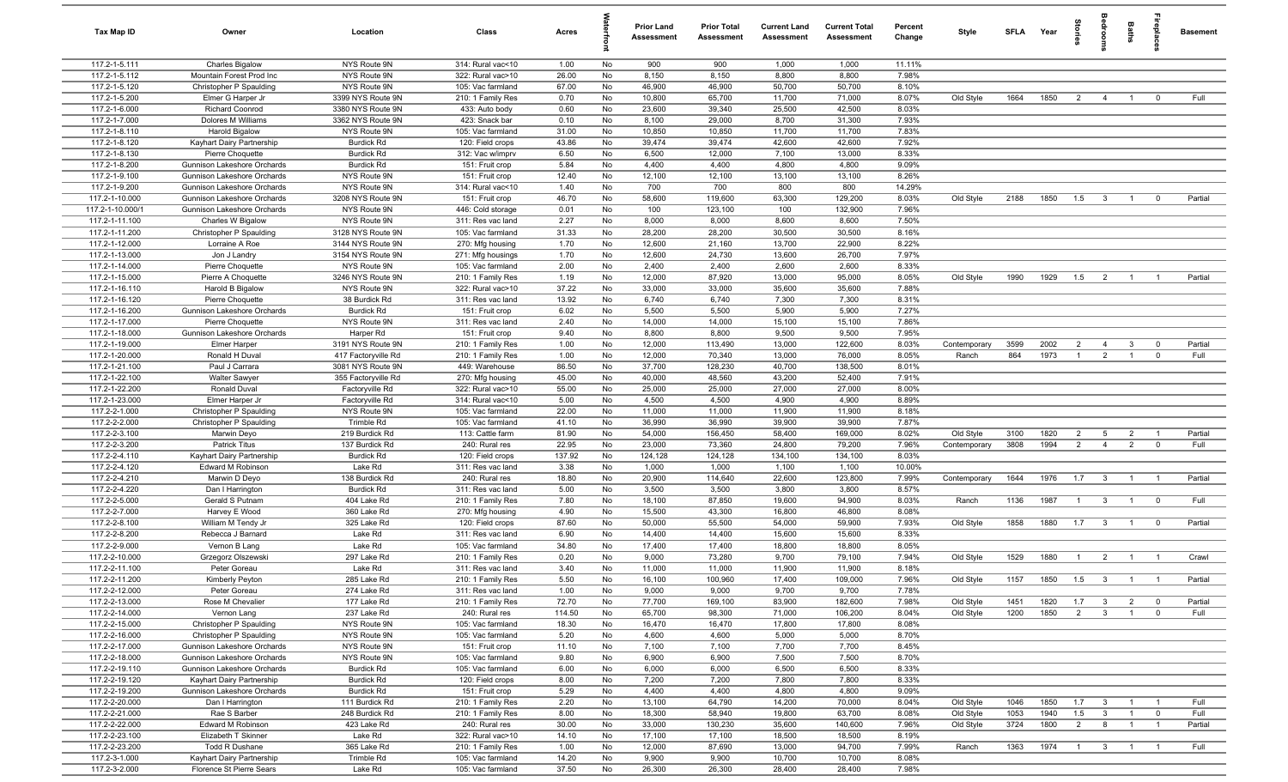| Tax Map ID                       | Owner                                        | Location                                 | Class                                  | Acres          |          | Prior Land<br><b>Assessment</b> | <b>Prior Total</b><br>Assessment | <b>Current Land</b><br>Assessment | <b>Current Total</b><br>Assessment | Percent<br>Change | Style                 | SFLA Year   |              | torie                            | droom                            | Baths                            | <b>G</b> bla                   | <b>Basement</b> |
|----------------------------------|----------------------------------------------|------------------------------------------|----------------------------------------|----------------|----------|---------------------------------|----------------------------------|-----------------------------------|------------------------------------|-------------------|-----------------------|-------------|--------------|----------------------------------|----------------------------------|----------------------------------|--------------------------------|-----------------|
| 117.2-1-5.111                    | <b>Charles Bigalow</b>                       | NYS Route 9N                             | 314: Rural vac<10                      | 1.00           | No       | 900                             | 900                              | 1,000                             | 1,000                              | 11.11%            |                       |             |              |                                  |                                  |                                  |                                |                 |
| 117.2-1-5.112                    | Mountain Forest Prod Inc                     | NYS Route 9N                             | 322: Rural vac>10                      | 26.00          | No       | 8,150                           | 8,150                            | 8,800                             | 8,800                              | 7.98%             |                       |             |              |                                  |                                  |                                  |                                |                 |
| 117.2-1-5.120                    | Christopher P Spaulding                      | NYS Route 9N                             | 105: Vac farmland                      | 67.00          | No       | 46,900                          | 46,900                           | 50,700                            | 50,700                             | 8.10%             |                       |             |              |                                  |                                  |                                  |                                |                 |
| 117.2-1-5.200<br>117.2-1-6.000   | Elmer G Harper Jr<br>Richard Coonrod         | 3399 NYS Route 9N<br>3380 NYS Route 9N   | 210: 1 Family Res<br>433: Auto body    | 0.70<br>0.60   | No<br>No | 10,800<br>23,600                | 65,700<br>39,340                 | 11,700<br>25,500                  | 71,000<br>42,500                   | 8.07%<br>8.03%    | Old Style             | 1664        | 1850         | $\overline{2}$                   | $\overline{4}$                   | $\overline{1}$                   | $\overline{0}$                 | Full            |
| 117.2-1-7.000                    | Dolores M Williams                           | 3362 NYS Route 9N                        | 423: Snack bar                         | 0.10           | No       | 8,100                           | 29,000                           | 8,700                             | 31,300                             | 7.93%             |                       |             |              |                                  |                                  |                                  |                                |                 |
| 117.2-1-8.110                    | <b>Harold Bigalow</b>                        | NYS Route 9N                             | 105: Vac farmland                      | 31.00          | No       | 10,850                          | 10,850                           | 11,700                            | 11,700                             | 7.83%             |                       |             |              |                                  |                                  |                                  |                                |                 |
| 117.2-1-8.120                    | Kayhart Dairy Partnership                    | <b>Burdick Rd</b>                        | 120: Field crops                       | 43.86          | No       | 39,474                          | 39,474                           | 42,600                            | 42,600                             | 7.92%             |                       |             |              |                                  |                                  |                                  |                                |                 |
| 117.2-1-8.130                    | Pierre Choquette                             | <b>Burdick Rd</b>                        | 312: Vac w/imprv                       | 6.50           | No       | 6,500                           | 12,000                           | 7,100                             | 13,000                             | 8.33%             |                       |             |              |                                  |                                  |                                  |                                |                 |
| 117.2-1-8.200                    | Gunnison Lakeshore Orchards                  | <b>Burdick Rd</b>                        | 151: Fruit crop                        | 5.84           | No       | 4,400                           | 4,400                            | 4,800                             | 4,800                              | 9.09%             |                       |             |              |                                  |                                  |                                  |                                |                 |
| 117.2-1-9.100                    | Gunnison Lakeshore Orchards                  | NYS Route 9N                             | 151: Fruit crop                        | 12.40          | No       | 12,100                          | 12,100                           | 13,100                            | 13,100                             | 8.26%             |                       |             |              |                                  |                                  |                                  |                                |                 |
| 117.2-1-9.200                    | Gunnison Lakeshore Orchards                  | NYS Route 9N                             | 314: Rural vac<10                      | 1.40           | No       | 700                             | 700                              | 800                               | 800                                | 14.29%            |                       |             |              |                                  |                                  |                                  |                                |                 |
| 117.2-1-10.000                   | Gunnison Lakeshore Orchards                  | 3208 NYS Route 9N                        | 151: Fruit crop                        | 46.70          | No       | 58,600                          | 119,600                          | 63,300                            | 129,200                            | 8.03%             | Old Style             | 2188        | 1850         | 1.5                              | $\overline{\mathbf{3}}$          | $\overline{1}$                   | $\overline{0}$                 | Partial         |
| 117.2-1-10.000/1                 | Gunnison Lakeshore Orchards                  | NYS Route 9N                             | 446: Cold storage                      | 0.01           | No       | 100                             | 123,100                          | 100                               | 132,900                            | 7.96%             |                       |             |              |                                  |                                  |                                  |                                |                 |
| 117.2-1-11.100<br>117.2-1-11.200 | Charles W Bigalow<br>Christopher P Spaulding | NYS Route 9N<br>3128 NYS Route 9N        | 311: Res vac land<br>105: Vac farmland | 2.27<br>31.33  | No<br>No | 8,000<br>28,200                 | 8,000<br>28,200                  | 8,600<br>30,500                   | 8,600<br>30,500                    | 7.50%<br>8.16%    |                       |             |              |                                  |                                  |                                  |                                |                 |
| 117.2-1-12.000                   | Lorraine A Roe                               | 3144 NYS Route 9N                        | 270: Mfg housing                       | 1.70           | No       | 12,600                          | 21,160                           | 13,700                            | 22,900                             | 8.22%             |                       |             |              |                                  |                                  |                                  |                                |                 |
| 117.2-1-13.000                   | Jon J Landry                                 | 3154 NYS Route 9N                        | 271: Mfg housings                      | 1.70           | No       | 12,600                          | 24,730                           | 13,600                            | 26,700                             | 7.97%             |                       |             |              |                                  |                                  |                                  |                                |                 |
| 117.2-1-14.000                   | Pierre Choquette                             | NYS Route 9N                             | 105: Vac farmland                      | 2.00           | No       | 2,400                           | 2,400                            | 2,600                             | 2,600                              | 8.33%             |                       |             |              |                                  |                                  |                                  |                                |                 |
| 117.2-1-15.000                   | Pierre A Choquette                           | 3246 NYS Route 9N                        | 210: 1 Family Res                      | 1.19           | No       | 12,000                          | 87,920                           | 13,000                            | 95,000                             | 8.05%             | Old Style             | 1990        | 1929         | 1.5                              | $\overline{2}$                   | $\overline{1}$                   | $\overline{1}$                 | Partial         |
| 117.2-1-16.110                   | Harold B Bigalow                             | NYS Route 9N                             | 322: Rural vac>10                      | 37.22          | No       | 33,000                          | 33,000                           | 35,600                            | 35,600                             | 7.88%             |                       |             |              |                                  |                                  |                                  |                                |                 |
| 117.2-1-16.120                   | Pierre Choquette                             | 38 Burdick Rd                            | 311: Res vac land                      | 13.92          | No       | 6,740                           | 6,740                            | 7,300                             | 7,300                              | 8.31%             |                       |             |              |                                  |                                  |                                  |                                |                 |
| 117.2-1-16.200                   | Gunnison Lakeshore Orchards                  | <b>Burdick Rd</b>                        | 151: Fruit crop                        | 6.02           | No       | 5,500                           | 5,500                            | 5,900                             | 5,900                              | 7.27%             |                       |             |              |                                  |                                  |                                  |                                |                 |
| 117.2-1-17.000                   | Pierre Choquette                             | NYS Route 9N                             | 311: Res vac land                      | 2.40           | No       | 14,000                          | 14,000                           | 15,100                            | 15,100                             | 7.86%             |                       |             |              |                                  |                                  |                                  |                                |                 |
| 117.2-1-18.000                   | Gunnison Lakeshore Orchards                  | Harper Rd                                | 151: Fruit crop                        | 9.40           | No       | 8,800                           | 8,800                            | 9,500                             | 9,500                              | 7.95%             |                       |             |              |                                  |                                  |                                  |                                |                 |
| 117.2-1-19.000<br>117.2-1-20.000 | Elmer Harper<br>Ronald H Duval               | 3191 NYS Route 9N<br>417 Factoryville Rd | 210: 1 Family Res<br>210: 1 Family Res | 1.00<br>1.00   | No<br>No | 12,000<br>12,000                | 113,490<br>70,340                | 13,000<br>13,000                  | 122,600<br>76,000                  | 8.03%<br>8.05%    | Contemporary<br>Ranch | 3599<br>864 | 2002<br>1973 | $\overline{2}$<br>$\overline{1}$ | $\overline{4}$<br>$\overline{2}$ | $\mathbf{3}$<br>$\overline{1}$   | $\overline{0}$<br>$\mathbf 0$  | Partial<br>Full |
| 117.2-1-21.100                   | Paul J Carrara                               | 3081 NYS Route 9N                        | 449: Warehouse                         | 86.50          | No       | 37,700                          | 128,230                          | 40,700                            | 138,500                            | 8.01%             |                       |             |              |                                  |                                  |                                  |                                |                 |
| 117.2-1-22.100                   | <b>Walter Sawyer</b>                         | 355 Factoryville Rd                      | 270: Mfg housing                       | 45.00          | No       | 40,000                          | 48,560                           | 43,200                            | 52,400                             | 7.91%             |                       |             |              |                                  |                                  |                                  |                                |                 |
| 117.2-1-22.200                   | Ronald Duval                                 | Factoryville Rd                          | 322: Rural vac>10                      | 55.00          | No       | 25,000                          | 25,000                           | 27,000                            | 27,000                             | 8.00%             |                       |             |              |                                  |                                  |                                  |                                |                 |
| 117.2-1-23.000                   | Elmer Harper Jr                              | Factoryville Rd                          | 314: Rural vac<10                      | 5.00           | No       | 4,500                           | 4,500                            | 4,900                             | 4,900                              | 8.89%             |                       |             |              |                                  |                                  |                                  |                                |                 |
| 117.2-2-1.000                    | Christopher P Spaulding                      | NYS Route 9N                             | 105: Vac farmland                      | 22.00          | No       | 11,000                          | 11,000                           | 11,900                            | 11,900                             | 8.18%             |                       |             |              |                                  |                                  |                                  |                                |                 |
| 117.2-2-2.000                    | Christopher P Spaulding                      | Trimble Rd                               | 105: Vac farmland                      | 41.10          | No       | 36,990                          | 36,990                           | 39,900                            | 39,900                             | 7.87%             |                       |             |              |                                  |                                  |                                  |                                |                 |
| 117.2-2-3.100                    | Marwin Deyo                                  | 219 Burdick Rd                           | 113: Cattle farm                       | 81.90          | No       | 54,000                          | 156,450                          | 58,400                            | 169,000                            | 8.02%             | Old Style             | 3100        | 1820         | $\overline{2}$                   | 5                                | $\overline{2}$                   | $\overline{1}$                 | Partial         |
| 117.2-2-3.200                    | Patrick Titus                                | 137 Burdick Rd                           | 240: Rural res                         | 22.95          | No       | 23,000                          | 73,360                           | 24,800                            | 79,200                             | 7.96%             | Contemporary          | 3808        | 1994         | 2                                | $\overline{4}$                   | $\overline{2}$                   | $\overline{0}$                 | Full            |
| 117.2-2-4.110<br>117.2-2-4.120   | Kayhart Dairy Partnership                    | <b>Burdick Rd</b><br>Lake Rd             | 120: Field crops<br>311: Res vac land  | 137.92<br>3.38 | No<br>No | 124,128                         | 124,128<br>1,000                 | 134,100<br>1,100                  | 134,100                            | 8.03%<br>10.00%   |                       |             |              |                                  |                                  |                                  |                                |                 |
| 117.2-2-4.210                    | Edward M Robinson<br>Marwin D Deyo           | 138 Burdick Rd                           | 240: Rural res                         | 18.80          | No       | 1,000<br>20,900                 | 114,640                          | 22,600                            | 1,100<br>123,800                   | 7.99%             | Contemporary          | 1644        | 1976         | 1.7                              | $\overline{\mathbf{3}}$          | $\blacksquare$ 1                 | $\overline{1}$                 | Partial         |
| 117.2-2-4.220                    | Dan I Harrington                             | <b>Burdick Rd</b>                        | 311: Res vac land                      | 5.00           | No       | 3,500                           | 3,500                            | 3,800                             | 3,800                              | 8.57%             |                       |             |              |                                  |                                  |                                  |                                |                 |
| 117.2-2-5.000                    | Gerald S Putnam                              | 404 Lake Rd                              | 210: 1 Family Res                      | 7.80           | No       | 18,100                          | 87,850                           | 19,600                            | 94,900                             | 8.03%             | Ranch                 | 1136        | 1987         | $\overline{1}$                   | $\mathbf{3}$                     | $\overline{1}$                   | $\overline{0}$                 | Full            |
| 117.2-2-7.000                    | Harvey E Wood                                | 360 Lake Rd                              | 270: Mfg housing                       | 4.90           | No       | 15,500                          | 43,300                           | 16,800                            | 46,800                             | 8.08%             |                       |             |              |                                  |                                  |                                  |                                |                 |
| 117.2-2-8.100                    | William M Tendy Jr                           | 325 Lake Rd                              | 120: Field crops                       | 87.60          | No       | 50,000                          | 55,500                           | 54,000                            | 59,900                             | 7.93%             | Old Style             | 1858        | 1880         | 1.7                              | $\mathbf{3}$                     | $\overline{1}$                   | $\overline{0}$                 | Partial         |
| 117.2-2-8.200                    | Rebecca J Barnard                            | Lake Rd                                  | 311: Res vac land                      | 6.90           | No       | 14,400                          | 14,400                           | 15,600                            | 15,600                             | 8.33%             |                       |             |              |                                  |                                  |                                  |                                |                 |
| 117.2-2-9.000                    | Vernon B Lang                                | Lake Rd                                  | 105: Vac farmland                      | 34.80          | No       | 17,400                          | 17,400                           | 18,800                            | 18,800                             | 8.05%             |                       |             |              |                                  |                                  |                                  |                                |                 |
| 117.2-2-10.000                   | Grzegorz Olszewski                           | 297 Lake Rd                              | 210: 1 Family Res                      | 0.20           | No       | 9,000                           | 73,280                           | 9,700                             | 79,100                             | 7.94%             | Old Style             | 1529        | 1880         | $\overline{1}$                   | $\overline{2}$                   | $\overline{1}$                   | $\overline{1}$                 | Crawl           |
| 117.2-2-11.100                   | Peter Goreau                                 | Lake Rd                                  | 311: Res vac land                      | 3.40           | No       | 11,000                          | 11,000                           | 11,900                            | 11,900                             | 8.18%             |                       |             |              | 1.5                              | $\mathbf{3}$                     | $\overline{1}$                   |                                | Partial         |
| 117.2-2-11.200<br>117.2-2-12.000 | Kimberly Peyton<br>Peter Goreau              | 285 Lake Rd<br>274 Lake Rd               | 210: 1 Family Res<br>311: Res vac land | 5.50<br>1.00   | No<br>No | 16,100<br>9,000                 | 100,960<br>9,000                 | 17,400<br>9,700                   | 109,000<br>9,700                   | 7.96%<br>7.78%    | Old Style             | 1157        | 1850         |                                  |                                  |                                  |                                |                 |
| 117.2-2-13.000                   | Rose M Chevalier                             | 177 Lake Rd                              | 210: 1 Family Res                      | 72.70          | No       | 77,700                          | 169,100                          | 83,900                            | 182,600                            | 7.98%             | Old Style             | 1451        | 1820         | 1.7                              | $\mathbf{3}$                     | $\overline{2}$                   | $\overline{0}$                 | Partial         |
| 117.2-2-14.000                   | Vernon Lang                                  | 237 Lake Rd                              | 240: Rural res                         | 114.50         | No       | 65,700                          | 98,300                           | 71,000                            | 106,200                            | 8.04%             | Old Style             | 1200        | 1850         | $\overline{2}$                   | $\mathbf{3}$                     | $\overline{1}$                   | $\overline{0}$                 | Full            |
| 117.2-2-15.000                   | Christopher P Spaulding                      | NYS Route 9N                             | 105: Vac farmland                      | 18.30          | No       | 16,470                          | 16,470                           | 17,800                            | 17,800                             | 8.08%             |                       |             |              |                                  |                                  |                                  |                                |                 |
| 117.2-2-16.000                   | Christopher P Spaulding                      | NYS Route 9N                             | 105: Vac farmland                      | 5.20           | No       | 4,600                           | 4,600                            | 5,000                             | 5,000                              | 8.70%             |                       |             |              |                                  |                                  |                                  |                                |                 |
| 117.2-2-17.000                   | Gunnison Lakeshore Orchards                  | NYS Route 9N                             | 151: Fruit crop                        | 11.10          | No       | 7,100                           | 7,100                            | 7,700                             | 7,700                              | 8.45%             |                       |             |              |                                  |                                  |                                  |                                |                 |
| 117.2-2-18.000                   | Gunnison Lakeshore Orchards                  | NYS Route 9N                             | 105: Vac farmland                      | 9.80           | No       | 6,900                           | 6,900                            | 7,500                             | 7,500                              | 8.70%             |                       |             |              |                                  |                                  |                                  |                                |                 |
| 117.2-2-19.110                   | Gunnison Lakeshore Orchards                  | <b>Burdick Rd</b>                        | 105: Vac farmland                      | 6.00           | No       | 6,000                           | 6,000                            | 6,500                             | 6,500                              | 8.33%             |                       |             |              |                                  |                                  |                                  |                                |                 |
| 117.2-2-19.120                   | Kayhart Dairy Partnership                    | <b>Burdick Rd</b>                        | 120: Field crops                       | 8.00           | No       | 7,200                           | 7,200                            | 7,800                             | 7,800                              | 8.33%             |                       |             |              |                                  |                                  |                                  |                                |                 |
| 117.2-2-19.200<br>117.2-2-20.000 | Gunnison Lakeshore Orchards                  | <b>Burdick Rd</b>                        | 151: Fruit crop<br>210: 1 Family Res   | 5.29           | No       | 4,400<br>13,100                 | 4,400                            | 4,800                             | 4,800                              | 9.09%             | Old Style             | 1046        |              |                                  |                                  |                                  |                                |                 |
| 117.2-2-21.000                   | Dan I Harrington<br>Rae S Barber             | 111 Burdick Rd<br>248 Burdick Rd         | 210: 1 Family Res                      | 2.20<br>8.00   | No<br>No | 18,300                          | 64,790<br>58,940                 | 14,200<br>19,800                  | 70,000<br>63,700                   | 8.04%<br>8.08%    | Old Style             | 1053        | 1850<br>1940 | 1.7<br>1.5                       | $\mathbf{3}$<br>$\mathbf{3}$     | $\overline{1}$<br>$\overline{1}$ | $\overline{1}$<br>$\mathbf{0}$ | Full<br>Full    |
| 117.2-2-22.000                   | Edward M Robinson                            | 423 Lake Rd                              | 240: Rural res                         | 30.00          | No       | 33,000                          | 130,230                          | 35,600                            | 140,600                            | 7.96%             | Old Style             | 3724        | 1800         | $\overline{2}$                   | 8                                | $\overline{1}$                   | $\overline{1}$                 | Partial         |
| 117.2-2-23.100                   | Elizabeth T Skinner                          | Lake Rd                                  | 322: Rural vac>10                      | 14.10          | No       | 17,100                          | 17,100                           | 18,500                            | 18,500                             | 8.19%             |                       |             |              |                                  |                                  |                                  |                                |                 |
| 117.2-2-23.200                   | Todd R Dushane                               | 365 Lake Rd                              | 210: 1 Family Res                      | 1.00           | No       | 12,000                          | 87,690                           | 13,000                            | 94,700                             | 7.99%             | Ranch                 | 1363        | 1974         | $\blacksquare$                   | 3 <sup>3</sup>                   | $\blacksquare$ 1                 | $\overline{1}$                 | Full            |
| 117.2-3-1.000                    | Kayhart Dairy Partnership                    | Trimble Rd                               | 105: Vac farmland                      | 14.20          | No       | 9,900                           | 9,900                            | 10,700                            | 10,700                             | 8.08%             |                       |             |              |                                  |                                  |                                  |                                |                 |
| 117.2-3-2.000                    | Florence St Pierre Sears                     | Lake Rd                                  | 105: Vac farmland                      | 37.50          | No       | 26,300                          | 26,300                           | 28,400                            | 28,400                             | 7.98%             |                       |             |              |                                  |                                  |                                  |                                |                 |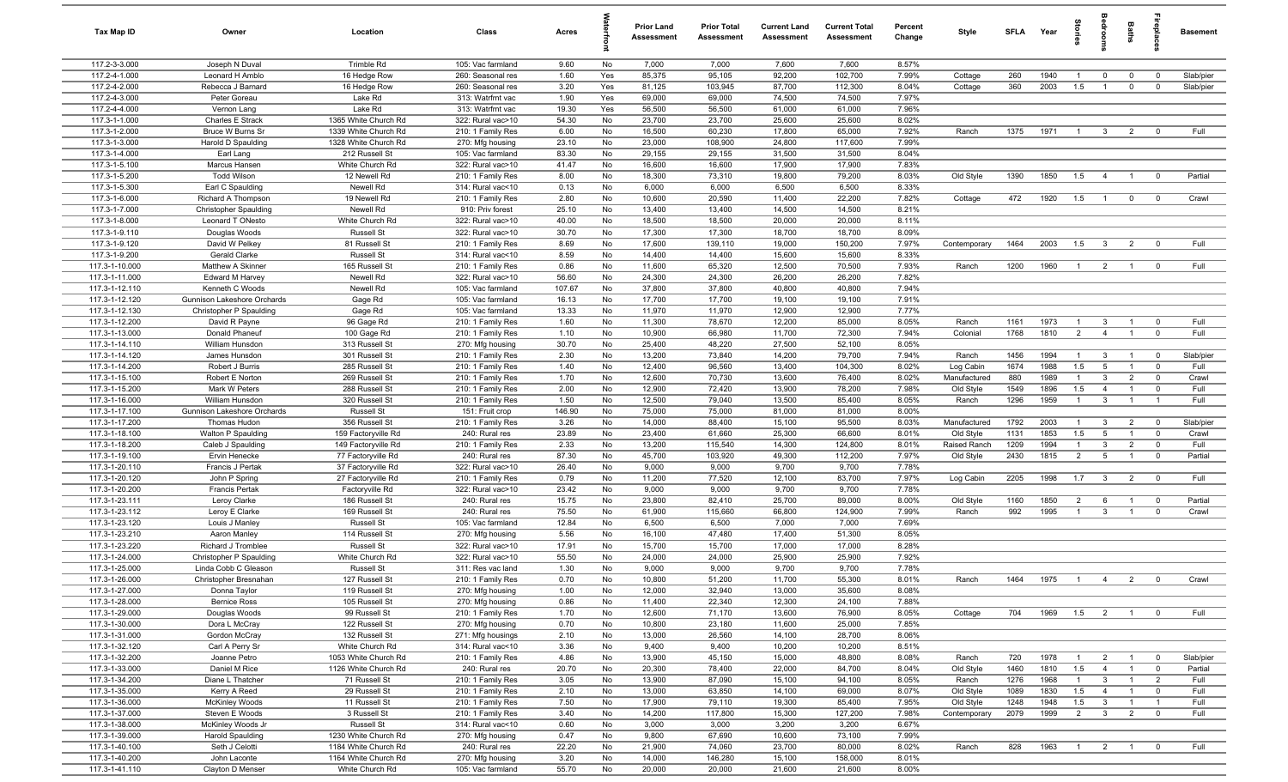| Tax Map ID                       | Owner                                 | Location                                 | Class                                  | Acres         |            | <b>Prior Land</b><br>Assessment | <b>Prior Total</b><br>Assessment | <b>Current Land</b><br>Assessment | <b>Current Total</b><br><b>Assessment</b> | Percent<br>Change | Style                  | SFLA         | Year         | tories         |                                | Baths                            | repla                         | <b>Basement</b> |
|----------------------------------|---------------------------------------|------------------------------------------|----------------------------------------|---------------|------------|---------------------------------|----------------------------------|-----------------------------------|-------------------------------------------|-------------------|------------------------|--------------|--------------|----------------|--------------------------------|----------------------------------|-------------------------------|-----------------|
| 117.2-3-3.000                    | Joseph N Duval                        | Trimble Rd                               | 105: Vac farmland                      | 9.60          | No         | 7,000                           | 7,000                            | 7,600                             | 7,600                                     | 8.57%             |                        |              |              |                |                                |                                  |                               |                 |
| 117.2-4-1.000                    | Leonard H Amblo                       | 16 Hedge Row                             | 260: Seasonal res                      | 1.60          | Yes        | 85,375                          | 95,105                           | 92,200                            | 102,700                                   | 7.99%             | Cottage                | 260          | 1940         | $\overline{1}$ | $\mathbf 0$                    | $\mathbf 0$                      | $\mathbf 0$                   | Slab/pier       |
| 117.2-4-2.000                    | Rebecca J Barnard                     | 16 Hedge Row                             | 260: Seasonal res                      | 3.20          | Yes        | 81,125                          | 103,945                          | 87,700                            | 112,300                                   | 8.04%             | Cottage                | 360          | 2003         | 1.5            | $\mathbf{1}$                   | $\mathbf 0$                      | $^{\circ}$                    | Slab/pier       |
| 117.2-4-3.000<br>117.2-4-4.000   | Peter Goreau                          | Lake Rd<br>Lake Rd                       | 313: Watrfrnt vac<br>313: Watrfrnt vac | 1.90<br>19.30 | Yes<br>Yes | 69,000<br>56,500                | 69,000<br>56,500                 | 74,500<br>61,000                  | 74,500<br>61,000                          | 7.97%<br>7.96%    |                        |              |              |                |                                |                                  |                               |                 |
| 117.3-1-1.000                    | Vernon Lang<br>Charles E Strack       | 1365 White Church Rd                     | 322: Rural vac>10                      | 54.30         | No         | 23,700                          | 23,700                           | 25,600                            | 25,600                                    | 8.02%             |                        |              |              |                |                                |                                  |                               |                 |
| 117.3-1-2.000                    | Bruce W Burns Sr                      | 1339 White Church Rd                     | 210: 1 Family Res                      | 6.00          | No         | 16,500                          | 60,230                           | 17,800                            | 65,000                                    | 7.92%             | Ranch                  | 1375         | 1971         | $\overline{1}$ | $\overline{3}$                 | $\overline{2}$                   | $^{\circ}$                    | Full            |
| 117.3-1-3.000                    | Harold D Spaulding                    | 1328 White Church Rd                     | 270: Mfg housing                       | 23.10         | No         | 23,000                          | 108,900                          | 24,800                            | 117,600                                   | 7.99%             |                        |              |              |                |                                |                                  |                               |                 |
| 117.3-1-4.000                    | Earl Lang                             | 212 Russell St                           | 105: Vac farmland                      | 83.30         | No         | 29,155                          | 29,155                           | 31,500                            | 31,500                                    | 8.04%             |                        |              |              |                |                                |                                  |                               |                 |
| 117.3-1-5.100                    | Marcus Hansen                         | White Church Rd                          | 322: Rural vac>10                      | 41.47         | No         | 16,600                          | 16,600                           | 17,900                            | 17,900                                    | 7.83%             |                        |              |              |                |                                |                                  |                               |                 |
| 117.3-1-5.200                    | <b>Todd Wilson</b>                    | 12 Newell Rd                             | 210: 1 Family Res                      | 8.00          | No         | 18,300                          | 73,310                           | 19,800                            | 79,200                                    | 8.03%             | Old Style              | 1390         | 1850         | 1.5            | $\overline{4}$                 | $\overline{1}$                   | $\mathbf 0$                   | Partial         |
| 117.3-1-5.300                    | Earl C Spaulding                      | Newell Rd                                | 314: Rural vac<10                      | 0.13          | No         | 6,000                           | 6,000                            | 6,500                             | 6,500                                     | 8.33%             |                        |              |              |                |                                |                                  |                               |                 |
| 117.3-1-6.000                    | Richard A Thompson                    | 19 Newell Rd                             | 210: 1 Family Res                      | 2.80          | No         | 10,600                          | 20,590                           | 11,400                            | 22,200                                    | 7.82%             | Cottage                | 472          | 1920         | 1.5            | $\overline{1}$                 | $\mathbf 0$                      | $^{\circ}$                    | Crawl           |
| 117.3-1-7.000                    | <b>Christopher Spaulding</b>          | Newell Rd                                | 910: Priv forest                       | 25.10         | No         | 13,400                          | 13,400                           | 14,500                            | 14,500                                    | 8.21%             |                        |              |              |                |                                |                                  |                               |                 |
| 117.3-1-8.000                    | Leonard T ONesto                      | White Church Rd                          | 322: Rural vac>10                      | 40.00         | No         | 18,500                          | 18,500                           | 20,000                            | 20,000                                    | 8.11%             |                        |              |              |                |                                |                                  |                               |                 |
| 117.3-1-9.110<br>117.3-1-9.120   | Douglas Woods<br>David W Pelkey       | <b>Russell St</b><br>81 Russell St       | 322: Rural vac>10<br>210: 1 Family Res | 30.70<br>8.69 | No<br>No   | 17,300<br>17,600                | 17,300<br>139,110                | 18,700<br>19,000                  | 18,700<br>150,200                         | 8.09%<br>7.97%    | Contemporary           | 1464         | 2003         | 1.5            | $\mathbf{3}$                   | $\overline{2}$                   | $^{\circ}$                    | Full            |
| 117.3-1-9.200                    | Gerald Clarke                         | <b>Russell St</b>                        | 314: Rural vac<10                      | 8.59          | No         | 14,400                          | 14,400                           | 15,600                            | 15,600                                    | 8.33%             |                        |              |              |                |                                |                                  |                               |                 |
| 117.3-1-10.000                   | Matthew A Skinner                     | 165 Russell St                           | 210: 1 Family Res                      | 0.86          | No         | 11,600                          | 65,320                           | 12,500                            | 70,500                                    | 7.93%             | Ranch                  | 1200         | 1960         | - 1            | $\overline{2}$                 | $\overline{1}$                   | $^{\circ}$                    | Full            |
| 117.3-1-11.000                   | Edward M Harvey                       | Newell Rd                                | 322: Rural vac>10                      | 56.60         | No         | 24,300                          | 24,300                           | 26,200                            | 26,200                                    | 7.82%             |                        |              |              |                |                                |                                  |                               |                 |
| 117.3-1-12.110                   | Kenneth C Woods                       | Newell Rd                                | 105: Vac farmland                      | 107.67        | No         | 37,800                          | 37,800                           | 40,800                            | 40,800                                    | 7.94%             |                        |              |              |                |                                |                                  |                               |                 |
| 117.3-1-12.120                   | Gunnison Lakeshore Orchards           | Gage Rd                                  | 105: Vac farmland                      | 16.13         | No         | 17,700                          | 17,700                           | 19,100                            | 19,100                                    | 7.91%             |                        |              |              |                |                                |                                  |                               |                 |
| 117.3-1-12.130                   | Christopher P Spaulding               | Gage Rd                                  | 105: Vac farmland                      | 13.33         | No         | 11,970                          | 11,970                           | 12,900                            | 12,900                                    | 7.77%             |                        |              |              |                |                                |                                  |                               |                 |
| 117.3-1-12.200                   | David R Payne                         | 96 Gage Rd                               | 210: 1 Family Res                      | 1.60          | No         | 11,300                          | 78,670                           | 12,200                            | 85,000                                    | 8.05%             | Ranch                  | 1161         | 1973         | $\overline{1}$ | 3                              | $\overline{1}$                   | $^{\circ}$                    | Full            |
| 117.3-1-13.000                   | Donald Phaneuf                        | 100 Gage Rd                              | 210: 1 Family Res                      | 1.10          | No         | 10,900                          | 66,980                           | 11,700                            | 72,300                                    | 7.94%             | Colonial               | 1768         | 1810         | 2              | $\overline{4}$                 | $\overline{1}$                   | $\mathbf 0$                   | Full            |
| 117.3-1-14.110<br>117.3-1-14.120 | William Hunsdon                       | 313 Russell St<br>301 Russell St         | 270: Mfg housing                       | 30.70<br>2.30 | No<br>No   | 25,400<br>13,200                | 48,220<br>73,840                 | 27,500<br>14,200                  | 52,100<br>79,700                          | 8.05%<br>7.94%    |                        | 1456         | 1994         | $\overline{1}$ | $\mathbf{3}$                   | $\overline{1}$                   | $\mathbf 0$                   | Slab/pier       |
| 117.3-1-14.200                   | James Hunsdon<br>Robert J Burris      | 285 Russell St                           | 210: 1 Family Res<br>210: 1 Family Res | 1.40          | No         | 12,400                          | 96,560                           | 13,400                            | 104,300                                   | 8.02%             | Ranch<br>Log Cabin     | 1674         | 1988         | 1.5            | $5\overline{5}$                | $\overline{1}$                   | $^{\circ}$                    | Full            |
| 117.3-1-15.100                   | Robert E Norton                       | 269 Russell St                           | 210: 1 Family Res                      | 1.70          | No         | 12,600                          | 70,730                           | 13,600                            | 76,400                                    | 8.02%             | Manufactured           | 880          | 1989         | $\mathbf{1}$   | $\mathbf{3}$                   | $\overline{2}$                   | $\mathbf 0$                   | Crawl           |
| 117.3-1-15.200                   | Mark W Peters                         | 288 Russell St                           | 210: 1 Family Res                      | 2.00          | No         | 12,900                          | 72,420                           | 13,900                            | 78,200                                    | 7.98%             | Old Style              | 1549         | 1896         | 1.5            | $\overline{4}$                 |                                  | $^{\circ}$                    | Full            |
| 117.3-1-16.000                   | William Hunsdon                       | 320 Russell St                           | 210: 1 Family Res                      | 1.50          | No         | 12,500                          | 79,040                           | 13,500                            | 85,400                                    | 8.05%             | Ranch                  | 1296         | 1959         | $\overline{1}$ | $\mathbf{3}$                   | $\overline{1}$                   |                               | Full            |
| 117.3-1-17.100                   | Gunnison Lakeshore Orchards           | <b>Russell St</b>                        | 151: Fruit crop                        | 146.90        | No         | 75,000                          | 75,000                           | 81,000                            | 81,000                                    | 8.00%             |                        |              |              |                |                                |                                  |                               |                 |
| 117.3-1-17.200                   | Thomas Hudon                          | 356 Russell St                           | 210: 1 Family Res                      | 3.26          | No         | 14,000                          | 88,400                           | 15,100                            | 95,500                                    | 8.03%             | Manufactured           | 1792         | 2003         | $\overline{1}$ | $\overline{3}$                 | $\overline{2}$                   | $\mathbf 0$                   | Slab/pier       |
| 117.3-1-18.100                   | Walton P Spaulding                    | 159 Factoryville Rd                      | 240: Rural res                         | 23.89         | No         | 23,400                          | 61,660                           | 25,300                            | 66,600                                    | 8.01%             | Old Style              | 1131         | 1853         | 1.5            | 5                              | $\overline{1}$                   | $\mathbf 0$                   | Crawl           |
| 117.3-1-18.200                   | Caleb J Spaulding                     | 149 Factoryville Rd                      | 210: 1 Family Res                      | 2.33          | No         | 13,200                          | 115,540                          | 14,300                            | 124,800                                   | 8.01%             | Raised Ranch           | 1209         | 1994         | $\overline{1}$ | 3                              | $\overline{2}$                   | $^{\circ}$                    | Full            |
| 117.3-1-19.100                   | Ervin Henecke                         | 77 Factoryville Rd                       | 240: Rural res                         | 87.30         | No         | 45,700                          | 103,920                          | 49,300                            | 112,200                                   | 7.97%             | Old Style              | 2430         | 1815         | $\overline{2}$ | $5\overline{5}$                | $\overline{1}$                   | $^{\circ}$                    | Partial         |
| 117.3-1-20.110<br>117.3-1-20.120 | Francis J Pertak<br>John P Spring     | 37 Factoryville Rd<br>27 Factoryville Rd | 322: Rural vac>10<br>210: 1 Family Res | 26.40<br>0.79 | No<br>No   | 9,000<br>11,200                 | 9,000<br>77,520                  | 9,700<br>12,100                   | 9,700<br>83,700                           | 7.78%<br>7.97%    | Log Cabin              | 2205         | 1998         | 1.7            | $\overline{\mathbf{3}}$        | $\overline{2}$                   | $\overline{0}$                | Full            |
| 117.3-1-20.200                   | <b>Francis Pertak</b>                 | Factoryville Rd                          | 322: Rural vac>10                      | 23.42         | No         | 9,000                           | 9,000                            | 9,700                             | 9,700                                     | 7.78%             |                        |              |              |                |                                |                                  |                               |                 |
| 117.3-1-23.111                   | Leroy Clarke                          | 186 Russell St                           | 240: Rural res                         | 15.75         | No         | 23,800                          | 82,410                           | 25,700                            | 89,000                                    | 8.00%             | Old Style              | 1160         | 1850         | $\overline{2}$ | 6                              | $\overline{1}$                   | $\mathbf 0$                   | Partial         |
| 117.3-1-23.112                   | Leroy E Clarke                        | 169 Russell St                           | 240: Rural res                         | 75.50         | No         | 61,900                          | 115,660                          | 66,800                            | 124,900                                   | 7.99%             | Ranch                  | 992          | 1995         | $\overline{1}$ | $\mathbf{3}$                   | $\overline{1}$                   | $\mathbf 0$                   | Crawl           |
| 117.3-1-23.120                   | Louis J Manley                        | <b>Russell St</b>                        | 105: Vac farmland                      | 12.84         | No         | 6,500                           | 6,500                            | 7,000                             | 7,000                                     | 7.69%             |                        |              |              |                |                                |                                  |                               |                 |
| 117.3-1-23.210                   | Aaron Manley                          | 114 Russell St                           | 270: Mfg housing                       | 5.56          | No         | 16,100                          | 47,480                           | 17,400                            | 51,300                                    | 8.05%             |                        |              |              |                |                                |                                  |                               |                 |
| 117.3-1-23.220                   | Richard J Tromblee                    | <b>Russell St</b>                        | 322: Rural vac>10                      | 17.91         | No         | 15,700                          | 15,700                           | 17,000                            | 17,000                                    | 8.28%             |                        |              |              |                |                                |                                  |                               |                 |
| 117.3-1-24.000                   | Christopher P Spaulding               | White Church Rd                          | 322: Rural vac>10                      | 55.50         | No         | 24,000                          | 24,000                           | 25,900                            | 25,900                                    | 7.92%             |                        |              |              |                |                                |                                  |                               |                 |
| 117.3-1-25.000                   | Linda Cobb C Gleason                  | <b>Russell St</b>                        | 311: Res vac land                      | 1.30          | No         | 9,000                           | 9,000                            | 9,700                             | 9,700                                     | 7.78%             |                        |              |              |                | $\overline{a}$                 | $\overline{2}$                   |                               |                 |
| 117.3-1-26.000<br>117.3-1-27.000 | Christopher Bresnahan<br>Donna Taylor | 127 Russell St<br>119 Russell St         | 210: 1 Family Res<br>270: Mfg housing  | 0.70<br>1.00  | No<br>No   | 10,800<br>12,000                | 51,200<br>32,940                 | 11,700<br>13,000                  | 55,300<br>35,600                          | 8.01%<br>8.08%    | Ranch                  | 1464         | 1975         |                |                                |                                  |                               | Crawl           |
| 117.3-1-28.000                   | <b>Bernice Ross</b>                   | 105 Russell St                           | 270: Mfg housing                       | 0.86          | No         | 11,400                          | 22,340                           | 12,300                            | 24,100                                    | 7.88%             |                        |              |              |                |                                |                                  |                               |                 |
| 117.3-1-29.000                   | Douglas Woods                         | 99 Russell St                            | 210: 1 Family Res                      | 1.70          | No         | 12,600                          | 71,170                           | 13,600                            | 76,900                                    | 8.05%             | Cottage                | 704          | 1969         | 1.5            | $\overline{\mathbf{2}}$        | $\overline{1}$                   | $\overline{0}$                | Full            |
| 117.3-1-30.000                   | Dora L McCray                         | 122 Russell St                           | 270: Mfg housing                       | 0.70          | No         | 10,800                          | 23,180                           | 11,600                            | 25,000                                    | 7.85%             |                        |              |              |                |                                |                                  |                               |                 |
| 117.3-1-31.000                   | Gordon McCray                         | 132 Russell St                           | 271: Mfg housings                      | 2.10          | No         | 13,000                          | 26,560                           | 14,100                            | 28,700                                    | 8.06%             |                        |              |              |                |                                |                                  |                               |                 |
| 117.3-1-32.120                   | Carl A Perry Sr                       | White Church Rd                          | 314: Rural vac<10                      | 3.36          | No         | 9,400                           | 9,400                            | 10,200                            | 10,200                                    | 8.51%             |                        |              |              |                |                                |                                  |                               |                 |
| 117.3-1-32.200                   | Joanne Petro                          | 1053 White Church Rd                     | 210: 1 Family Res                      | 4.86          | No         | 13,900                          | 45,150                           | 15,000                            | 48,800                                    | 8.08%             | Ranch                  | 720          | 1978         | $\mathbf{1}$   | $\overline{2}$                 | $\overline{1}$                   | $\overline{0}$                | Slab/pier       |
| 117.3-1-33.000                   | Daniel M Rice                         | 1126 White Church Rd                     | 240: Rural res                         | 20.70         | No         | 20,300                          | 78,400                           | 22,000                            | 84,700                                    | 8.04%             | Old Style              | 1460         | 1810         | 1.5            | $\overline{4}$                 | $\overline{1}$                   | $\mathbf 0$                   | Partial         |
| 117.3-1-34.200                   | Diane L Thatcher                      | 71 Russell St                            | 210: 1 Family Res                      | 3.05          | No         | 13,900                          | 87,090                           | 15,100                            | 94,100                                    | 8.05%             | Ranch                  | 1276         | 1968         | $\overline{1}$ | $\mathbf{3}$                   | $\overline{1}$                   | $\overline{2}$                | Full            |
| 117.3-1-35.000<br>117.3-1-36.000 | Kerry A Reed<br><b>McKinley Woods</b> | 29 Russell St<br>11 Russell St           | 210: 1 Family Res<br>210: 1 Family Res | 2.10<br>7.50  | No<br>No   | 13,000<br>17,900                | 63,850<br>79,110                 | 14,100<br>19,300                  | 69,000<br>85,400                          | 8.07%<br>7.95%    | Old Style<br>Old Style | 1089<br>1248 | 1830<br>1948 | 1.5<br>1.5     | $\overline{4}$<br>$\mathbf{3}$ | $\overline{1}$<br>$\overline{1}$ | $\mathbf 0$<br>$\overline{1}$ | Full<br>Full    |
| 117.3-1-37.000                   | Steven E Woods                        | 3 Russell St                             | 210: 1 Family Res                      | 3.40          | No         | 14,200                          | 117,800                          | 15,300                            | 127,200                                   | 7.98%             | Contemporary           | 2079         | 1999         | $\overline{2}$ | $\mathbf{3}$                   | $\overline{2}$                   | $\mathbf 0$                   | Full            |
| 117.3-1-38.000                   | McKinley Woods Jr                     | <b>Russell St</b>                        | 314: Rural vac<10                      | 0.60          | No         | 3,000                           | 3,000                            | 3,200                             | 3,200                                     | 6.67%             |                        |              |              |                |                                |                                  |                               |                 |
| 117.3-1-39.000                   | Harold Spaulding                      | 1230 White Church Rd                     | 270: Mfg housing                       | 0.47          | No         | 9,800                           | 67,690                           | 10,600                            | 73,100                                    | 7.99%             |                        |              |              |                |                                |                                  |                               |                 |
| 117.3-1-40.100                   | Seth J Celotti                        | 1184 White Church Rd                     | 240: Rural res                         | 22.20         | No         | 21,900                          | 74,060                           | 23,700                            | 80,000                                    | 8.02%             | Ranch                  | 828          | 1963         | $\overline{1}$ | $\overline{2}$                 | $\overline{1}$                   | $\overline{0}$                | Full            |
| 117.3-1-40.200                   | John Laconte                          | 1164 White Church Rd                     | 270: Mfg housing                       | 3.20          | No         | 14,000                          | 146,280                          | 15,100                            | 158,000                                   | 8.01%             |                        |              |              |                |                                |                                  |                               |                 |
| 117.3-1-41.110                   | Clayton D Menser                      | White Church Rd                          | 105: Vac farmland                      | 55.70         | No         | 20,000                          | 20,000                           | 21,600                            | 21,600                                    | 8.00%             |                        |              |              |                |                                |                                  |                               |                 |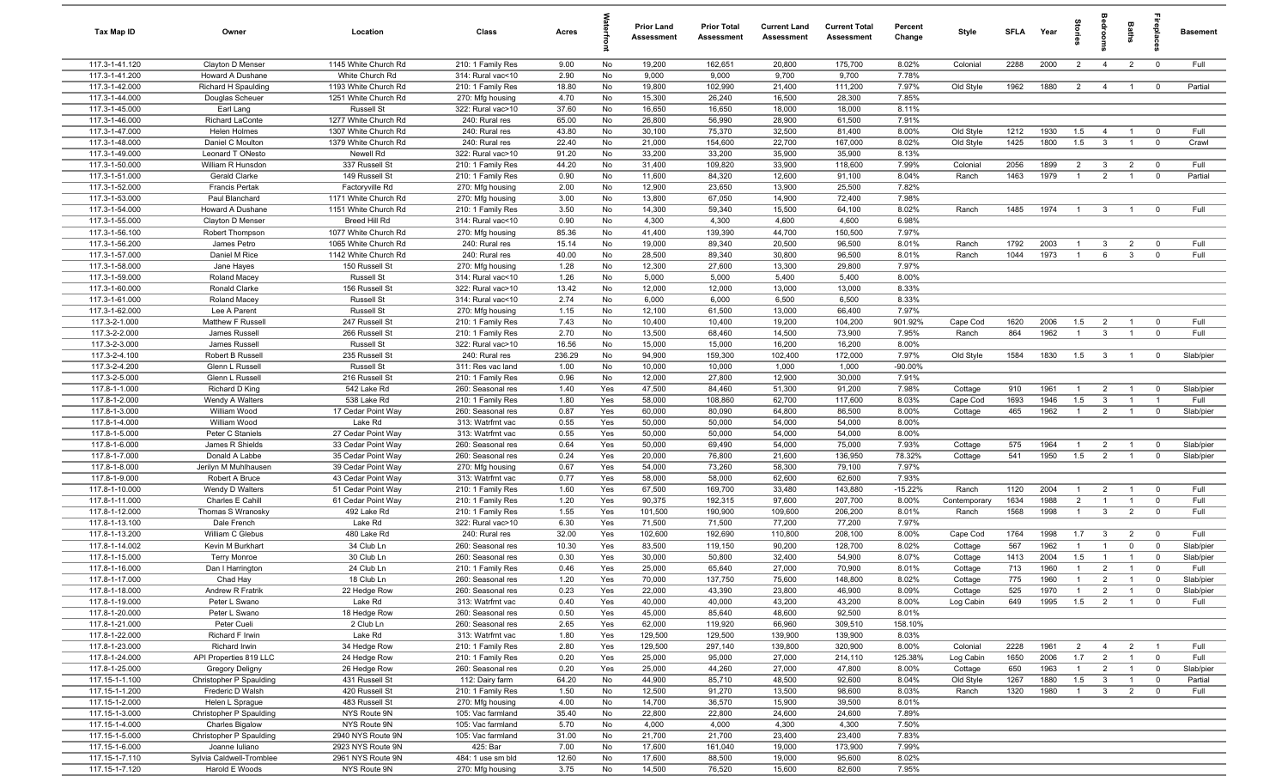| Tax Map ID                           | Owner                                             | Location                                 | Class                                  | Acres         |            | Prior Land<br><b>Assessment</b> | <b>Prior Total</b><br>Assessment | <b>Current Land</b><br>Assessment | <b>Current Total</b><br><b>Assessment</b> | Percent<br>Change | Style                | <b>SFLA</b> | Year         | ã                     | å                                | Baths                            |                                  | <b>Basement</b>      |
|--------------------------------------|---------------------------------------------------|------------------------------------------|----------------------------------------|---------------|------------|---------------------------------|----------------------------------|-----------------------------------|-------------------------------------------|-------------------|----------------------|-------------|--------------|-----------------------|----------------------------------|----------------------------------|----------------------------------|----------------------|
| 117.3-1-41.120                       | Clayton D Menser                                  | 1145 White Church Rd                     | 210: 1 Family Res                      | 9.00          | No         | 19,200                          | 162,651                          | 20,800                            | 175,700                                   | 8.02%             | Colonial             | 2288        | 2000         | $\overline{2}$        | $\overline{4}$                   | $\overline{2}$                   | $\overline{0}$                   | Full                 |
| 117.3-1-41.200                       | Howard A Dushane                                  | White Church Rd                          | 314: Rural vac<10                      | 2.90          | No         | 9,000                           | 9,000                            | 9,700                             | 9,700                                     | 7.78%             |                      |             |              |                       |                                  |                                  |                                  |                      |
| 117.3-1-42.000                       | Richard H Spaulding                               | 1193 White Church Rd                     | 210: 1 Family Res                      | 18.80         | No         | 19,800                          | 102,990                          | 21,400                            | 111,200                                   | 7.97%             | Old Style            | 1962        | 1880         | $\overline{2}$        | $\overline{4}$                   | $\overline{1}$                   | $\overline{0}$                   | Partial              |
| 117.3-1-44.000<br>117.3-1-45.000     | Douglas Scheuer<br>Earl Lang                      | 1251 White Church Rd<br>Russell St       | 270: Mfg housing<br>322: Rural vac>10  | 4.70<br>37.60 | No<br>No   | 15,300<br>16,650                | 26,240<br>16,650                 | 16,500<br>18,000                  | 28,300<br>18,000                          | 7.85%<br>8.11%    |                      |             |              |                       |                                  |                                  |                                  |                      |
| 117.3-1-46.000                       | <b>Richard LaConte</b>                            | 1277 White Church Rd                     | 240: Rural res                         | 65.00         | No         | 26,800                          | 56,990                           | 28,900                            | 61,500                                    | 7.91%             |                      |             |              |                       |                                  |                                  |                                  |                      |
| 117.3-1-47.000                       | Helen Holmes                                      | 1307 White Church Rd                     | 240: Rural res                         | 43.80         | No         | 30,100                          | 75,370                           | 32,500                            | 81,400                                    | 8.00%             | Old Style            | 1212        | 1930         | 1.5                   | 4                                | $\overline{1}$                   | $\overline{0}$                   | Full                 |
| 117.3-1-48.000                       | Daniel C Moulton                                  | 1379 White Church Rd                     | 240: Rural res                         | 22.40         | No         | 21,000                          | 154,600                          | 22,700                            | 167,000                                   | 8.02%             | Old Style            | 1425        | 1800         | 1.5                   | $\overline{3}$                   | $\overline{1}$                   | $\mathbf 0$                      | Crawl                |
| 117.3-1-49.000                       | Leonard T ONesto                                  | Newell Rd                                | 322: Rural vac>10                      | 91.20         | No         | 33,200                          | 33,200                           | 35,900                            | 35,900                                    | 8.13%             |                      |             |              |                       |                                  |                                  |                                  |                      |
| 117.3-1-50.000                       | William R Hunsdon                                 | 337 Russell St                           | 210: 1 Family Res                      | 44.20         | No         | 31,400                          | 109,820                          | 33,900                            | 118,600                                   | 7.99%             | Colonial             | 2056        | 1899         | $\overline{2}$        | $\mathbf{3}$                     | $\overline{2}$                   | $\overline{0}$                   | Full                 |
| 117.3-1-51.000                       | Gerald Clarke                                     | 149 Russell St                           | 210: 1 Family Res                      | 0.90          | No         | 11,600                          | 84,320                           | 12,600                            | 91,100                                    | 8.04%             | Ranch                | 1463        | 1979         | $\overline{1}$        | 2                                | $\mathbf{1}$                     | $\overline{0}$                   | Partial              |
| 117.3-1-52.000                       | <b>Francis Pertak</b>                             | Factoryville Rd                          | 270: Mfg housing                       | 2.00          | No         | 12,900                          | 23,650                           | 13,900                            | 25,500                                    | 7.82%             |                      |             |              |                       |                                  |                                  |                                  |                      |
| 117.3-1-53.000                       | Paul Blanchard                                    | 1171 White Church Rd                     | 270: Mfg housing                       | 3.00          | No         | 13,800                          | 67,050                           | 14,900                            | 72,400                                    | 7.98%             |                      |             |              |                       |                                  |                                  |                                  |                      |
| 117.3-1-54.000                       | Howard A Dushane                                  | 1151 White Church Rd                     | 210: 1 Family Res                      | 3.50          | No         | 14,300                          | 59,340                           | 15,500                            | 64,100                                    | 8.02%             | Ranch                | 1485        | 1974         | $\overline{1}$        | $\mathbf{3}$                     | $\overline{1}$                   | $\overline{0}$                   | Full                 |
| 117.3-1-55.000<br>117.3-1-56.100     | Clayton D Menser<br>Robert Thompson               | Breed Hill Rd<br>1077 White Church Rd    | 314: Rural vac<10<br>270: Mfg housing  | 0.90<br>85.36 | No<br>No   | 4,300<br>41,400                 | 4,300<br>139,390                 | 4,600<br>44,700                   | 4,600<br>150,500                          | 6.98%<br>7.97%    |                      |             |              |                       |                                  |                                  |                                  |                      |
| 117.3-1-56.200                       | James Petro                                       | 1065 White Church Rd                     | 240: Rural res                         | 15.14         | No         | 19,000                          | 89,340                           | 20,500                            | 96,500                                    | 8.01%             | Ranch                | 1792        | 2003         | $\mathbf{1}$          | $\overline{3}$                   | $\overline{2}$                   | $\overline{0}$                   | Full                 |
| 117.3-1-57.000                       | Daniel M Rice                                     | 1142 White Church Rd                     | 240: Rural res                         | 40.00         | No         | 28,500                          | 89,340                           | 30,800                            | 96,500                                    | 8.01%             | Ranch                | 1044        | 1973         | $\overline{1}$        | 6                                | $\mathbf{3}$                     | $\overline{0}$                   | Full                 |
| 117.3-1-58.000                       | Jane Hayes                                        | 150 Russell St                           | 270: Mfg housing                       | 1.28          | No         | 12,300                          | 27,600                           | 13,300                            | 29,800                                    | 7.97%             |                      |             |              |                       |                                  |                                  |                                  |                      |
| 117.3-1-59.000                       | Roland Macey                                      | <b>Russell St</b>                        | 314: Rural vac<10                      | 1.26          | No         | 5,000                           | 5,000                            | 5,400                             | 5,400                                     | 8.00%             |                      |             |              |                       |                                  |                                  |                                  |                      |
| 117.3-1-60.000                       | Ronald Clarke                                     | 156 Russell St                           | 322: Rural vac>10                      | 13.42         | No         | 12,000                          | 12,000                           | 13,000                            | 13,000                                    | 8.33%             |                      |             |              |                       |                                  |                                  |                                  |                      |
| 117.3-1-61.000                       | Roland Macey                                      | <b>Russell St</b>                        | 314: Rural vac<10                      | 2.74          | No         | 6,000                           | 6,000                            | 6,500                             | 6,500                                     | 8.33%             |                      |             |              |                       |                                  |                                  |                                  |                      |
| 117.3-1-62.000                       | Lee A Parent                                      | <b>Russell St</b>                        | 270: Mfg housing                       | 1.15          | No         | 12,100                          | 61,500                           | 13,000                            | 66,400                                    | 7.97%             |                      |             |              |                       |                                  |                                  |                                  |                      |
| 117.3-2-1.000                        | Matthew F Russell                                 | 247 Russell St                           | 210: 1 Family Res                      | 7.43          | No         | 10,400                          | 10,400                           | 19,200                            | 104,200                                   | 901.92%           | Cape Cod             | 1620        | 2006         | 1.5                   | $\overline{2}$                   | $\overline{1}$                   | $\overline{0}$                   | Full                 |
| 117.3-2-2.000<br>117.3-2-3.000       | James Russell                                     | 266 Russell St                           | 210: 1 Family Res                      | 2.70<br>16.56 | No         | 13,500                          | 68,460                           | 14,500                            | 73,900                                    | 7.95%             | Ranch                | 864         | 1962         | $\overline{1}$        | $\mathbf{3}$                     | $\overline{1}$                   | $\overline{0}$                   | Full                 |
| 117.3-2-4.100                        | James Russell<br>Robert B Russell                 | <b>Russell St</b><br>235 Russell St      | 322: Rural vac>10<br>240: Rural res    | 236.29        | No<br>No   | 15,000<br>94,900                | 15,000<br>159,300                | 16,200<br>102,400                 | 16,200<br>172,000                         | 8.00%<br>7.97%    | Old Style            | 1584        | 1830         | 1.5                   | $\overline{\mathbf{3}}$          | $\overline{1}$                   | $\overline{0}$                   | Slab/pier            |
| 117.3-2-4.200                        | Glenn L Russell                                   | <b>Russell St</b>                        | 311: Res vac land                      | 1.00          | No         | 10,000                          | 10,000                           | 1,000                             | 1,000                                     | $-90.00\%$        |                      |             |              |                       |                                  |                                  |                                  |                      |
| 117.3-2-5.000                        | Glenn L Russell                                   | 216 Russell St                           | 210: 1 Family Res                      | 0.96          | No         | 12,000                          | 27,800                           | 12,900                            | 30,000                                    | 7.91%             |                      |             |              |                       |                                  |                                  |                                  |                      |
| 117.8-1-1.000                        | Richard D King                                    | 542 Lake Rd                              | 260: Seasonal res                      | 1.40          | Yes        | 47,500                          | 84,460                           | 51,300                            | 91,200                                    | 7.98%             | Cottage              | 910         | 1961         | $\overline{1}$        | $\overline{2}$                   | $\overline{1}$                   | $\overline{0}$                   | Slab/pier            |
| 117.8-1-2.000                        | Wendy A Walters                                   | 538 Lake Rd                              | 210: 1 Family Res                      | 1.80          | Yes        | 58,000                          | 108,860                          | 62,700                            | 117,600                                   | 8.03%             | Cape Cod             | 1693        | 1946         | 1.5                   | $\overline{3}$                   | $\overline{1}$                   | $\overline{\phantom{0}}$         | Full                 |
| 117.8-1-3.000                        | William Wood                                      | 17 Cedar Point Way                       | 260: Seasonal res                      | 0.87          | Yes        | 60,000                          | 80,090                           | 64,800                            | 86,500                                    | 8.00%             | Cottage              | 465         | 1962         | $\overline{1}$        | $\overline{2}$                   | $\overline{1}$                   | $\mathbf 0$                      | Slab/pier            |
| 117.8-1-4.000                        | William Wood                                      | Lake Rd                                  | 313: Watrfrnt vac                      | 0.55          | Yes        | 50,000                          | 50,000                           | 54,000                            | 54,000                                    | 8.00%             |                      |             |              |                       |                                  |                                  |                                  |                      |
| 117.8-1-5.000                        | Peter C Staniels                                  | 27 Cedar Point Way                       | 313: Watrfrnt vac                      | 0.55          | Yes        | 50,000                          | 50,000                           | 54,000                            | 54,000                                    | 8.00%             |                      |             |              |                       |                                  |                                  |                                  |                      |
| 117.8-1-6.000<br>$117.8 - 1 - 7.000$ | James R Shields                                   | 33 Cedar Point Way                       | 260: Seasonal res                      | 0.64          | Yes        | 50,000                          | 69,490                           | 54,000                            | 75,000                                    | 7.93%             | Cottage              | 575<br>541  | 1964<br>1950 | $\overline{1}$<br>1.5 | $\overline{2}$<br>$\overline{2}$ | $\overline{1}$                   | $\overline{0}$<br>$\overline{0}$ | Slab/pier            |
| 117.8-1-8.000                        | Donald A Labbe<br>Jerilyn M Muhlhausen            | 35 Cedar Point Way<br>39 Cedar Point Way | 260: Seasonal res<br>270: Mfg housing  | 0.24<br>0.67  | Yes<br>Yes | 20,000<br>54,000                | 76,800<br>73,260                 | 21,600<br>58,300                  | 136,950<br>79,100                         | 78.32%<br>7.97%   | Cottage              |             |              |                       |                                  | $\overline{1}$                   |                                  | Slab/pier            |
| 117.8-1-9.000                        | Robert A Bruce                                    | 43 Cedar Point Way                       | 313: Watrfrnt vac                      | 0.77          | Yes        | 58,000                          | 58,000                           | 62,600                            | 62,600                                    | 7.93%             |                      |             |              |                       |                                  |                                  |                                  |                      |
| 117.8-1-10.000                       | Wendy D Walters                                   | 51 Cedar Point Way                       | 210: 1 Family Res                      | 1.60          | Yes        | 67,500                          | 169,700                          | 33,480                            | 143,880                                   | $-15.22%$         | Ranch                | 1120        | 2004         | $\overline{1}$        | $\overline{2}$                   |                                  | $\overline{0}$                   | Full                 |
| 117.8-1-11.000                       | Charles E Cahill                                  | 61 Cedar Point Way                       | 210: 1 Family Res                      | 1.20          | Yes        | 90,375                          | 192,315                          | 97,600                            | 207,700                                   | 8.00%             | Contemporary         | 1634        | 1988         | $\overline{2}$        | $\overline{1}$                   |                                  | $\overline{0}$                   | Full                 |
| 117.8-1-12.000                       | Thomas S Wranosky                                 | 492 Lake Rd                              | 210: 1 Family Res                      | 1.55          | Yes        | 101,500                         | 190,900                          | 109,600                           | 206,200                                   | 8.01%             | Ranch                | 1568        | 1998         | $\mathbf{1}$          | $\mathbf{3}$                     | $\overline{2}$                   | $\mathbf 0$                      | Full                 |
| 117.8-1-13.100                       | Dale French                                       | Lake Rd                                  | 322: Rural vac>10                      | 6.30          | Yes        | 71,500                          | 71,500                           | 77,200                            | 77,200                                    | 7.97%             |                      |             |              |                       |                                  |                                  |                                  |                      |
| 117.8-1-13.200                       | William C Glebus                                  | 480 Lake Rd                              | 240: Rural res                         | 32.00         | Yes        | 102,600                         | 192,690                          | 110,800                           | 208,100                                   | 8.00%             | Cape Cod             | 1764        | 1998         | 1.7                   | $\mathbf{3}$                     | $\overline{2}$                   | $\overline{0}$                   | Full                 |
| 117.8-1-14.002                       | Kevin M Burkhart                                  | 34 Club Ln                               | 260: Seasonal res                      | 10.30         | Yes        | 83,500                          | 119,150                          | 90,200                            | 128,700                                   | 8.02%             | Cottage              | 567         | 1962         | $\overline{1}$        | $\overline{1}$                   | $\mathbf 0$                      | $\overline{0}$                   | Slab/pier            |
| 117.8-1-15.000<br>117.8-1-16.000     | <b>Terry Monroe</b>                               | 30 Club Ln<br>24 Club Ln                 | 260: Seasonal res                      | 0.30<br>0.46  | Yes<br>Yes | 30,000<br>25,000                | 50,800<br>65,640                 | 32,400<br>27,000                  | 54,900<br>70,900                          | 8.07%<br>8.01%    | Cottage              | 1413<br>713 | 2004<br>1960 | 1.5<br>$\overline{1}$ | $\overline{1}$<br>$\overline{2}$ | $\overline{1}$<br>$\overline{1}$ | $\overline{0}$<br>$\overline{0}$ | Slab/pier<br>Full    |
| 117.8-1-17.000                       | Dan I Harrington<br>Chad Hay                      | 18 Club Ln                               | 210: 1 Family Res<br>260: Seasonal res | 1.20          | Yes        | 70,000                          | 137,750                          | 75,600                            | 148,800                                   | 8.02%             | Cottage<br>Cottage   | 775         | 1960         | $\overline{1}$        | 2                                | $\overline{1}$                   | $\Omega$                         | Slab/pier            |
| 117.8-1-18.000                       | Andrew R Fratrik                                  | 22 Hedge Row                             | 260: Seasonal res                      | 0.23          | Yes        | 22,000                          | 43,390                           | 23,800                            | 46,900                                    | 8.09%             | Cottage              | 525         | 1970         | $\overline{1}$        | $\overline{2}$                   | $\overline{1}$                   | $\overline{0}$                   | Slab/pier            |
| 117.8-1-19.000                       | Peter L Swano                                     | Lake Rd                                  | 313: Watrfrnt vac                      | 0.40          | Yes        | 40,000                          | 40,000                           | 43,200                            | 43,200                                    | 8.00%             | Log Cabin            | 649         | 1995         | 1.5                   | $\overline{2}$                   | $\overline{1}$                   | $\mathbf{0}$                     | Full                 |
| 117.8-1-20.000                       | Peter L Swano                                     | 18 Hedge Row                             | 260: Seasonal res                      | 0.50          | Yes        | 45,000                          | 85,640                           | 48,600                            | 92,500                                    | 8.01%             |                      |             |              |                       |                                  |                                  |                                  |                      |
| 117.8-1-21.000                       | Peter Cueli                                       | 2 Club Ln                                | 260: Seasonal res                      | 2.65          | Yes        | 62,000                          | 119,920                          | 66,960                            | 309,510                                   | 158.10%           |                      |             |              |                       |                                  |                                  |                                  |                      |
| 117.8-1-22.000                       | Richard F Irwin                                   | Lake Rd                                  | 313: Watrfrnt vac                      | 1.80          | Yes        | 129,500                         | 129,500                          | 139,900                           | 139,900                                   | 8.03%             |                      |             |              |                       |                                  |                                  |                                  |                      |
| 117.8-1-23.000                       | Richard Irwin                                     | 34 Hedge Row                             | 210: 1 Family Res                      | 2.80          | Yes        | 129,500                         | 297,140                          | 139,800                           | 320,900                                   | 8.00%             | Colonial             | 2228        | 1961         | $\overline{2}$        | $\overline{4}$                   | $\overline{2}$                   |                                  | Full                 |
| 117.8-1-24.000                       | API Properties 819 LLC                            | 24 Hedge Row                             | 210: 1 Family Res                      | 0.20          | Yes        | 25,000                          | 95,000                           | 27,000                            | 214,110                                   | 125.38%           | Log Cabin            | 1650        | 2006         | 1.7                   | $\overline{2}$                   | $\overline{1}$                   | $\mathbf 0$                      | Full                 |
| 117.8-1-25.000<br>117.15-1-1.100     | <b>Gregory Deligny</b><br>Christopher P Spaulding | 26 Hedge Row<br>431 Russell St           | 260: Seasonal res<br>112: Dairy farm   | 0.20<br>64.20 | Yes<br>No  | 25,000<br>44,900                | 44,260<br>85,710                 | 27,000<br>48,500                  | 47,800<br>92,600                          | 8.00%<br>8.04%    | Cottage<br>Old Style | 650<br>1267 | 1963<br>1880 | $\mathbf{1}$<br>1.5   | $\overline{2}$<br>$\overline{3}$ | $\overline{1}$<br>$\overline{1}$ | $\overline{0}$<br>$\overline{0}$ | Slab/pier<br>Partial |
| 117.15-1-1.200                       | Frederic D Walsh                                  | 420 Russell St                           | 210: 1 Family Res                      | 1.50          | No         | 12,500                          | 91,270                           | 13,500                            | 98,600                                    | 8.03%             | Ranch                | 1320        | 1980         | $\overline{1}$        | $\mathbf{3}$                     | $\overline{2}$                   | $\overline{0}$                   | Full                 |
| 117.15-1-2.000                       | Helen L Sprague                                   | 483 Russell St                           | 270: Mfg housing                       | 4.00          | No         | 14,700                          | 36,570                           | 15,900                            | 39,500                                    | 8.01%             |                      |             |              |                       |                                  |                                  |                                  |                      |
| 117.15-1-3.000                       | Christopher P Spaulding                           | NYS Route 9N                             | 105: Vac farmland                      | 35.40         | No         | 22,800                          | 22,800                           | 24,600                            | 24,600                                    | 7.89%             |                      |             |              |                       |                                  |                                  |                                  |                      |
| 117.15-1-4.000                       | <b>Charles Bigalow</b>                            | NYS Route 9N                             | 105: Vac farmland                      | 5.70          | No         | 4,000                           | 4,000                            | 4,300                             | 4,300                                     | 7.50%             |                      |             |              |                       |                                  |                                  |                                  |                      |
| 117.15-1-5.000                       | Christopher P Spaulding                           | 2940 NYS Route 9N                        | 105: Vac farmland                      | 31.00         | No         | 21,700                          | 21,700                           | 23,400                            | 23,400                                    | 7.83%             |                      |             |              |                       |                                  |                                  |                                  |                      |
| 117.15-1-6.000                       | Joanne Iuliano                                    | 2923 NYS Route 9N                        | 425: Bar                               | 7.00          | No         | 17,600                          | 161,040                          | 19,000                            | 173,900                                   | 7.99%             |                      |             |              |                       |                                  |                                  |                                  |                      |
| 117.15-1-7.110                       | Sylvia Caldwell-Tromblee                          | 2961 NYS Route 9N                        | 484: 1 use sm bld                      | 12.60         | No         | 17,600                          | 88,500                           | 19,000                            | 95,600                                    | 8.02%             |                      |             |              |                       |                                  |                                  |                                  |                      |
| 117.15-1-7.120                       | Harold E Woods                                    | NYS Route 9N                             | 270: Mfg housing                       | 3.75          | No         | 14,500                          | 76,520                           | 15,600                            | 82,600                                    | 7.95%             |                      |             |              |                       |                                  |                                  |                                  |                      |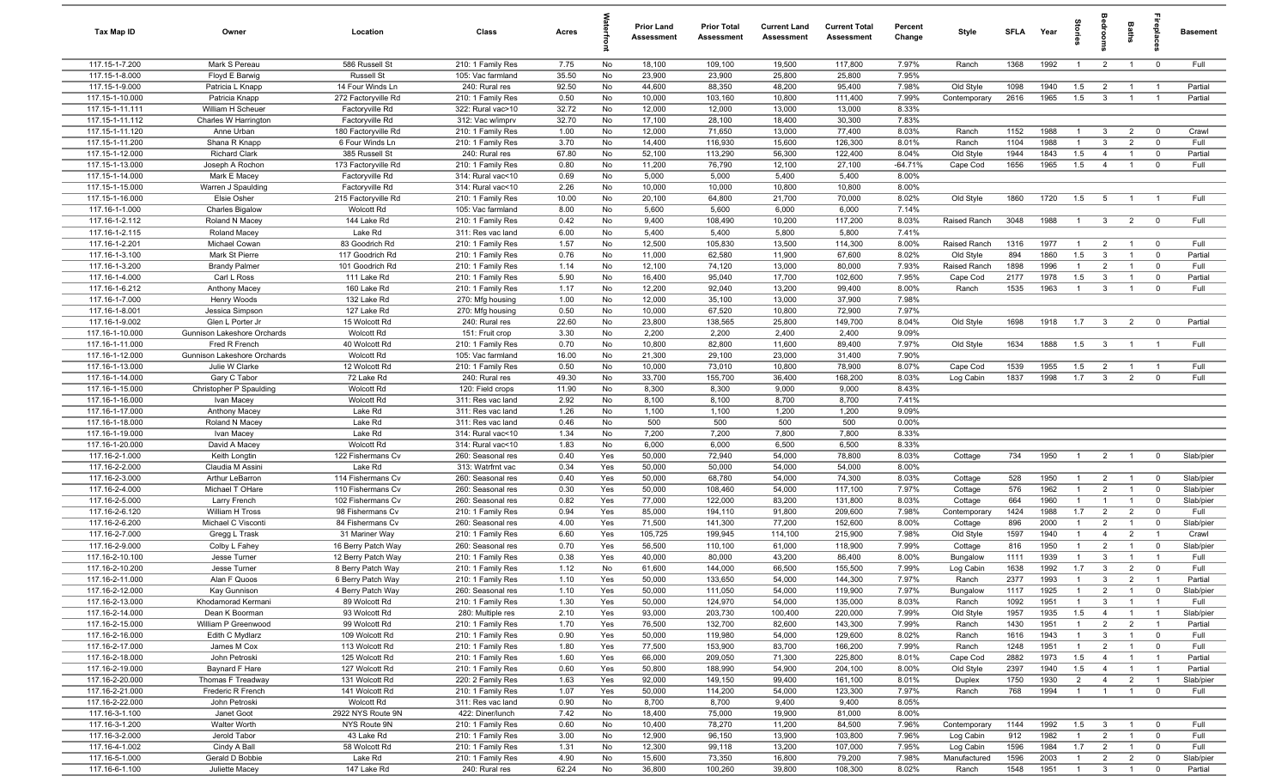| Tax Map ID                         | Owner                                           | Location                                 | Class                                  | Acres         |            | <b>Prior Land</b><br>Assessment | <b>Prior Total</b><br>Assessment | <b>Current Land</b><br>Assessment | <b>Current Total</b><br><b>Assessment</b> | Percent<br>Change | Style                 | <b>SFLA</b>  | Year         | g                              | aroo                             | Baths                            | <b>Repla</b>                     | <b>Basement</b>    |
|------------------------------------|-------------------------------------------------|------------------------------------------|----------------------------------------|---------------|------------|---------------------------------|----------------------------------|-----------------------------------|-------------------------------------------|-------------------|-----------------------|--------------|--------------|--------------------------------|----------------------------------|----------------------------------|----------------------------------|--------------------|
| 117.15-1-7.200                     | Mark S Pereau                                   | 586 Russell St                           | 210: 1 Family Res                      | 7.75          | No         | 18,100                          | 109,100                          | 19,500                            | 117,800                                   | 7.97%             | Ranch                 | 1368         | 1992         | $\overline{1}$                 | $\overline{2}$                   | $\overline{1}$                   | $\overline{0}$                   | Full               |
| 117.15-1-8.000                     | Floyd E Barwig                                  | <b>Russell St</b>                        | 105: Vac farmland                      | 35.50         | No         | 23,900                          | 23,900                           | 25,800                            | 25,800                                    | 7.95%             |                       |              |              |                                |                                  |                                  |                                  |                    |
| 117.15-1-9.000                     | Patricia L Knapp                                | 14 Four Winds Ln                         | 240: Rural res                         | 92.50         | No         | 44,600                          | 88,350                           | 48,200                            | 95,400                                    | 7.98%             | Old Style             | 1098         | 1940<br>1965 | 1.5<br>1.5                     | $\overline{2}$                   | $\overline{1}$                   | $\overline{1}$<br>$\overline{1}$ | Partial            |
| 117.15-1-10.000<br>117.15-1-11.111 | Patricia Knapp<br>William H Scheuer             | 272 Factoryville Rd<br>Factoryville Rd   | 210: 1 Family Res<br>322: Rural vac>10 | 0.50<br>32.72 | No<br>No   | 10,000<br>12,000                | 103,160<br>12,000                | 10,800<br>13,000                  | 111,400<br>13,000                         | 7.99%<br>8.33%    | Contemporary          | 2616         |              |                                | $\overline{3}$                   | $\overline{1}$                   |                                  | Partial            |
| 117.15-1-11.112                    | Charles W Harrington                            | Factoryville Rd                          | 312: Vac w/imprv                       | 32.70         | No         | 17,100                          | 28,100                           | 18,400                            | 30,300                                    | 7.83%             |                       |              |              |                                |                                  |                                  |                                  |                    |
| 117.15-1-11.120                    | Anne Urban                                      | 180 Factoryville Rd                      | 210: 1 Family Res                      | 1.00          | No         | 12,000                          | 71,650                           | 13,000                            | 77,400                                    | 8.03%             | Ranch                 | 1152         | 1988         | $\overline{1}$                 | $\mathbf{3}$                     | $\overline{2}$                   | $\overline{\mathbf{0}}$          | Crawl              |
| 117.15-1-11.200                    | Shana R Knapp                                   | 6 Four Winds Ln                          | 210: 1 Family Res                      | 3.70          | No         | 14,400                          | 116,930                          | 15,600                            | 126,300                                   | 8.01%             | Ranch                 | 1104         | 1988         | $\overline{1}$                 | $\mathbf{3}$                     | $\overline{2}$                   | $\overline{0}$                   | Full               |
| 117.15-1-12.000                    | <b>Richard Clark</b>                            | 385 Russell St                           | 240: Rural res                         | 67.80         | No         | 52,100                          | 113,290                          | 56,300                            | 122,400                                   | 8.04%             | Old Style             | 1944         | 1843         | 1.5                            | $\overline{4}$                   | $\overline{1}$                   | $\overline{\mathbf{0}}$          | Partial            |
| 117.15-1-13.000                    | Joseph A Rochon                                 | 173 Factoryville Rd                      | 210: 1 Family Res                      | 0.80          | No         | 11,200                          | 76,790                           | 12,100                            | 27,100                                    | $-64.71%$         | Cape Cod              | 1656         | 1965         | 1.5                            | $\overline{4}$                   | $\overline{1}$                   | $\overline{\mathbf{0}}$          | Full               |
| 117.15-1-14.000                    | Mark E Macey                                    | Factoryville Rd                          | 314: Rural vac<10                      | 0.69          | No         | 5,000                           | 5,000                            | 5,400                             | 5,400                                     | 8.00%             |                       |              |              |                                |                                  |                                  |                                  |                    |
| 117.15-1-15.000                    | Warren J Spaulding                              | Factoryville Rd                          | 314: Rural vac<10                      | 2.26          | No         | 10,000                          | 10,000                           | 10,800                            | 10,800                                    | 8.00%             |                       |              |              |                                |                                  |                                  |                                  |                    |
| 117.15-1-16.000                    | Elsie Osher                                     | 215 Factoryville Rd                      | 210: 1 Family Res                      | 10.00         | No         | 20,100                          | 64,800                           | 21,700                            | 70,000                                    | 8.02%             | Old Style             | 1860         | 1720         | 1.5                            | 5                                | $\overline{1}$                   | $\overline{1}$                   | Full               |
| 117.16-1-1.000<br>117.16-1-2.112   | <b>Charles Bigalow</b><br>Roland N Macey        | Wolcott Rd<br>144 Lake Rd                | 105: Vac farmland<br>210: 1 Family Res | 8.00<br>0.42  | No<br>No   | 5,600<br>9,400                  | 5,600<br>108,490                 | 6,000<br>10,200                   | 6,000<br>117,200                          | 7.14%<br>8.03%    | Raised Ranch          | 3048         | 1988         | $\overline{1}$                 | $\mathbf{3}$                     | $\overline{2}$                   | $\overline{0}$                   | Full               |
| 117.16-1-2.115                     | Roland Macey                                    | Lake Rd                                  | 311: Res vac land                      | 6.00          | No         | 5,400                           | 5,400                            | 5,800                             | 5,800                                     | 7.41%             |                       |              |              |                                |                                  |                                  |                                  |                    |
| 117.16-1-2.201                     | Michael Cowan                                   | 83 Goodrich Rd                           | 210: 1 Family Res                      | 1.57          | No         | 12,500                          | 105,830                          | 13,500                            | 114,300                                   | 8.00%             | Raised Ranch          | 1316         | 1977         | $\overline{1}$                 | $\overline{2}$                   | $\overline{1}$                   | $\overline{0}$                   | Full               |
| 117.16-1-3.100                     | Mark St Pierre                                  | 117 Goodrich Rd                          | 210: 1 Family Res                      | 0.76          | No         | 11,000                          | 62,580                           | 11,900                            | 67,600                                    | 8.02%             | Old Style             | 894          | 1860         | 1.5                            | $\mathbf{3}$                     | $\overline{1}$                   | $\overline{0}$                   | Partial            |
| 117.16-1-3.200                     | <b>Brandy Palmer</b>                            | 101 Goodrich Rd                          | 210: 1 Family Res                      | 1.14          | No         | 12,100                          | 74,120                           | 13,000                            | 80,000                                    | 7.93%             | Raised Ranch          | 1898         | 1996         | $\overline{1}$                 | $\overline{2}$                   | -1                               | $\overline{\mathbf{0}}$          | Full               |
| 117.16-1-4.000                     | Carl L Ross                                     | 111 Lake Rd                              | 210: 1 Family Res                      | 5.90          | No         | 16,400                          | 95,040                           | 17,700                            | 102,600                                   | 7.95%             | Cape Cod              | 2177         | 1978         | 1.5                            | $\overline{3}$                   | $\overline{1}$                   | $\overline{0}$                   | Partial            |
| 117.16-1-6.212                     | Anthony Macey                                   | 160 Lake Rd                              | 210: 1 Family Res                      | 1.17          | No         | 12,200                          | 92,040                           | 13,200                            | 99,400                                    | 8.00%             | Ranch                 | 1535         | 1963         | $\overline{1}$                 | $\mathbf{3}$                     | $\overline{1}$                   | $\overline{\mathbf{0}}$          | Full               |
| 117.16-1-7.000                     | Henry Woods                                     | 132 Lake Rd                              | 270: Mfg housing                       | 1.00          | No         | 12,000                          | 35,100                           | 13,000                            | 37,900                                    | 7.98%             |                       |              |              |                                |                                  |                                  |                                  |                    |
| 117.16-1-8.001                     | Jessica Simpson                                 | 127 Lake Rd                              | 270: Mfg housing                       | 0.50          | No         | 10,000                          | 67,520                           | 10,800                            | 72,900                                    | 7.97%             |                       |              |              |                                |                                  |                                  |                                  |                    |
| 117.16-1-9.002<br>117.16-1-10.000  | Glen L Porter Jr<br>Gunnison Lakeshore Orchards | 15 Wolcott Rd<br>Wolcott Rd              | 240: Rural res<br>151: Fruit crop      | 22.60<br>3.30 | No<br>No   | 23,800<br>2,200                 | 138,565<br>2,200                 | 25,800<br>2,400                   | 149,700<br>2,400                          | 8.04%<br>9.09%    | Old Style             | 1698         | 1918         | 1.7                            | $\overline{\mathbf{3}}$          | $\overline{2}$                   | $\overline{0}$                   | Partial            |
| 117.16-1-11.000                    | Fred R French                                   | 40 Wolcott Rd                            | 210: 1 Family Res                      | 0.70          | No         | 10,800                          | 82,800                           | 11,600                            | 89,400                                    | 7.97%             | Old Style             | 1634         | 1888         | 1.5                            | $\mathbf{3}$                     | $\overline{1}$                   | $\overline{1}$                   | Full               |
| 117.16-1-12.000                    | Gunnison Lakeshore Orchards                     | Wolcott Rd                               | 105: Vac farmland                      | 16.00         | No         | 21,300                          | 29,100                           | 23,000                            | 31,400                                    | 7.90%             |                       |              |              |                                |                                  |                                  |                                  |                    |
| 117.16-1-13.000                    | Julie W Clarke                                  | 12 Wolcott Rd                            | 210: 1 Family Res                      | 0.50          | No         | 10,000                          | 73,010                           | 10,800                            | 78,900                                    | 8.07%             | Cape Cod              | 1539         | 1955         | 1.5                            | $\overline{2}$                   | $\overline{1}$                   |                                  | Full               |
| 117.16-1-14.000                    | Gary C Tabor                                    | 72 Lake Rd                               | 240: Rural res                         | 49.30         | No         | 33,700                          | 155,700                          | 36,400                            | 168,200                                   | 8.03%             | Log Cabin             | 1837         | 1998         | 1.7                            | $\mathbf{3}$                     | $\overline{2}$                   | $\overline{0}$                   | Full               |
| 117.16-1-15.000                    | Christopher P Spaulding                         | Wolcott Rd                               | 120: Field crops                       | 11.90         | No         | 8,300                           | 8,300                            | 9,000                             | 9,000                                     | 8.43%             |                       |              |              |                                |                                  |                                  |                                  |                    |
| 117.16-1-16.000                    | Ivan Macey                                      | <b>Wolcott Rd</b>                        | 311: Res vac land                      | 2.92          | No         | 8,100                           | 8,100                            | 8,700                             | 8,700                                     | 7.41%             |                       |              |              |                                |                                  |                                  |                                  |                    |
| 117.16-1-17.000                    | Anthony Macey                                   | Lake Rd                                  | 311: Res vac land                      | 1.26          | No         | 1,100                           | 1,100                            | 1,200                             | 1,200                                     | 9.09%             |                       |              |              |                                |                                  |                                  |                                  |                    |
| 117.16-1-18.000                    | Roland N Macey                                  | Lake Rd                                  | 311: Res vac land                      | 0.46          | No         | 500                             | 500                              | 500                               | 500                                       | 0.00%             |                       |              |              |                                |                                  |                                  |                                  |                    |
| 117.16-1-19.000                    | Ivan Macey                                      | Lake Rd                                  | 314: Rural vac<10                      | 1.34          | No         | 7,200                           | 7,200                            | 7,800                             | 7,800                                     | 8.33%             |                       |              |              |                                |                                  |                                  |                                  |                    |
| 117.16-1-20.000<br>117.16-2-1.000  | David A Macey<br>Keith Longtin                  | Wolcott Rd<br>122 Fishermans Cv          | 314: Rural vac<10<br>260: Seasonal res | 1.83<br>0.40  | No<br>Yes  | 6,000<br>50,000                 | 6,000<br>72,940                  | 6,500<br>54,000                   | 6,500<br>78,800                           | 8.33%<br>8.03%    | Cottage               | 734          | 1950         | $\overline{1}$                 | $\overline{2}$                   | $\overline{1}$                   | $\overline{0}$                   | Slab/pier          |
| 117.16-2-2.000                     | Claudia M Assini                                | Lake Rd                                  | 313: Watrfrnt vac                      | 0.34          | Yes        | 50,000                          | 50,000                           | 54,000                            | 54,000                                    | 8.00%             |                       |              |              |                                |                                  |                                  |                                  |                    |
| 117.16-2-3.000                     | Arthur LeBarron                                 | 114 Fishermans Cv                        | 260: Seasonal res                      | 0.40          | Yes        | 50,000                          | 68,780                           | 54,000                            | 74,300                                    | 8.03%             | Cottage               | 528          | 1950         | $\overline{1}$                 | $\overline{2}$                   | $\overline{1}$                   | $\overline{0}$                   | Slab/pier          |
| 117.16-2-4.000                     | Michael T OHare                                 | 110 Fishermans Cv                        | 260: Seasonal res                      | 0.30          | Yes        | 50,000                          | 108,460                          | 54,000                            | 117,100                                   | 7.97%             | Cottage               | 576          | 1962         | $\overline{1}$                 | $\overline{2}$                   | -1                               | $\overline{0}$                   | Slab/pier          |
| 117.16-2-5.000                     | Larry French                                    | 102 Fishermans Cv                        | 260: Seasonal res                      | 0.82          | Yes        | 77,000                          | 122,000                          | 83,200                            | 131,800                                   | 8.03%             | Cottage               | 664          | 1960         | $\overline{1}$                 | $\overline{1}$                   | $\overline{1}$                   | $\overline{0}$                   | Slab/pier          |
| 117.16-2-6.120                     | William H Tross                                 | 98 Fishermans Cv                         | 210: 1 Family Res                      | 0.94          | Yes        | 85,000                          | 194,110                          | 91,800                            | 209,600                                   | 7.98%             | Contemporary          | 1424         | 1988         | 1.7                            | 2                                | $\overline{2}$                   | $\overline{0}$                   | Full               |
| 117.16-2-6.200                     | Michael C Visconti                              | 84 Fishermans Cv                         | 260: Seasonal res                      | 4.00          | Yes        | 71,500                          | 141,300                          | 77,200                            | 152,600                                   | 8.00%             | Cottage               | 896          | 2000         | $\overline{1}$                 | $\overline{2}$                   | $\overline{1}$                   | $\overline{0}$                   | Slab/pier          |
| 117.16-2-7.000                     | Gregg L Trask                                   | 31 Mariner Way                           | 210: 1 Family Res                      | 6.60          | Yes        | 105,725                         | 199,945                          | 114,100                           | 215,900                                   | 7.98%             | Old Style             | 1597         | 1940         |                                | $\overline{4}$                   | $\overline{2}$                   |                                  | Crawl              |
| 117.16-2-9.000<br>117.16-2-10.100  | Colby L Fahey<br>Jesse Turner                   | 16 Berry Patch Way<br>12 Berry Patch Way | 260: Seasonal res<br>210: 1 Family Res | 0.70<br>0.38  | Yes<br>Yes | 56,500<br>40,000                | 110,100<br>80,000                | 61,000<br>43,200                  | 118,900<br>86,400                         | 7.99%<br>8.00%    | Cottage<br>Bungalow   | 816<br>1111  | 1950<br>1939 | $\overline{1}$                 | $\overline{2}$<br>3              | $\overline{1}$<br>$\overline{1}$ | $\overline{\mathbf{0}}$          | Slab/pier<br>Full  |
| 117.16-2-10.200                    | Jesse Turner                                    | 8 Berry Patch Way                        | 210: 1 Family Res                      | 1.12          | No         | 61,600                          | 144,000                          | 66,500                            | 155,500                                   | 7.99%             | Log Cabin             | 1638         | 1992         | 1.7                            | $\mathbf{3}$                     | $\overline{2}$                   | $\overline{0}$                   | Full               |
| 117.16-2-11.000                    | Alan F Quoos                                    | 6 Berry Patch Way                        | 210: 1 Family Res                      | 1.10          | Yes        | 50,000                          | 133,650                          | 54,000                            | 144,300                                   | 7.97%             | Ranch                 | 2377         | 1993         | $\overline{1}$                 | $\mathbf{3}$                     | $\overline{2}$                   | $\overline{1}$                   | Partial            |
| 117.16-2-12.000                    | Kay Gunnison                                    | 4 Berry Patch Way                        | 260: Seasonal res                      | 1.10          | Yes        | 50,000                          | 111,050                          | 54,000                            | 119,900                                   | 7.97%             | Bungalow              | 1117         | 1925         | $\overline{1}$                 | $\overline{2}$                   | $\overline{1}$                   | $\overline{0}$                   | Slab/pier          |
| 117.16-2-13.000                    | Khodamorad Kermani                              | 89 Wolcott Rd                            | 210: 1 Family Res                      | 1.30          | Yes        | 50,000                          | 124,970                          | 54,000                            | 135,000                                   | 8.03%             | Ranch                 | 1092         | 1951         | $\overline{1}$                 | $\mathbf{3}$                     | $\overline{1}$                   | $\overline{1}$                   | Full               |
| 117.16-2-14.000                    | Dean K Boorman                                  | 93 Wolcott Rd                            | 280: Multiple res                      | 2.10          | Yes        | 93,000                          | 203,730                          | 100,400                           | 220,000                                   | 7.99%             | Old Style             | 1957         | 1935         | 1.5                            | $\overline{4}$                   | $\overline{1}$                   | $\overline{1}$                   | Slab/pier          |
| 117.16-2-15.000                    | William P Greenwood                             | 99 Wolcott Rd                            | 210: 1 Family Res                      | 1.70          | Yes        | 76,500                          | 132,700                          | 82,600                            | 143,300                                   | 7.99%             | Ranch                 | 1430         | 1951         | $\mathbf{1}$                   | $\overline{2}$                   | $\overline{2}$                   | $\overline{1}$                   | Partial            |
| 117.16-2-16.000                    | Edith C Mydlarz                                 | 109 Wolcott Rd                           | 210: 1 Family Res                      | 0.90          | Yes        | 50,000                          | 119,980                          | 54,000                            | 129,600                                   | 8.02%             | Ranch                 | 1616         | 1943         | $\overline{1}$                 | $\mathbf{3}$                     | $\mathbf{1}$                     | $\overline{0}$                   | Full               |
| 117.16-2-17.000                    | James M Cox                                     | 113 Wolcott Rd                           | 210: 1 Family Res                      | 1.80          | Yes        | 77,500                          | 153,900                          | 83,700                            | 166,200                                   | 7.99%             | Ranch                 | 1248         | 1951         | $\overline{1}$                 | $\overline{2}$                   | $\overline{1}$                   | $\overline{0}$                   | Full               |
| 117.16-2-18.000<br>117.16-2-19.000 | John Petroski<br>Baynard F Hare                 | 125 Wolcott Rd<br>127 Wolcott Rd         | 210: 1 Family Res<br>210: 1 Family Res | 1.60<br>0.60  | Yes<br>Yes | 66,000<br>50,800                | 209,050<br>188,990               | 71,300<br>54,900                  | 225,800<br>204,100                        | 8.01%<br>8.00%    | Cape Cod<br>Old Style | 2882<br>2397 | 1973<br>1940 | 1.5<br>1.5                     | $\overline{4}$<br>$\overline{4}$ | $\overline{1}$<br>$\overline{1}$ | $\overline{1}$<br>$\overline{1}$ | Partial<br>Partial |
| 117.16-2-20.000                    | Thomas F Treadway                               | 131 Wolcott Rd                           | 220: 2 Family Res                      | 1.63          | Yes        | 92,000                          | 149,150                          | 99,400                            | 161,100                                   | 8.01%             | Duplex                | 1750         | 1930         | $\overline{2}$                 | $\overline{4}$                   | $\overline{2}$                   |                                  | Slab/pier          |
| 117.16-2-21.000                    | Frederic R French                               | 141 Wolcott Rd                           | 210: 1 Family Res                      | 1.07          | Yes        | 50,000                          | 114,200                          | 54,000                            | 123,300                                   | 7.97%             | Ranch                 | 768          | 1994         | $\overline{1}$                 | $\overline{1}$                   | $\overline{1}$                   | $\overline{\mathbf{0}}$          | Full               |
| 117.16-2-22.000                    | John Petroski                                   | Wolcott Rd                               | 311: Res vac land                      | 0.90          | No         | 8,700                           | 8,700                            | 9,400                             | 9,400                                     | 8.05%             |                       |              |              |                                |                                  |                                  |                                  |                    |
| 117.16-3-1.100                     | Janet Goot                                      | 2922 NYS Route 9N                        | 422: Diner/lunch                       | 7.42          | No         | 18,400                          | 75,000                           | 19,900                            | 81,000                                    | 8.00%             |                       |              |              |                                |                                  |                                  |                                  |                    |
| 117.16-3-1.200                     | Walter Worth                                    | NYS Route 9N                             | 210: 1 Family Res                      | 0.60          | No         | 10,400                          | 78,270                           | 11,200                            | 84,500                                    | 7.96%             | Contemporary          | 1144         | 1992         | 1.5                            | $\mathbf{3}$                     | $\overline{1}$                   | $\overline{0}$                   | Full               |
| 117.16-3-2.000                     | Jerold Tabor                                    | 43 Lake Rd                               | 210: 1 Family Res                      | 3.00          | No         | 12,900                          | 96,150                           | 13,900                            | 103,800                                   | 7.96%             | Log Cabin             | 912          | 1982         | $\overline{1}$                 | $\overline{2}$                   | $\overline{1}$                   | $\overline{0}$                   | Full               |
| 117.16-4-1.002                     | Cindy A Ball                                    | 58 Wolcott Rd                            | 210: 1 Family Res                      | 1.31          | No         | 12,300                          | 99,118                           | 13,200                            | 107,000                                   | 7.95%             | Log Cabin             | 1596         | 1984         | 1.7                            | $\overline{2}$                   | $\overline{1}$                   | $\overline{0}$                   | Full               |
| 117.16-5-1.000                     | Gerald D Bobbie                                 | Lake Rd<br>147 Lake Rd                   | 210: 1 Family Res                      | 4.90<br>62.24 | No<br>No   | 15,600<br>36,800                | 73,350<br>100,260                | 16,800                            | 79,200<br>108,300                         | 7.98%<br>8.02%    | Manufactured          | 1596<br>1548 | 2003<br>1951 | $\mathbf{1}$<br>$\overline{1}$ | $\overline{2}$                   | $\overline{2}$<br>$\overline{1}$ | $\overline{0}$<br>$\overline{0}$ | Slab/pier          |
| 117.16-6-1.100                     | Juliette Macey                                  |                                          | 240: Rural res                         |               |            |                                 |                                  | 39,800                            |                                           |                   | Ranch                 |              |              |                                | $\mathbf{3}$                     |                                  |                                  | Partial            |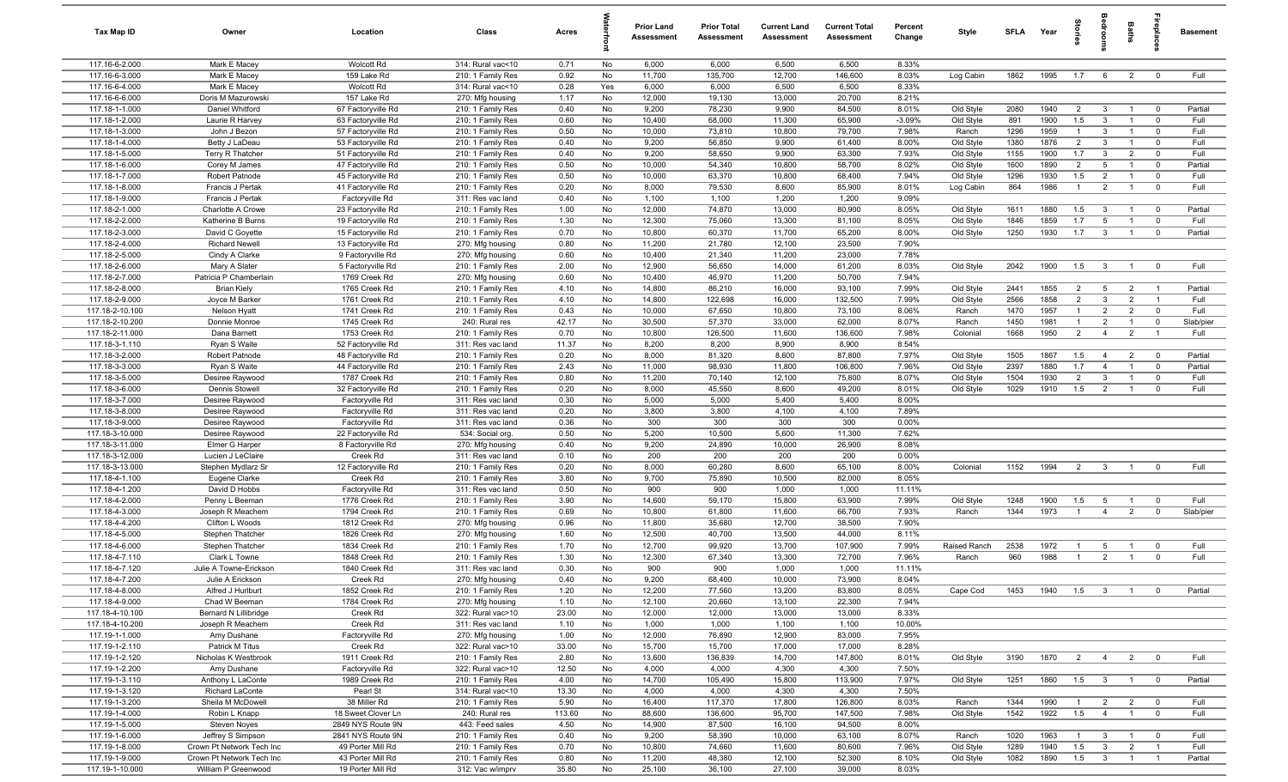| Tax Map ID                         | Owner                                     | Location                                 | Class                                  | Acres         |          | Prior Land<br>Assessment | <b>Prior Total</b><br>Assessment | <b>Current Land</b><br>Assessment | <b>Current Total</b><br>Assessment | Percent<br>Change | Style                  | SFLA         | Year         | Stories               | droom                          | Baths                            |                                  | Basement        |
|------------------------------------|-------------------------------------------|------------------------------------------|----------------------------------------|---------------|----------|--------------------------|----------------------------------|-----------------------------------|------------------------------------|-------------------|------------------------|--------------|--------------|-----------------------|--------------------------------|----------------------------------|----------------------------------|-----------------|
| 117.16-6-2.000                     | Mark E Macey                              | <b>Wolcott Rd</b>                        | 314: Rural vac<10                      | 0.71          | No       | 6,000                    | 6,000                            | 6,500                             | 6,500                              | 8.33%             |                        |              |              |                       |                                |                                  |                                  |                 |
| 117.16-6-3.000                     | Mark E Macey                              | 159 Lake Rd                              | 210: 1 Family Res                      | 0.92          | No       | 11,700                   | 135,700                          | 12,700                            | 146,600                            | 8.03%             | Log Cabin              | 1862         | 1995         | 1.7                   | 6                              | $\overline{2}$                   | $\overline{0}$                   | Full            |
| 117.16-6-4.000                     | Mark E Macey                              | Wolcott Rd                               | 314: Rural vac<10                      | 0.28          | Yes      | 6,000                    | 6,000                            | 6,500                             | 6,500                              | 8.33%             |                        |              |              |                       |                                |                                  |                                  |                 |
| 117.16-6-6.000                     | Doris M Mazurowski                        | 157 Lake Rd                              | 270: Mfg housing                       | 1.17          | No       | 12,000                   | 19,130                           | 13,000                            | 20,700                             | 8.21%             |                        |              |              |                       |                                |                                  |                                  |                 |
| 117.18-1-1.000                     | Daniel Whitford                           | 67 Factoryville Rd                       | 210: 1 Family Res                      | 0.40          | No       | 9,200                    | 78,230                           | 9,900                             | 84,500                             | 8.01%             | Old Style              | 2080         | 1940         | $\overline{2}$        | $\mathbf{3}$                   |                                  | $\overline{0}$                   | Partial<br>Full |
| 117.18-1-2.000<br>117.18-1-3.000   | Laurie R Harvey                           | 63 Factoryville Rd                       | 210: 1 Family Res<br>210: 1 Family Res | 0.60<br>0.50  | No       | 10,400                   | 68,000<br>73,810                 | 11,300<br>10,800                  | 65,900                             | $-3.09%$<br>7.98% | Old Style              | 891          | 1900<br>1959 | 1.5<br>$\overline{1}$ | $\mathbf{3}$<br>$\overline{3}$ |                                  | $\overline{0}$<br>$\overline{0}$ | Full            |
| 117.18-1-4.000                     | John J Bezon<br>Betty J LaDeau            | 57 Factoryville Rd<br>53 Factoryville Rd | 210: 1 Family Res                      | 0.40          | No<br>No | 10,000<br>9,200          | 56,850                           | 9,900                             | 79,700<br>61,400                   | 8.00%             | Ranch<br>Old Style     | 1296<br>1380 | 1876         | 2                     | $\overline{3}$                 |                                  | $\mathbf 0$                      | Full            |
| 117.18-1-5.000                     | Terry R Thatcher                          | 51 Factoryville Rd                       | 210: 1 Family Res                      | 0.40          | No       | 9,200                    | 58,650                           | 9,900                             | 63,300                             | 7.93%             | Old Style              | 1155         | 1900         | 1.7                   | $\mathbf{3}$                   | 2                                | $\mathbf 0$                      | Full            |
| 117.18-1-6.000                     | Corey M James                             | 47 Factoryville Rd                       | 210: 1 Family Res                      | 0.50          | No       | 10,000                   | 54,340                           | 10,800                            | 58,700                             | 8.02%             | Old Style              | 1600         | 1890         | 2                     | 5                              | $\overline{1}$                   | $\mathbf 0$                      | Partial         |
| 117.18-1-7.000                     | Robert Patnode                            | 45 Factoryville Rd                       | 210: 1 Family Res                      | 0.50          | No       | 10,000                   | 63,370                           | 10,800                            | 68,400                             | 7.94%             | Old Style              | 1296         | 1930         | 1.5                   | $\overline{2}$                 | $\overline{1}$                   | $\mathbf 0$                      | Full            |
| 117.18-1-8.000                     | Francis J Pertak                          | 41 Factoryville Rd                       | 210: 1 Family Res                      | 0.20          | No       | 8,000                    | 79,530                           | 8,600                             | 85,900                             | 8.01%             | Log Cabin              | 864          | 1986         | $\overline{1}$        | 2                              | $\overline{1}$                   | $\mathbf 0$                      | Full            |
| 117.18-1-9.000                     | Francis J Pertak                          | Factoryville Rd                          | 311: Res vac land                      | 0.40          | No       | 1,100                    | 1,100                            | 1,200                             | 1,200                              | 9.09%             |                        |              |              |                       |                                |                                  |                                  |                 |
| 117.18-2-1.000                     | Charlotte A Crowe                         | 23 Factoryville Rd                       | 210: 1 Family Res                      | 1.00          | No       | 12,000                   | 74,870                           | 13,000                            | 80,900                             | 8.05%             | Old Style              | 1611         | 1880         | 1.5                   | $\mathbf{3}$                   | $\overline{1}$                   | $\overline{0}$                   | Partial         |
| 117.18-2-2.000                     | Katherine B Burns                         | 19 Factoryville Rd                       | 210: 1 Family Res                      | 1.30          | No       | 12,300                   | 75,060                           | 13,300                            | 81,100                             | 8.05%             | Old Style              | 1846         | 1859         | 1.7                   | 5                              | $\overline{1}$                   | $\mathbf 0$                      | Full            |
| 117.18-2-3.000                     | David C Goyette                           | 15 Factoryville Rd                       | 210: 1 Family Res                      | 0.70          | No       | 10,800                   | 60,370                           | 11,700                            | 65,200                             | 8.00%             | Old Style              | 1250         | 1930         | 1.7                   | $\mathbf{3}$                   | $\overline{1}$                   | $\mathbf 0$                      | Partial         |
| 117.18-2-4.000                     | <b>Richard Newell</b>                     | 13 Factoryville Rd                       | 270: Mfg housing                       | 0.80          | No       | 11,200                   | 21,780                           | 12,100                            | 23,500                             | 7.90%             |                        |              |              |                       |                                |                                  |                                  |                 |
| 117.18-2-5.000                     | Cindy A Clarke                            | 9 Factoryville Rd                        | 270: Mfg housing                       | 0.60          | No       | 10,400                   | 21,340                           | 11,200                            | 23,000                             | 7.78%             |                        |              |              |                       |                                |                                  |                                  |                 |
| 117.18-2-6.000                     | Mary A Slater                             | 5 Factoryville Rd                        | 210: 1 Family Res                      | 2.00          | No       | 12,900                   | 56,650                           | 14,000                            | 61,200                             | 8.03%             | Old Style              | 2042         | 1900         | 1.5                   | $\overline{3}$                 |                                  | $\overline{0}$                   | Full            |
| 117.18-2-7.000                     | Patricia P Chamberlain                    | 1769 Creek Rd                            | 270: Mfg housing                       | 0.60          | No       | 10,400                   | 46,970                           | 11,200                            | 50,700                             | 7.94%             |                        |              |              |                       |                                |                                  |                                  |                 |
| 117.18-2-8.000<br>117.18-2-9.000   | <b>Brian Kiely</b><br>Joyce M Barker      | 1765 Creek Rd<br>1761 Creek Rd           | 210: 1 Family Res<br>210: 1 Family Res | 4.10<br>4.10  | No<br>No | 14,800<br>14,800         | 86,210<br>122,698                | 16,000<br>16,000                  | 93,100<br>132,500                  | 7.99%<br>7.99%    | Old Style<br>Old Style | 2441<br>2566 | 1855<br>1858 | 2<br>$\overline{2}$   | 5<br>$\mathbf{3}$              | $\overline{2}$<br>$\overline{2}$ | $\overline{1}$<br>$\overline{1}$ | Partial<br>Full |
| 117.18-2-10.100                    | Nelson Hyatt                              | 1741 Creek Rd                            | 210: 1 Family Res                      | 0.43          | No       | 10,000                   | 67,650                           | 10,800                            | 73,100                             | 8.06%             | Ranch                  | 1470         | 1957         | $\overline{1}$        | $\overline{2}$                 | $\overline{2}$                   | $\mathbf 0$                      | Full            |
| 117.18-2-10.200                    | Donnie Monroe                             | 1745 Creek Rd                            | 240: Rural res                         | 42.17         | No       | 30,500                   | 57,370                           | 33,000                            | 62,000                             | 8.07%             | Ranch                  | 1450         | 1981         | $\overline{1}$        | $\overline{2}$                 | $\overline{1}$                   | $\mathbf 0$                      | Slab/pier       |
| 117.18-2-11.000                    | Dana Barnett                              | 1753 Creek Rd                            | 210: 1 Family Res                      | 0.70          | No       | 10,800                   | 126,500                          | 11,600                            | 136,600                            | 7.98%             | Colonial               | 1668         | 1950         | 2                     | $\overline{4}$                 | $\overline{2}$                   | $\overline{1}$                   | Full            |
| 117.18-3-1.110                     | Ryan S Waite                              | 52 Factoryville Rd                       | 311: Res vac land                      | 11.37         | No       | 8,200                    | 8,200                            | 8,900                             | 8,900                              | 8.54%             |                        |              |              |                       |                                |                                  |                                  |                 |
| 117.18-3-2.000                     | Robert Patnode                            | 48 Factoryville Rd                       | 210: 1 Family Res                      | 0.20          | No       | 8,000                    | 81,320                           | 8,600                             | 87,800                             | 7.97%             | Old Style              | 1505         | 1867         | 1.5                   | $\overline{4}$                 | 2                                | $\overline{0}$                   | Partial         |
| 117.18-3-3.000                     | Ryan S Waite                              | 44 Factoryville Rd                       | 210: 1 Family Res                      | 2.43          | No       | 11,000                   | 98,930                           | 11,800                            | 106,800                            | 7.96%             | Old Style              | 2397         | 1880         | 1.7                   | $\overline{4}$                 | $\overline{1}$                   | $\mathbf 0$                      | Partial         |
| 117.18-3-5.000                     | Desiree Raywood                           | 1787 Creek Rd                            | 210: 1 Family Res                      | 0.80          | No       | 11,200                   | 70,140                           | 12,100                            | 75,800                             | 8.07%             | Old Style              | 1504         | 1930         | $\overline{2}$        | $\overline{3}$                 | $\overline{1}$                   | $\mathbf 0$                      | Full            |
| 117.18-3-6.000                     | Dennis Stowell                            | 32 Factoryville Rd                       | 210: 1 Family Res                      | 0.20          | No       | 8,000                    | 45,550                           | 8,600                             | 49,200                             | 8.01%             | Old Style              | 1029         | 1910         | 1.5                   | $\overline{2}$                 |                                  | $\mathbf 0$                      | Full            |
| 117.18-3-7.000                     | Desiree Raywood                           | Factoryville Rd                          | 311: Res vac land                      | 0.30          | No       | 5,000                    | 5,000                            | 5,400                             | 5,400                              | 8.00%             |                        |              |              |                       |                                |                                  |                                  |                 |
| 117.18-3-8.000                     | Desiree Raywood                           | Factoryville Rd                          | 311: Res vac land                      | 0.20          | No       | 3,800                    | 3,800                            | 4,100                             | 4,100                              | 7.89%             |                        |              |              |                       |                                |                                  |                                  |                 |
| 117.18-3-9.000                     | Desiree Raywood                           | Factoryville Rd                          | 311: Res vac land                      | 0.36          | No       | 300                      | 300                              | 300                               | 300                                | 0.00%             |                        |              |              |                       |                                |                                  |                                  |                 |
| 117.18-3-10.000                    | Desiree Raywood                           | 22 Factoryville Rd                       | 534: Social org.                       | 0.50          | No       | 5,200                    | 10,500                           | 5,600                             | 11,300                             | 7.62%             |                        |              |              |                       |                                |                                  |                                  |                 |
| 117.18-3-11.000<br>117.18-3-12.000 | Elmer G Harper                            | 8 Factoryville Rd<br>Creek Rd            | 270: Mfg housing                       | 0.40          | No       | 9,200<br>200             | 24,890                           | 10,000<br>200                     | 26,900                             | 8.08%             |                        |              |              |                       |                                |                                  |                                  |                 |
| 117.18-3-13.000                    | Lucien J LeClaire<br>Stephen Mydlarz Sr   | 12 Factoryville Rd                       | 311: Res vac land<br>210: 1 Family Res | 0.10<br>0.20  | No<br>No | 8,000                    | 200<br>60,280                    | 8,600                             | 200<br>65,100                      | 0.00%<br>8.00%    | Colonial               | 1152         | 1994         | $\overline{2}$        | $\overline{\mathbf{3}}$        | $\overline{1}$                   | $\overline{0}$                   | Full            |
| 117.18-4-1.100                     | Eugene Clarke                             | Creek Rd                                 | 210: 1 Family Res                      | 3.80          | No       | 9,700                    | 75,890                           | 10,500                            | 82,000                             | 8.05%             |                        |              |              |                       |                                |                                  |                                  |                 |
| 117.18-4-1.200                     | David D Hobbs                             | Factoryville Rd                          | 311: Res vac land                      | 0.50          | No       | 900                      | 900                              | 1,000                             | 1,000                              | 11.11%            |                        |              |              |                       |                                |                                  |                                  |                 |
| 117.18-4-2.000                     | Penny L Beeman                            | 1776 Creek Rd                            | 210: 1 Family Res                      | 3.90          | No       | 14,600                   | 59,170                           | 15,800                            | 63,900                             | 7.99%             | Old Style              | 1248         | 1900         | 1.5                   | 5                              | $\overline{1}$                   | $\mathbf 0$                      | Full            |
| 117.18-4-3.000                     | Joseph R Meachem                          | 1794 Creek Rd                            | 210: 1 Family Res                      | 0.69          | No       | 10,800                   | 61,800                           | 11,600                            | 66,700                             | 7.93%             | Ranch                  | 1344         | 1973         | $\overline{1}$        | $\overline{4}$                 | $\overline{2}$                   | $\mathbf 0$                      | Slab/pier       |
| 117.18-4-4.200                     | Clifton L Woods                           | 1812 Creek Rd                            | 270: Mfg housing                       | 0.96          | No       | 11,800                   | 35,680                           | 12,700                            | 38,500                             | 7.90%             |                        |              |              |                       |                                |                                  |                                  |                 |
| 117.18-4-5.000                     | Stephen Thatcher                          | 1826 Creek Rd                            | 270: Mfg housing                       | 1.60          | No       | 12,500                   | 40,700                           | 13,500                            | 44,000                             | 8.11%             |                        |              |              |                       |                                |                                  |                                  |                 |
| 117.18-4-6.000                     | Stephen Thatcher                          | 1834 Creek Rd                            | 210: 1 Family Res                      | 1.70          | No       | 12,700                   | 99,920                           | 13,700                            | 107,900                            | 7.99%             | Raised Ranch           | 2538         | 1972         |                       | 5                              |                                  | $\mathbf 0$                      | Full            |
| 117.18-4-7.110                     | Clark L Towne                             | 1848 Creek Rd                            | 210: 1 Family Res                      | 1.30          | No       | 12,300                   | 67,340                           | 13,300                            | 72,700                             | 7.96%             | Ranch                  | 960          | 1988         | $\mathbf{1}$          | $\overline{2}$                 |                                  | $\mathbf 0$                      | Full            |
| 117.18-4-7.120                     | Julie A Towne-Erickson                    | 1840 Creek Rd                            | 311: Res vac land                      | 0.30          | No       | 900                      | 900                              | 1,000                             | 1,000                              | 11.11%            |                        |              |              |                       |                                |                                  |                                  |                 |
| 117.18-4-7.200                     | Julie A Erickson                          | Creek Rd                                 | 270: Mfg housing                       | 0.40          | No       | 9,200                    | 68,400                           | 10,000                            | 73,900                             | 8.04%             |                        |              |              |                       |                                |                                  |                                  |                 |
| 117.18-4-8.000                     | Alfred J Hurlburt                         | 1852 Creek Rd                            | 210: 1 Family Res                      | 1.20          | No       | 12,200                   | 77,560                           | 13,200                            | 83,800                             | 8.05%             | Cape Cod               | 1453         |              | 1940 1.5              | $\overline{\mathbf{3}}$        | $\overline{1}$                   | $\overline{\mathbf{0}}$          | Partial         |
| 117.18-4-9.000                     | Chad W Beeman                             | 1784 Creek Rd                            | 270: Mfg housing                       | 1.10          | No       | 12,100                   | 20,660                           | 13,100                            | 22,300                             | 7.94%             |                        |              |              |                       |                                |                                  |                                  |                 |
| 117.18-4-10.100                    | Bernard N Lillibridge<br>Joseph R Meachem | Creek Rd                                 | 322: Rural vac>10<br>311: Res vac land | 23.00         | No       | 12,000                   | 12,000                           | 13,000                            | 13,000                             | 8.33%<br>10.00%   |                        |              |              |                       |                                |                                  |                                  |                 |
| 117.18-4-10.200<br>117.19-1-1.000  |                                           | Creek Rd<br>Factoryville Rd              |                                        | 1.10          | No       | 1,000<br>12,000          | 1,000                            | 1,100                             | 1,100                              | 7.95%             |                        |              |              |                       |                                |                                  |                                  |                 |
| 117.19-1-2.110                     | Amy Dushane<br>Patrick M Titus            | Creek Rd                                 | 270: Mfg housing<br>322: Rural vac>10  | 1.00<br>33.00 | No<br>No | 15,700                   | 76,890<br>15,700                 | 12,900<br>17,000                  | 83,000<br>17,000                   | 8.28%             |                        |              |              |                       |                                |                                  |                                  |                 |
| 117.19-1-2.120                     | Nicholas K Westbrook                      | 1911 Creek Rd                            | 210: 1 Family Res                      | 2.80          | No       | 13,600                   | 136,839                          | 14,700                            | 147,800                            | 8.01%             | Old Style              | 3190         | 1870         | 2                     | $\overline{4}$                 | $\overline{2}$                   | $\overline{0}$                   | Full            |
| 117.19-1-2.200                     | Amy Dushane                               | Factoryville Rd                          | 322: Rural vac>10                      | 12.50         | No       | 4,000                    | 4,000                            | 4,300                             | 4,300                              | 7.50%             |                        |              |              |                       |                                |                                  |                                  |                 |
| 117.19-1-3.110                     | Anthony L LaConte                         | 1989 Creek Rd                            | 210: 1 Family Res                      | 4.00          | No       | 14,700                   | 105,490                          | 15,800                            | 113,900                            | 7.97%             | Old Style              | 1251         | 1860         | 1.5                   | $\overline{\mathbf{3}}$        | $\overline{1}$                   | $\overline{\mathbf{0}}$          | Partial         |
| 117.19-1-3.120                     | Richard LaConte                           | Pearl St                                 | 314: Rural vac<10                      | 13.30         | No       | 4,000                    | 4,000                            | 4,300                             | 4,300                              | 7.50%             |                        |              |              |                       |                                |                                  |                                  |                 |
| 117.19-1-3.200                     | Sheila M McDowell                         | 38 Miller Rd                             | 210: 1 Family Res                      | 5.90          | No       | 16,400                   | 117,370                          | 17,800                            | 126,800                            | 8.03%             | Ranch                  | 1344         | 1990         | $\overline{1}$        | $\overline{2}$                 | $\overline{2}$                   | $\overline{\mathbf{0}}$          | Full            |
| 117.19-1-4.000                     | Robin L Knapp                             | 18 Sweet Clover Ln                       | 240: Rural res                         | 113.60        | No       | 88,600                   | 136,600                          | 95,700                            | 147,500                            | 7.98%             | Old Style              | 1542         | 1922         | 1.5                   | $\overline{4}$                 | $\overline{1}$                   | $\overline{\mathbf{0}}$          | Full            |
| 117.19-1-5.000                     | Steven Noyes                              | 2849 NYS Route 9N                        | 443: Feed sales                        | 4.50          | No       | 14,900                   | 87,500                           | 16,100                            | 94,500                             | 8.00%             |                        |              |              |                       |                                |                                  |                                  |                 |
| 117.19-1-6.000                     | Jeffrey S Simpson                         | 2841 NYS Route 9N                        | 210: 1 Family Res                      | 0.40          | No       | 9,200                    | 58,390                           | 10,000                            | 63,100                             | 8.07%             | Ranch                  | 1020         | 1963         | $\overline{1}$        | $\mathbf{3}$                   | $\overline{1}$                   | $\overline{0}$                   | Full            |
| 117.19-1-8.000                     | Crown Pt Network Tech Inc                 | 49 Porter Mill Rd                        | 210: 1 Family Res                      | 0.70          | No       | 10,800                   | 74,660                           | 11,600                            | 80,600                             | 7.96%             | Old Style              | 1289         | 1940         | 1.5                   | $\mathbf{3}$                   | $\overline{2}$                   | $\overline{1}$                   | Full            |
| 117.19-1-9.000                     | Crown Pt Network Tech Inc                 | 43 Porter Mill Rd                        | 210: 1 Family Res                      | 0.80          | No       | 11,200                   | 48,380                           | 12,100                            | 52,300                             | 8.10%             | Old Style              | 1082         | 1890         | 1.5                   | $\overline{\mathbf{3}}$        | $\overline{1}$                   | $\overline{1}$                   | Partial         |
| 117.19-1-10.000                    | William P Greenwood                       | 19 Porter Mill Rd                        | 312: Vac w/imprv                       | 35.80         | No       | 25,100                   | 36,100                           | 27,100                            | 39,000                             | 8.03%             |                        |              |              |                       |                                |                                  |                                  |                 |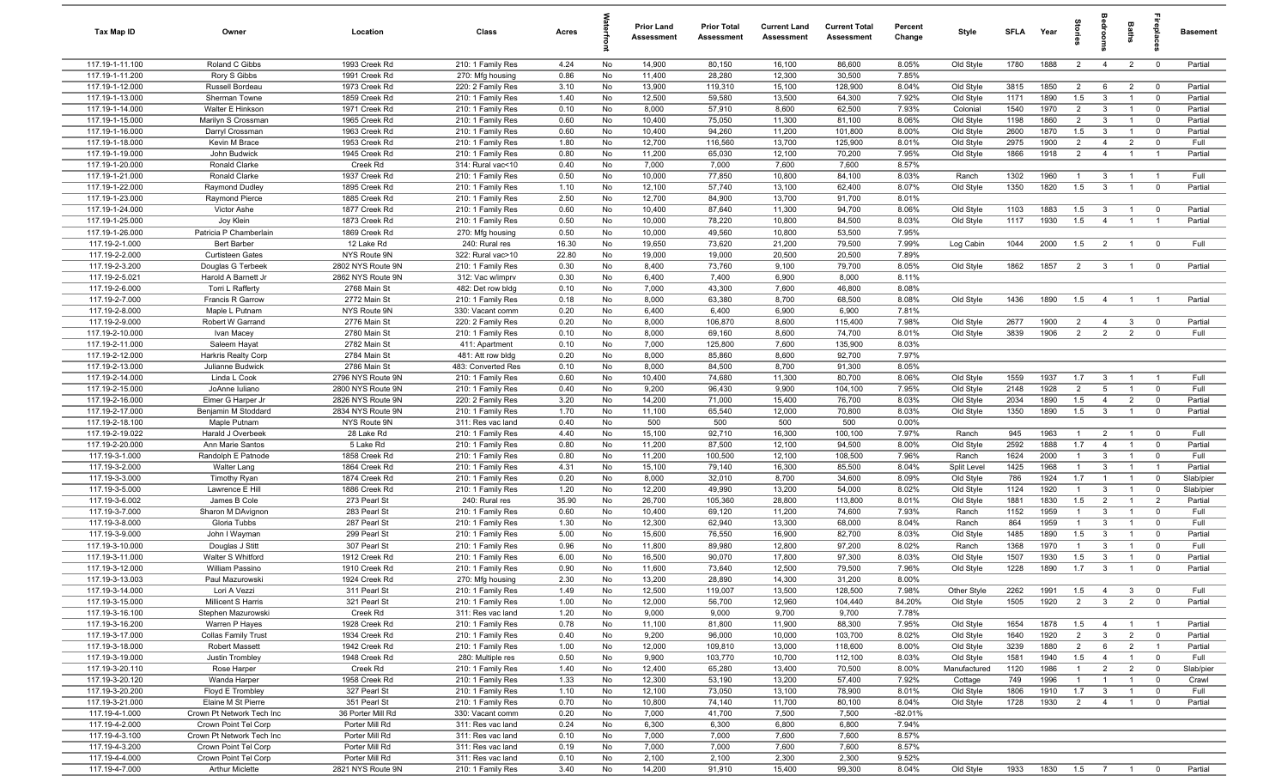| Tax Map ID                         | Owner                                        | Location                               | Class                                  | Acres        |          | <b>Prior Land</b><br><b>Assessment</b> | <b>Prior Total</b><br><b>Assessment</b> | <b>Current Land</b><br>Assessment | <b>Current Total</b><br>Assessment | Percent<br>Change | Style                    | <b>SFLA</b>  | Year            | ទ្ទ                              |                                  | Baths                            | 용                              | <b>Basement</b>    |
|------------------------------------|----------------------------------------------|----------------------------------------|----------------------------------------|--------------|----------|----------------------------------------|-----------------------------------------|-----------------------------------|------------------------------------|-------------------|--------------------------|--------------|-----------------|----------------------------------|----------------------------------|----------------------------------|--------------------------------|--------------------|
| 117.19-1-11.100                    | Roland C Gibbs                               | 1993 Creek Rd                          | 210: 1 Family Res                      | 4.24         | No       | 14,900                                 | 80,150                                  | 16,100                            | 86,600                             | 8.05%             | Old Style                | 1780         | 1888            | $\overline{2}$                   | $\overline{4}$                   | $\overline{2}$                   | $\mathbf 0$                    | Partial            |
| 117.19-1-11.200                    | Rory S Gibbs                                 | 1991 Creek Rd                          | 270: Mfg housing                       | 0.86         | No       | 11,400                                 | 28,280                                  | 12,300                            | 30,500                             | 7.85%             |                          |              |                 |                                  |                                  |                                  |                                |                    |
| 117.19-1-12.000                    | Russell Bordeau                              | 1973 Creek Rd                          | 220: 2 Family Res                      | 3.10         | No       | 13,900                                 | 119,310                                 | 15,100                            | 128,900                            | 8.04%             | Old Style                | 3815         | 1850            | $\overline{2}$                   | 6                                | $\overline{2}$                   | $\mathbf 0$                    | Partial            |
| 117.19-1-13.000                    | Sherman Towne                                | 1859 Creek Rd                          | 210: 1 Family Res                      | 1.40         | No       | 12,500                                 | 59,580                                  | 13,500                            | 64,300                             | 7.92%             | Old Style                | 1171         | 1890            | 1.5                              | $\mathbf{3}$                     | $\overline{1}$                   | $\mathbf 0$                    | Partial            |
| 117.19-1-14.000<br>117.19-1-15.000 | Walter E Hinkson                             | 1971 Creek Rd<br>1965 Creek Rd         | 210: 1 Family Res                      | 0.10<br>0.60 | No<br>No | 8,000<br>10,400                        | 57,910<br>75,050                        | 8,600<br>11,300                   | 62,500<br>81,100                   | 7.93%<br>8.06%    | Colonial                 | 1540<br>1198 | 1970<br>1860    | $\overline{2}$<br>$\overline{2}$ | $\mathbf{3}$<br>3                | $\overline{1}$<br>$\overline{1}$ | $\overline{0}$<br>$\mathbf 0$  | Partial<br>Partial |
| 117.19-1-16.000                    | Marilyn S Crossman<br>Darryl Crossman        | 1963 Creek Rd                          | 210: 1 Family Res<br>210: 1 Family Res | 0.60         | No       | 10,400                                 | 94,260                                  | 11,200                            | 101,800                            | 8.00%             | Old Style<br>Old Style   | 2600         | 1870            | 1.5                              | $\mathbf{3}$                     | $\overline{1}$                   | $\overline{0}$                 | Partial            |
| 117.19-1-18.000                    | Kevin M Brace                                | 1953 Creek Rd                          | 210: 1 Family Res                      | 1.80         | No       | 12,700                                 | 116,560                                 | 13,700                            | 125,900                            | 8.01%             | Old Style                | 2975         | 1900            | $\overline{2}$                   | $\overline{4}$                   | $\overline{2}$                   | $\mathbf{0}$                   | Full               |
| 117.19-1-19.000                    | John Budwick                                 | 1945 Creek Rd                          | 210: 1 Family Res                      | 0.80         | No       | 11,200                                 | 65,030                                  | 12,100                            | 70,200                             | 7.95%             | Old Style                | 1866         | 1918            | $\overline{2}$                   | $\overline{4}$                   | $\overline{1}$                   | $\overline{1}$                 | Partial            |
| 117.19-1-20.000                    | Ronald Clarke                                | Creek Rd                               | 314: Rural vac<10                      | 0.40         | No       | 7,000                                  | 7,000                                   | 7,600                             | 7,600                              | 8.57%             |                          |              |                 |                                  |                                  |                                  |                                |                    |
| 117.19-1-21.000                    | Ronald Clarke                                | 1937 Creek Rd                          | 210: 1 Family Res                      | 0.50         | No       | 10,000                                 | 77,850                                  | 10,800                            | 84,100                             | 8.03%             | Ranch                    | 1302         | 1960            | $\overline{1}$                   | -3                               | $\overline{1}$                   | $\overline{1}$                 | Full               |
| 117.19-1-22.000                    | Raymond Dudley                               | 1895 Creek Rd                          | 210: 1 Family Res                      | 1.10         | No       | 12,100                                 | 57,740                                  | 13,100                            | 62,400                             | 8.07%             | Old Style                | 1350         | 1820            | 1.5                              | $\mathbf{3}$                     | $\overline{1}$                   | $\mathbf 0$                    | Partial            |
| 117.19-1-23.000                    | Raymond Pierce                               | 1885 Creek Rd                          | 210: 1 Family Res                      | 2.50         | No       | 12,700                                 | 84,900                                  | 13,700                            | 91,700                             | 8.01%             |                          |              |                 |                                  |                                  |                                  |                                |                    |
| 117.19-1-24.000                    | Victor Ashe                                  | 1877 Creek Rd                          | 210: 1 Family Res                      | 0.60         | No       | 10,400                                 | 87,640                                  | 11,300                            | 94,700                             | 8.06%             | Old Style                | 1103         | 1883            | 1.5                              | $\mathbf{3}$                     | $\overline{1}$                   | $\mathbf 0$                    | Partial            |
| 117.19-1-25.000                    | Joy Klein                                    | 1873 Creek Rd                          | 210: 1 Family Res                      | 0.50         | No       | 10,000                                 | 78,220                                  | 10,800                            | 84,500                             | 8.03%             | Old Style                | 1117         | 1930            | 1.5                              | $\overline{4}$                   | $\overline{1}$                   | $\overline{1}$                 | Partial            |
| 117.19-1-26.000                    | Patricia P Chamberlain                       | 1869 Creek Rd                          | 270: Mfg housing                       | 0.50         | No       | 10,000                                 | 49,560                                  | 10,800                            | 53,500                             | 7.95%             |                          |              |                 |                                  |                                  |                                  |                                |                    |
| 117.19-2-1.000                     | <b>Bert Barber</b>                           | 12 Lake Rd                             | 240: Rural res                         | 16.30        | No       | 19,650                                 | 73,620                                  | 21,200                            | 79,500                             | 7.99%             | Log Cabin                | 1044         | 2000            | 1.5                              | $\overline{2}$                   |                                  | $\overline{0}$                 | Full               |
| 117.19-2-2.000                     | <b>Curtisteen Gates</b>                      | NYS Route 9N                           | 322: Rural vac>10                      | 22.80        | No       | 19,000                                 | 19,000                                  | 20,500                            | 20,500                             | 7.89%             |                          |              |                 |                                  |                                  |                                  |                                |                    |
| 117.19-2-3.200<br>117.19-2-5.021   | Douglas G Terbeek<br>Harold A Barnett Jr     | 2802 NYS Route 9N<br>2862 NYS Route 9N | 210: 1 Family Res<br>312: Vac w/imprv  | 0.30<br>0.30 | No<br>No | 8,400<br>6,400                         | 73,760<br>7,400                         | 9,100<br>6,900                    | 79,700<br>8,000                    | 8.05%<br>8.11%    | Old Style                | 1862         | 1857            | $\overline{2}$                   | $\overline{\mathbf{3}}$          | $\overline{1}$                   | $\overline{0}$                 | Partial            |
| 117.19-2-6.000                     | Torri L Rafferty                             | 2768 Main St                           | 482: Det row bldg                      | 0.10         | No       | 7,000                                  | 43,300                                  | 7,600                             | 46,800                             | 8.08%             |                          |              |                 |                                  |                                  |                                  |                                |                    |
| 117.19-2-7.000                     | Francis R Garrow                             | 2772 Main St                           | 210: 1 Family Res                      | 0.18         | No       | 8,000                                  | 63,380                                  | 8,700                             | 68,500                             | 8.08%             | Old Style                | 1436         | 1890            | 1.5                              | $\overline{4}$                   | $\overline{1}$                   |                                | Partial            |
| 117.19-2-8.000                     | Maple L Putnam                               | NYS Route 9N                           | 330: Vacant comm                       | 0.20         | No       | 6,400                                  | 6,400                                   | 6,900                             | 6,900                              | 7.81%             |                          |              |                 |                                  |                                  |                                  |                                |                    |
| 117.19-2-9.000                     | Robert W Garrand                             | 2776 Main St                           | 220: 2 Family Res                      | 0.20         | No       | 8,000                                  | 106,870                                 | 8,600                             | 115,400                            | 7.98%             | Old Style                | 2677         | 1900            | $\overline{2}$                   | $\overline{4}$                   | $\mathbf{3}$                     | $\overline{0}$                 | Partial            |
| 117.19-2-10.000                    | Ivan Macey                                   | 2780 Main St                           | 210: 1 Family Res                      | 0.10         | No       | 8,000                                  | 69,160                                  | 8,600                             | 74,700                             | 8.01%             | Old Style                | 3839         | 1906            | $\overline{2}$                   | $\overline{2}$                   | 2                                | $\mathbf 0$                    | Full               |
| 117.19-2-11.000                    | Saleem Hayat                                 | 2782 Main St                           | 411: Apartment                         | 0.10         | No       | 7,000                                  | 125,800                                 | 7,600                             | 135,900                            | 8.03%             |                          |              |                 |                                  |                                  |                                  |                                |                    |
| 117.19-2-12.000                    | <b>Harkris Realty Corp</b>                   | 2784 Main St                           | 481: Att row bldg                      | 0.20         | No       | 8,000                                  | 85,860                                  | 8,600                             | 92,700                             | 7.97%             |                          |              |                 |                                  |                                  |                                  |                                |                    |
| 117.19-2-13.000                    | Julianne Budwick                             | 2786 Main St                           | 483: Converted Res                     | 0.10         | No       | 8,000                                  | 84,500                                  | 8,700                             | 91,300                             | 8.05%             |                          |              |                 |                                  |                                  |                                  |                                |                    |
| 117.19-2-14.000                    | Linda L Cook                                 | 2796 NYS Route 9N                      | 210: 1 Family Res                      | 0.60         | No       | 10,400                                 | 74,680                                  | 11,300                            | 80,700                             | 8.06%             | Old Style                | 1559         | 1937            | 1.7                              | $\mathbf{3}$                     | $\overline{1}$                   | $\overline{1}$                 | Full               |
| 117.19-2-15.000                    | JoAnne Iuliano                               | 2800 NYS Route 9N                      | 210: 1 Family Res                      | 0.40         | No       | 9,200                                  | 96,430                                  | 9,900                             | 104,100                            | 7.95%             | Old Style                | 2148         | 1928            | $\overline{2}$                   | 5                                | $\overline{1}$                   | $\Omega$                       | Full               |
| 117.19-2-16.000                    | Elmer G Harper Jr                            | 2826 NYS Route 9N                      | 220: 2 Family Res                      | 3.20         | No       | 14,200                                 | 71,000                                  | 15,400                            | 76,700                             | 8.03%             | Old Style                | 2034         | 1890            | 1.5                              | $\overline{4}$                   | $\overline{2}$                   | $\overline{\mathbf{0}}$        | Partial            |
| 117.19-2-17.000                    | Benjamin M Stoddard                          | 2834 NYS Route 9N                      | 210: 1 Family Res                      | 1.70         | No       | 11,100                                 | 65,540                                  | 12,000                            | 70,800                             | 8.03%             | Old Style                | 1350         | 1890            | 1.5                              | $\mathbf{3}$                     | $\overline{1}$                   | $\overline{0}$                 | Partial            |
| 117.19-2-18.100                    | Maple Putnam                                 | NYS Route 9N                           | 311: Res vac land                      | 0.40         | No       | 500                                    | 500                                     | 500                               | 500                                | 0.00%             |                          |              |                 | $\overline{1}$                   |                                  |                                  |                                |                    |
| 117.19-2-19.022<br>117.19-2-20.000 | Harald J Overbeek<br>Ann Marie Santos        | 28 Lake Rd<br>5 Lake Rd                | 210: 1 Family Res<br>210: 1 Family Res | 4.40<br>0.80 | No<br>No | 15,100<br>11,200                       | 92,710<br>87,500                        | 16,300<br>12,100                  | 100,100<br>94,500                  | 7.97%<br>8.00%    | Ranch<br>Old Style       | 945<br>2592  | 1963<br>1888    | 1.7                              | $\overline{2}$<br>$\overline{4}$ | $\overline{1}$<br>$\overline{1}$ | $\overline{0}$<br>$\mathbf{0}$ | Full<br>Partial    |
| 117.19-3-1.000                     | Randolph E Patnode                           | 1858 Creek Rd                          | 210: 1 Family Res                      | 0.80         | No       | 11,200                                 | 100,500                                 | 12,100                            | 108,500                            | 7.96%             | Ranch                    | 1624         | 2000            | $\overline{1}$                   | 3                                | $\overline{1}$                   | $^{\circ}$                     | Full               |
| 117.19-3-2.000                     | <b>Walter Lang</b>                           | 1864 Creek Rd                          | 210: 1 Family Res                      | 4.31         | No       | 15,100                                 | 79,140                                  | 16,300                            | 85,500                             | 8.04%             | Split Level              | 1425         | 1968            | $\overline{1}$                   | $\mathbf{3}$                     | $\overline{1}$                   | $\overline{1}$                 | Partial            |
| 117.19-3-3.000                     | Timothy Ryan                                 | 1874 Creek Rd                          | 210: 1 Family Res                      | 0.20         | No       | 8,000                                  | 32,010                                  | 8,700                             | 34,600                             | 8.09%             | Old Style                | 786          | 1924            | 1.7                              | $\overline{1}$                   | $\overline{1}$                   | $\mathbf 0$                    | Slab/pier          |
| 117.19-3-5.000                     | Lawrence E Hill                              | 1886 Creek Rd                          | 210: 1 Family Res                      | 1.20         | No       | 12,200                                 | 49,990                                  | 13,200                            | 54,000                             | 8.02%             | Old Style                | 1124         | 1920            | $\overline{1}$                   | $\mathbf{3}$                     | $\overline{1}$                   | $\mathbf 0$                    | Slab/pier          |
| 117.19-3-6.002                     | James B Cole                                 | 273 Pearl St                           | 240: Rural res                         | 35.90        | No       | 26,700                                 | 105,360                                 | 28,800                            | 113,800                            | 8.01%             | Old Style                | 1881         | 1830            | 1.5                              | $\overline{2}$                   | $\overline{1}$                   | $\overline{2}$                 | Partial            |
| 117.19-3-7.000                     | Sharon M DAvignon                            | 283 Pearl St                           | 210: 1 Family Res                      | 0.60         | No       | 10,400                                 | 69,120                                  | 11,200                            | 74,600                             | 7.93%             | Ranch                    | 1152         | 1959            | $\overline{1}$                   | 3                                | $\overline{1}$                   | $\mathbf 0$                    | Full               |
| 117.19-3-8.000                     | Gloria Tubbs                                 | 287 Pearl St                           | 210: 1 Family Res                      | 1.30         | No       | 12,300                                 | 62,940                                  | 13,300                            | 68,000                             | 8.04%             | Ranch                    | 864          | 1959            | $\overline{1}$                   | 3                                | $\overline{1}$                   | $\overline{0}$                 | Full               |
| 117.19-3-9.000                     | John I Wayman                                | 299 Pearl St                           | 210: 1 Family Res                      | 5.00         | No       | 15,600                                 | 76,550                                  | 16,900                            | 82,700                             | 8.03%             | Old Style                | 1485         | 1890            | 1.5                              | 3                                |                                  | $\Omega$                       | Partial            |
| 117.19-3-10.000                    | Douglas J Stitt                              | 307 Pearl St                           | 210: 1 Family Res                      | 0.96         | No       | 11,800                                 | 89,980                                  | 12,800                            | 97,200                             | 8.02%             | Ranch                    | 1368         | 1970            | $\overline{1}$                   | 3                                | $\overline{1}$                   | $\Omega$                       | Full               |
| 117.19-3-11.000                    | Walter S Whitford                            | 1912 Creek Rd                          | 210: 1 Family Res                      | 6.00         | No       | 16,500                                 | 90,070                                  | 17,800                            | 97,300                             | 8.03%             | Old Style                | 1507         | 1930            | 1.5                              | 3                                |                                  | $\mathbf{0}$                   | Partial            |
| 117.19-3-12.000                    | <b>William Passino</b>                       | 1910 Creek Rd                          | 210: 1 Family Res                      | 0.90         | No       | 11,600                                 | 73,640                                  | 12,500                            | 79,500                             | 7.96%             | Old Style                | 1228         | 1890            | 1.7                              | $\mathbf{3}$                     | $\overline{1}$                   | $\overline{\mathbf{0}}$        | Partial            |
| 117.19-3-13.003                    | Paul Mazurowski                              | 1924 Creek Rd                          | 270: Mfg housing                       | 2.30         | No<br>No | 13,200<br>12,500                       | 28,890                                  | 14,300                            | 31,200                             | 8.00%<br>7.98%    |                          |              |                 |                                  |                                  |                                  | $\mathbf 0$                    |                    |
| 117.19-3-14.000<br>117.19-3-15.000 | Lori A Vezzi<br>Millicent S Harris           | 311 Pearl St<br>321 Pearl St           | 210: 1 Family Res<br>210: 1 Family Res | 1.49<br>1.00 | No       | 12,000                                 | 119,007<br>56,700                       | 13,500<br>12,960                  | 128,500<br>104,440                 | 84.20%            | Other Style<br>Old Style | 2262<br>1505 | 1991<br>1920    | 1.5<br>$\overline{2}$            | $\overline{4}$<br>$\mathbf{3}$   | $\mathbf{3}$<br>2                | $\mathbf 0$                    | Full<br>Partial    |
| 117.19-3-16.100                    | Stephen Mazurowski                           | Creek Rd                               | 311: Res vac land                      | 1.20         | No       | 9,000                                  | 9,000                                   | 9,700                             | 9,700                              | 7.78%             |                          |              |                 |                                  |                                  |                                  |                                |                    |
| 117.19-3-16.200                    | Warren P Hayes                               | 1928 Creek Rd                          | 210: 1 Family Res                      | 0.78         | No       | 11,100                                 | 81,800                                  | 11,900                            | 88,300                             | 7.95%             | Old Style                | 1654         | 1878            | 1.5                              | $\overline{4}$                   | $\overline{1}$                   | $\overline{1}$                 | Partial            |
| 117.19-3-17.000                    | Collas Family Trust                          | 1934 Creek Rd                          | 210: 1 Family Res                      | 0.40         | No       | 9,200                                  | 96,000                                  | 10,000                            | 103,700                            | 8.02%             | Old Style                | 1640         | 1920            | $\overline{2}$                   | $\overline{3}$                   | $\overline{2}$                   | $\mathbf 0$                    | Partial            |
| 117.19-3-18.000                    | Robert Massett                               | 1942 Creek Rd                          | 210: 1 Family Res                      | 1.00         | No       | 12,000                                 | 109,810                                 | 13,000                            | 118,600                            | 8.00%             | Old Style                | 3239         | 1880            | $\overline{2}$                   | 6                                | $\overline{2}$                   | $\overline{1}$                 | Partial            |
| 117.19-3-19.000                    | Justin Trombley                              | 1948 Creek Rd                          | 280: Multiple res                      | 0.50         | No       | 9,900                                  | 103,770                                 | 10,700                            | 112,100                            | 8.03%             | Old Style                | 1581         | 1940            | 1.5                              | $\overline{4}$                   | $\overline{1}$                   | $\mathbf 0$                    | Full               |
| 117.19-3-20.110                    | Rose Harper                                  | Creek Rd                               | 210: 1 Family Res                      | 1.40         | No       | 12,400                                 | 65,280                                  | 13,400                            | 70,500                             | 8.00%             | Manufactured             | 1120         | 1986            | $\overline{1}$                   | $\overline{2}$                   | $\overline{2}$                   | $\overline{0}$                 | Slab/pier          |
| 117.19-3-20.120                    | Wanda Harper                                 | 1958 Creek Rd                          | 210: 1 Family Res                      | 1.33         | No       | 12,300                                 | 53,190                                  | 13,200                            | 57,400                             | 7.92%             | Cottage                  | 749          | 1996            | $\mathbf{1}$                     |                                  | $\overline{1}$                   | $\overline{\mathbf{0}}$        | Crawl              |
| 117.19-3-20.200                    | Floyd E Trombley                             | 327 Pearl St                           | 210: 1 Family Res                      | 1.10         | No       | 12,100                                 | 73,050                                  | 13,100                            | 78,900                             | 8.01%             | Old Style                | 1806         | 1910            | 1.7                              | $\overline{\mathbf{3}}$          | $\overline{1}$                   | $\overline{\mathbf{0}}$        | Full               |
| 117.19-3-21.000                    | Elaine M St Pierre                           | 351 Pearl St                           | 210: 1 Family Res                      | 0.70         | No       | 10,800                                 | 74,140                                  | 11,700                            | 80,100                             | 8.04%             | Old Style                | 1728         | 1930            | $\overline{2}$                   | $\overline{4}$                   | $\overline{1}$                   | $\mathbf 0$                    | Partial            |
| 117.19-4-1.000                     | Crown Pt Network Tech Inc                    | 36 Porter Mill Rd                      | 330: Vacant comm                       | 0.20         | No       | 7,000                                  | 41,700                                  | 7,500                             | 7,500                              | $-82.01%$         |                          |              |                 |                                  |                                  |                                  |                                |                    |
| 117.19-4-2.000                     | Crown Point Tel Corp                         | Porter Mill Rd                         | 311: Res vac land                      | 0.24         | No       | 6,300                                  | 6,300                                   | 6,800                             | 6,800                              | 7.94%             |                          |              |                 |                                  |                                  |                                  |                                |                    |
| 117.19-4-3.100                     | Crown Pt Network Tech Inc                    | Porter Mill Rd                         | 311: Res vac land                      | 0.10         | No       | 7,000                                  | 7,000                                   | 7,600                             | 7,600                              | 8.57%             |                          |              |                 |                                  |                                  |                                  |                                |                    |
| 117.19-4-3.200<br>117.19-4-4.000   | Crown Point Tel Corp<br>Crown Point Tel Corp | Porter Mill Rd<br>Porter Mill Rd       | 311: Res vac land<br>311: Res vac land | 0.19<br>0.10 | No<br>No | 7,000<br>2,100                         | 7,000<br>2,100                          | 7,600<br>2,300                    | 7,600<br>2,300                     | 8.57%<br>9.52%    |                          |              |                 |                                  |                                  |                                  |                                |                    |
| 117.19-4-7.000                     | Arthur Miclette                              | 2821 NYS Route 9N                      | 210: 1 Family Res                      | 3.40         | No       | 14,200                                 | 91,910                                  | 15,400                            | 99,300                             | 8.04%             | Old Style                | 1933         | 1830  1.5  7  1 |                                  |                                  |                                  | $\overline{0}$                 | Partial            |
|                                    |                                              |                                        |                                        |              |          |                                        |                                         |                                   |                                    |                   |                          |              |                 |                                  |                                  |                                  |                                |                    |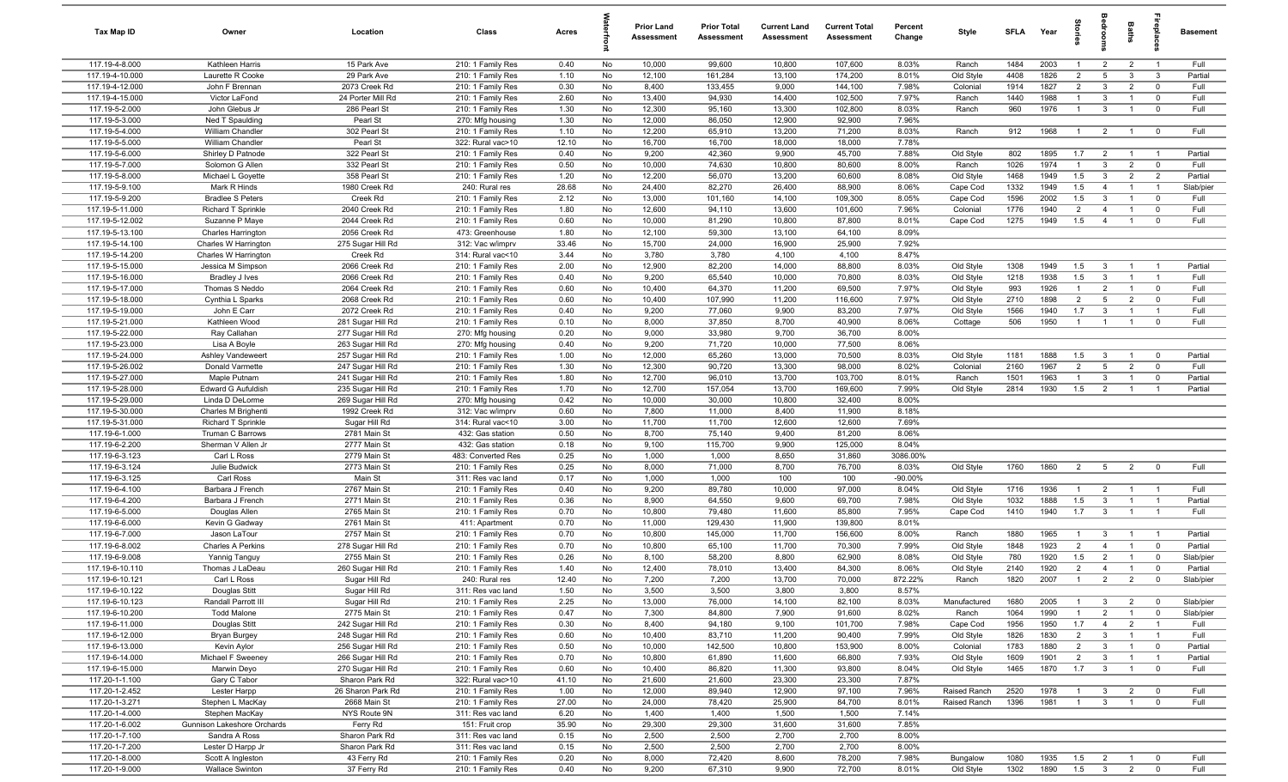| Tax Map ID                         | Owner                                | Location                               | Class                                  | Acres         |          | <b>Prior Land</b><br>Assessment | <b>Prior Total</b><br>Assessment | <b>Current Land</b><br>Assessment | <b>Current Total</b><br><b>Assessment</b> | Percent<br>Change | Style                  | <b>SFLA</b>  | Year         | tories                           | a<br>So                                 | Baths                          | epla                                      | <b>Basement</b> |
|------------------------------------|--------------------------------------|----------------------------------------|----------------------------------------|---------------|----------|---------------------------------|----------------------------------|-----------------------------------|-------------------------------------------|-------------------|------------------------|--------------|--------------|----------------------------------|-----------------------------------------|--------------------------------|-------------------------------------------|-----------------|
| 117.19-4-8.000                     | Kathleen Harris                      | 15 Park Ave                            | 210: 1 Family Res                      | 0.40          | No       | 10,000                          | 99,600                           | 10,800                            | 107,600                                   | 8.03%             | Ranch                  | 1484         | 2003         | $\mathbf{1}$                     | $\overline{2}$                          | $\overline{2}$                 | $\overline{1}$                            | Full            |
| 117.19-4-10.000                    | Laurette R Cooke                     | 29 Park Ave                            | 210: 1 Family Res                      | 1.10          | No       | 12,100                          | 161,284                          | 13,100                            | 174,200                                   | 8.01%             | Old Style              | 4408         | 1826         | $\overline{2}$                   | 5                                       | $\mathbf{3}$                   | $\mathbf{3}$                              | Partial         |
| 117.19-4-12.000                    | John F Brennan                       | 2073 Creek Rd                          | 210: 1 Family Res                      | 0.30          | No       | 8,400                           | 133,455                          | 9,000                             | 144,100                                   | 7.98%             | Colonial               | 1914         | 1827         | $\overline{2}$                   | $\mathbf{3}$                            | $\overline{2}$                 | $\mathbf 0$                               | Full            |
| 117.19-4-15.000                    | Victor LaFond                        | 24 Porter Mill Rd                      | 210: 1 Family Res                      | 2.60          | No       | 13,400                          | 94,930                           | 14,400                            | 102,500                                   | 7.97%             | Ranch                  | 1440         | 1988         | $\overline{1}$                   | $\mathbf{3}$                            | $\overline{1}$                 | $\mathbf 0$                               | Full            |
| 117.19-5-2.000                     | John Glebus Jr                       | 286 Pearl St                           | 210: 1 Family Res                      | 1.30          | No       | 12,300                          | 95,160                           | 13,300                            | 102,800                                   | 8.03%             | Ranch                  | 960          | 1976         | $\mathbf{1}$                     | $\mathbf{3}$                            | $\overline{1}$                 | $\overline{0}$                            | Full            |
| 117.19-5-3.000<br>117.19-5-4.000   | Ned T Spaulding                      | Pearl St<br>302 Pearl St               | 270: Mfg housing                       | 1.30          | No<br>No | 12,000                          | 86,050<br>65,910                 | 12,900<br>13,200                  | 92,900<br>71,200                          | 7.96%<br>8.03%    | Ranch                  | 912          | 1968         | $\overline{1}$                   |                                         |                                | $\overline{\mathbf{0}}$                   | Full            |
| 117.19-5-5.000                     | William Chandler<br>William Chandler | Pearl St                               | 210: 1 Family Res<br>322: Rural vac>10 | 1.10<br>12.10 | No       | 12,200<br>16,700                | 16,700                           | 18,000                            | 18,000                                    | 7.78%             |                        |              |              |                                  | $\overline{2}$                          | $\overline{1}$                 |                                           |                 |
| 117.19-5-6.000                     | Shirley D Patnode                    | 322 Pearl St                           | 210: 1 Family Res                      | 0.40          | No       | 9,200                           | 42,360                           | 9,900                             | 45,700                                    | 7.88%             | Old Style              | 802          | 1895         | 1.7                              | $\overline{2}$                          | $\overline{1}$                 | $\overline{1}$                            | Partial         |
| 117.19-5-7.000                     | Solomon G Allen                      | 332 Pearl St                           | 210: 1 Family Res                      | 0.50          | No       | 10,000                          | 74,630                           | 10,800                            | 80,600                                    | 8.00%             | Ranch                  | 1026         | 1974         | $\overline{1}$                   | $\mathbf{3}$                            | $\overline{2}$                 | $\overline{0}$                            | Full            |
| 117.19-5-8.000                     | Michael L Goyette                    | 358 Pearl St                           | 210: 1 Family Res                      | 1.20          | No       | 12,200                          | 56,070                           | 13,200                            | 60,600                                    | 8.08%             | Old Style              | 1468         | 1949         | 1.5                              | $\mathbf{3}$                            | $\overline{2}$                 | $\overline{2}$                            | Partial         |
| 117.19-5-9.100                     | Mark R Hinds                         | 1980 Creek Rd                          | 240: Rural res                         | 28.68         | No       | 24,400                          | 82,270                           | 26,400                            | 88,900                                    | 8.06%             | Cape Cod               | 1332         | 1949         | 1.5                              | $\overline{4}$                          | $\overline{1}$                 | $\overline{1}$                            | Slab/pier       |
| 117.19-5-9.200                     | <b>Bradlee S Peters</b>              | Creek Rd                               | 210: 1 Family Res                      | 2.12          | No       | 13,000                          | 101,160                          | 14,100                            | 109,300                                   | 8.05%             | Cape Cod               | 1596         | 2002         | 1.5                              | $\overline{3}$                          | $\overline{1}$                 | $\overline{\mathbf{0}}$                   | Full            |
| 117.19-5-11.000                    | Richard T Sprinkle                   | 2040 Creek Rd                          | 210: 1 Family Res                      | 1.80          | No       | 12,600                          | 94,110                           | 13,600                            | 101,600                                   | 7.96%             | Colonial               | 1776         | 1940         | $\overline{2}$                   | $\overline{4}$                          | $\overline{1}$                 | $\overline{0}$                            | Full            |
| 117.19-5-12.002                    | Suzanne P Maye                       | 2044 Creek Rd                          | 210: 1 Family Res                      | 0.60          | No       | 10,000                          | 81,290                           | 10,800                            | 87,800                                    | 8.01%             | Cape Cod               | 1275         | 1949         | 1.5                              | $\overline{4}$                          | $\overline{1}$                 | $\mathbf 0$                               | Full            |
| 117.19-5-13.100                    | Charles Harrington                   | 2056 Creek Rd                          | 473: Greenhouse                        | 1.80          | No       | 12,100                          | 59,300                           | 13,100                            | 64,100                                    | 8.09%             |                        |              |              |                                  |                                         |                                |                                           |                 |
| 117.19-5-14.100                    | Charles W Harrington                 | 275 Sugar Hill Rd                      | 312: Vac w/imprv                       | 33.46         | No       | 15,700                          | 24,000                           | 16,900                            | 25,900                                    | 7.92%             |                        |              |              |                                  |                                         |                                |                                           |                 |
| 117.19-5-14.200                    | Charles W Harrington                 | Creek Rd                               | 314: Rural vac<10                      | 3.44          | No       | 3,780                           | 3,780                            | 4,100                             | 4,100                                     | 8.47%             |                        |              |              |                                  |                                         |                                |                                           |                 |
| 117.19-5-15.000                    | Jessica M Simpson                    | 2066 Creek Rd                          | 210: 1 Family Res                      | 2.00          | No       | 12,900                          | 82,200                           | 14,000                            | 88,800                                    | 8.03%             | Old Style              | 1308         | 1949         | 1.5                              | $\overline{3}$                          | $\overline{1}$                 | -1                                        | Partial         |
| 117.19-5-16.000                    | Bradley J Ives                       | 2066 Creek Rd                          | 210: 1 Family Res                      | 0.40          | No       | 9,200                           | 65,540                           | 10,000                            | 70,800                                    | 8.03%             | Old Style              | 1218         | 1938         | 1.5                              | $\overline{3}$                          | $\overline{1}$                 | $\overline{1}$                            | Full            |
| 117.19-5-17.000<br>117.19-5-18.000 | Thomas S Neddo<br>Cynthia L Sparks   | 2064 Creek Rd<br>2068 Creek Rd         | 210: 1 Family Res                      | 0.60          | No<br>No | 10,400<br>10,400                | 64,370<br>107,990                | 11,200<br>11,200                  | 69,500<br>116,600                         | 7.97%<br>7.97%    | Old Style              | 993<br>2710  | 1926<br>1898 | $\mathbf{1}$<br>$\overline{2}$   | $\overline{2}$<br>-5                    | $\mathbf{1}$<br>$\overline{2}$ | $\overline{0}$<br>$\overline{\mathbf{0}}$ | Full<br>Full    |
| 117.19-5-19.000                    | John E Carr                          | 2072 Creek Rd                          | 210: 1 Family Res<br>210: 1 Family Res | 0.60<br>0.40  | No       | 9,200                           | 77,060                           | 9,900                             | 83,200                                    | 7.97%             | Old Style<br>Old Style | 1566         | 1940         | 1.7                              | 3                                       | $\overline{1}$                 | $\overline{1}$                            | Full            |
| 117.19-5-21.000                    | Kathleen Wood                        | 281 Sugar Hill Rd                      | 210: 1 Family Res                      | 0.10          | No       | 8,000                           | 37,850                           | 8,700                             | 40,900                                    | 8.06%             | Cottage                | 506          | 1950         | $\overline{1}$                   | $\overline{1}$                          | $\overline{1}$                 | $\overline{0}$                            | Full            |
| 117.19-5-22.000                    | Ray Callahan                         | 277 Sugar Hill Rd                      | 270: Mfg housing                       | 0.20          | No       | 9,000                           | 33,980                           | 9,700                             | 36,700                                    | 8.00%             |                        |              |              |                                  |                                         |                                |                                           |                 |
| 117.19-5-23.000                    | Lisa A Boyle                         | 263 Sugar Hill Rd                      | 270: Mfg housing                       | 0.40          | No       | 9,200                           | 71,720                           | 10,000                            | 77,500                                    | 8.06%             |                        |              |              |                                  |                                         |                                |                                           |                 |
| 117.19-5-24.000                    | Ashley Vandeweert                    | 257 Sugar Hill Rd                      | 210: 1 Family Res                      | 1.00          | No       | 12,000                          | 65,260                           | 13,000                            | 70,500                                    | 8.03%             | Old Style              | 1181         | 1888         | 1.5                              | $\mathbf{3}$                            | $\overline{1}$                 | $\overline{0}$                            | Partial         |
| 117.19-5-26.002                    | Donald Varmette                      | 247 Sugar Hill Rd                      | 210: 1 Family Res                      | 1.30          | No       | 12,300                          | 90,720                           | 13,300                            | 98,000                                    | 8.02%             | Colonial               | 2160         | 1967         | $\overline{2}$                   | 5                                       | $\overline{2}$                 | $\mathbf 0$                               | Full            |
| 117.19-5-27.000                    | Maple Putnam                         | 241 Sugar Hill Rd                      | 210: 1 Family Res                      | 1.80          | No       | 12,700                          | 96,010                           | 13,700                            | 103,700                                   | 8.01%             | Ranch                  | 1501         | 1963         | $\overline{1}$                   | $\mathbf{3}$                            | $\overline{1}$                 | $\mathbf 0$                               | Partial         |
| 117.19-5-28.000                    | <b>Edward G Aufuldish</b>            | 235 Sugar Hill Rd                      | 210: 1 Family Res                      | 1.70          | No       | 12,700                          | 157,054                          | 13,700                            | 169,600                                   | 7.99%             | Old Style              | 2814         | 1930         | 1.5                              | $\overline{2}$                          |                                |                                           | Partial         |
| 117.19-5-29.000                    | Linda D DeLorme                      | 269 Sugar Hill Rd                      | 270: Mfg housing                       | 0.42          | No       | 10,000                          | 30,000                           | 10,800                            | 32,400                                    | 8.00%             |                        |              |              |                                  |                                         |                                |                                           |                 |
| 117.19-5-30.000                    | Charles M Brighenti                  | 1992 Creek Rd                          | 312: Vac w/imprv                       | 0.60          | No       | 7,800                           | 11,000                           | 8,400                             | 11,900                                    | 8.18%             |                        |              |              |                                  |                                         |                                |                                           |                 |
| 117.19-5-31.000                    | Richard T Sprinkle                   | Sugar Hill Rd                          | 314: Rural vac<10                      | 3.00          | No       | 11,700                          | 11,700                           | 12,600                            | 12,600                                    | 7.69%             |                        |              |              |                                  |                                         |                                |                                           |                 |
| 117.19-6-1.000                     | Truman C Barrows                     | 2781 Main St                           | 432: Gas station                       | 0.50          | No       | 8,700                           | 75,140                           | 9,400                             | 81,200                                    | 8.06%             |                        |              |              |                                  |                                         |                                |                                           |                 |
| 117.19-6-2.200                     | Sherman V Allen Jr                   | 2777 Main St                           | 432: Gas station                       | 0.18          | No       | 9,100                           | 115,700                          | 9,900                             | 125,000                                   | 8.04%             |                        |              |              |                                  |                                         |                                |                                           |                 |
| 117.19-6-3.123<br>117.19-6-3.124   | Carl L Ross<br>Julie Budwick         | 2779 Main St<br>2773 Main St           | 483: Converted Res                     | 0.25          | No       | 1,000<br>8,000                  | 1,000<br>71,000                  | 8,650<br>8,700                    | 31,860<br>76,700                          | 3086.00%<br>8.03% | Old Style              | 1760         | 1860         | $\overline{2}$                   | 5                                       | $\overline{2}$                 | $\overline{0}$                            | Full            |
| 117.19-6-3.125                     | Carl Ross                            | Main St                                | 210: 1 Family Res<br>311: Res vac land | 0.25<br>0.17  | No<br>No | 1,000                           | 1,000                            | 100                               | 100                                       | $-90.00%$         |                        |              |              |                                  |                                         |                                |                                           |                 |
| 117.19-6-4.100                     | Barbara J French                     | 2767 Main St                           | 210: 1 Family Res                      | 0.40          | No       | 9,200                           | 89,780                           | 10,000                            | 97,000                                    | 8.04%             | Old Style              | 1716         | 1936         | $\overline{1}$                   | $\overline{2}$                          | -1                             | - 1                                       | Full            |
| 117.19-6-4.200                     | Barbara J French                     | 2771 Main St                           | 210: 1 Family Res                      | 0.36          | No       | 8,900                           | 64,550                           | 9,600                             | 69,700                                    | 7.98%             | Old Style              | 1032         | 1888         | 1.5                              | $\mathbf{3}$                            | $\mathbf{1}$                   | $\overline{1}$                            | Partial         |
| 117.19-6-5.000                     | Douglas Allen                        | 2765 Main St                           | 210: 1 Family Res                      | 0.70          | No       | 10,800                          | 79,480                           | 11,600                            | 85,800                                    | 7.95%             | Cape Cod               | 1410         | 1940         | 1.7                              | $\mathbf{3}$                            | $\overline{1}$                 |                                           | Full            |
| 117.19-6-6.000                     | Kevin G Gadway                       | 2761 Main St                           | 411: Apartment                         | 0.70          | No       | 11,000                          | 129,430                          | 11,900                            | 139,800                                   | 8.01%             |                        |              |              |                                  |                                         |                                |                                           |                 |
| 117.19-6-7.000                     | Jason LaTour                         | 2757 Main St                           | 210: 1 Family Res                      | 0.70          | No       | 10,800                          | 145,000                          | 11,700                            | 156,600                                   | 8.00%             | Ranch                  | 1880         | 1965         |                                  | $\overline{3}$                          |                                |                                           | Partial         |
| 117.19-6-8.002                     | <b>Charles A Perkins</b>             | 278 Sugar Hill Rd                      | 210: 1 Family Res                      | 0.70          | No       | 10,800                          | 65,100                           | 11,700                            | 70,300                                    | 7.99%             | Old Style              | 1848         | 1923         | $\overline{2}$                   | $\overline{4}$                          | $\overline{1}$                 | $\overline{\mathbf{0}}$                   | Partial         |
| 117.19-6-9.008                     | Yannig Tanguy                        | 2755 Main St                           | 210: 1 Family Res                      | 0.26          | No       | 8,100                           | 58,200                           | 8,800                             | 62,900                                    | 8.08%             | Old Style              | 780          | 1920         | 1.5                              | $\overline{2}$                          | $\overline{1}$                 | $\overline{0}$                            | Slab/pier       |
| 117.19-6-10.110                    | Thomas J LaDeau                      | 260 Sugar Hill Rd                      | 210: 1 Family Res                      | 1.40          | No       | 12,400                          | 78,010                           | 13,400                            | 84,300                                    | 8.06%             | Old Style              | 2140         | 1920         | 2                                | $\overline{4}$                          | $\overline{1}$                 | $\overline{0}$                            | Partial         |
| 117.19-6-10.121                    | Carl L Ross                          | Sugar Hill Rd                          | 240: Rural res                         | 12.40         | No       | 7,200                           | 7,200                            | 13,700                            | 70,000                                    | 872.22%           | Ranch                  | 1820         | 2007         | $\overline{1}$                   | $\overline{2}$                          | $\mathcal{P}$                  | $\Omega$                                  | Slab/pier       |
| 117.19-6-10.122                    | Douglas Stitt                        | Sugar Hill Rd                          | 311: Res vac land                      | 1.50          | No       | 3,500                           | 3,500                            | 3,800                             | 3,800                                     | 8.57%             |                        |              |              |                                  |                                         |                                |                                           |                 |
| 117.19-6-10.123                    | Randall Parrott III                  | Sugar Hill Rd                          | 210: 1 Family Res                      | 2.25          | No       | 13,000                          | 76,000                           | 14,100                            | 82,100                                    | 8.03%             | Manufactured           | 1680         | 2005         | $\overline{1}$                   | $\mathbf{3}$                            | $\overline{2}$                 | $\overline{0}$                            | Slab/pier       |
| 117.19-6-10.200                    | <b>Todd Malone</b>                   | 2775 Main St                           | 210: 1 Family Res                      | 0.47          | No       | 7,300                           | 84,800                           | 7,900                             | 91,600                                    | 8.02%             | Ranch                  | 1064         | 1990         | $\overline{1}$                   | $\overline{2}$                          | $\mathbf{1}$                   | $\overline{0}$                            | Slab/pier       |
| 117.19-6-11.000                    | Douglas Stitt                        | 242 Sugar Hill Rd                      | 210: 1 Family Res                      | 0.30          | No       | 8,400                           | 94,180                           | 9,100                             | 101,700                                   | 7.98%             | Cape Cod               | 1956         | 1950         | 1.7                              | $\overline{4}$                          | $\overline{2}$                 | $\overline{1}$                            | Full            |
| 117.19-6-12.000<br>117.19-6-13.000 | Bryan Burgey<br>Kevin Aylor          | 248 Sugar Hill Rd<br>256 Sugar Hill Rd | 210: 1 Family Res<br>210: 1 Family Res | 0.60<br>0.50  | No<br>No | 10,400<br>10,000                | 83,710<br>142,500                | 11,200<br>10,800                  | 90,400<br>153,900                         | 7.99%<br>8.00%    | Old Style<br>Colonial  | 1826<br>1783 | 1830<br>1880 | $\overline{2}$<br>$\overline{2}$ | $\overline{\mathbf{3}}$<br>$\mathbf{3}$ | $\mathbf{1}$<br>$\overline{1}$ | $\overline{1}$<br>$\overline{0}$          | Full<br>Partial |
| 117.19-6-14.000                    | Michael F Sweeney                    | 266 Sugar Hill Rd                      | 210: 1 Family Res                      | 0.70          | No       | 10,800                          | 61,890                           | 11,600                            | 66,800                                    | 7.93%             | Old Style              | 1609         | 1901         | $\overline{2}$                   | $\mathbf{3}$                            | $\overline{1}$                 | $\overline{1}$                            | Partial         |
| 117.19-6-15.000                    | Marwin Deyo                          | 270 Sugar Hill Rd                      | 210: 1 Family Res                      | 0.60          | No       | 10,400                          | 86,820                           | 11,300                            | 93,800                                    | 8.04%             | Old Style              | 1465         | 1870         | 1.7                              | $\overline{\mathbf{3}}$                 | $\overline{1}$                 | $\overline{0}$                            | Full            |
| 117.20-1-1.100                     | Gary C Tabor                         | Sharon Park Rd                         | 322: Rural vac>10                      | 41.10         | No       | 21,600                          | 21,600                           | 23,300                            | 23,300                                    | 7.87%             |                        |              |              |                                  |                                         |                                |                                           |                 |
| 117.20-1-2.452                     | Lester Harpp                         | 26 Sharon Park Rd                      | 210: 1 Family Res                      | 1.00          | No       | 12,000                          | 89,940                           | 12,900                            | 97,100                                    | 7.96%             | Raised Ranch           | 2520         | 1978         | $\overline{1}$                   | $\mathbf{3}$                            | $\overline{2}$                 | $\overline{\mathbf{0}}$                   | Full            |
| 117.20-1-3.271                     | Stephen L MacKay                     | 2668 Main St                           | 210: 1 Family Res                      | 27.00         | No       | 24,000                          | 78,420                           | 25,900                            | 84,700                                    | 8.01%             | Raised Ranch           | 1396         | 1981         | $\overline{1}$                   | $\overline{\mathbf{3}}$                 | $\overline{1}$                 | $\overline{0}$                            | Full            |
| 117.20-1-4.000                     | Stephen MacKay                       | NYS Route 9N                           | 311: Res vac land                      | 6.20          | No       | 1,400                           | 1,400                            | 1,500                             | 1,500                                     | 7.14%             |                        |              |              |                                  |                                         |                                |                                           |                 |
| 117.20-1-6.002                     | Gunnison Lakeshore Orchards          | Ferry Rd                               | 151: Fruit crop                        | 35.90         | No       | 29,300                          | 29,300                           | 31,600                            | 31,600                                    | 7.85%             |                        |              |              |                                  |                                         |                                |                                           |                 |
| 117.20-1-7.100                     | Sandra A Ross                        | Sharon Park Rd                         | 311: Res vac land                      | 0.15          | No       | 2,500                           | 2,500                            | 2,700                             | 2,700                                     | 8.00%             |                        |              |              |                                  |                                         |                                |                                           |                 |
| 117.20-1-7.200                     | Lester D Harpp Jr                    | Sharon Park Rd                         | 311: Res vac land                      | 0.15          | No       | 2,500                           | 2,500                            | 2,700                             | 2,700                                     | 8.00%             |                        |              |              |                                  |                                         |                                |                                           |                 |
| 117.20-1-8.000                     | Scott A Ingleston                    | 43 Ferry Rd                            | 210: 1 Family Res                      | 0.20          | No       | 8,000                           | 72,420                           | 8,600                             | 78,200                                    | 7.98%             | Bungalow               | 1080         | 1935         | 1.5                              | $\overline{2}$                          | $\overline{1}$                 | $\overline{0}$                            | Full            |
| 117.20-1-9.000                     | Wallace Swinton                      | 37 Ferry Rd                            | 210: 1 Family Res                      | 0.40          | No       | 9,200                           | 67,310                           | 9,900                             | 72,700                                    | 8.01%             | Old Style              | 1302         | 1890         | 1.5                              | $\overline{\mathbf{3}}$                 | $\overline{2}$                 | $\overline{0}$                            | Full            |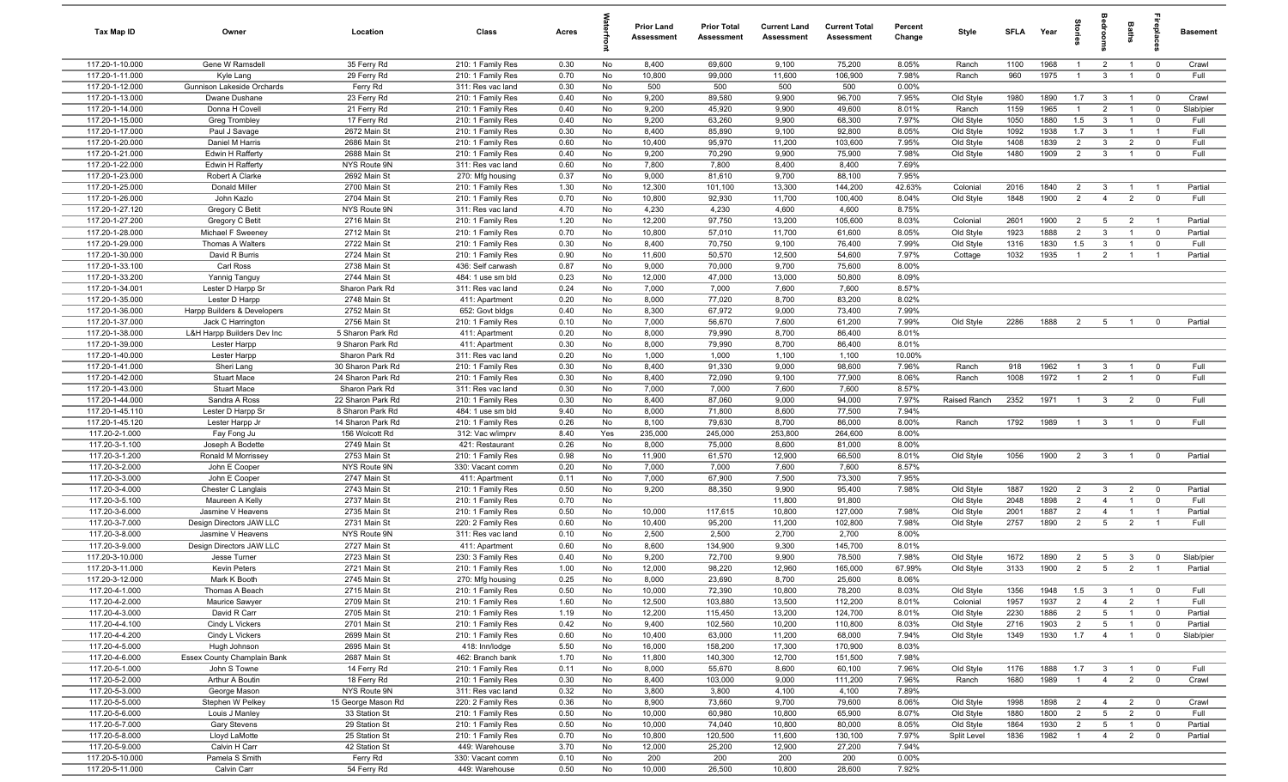| Tax Map ID                         | Owner                                         | Location                            | Class                                  | Acres        |           | <b>Prior Land</b><br><b>Assessment</b> | <b>Prior Total</b><br>Assessment | <b>Current Land</b><br>Assessment | <b>Current Total</b><br><b>Assessment</b> | Percent<br>Change | Style                  | SFLA         | Year         | $\frac{1}{2}$         |                                  | Baths                            | epla                          | <b>Basement</b>   |
|------------------------------------|-----------------------------------------------|-------------------------------------|----------------------------------------|--------------|-----------|----------------------------------------|----------------------------------|-----------------------------------|-------------------------------------------|-------------------|------------------------|--------------|--------------|-----------------------|----------------------------------|----------------------------------|-------------------------------|-------------------|
| 117.20-1-10.000                    | Gene W Ramsdell                               | 35 Ferry Rd                         | 210: 1 Family Res                      | 0.30         | No        | 8,400                                  | 69,600                           | 9,100                             | 75,200                                    | 8.05%             | Ranch                  | 1100         | 1968         | $\mathbf{1}$          | $\overline{2}$                   |                                  | $\overline{0}$                | Crawl             |
| 117.20-1-11.000                    | Kyle Lang                                     | 29 Ferry Rd                         | 210: 1 Family Res                      | 0.70         | No        | 10,800                                 | 99,000                           | 11,600                            | 106,900                                   | 7.98%             | Ranch                  | 960          | 1975         |                       | $\overline{3}$                   |                                  | $\overline{0}$                | Full              |
| 117.20-1-12.000                    | Gunnison Lakeside Orchards                    | Ferry Rd                            | 311: Res vac land                      | 0.30         | No        | 500                                    | 500                              | 500                               | 500                                       | 0.00%             |                        |              |              |                       |                                  |                                  |                               |                   |
| 117.20-1-13.000                    | Dwane Dushane                                 | 23 Ferry Rd                         | 210: 1 Family Res                      | 0.40         | No        | 9,200                                  | 89,580                           | 9,900                             | 96,700                                    | 7.95%             | Old Style              | 1980         | 1890         | 1.7                   | $\overline{\mathbf{3}}$          | $\overline{1}$                   | $\overline{0}$                | Crawl             |
| 117.20-1-14.000<br>117.20-1-15.000 | Donna H Covell                                | 21 Ferry Rd<br>17 Ferry Rd          | 210: 1 Family Res<br>210: 1 Family Res | 0.40<br>0.40 | No<br>No  | 9,200<br>9,200                         | 45,920<br>63,260                 | 9,900<br>9,900                    | 49,600<br>68,300                          | 8.01%<br>7.97%    | Ranch                  | 1159<br>1050 | 1965<br>1880 | $\overline{1}$<br>1.5 | $\overline{2}$<br>$\overline{3}$ | $\overline{1}$<br>$\overline{1}$ | $\overline{0}$<br>$\mathbf 0$ | Slab/pier<br>Full |
| 117.20-1-17.000                    | Greg Trombley<br>Paul J Savage                | 2672 Main St                        | 210: 1 Family Res                      | 0.30         | No        | 8,400                                  | 85,890                           | 9,100                             | 92,800                                    | 8.05%             | Old Style<br>Old Style | 1092         | 1938         | 1.7                   | $\mathbf{3}$                     | $\overline{1}$                   | $\overline{1}$                | Full              |
| 117.20-1-20.000                    | Daniel M Harris                               | 2686 Main St                        | 210: 1 Family Res                      | 0.60         | No        | 10,400                                 | 95,970                           | 11,200                            | 103,600                                   | 7.95%             | Old Style              | 1408         | 1839         | $\overline{2}$        | $\mathbf{3}$                     | $\overline{2}$                   | $\overline{0}$                | Full              |
| 117.20-1-21.000                    | Edwin H Rafferty                              | 2688 Main St                        | 210: 1 Family Res                      | 0.40         | No        | 9,200                                  | 70,290                           | 9,900                             | 75,900                                    | 7.98%             | Old Style              | 1480         | 1909         | 2                     | $\mathbf{3}$                     | $\overline{1}$                   | $\overline{0}$                | Full              |
| 117.20-1-22.000                    | Edwin H Rafferty                              | NYS Route 9N                        | 311: Res vac land                      | 0.60         | No        | 7,800                                  | 7,800                            | 8,400                             | 8,400                                     | 7.69%             |                        |              |              |                       |                                  |                                  |                               |                   |
| 117.20-1-23.000                    | Robert A Clarke                               | 2692 Main St                        | 270: Mfg housing                       | 0.37         | No        | 9,000                                  | 81,610                           | 9,700                             | 88,100                                    | 7.95%             |                        |              |              |                       |                                  |                                  |                               |                   |
| 117.20-1-25.000                    | Donald Miller                                 | 2700 Main St                        | 210: 1 Family Res                      | 1.30         | No        | 12,300                                 | 101,100                          | 13,300                            | 144,200                                   | 42.63%            | Colonial               | 2016         | 1840         | $\overline{2}$        | $\overline{3}$                   |                                  | $\overline{1}$                | Partial           |
| 117.20-1-26.000                    | John Kazlo                                    | 2704 Main St                        | 210: 1 Family Res                      | 0.70         | No        | 10,800                                 | 92,930                           | 11,700                            | 100,400                                   | 8.04%             | Old Style              | 1848         | 1900         | 2                     | $\overline{4}$                   | $\overline{2}$                   | $\mathbf 0$                   | Full              |
| 117.20-1-27.120                    | Gregory C Betit                               | NYS Route 9N                        | 311: Res vac land                      | 4.70         | No        | 4,230                                  | 4,230                            | 4,600                             | 4,600                                     | 8.75%             |                        |              |              |                       |                                  |                                  |                               |                   |
| 117.20-1-27.200                    | Gregory C Betit                               | 2716 Main St                        | 210: 1 Family Res                      | 1.20         | No        | 12,200                                 | 97,750                           | 13,200                            | 105,600                                   | 8.03%             | Colonial               | 2601         | 1900         | $\overline{2}$        | 5                                | $\overline{2}$                   | $\overline{1}$                | Partial           |
| 117.20-1-28.000                    | Michael F Sweeney                             | 2712 Main St                        | 210: 1 Family Res                      | 0.70         | No        | 10,800                                 | 57,010                           | 11,700                            | 61,600                                    | 8.05%             | Old Style              | 1923         | 1888         | 2                     | $\mathbf{3}$                     | $\overline{1}$                   | $\overline{0}$                | Partial           |
| 117.20-1-29.000<br>117.20-1-30.000 | Thomas A Walters<br>David R Burris            | 2722 Main St<br>2724 Main St        | 210: 1 Family Res                      | 0.30<br>0.90 | No<br>No  | 8,400<br>11,600                        | 70,750<br>50,570                 | 9,100<br>12,500                   | 76,400<br>54,600                          | 7.99%<br>7.97%    | Old Style              | 1316<br>1032 | 1830<br>1935 | 1.5<br>$\overline{1}$ | $\overline{3}$<br>$\overline{2}$ | $\overline{1}$                   | $\mathbf 0$<br>$\overline{1}$ | Full<br>Partial   |
| 117.20-1-33.100                    | Carl Ross                                     | 2738 Main St                        | 210: 1 Family Res<br>436: Self carwash | 0.87         | No        | 9,000                                  | 70,000                           | 9,700                             | 75,600                                    | 8.00%             | Cottage                |              |              |                       |                                  |                                  |                               |                   |
| 117.20-1-33.200                    | Yannig Tanguy                                 | 2744 Main St                        | 484: 1 use sm bld                      | 0.23         | No        | 12,000                                 | 47,000                           | 13,000                            | 50,800                                    | 8.09%             |                        |              |              |                       |                                  |                                  |                               |                   |
| 117.20-1-34.001                    | Lester D Harpp Sr                             | Sharon Park Rd                      | 311: Res vac land                      | 0.24         | No        | 7,000                                  | 7,000                            | 7,600                             | 7,600                                     | 8.57%             |                        |              |              |                       |                                  |                                  |                               |                   |
| 117.20-1-35.000                    | Lester D Harpp                                | 2748 Main St                        | 411: Apartment                         | 0.20         | No        | 8,000                                  | 77,020                           | 8,700                             | 83,200                                    | 8.02%             |                        |              |              |                       |                                  |                                  |                               |                   |
| 117.20-1-36.000                    | Harpp Builders & Developers                   | 2752 Main St                        | 652: Govt bldgs                        | 0.40         | No        | 8,300                                  | 67,972                           | 9,000                             | 73,400                                    | 7.99%             |                        |              |              |                       |                                  |                                  |                               |                   |
| 117.20-1-37.000                    | Jack C Harrington                             | 2756 Main St                        | 210: 1 Family Res                      | 0.10         | No        | 7,000                                  | 56,670                           | 7,600                             | 61,200                                    | 7.99%             | Old Style              | 2286         | 1888         | $\overline{2}$        | 5                                |                                  | $^{\circ}$                    | Partial           |
| 117.20-1-38.000                    | L&H Harpp Builders Dev Inc                    | 5 Sharon Park Rd                    | 411: Apartment                         | 0.20         | No        | 8,000                                  | 79,990                           | 8,700                             | 86,400                                    | 8.01%             |                        |              |              |                       |                                  |                                  |                               |                   |
| 117.20-1-39.000                    | Lester Harpp                                  | 9 Sharon Park Rd                    | 411: Apartment                         | 0.30         | No        | 8,000                                  | 79,990                           | 8,700                             | 86,400                                    | 8.01%             |                        |              |              |                       |                                  |                                  |                               |                   |
| 117.20-1-40.000                    | Lester Harpp                                  | Sharon Park Rd                      | 311: Res vac land                      | 0.20         | No        | 1,000                                  | 1,000                            | 1,100                             | 1,100                                     | 10.00%            |                        |              |              |                       |                                  |                                  |                               |                   |
| 117.20-1-41.000                    | Sheri Lang                                    | 30 Sharon Park Rd                   | 210: 1 Family Res                      | 0.30         | No        | 8,400                                  | 91,330                           | 9,000                             | 98,600                                    | 7.96%             | Ranch                  | 918          | 1962         | -1                    | $\mathbf{3}$                     |                                  | $\overline{0}$                | Full              |
| 117.20-1-42.000                    | <b>Stuart Mace</b>                            | 24 Sharon Park Rd                   | 210: 1 Family Res                      | 0.30         | No        | 8,400                                  | 72,090                           | 9,100                             | 77,900                                    | 8.06%             | Ranch                  | 1008         | 1972         | $\overline{1}$        | 2                                |                                  | $\overline{0}$                | Full              |
| 117.20-1-43.000<br>117.20-1-44.000 | <b>Stuart Mace</b><br>Sandra A Ross           | Sharon Park Rd<br>22 Sharon Park Rd | 311: Res vac land<br>210: 1 Family Res | 0.30<br>0.30 | No<br>No  | 7,000<br>8,400                         | 7,000<br>87,060                  | 7,600<br>9,000                    | 7,600<br>94,000                           | 8.57%<br>7.97%    | Raised Ranch           | 2352         | 1971         | $\blacksquare$        | $\mathbf{3}$                     | $\overline{2}$                   | $\overline{0}$                | Full              |
| 117.20-1-45.110                    | Lester D Harpp Sr                             | 8 Sharon Park Rd                    | 484: 1 use sm bld                      | 9.40         | No        | 8,000                                  | 71,800                           | 8,600                             | 77,500                                    | 7.94%             |                        |              |              |                       |                                  |                                  |                               |                   |
| 117.20-1-45.120                    | Lester Harpp Jr                               | 14 Sharon Park Rd                   | 210: 1 Family Res                      | 0.26         | No        | 8,100                                  | 79,630                           | 8,700                             | 86,000                                    | 8.00%             | Ranch                  | 1792         | 1989         | $\overline{1}$        | $\mathbf{3}$                     | $\overline{1}$                   | $\overline{0}$                | Full              |
| 117.20-2-1.000                     | Fay Fong Ju                                   | 156 Wolcott Rd                      | 312: Vac w/imprv                       | 8.40         | Yes       | 235,000                                | 245,000                          | 253,800                           | 264,600                                   | 8.00%             |                        |              |              |                       |                                  |                                  |                               |                   |
| 117.20-3-1.100                     | Joseph A Bodette                              | 2749 Main St                        | 421: Restaurant                        | 0.26         | No        | 8,000                                  | 75,000                           | 8,600                             | 81,000                                    | 8.00%             |                        |              |              |                       |                                  |                                  |                               |                   |
| 117.20-3-1.200                     | Ronald M Morrissey                            | 2753 Main St                        | 210: 1 Family Res                      | 0.98         | No        | 11,900                                 | 61,570                           | 12,900                            | 66,500                                    | 8.01%             | Old Style              | 1056         | 1900         | $\overline{2}$        | $\overline{\mathbf{3}}$          | $\overline{1}$                   | $\overline{0}$                | Partial           |
| 117.20-3-2.000                     | John E Cooper                                 | NYS Route 9N                        | 330: Vacant comm                       | 0.20         | No        | 7,000                                  | 7,000                            | 7,600                             | 7,600                                     | 8.57%             |                        |              |              |                       |                                  |                                  |                               |                   |
| 117.20-3-3.000                     | John E Cooper                                 | 2747 Main St                        | 411: Apartment                         | 0.11         | No        | 7,000                                  | 67,900                           | 7,500                             | 73,300                                    | 7.95%             |                        |              |              |                       |                                  |                                  |                               |                   |
| 117.20-3-4.000                     | Chester C Langlais                            | 2743 Main St                        | 210: 1 Family Res                      | 0.50         | No        | 9,200                                  | 88,350                           | 9,900                             | 95,400                                    | 7.98%             | Old Style              | 1887         | 1920         | $\overline{2}$        | $\mathbf{3}$                     | $\overline{2}$                   | $\overline{0}$                | Partial           |
| 117.20-3-5.100                     | Maureen A Kelly                               | 2737 Main St                        | 210: 1 Family Res                      | 0.70         | No        |                                        |                                  | 11,800                            | 91,800                                    |                   | Old Style              | 2048         | 1898         | $\overline{2}$        | $\overline{4}$                   |                                  | $\overline{0}$                | Full              |
| 117.20-3-6.000                     | Jasmine V Heavens                             | 2735 Main St                        | 210: 1 Family Res                      | 0.50         | No        | 10,000                                 | 117,615                          | 10,800                            | 127,000                                   | 7.98%             | Old Style              | 2001         | 1887         | 2                     | $\overline{4}$                   |                                  | $\overline{\phantom{0}}$      | Partial<br>Full   |
| 117.20-3-7.000<br>117.20-3-8.000   | Design Directors JAW LLC<br>Jasmine V Heavens | 2731 Main St<br>NYS Route 9N        | 220: 2 Family Res<br>311: Res vac land | 0.60<br>0.10 | No<br>No  | 10,400<br>2,500                        | 95,200<br>2,500                  | 11,200<br>2,700                   | 102,800<br>2,700                          | 7.98%<br>8.00%    | Old Style              | 2757         | 1890         | $\overline{2}$        | $5\overline{5}$                  | $\overline{2}$                   | $\overline{1}$                |                   |
| 117.20-3-9.000                     | Design Directors JAW LLC                      | 2727 Main St                        | 411: Apartment                         | 0.60         | No        | 8,600                                  | 134,900                          | 9,300                             | 145,700                                   | 8.01%             |                        |              |              |                       |                                  |                                  |                               |                   |
| 117.20-3-10.000                    | Jesse Turner                                  | 2723 Main St                        | 230: 3 Family Res                      | 0.40         | No        | 9,200                                  | 72,700                           | 9,900                             | 78,500                                    | 7.98%             | Old Style              | 1672         | 1890         | $\overline{2}$        | 5                                | 3                                | $\overline{0}$                | Slab/pier         |
| 117.20-3-11.000                    | <b>Kevin Peters</b>                           | 2721 Main St                        | 210: 1 Family Res                      | 1.00         | No        | 12,000                                 | 98,220                           | 12,960                            | 165,000                                   | 67.99%            | Old Style              | 3133         | 1900         | 2                     | 5                                | $\overline{2}$                   | $\overline{1}$                | Partial           |
| 117.20-3-12.000                    | Mark K Booth                                  | 2745 Main St                        | 270: Mfg housing                       | 0.25         | <b>No</b> | 8.000                                  | 23,690                           | 8.700                             | 25,600                                    | 8.06%             |                        |              |              |                       |                                  |                                  |                               |                   |
| 117.20-4-1.000                     | Thomas A Beach                                | 2715 Main St                        | 210: 1 Family Res                      | 0.50         | No        | 10,000                                 | 72,390                           | 10,800                            | 78,200                                    | 8.03%             | Old Style              | 1356         | 1948         | 1.5                   | $\overline{3}$                   | $\overline{1}$                   | $\mathbf 0$                   | Full              |
| 117.20-4-2.000                     | Maurice Sawyer                                | 2709 Main St                        | 210: 1 Family Res                      | 1.60         | No        | 12,500                                 | 103,880                          | 13,500                            | 112,200                                   | 8.01%             | Colonial               | 1957         | 1937         | $\overline{2}$        | $\overline{4}$                   | $\overline{2}$                   | $\overline{1}$                | Full              |
| 117.20-4-3.000                     | David R Carr                                  | 2705 Main St                        | 210: 1 Family Res                      | 1.19         | No        | 12,200                                 | 115,450                          | 13,200                            | 124,700                                   | 8.01%             | Old Style              | 2230         | 1886         | $\overline{2}$        | $5\overline{5}$                  |                                  | $\overline{0}$                | Partial           |
| 117.20-4-4.100                     | Cindy L Vickers                               | 2701 Main St                        | 210: 1 Family Res                      | 0.42         | No        | 9,400                                  | 102,560                          | 10,200                            | 110,800                                   | 8.03%             | Old Style              | 2716         | 1903         | $\overline{2}$        | 5 <sup>5</sup>                   | $\overline{1}$                   | $\overline{0}$                | Partial           |
| 117.20-4-4.200                     | Cindy L Vickers                               | 2699 Main St                        | 210: 1 Family Res                      | 0.60         | No        | 10,400                                 | 63,000                           | 11,200                            | 68,000                                    | 7.94%             | Old Style              | 1349         | 1930         | 1.7                   | $\overline{4}$                   |                                  | $\mathbf 0$                   | Slab/pier         |
| 117.20-4-5.000                     | Hugh Johnson                                  | 2695 Main St                        | 418: Inn/lodge                         | 5.50         | No        | 16,000                                 | 158,200                          | 17,300                            | 170,900                                   | 8.03%             |                        |              |              |                       |                                  |                                  |                               |                   |
| 117.20-4-6.000<br>117.20-5-1.000   | Essex County Champlain Bank<br>John S Towne   | 2687 Main St<br>14 Ferry Rd         | 462: Branch bank<br>210: 1 Family Res  | 1.70<br>0.11 | No<br>No  | 11,800<br>8,000                        | 140,300<br>55,670                | 12,700<br>8,600                   | 151,500<br>60,100                         | 7.98%<br>7.96%    | Old Style              | 1176         | 1888         | 1.7                   | $\overline{3}$                   | $\overline{1}$                   | $\overline{0}$                | Full              |
| 117.20-5-2.000                     | Arthur A Boutin                               | 18 Ferry Rd                         | 210: 1 Family Res                      | 0.30         | No        | 8,400                                  | 103,000                          | 9,000                             | 111,200                                   | 7.96%             | Ranch                  | 1680         | 1989         | $\overline{1}$        | $\overline{4}$                   | $\overline{2}$                   | $\overline{0}$                | Crawl             |
| 117.20-5-3.000                     | George Mason                                  | NYS Route 9N                        | 311: Res vac land                      | 0.32         | No        | 3,800                                  | 3,800                            | 4,100                             | 4,100                                     | 7.89%             |                        |              |              |                       |                                  |                                  |                               |                   |
| 117.20-5-5.000                     | Stephen W Pelkey                              | 15 George Mason Rd                  | 220: 2 Family Res                      | 0.36         | No        | 8,900                                  | 73,660                           | 9,700                             | 79,600                                    | 8.06%             | Old Style              | 1998         | 1898         | $\overline{2}$        | $\overline{4}$                   | $\overline{2}$                   | $\overline{0}$                | Crawl             |
| 117.20-5-6.000                     | Louis J Manley                                | 33 Station St                       | 210: 1 Family Res                      | 0.50         | No        | 10,000                                 | 60,980                           | 10,800                            | 65,900                                    | 8.07%             | Old Style              | 1880         | 1800         | $\overline{2}$        | $5\overline{)}$                  | $\overline{2}$                   | $\overline{0}$                | Full              |
| 117.20-5-7.000                     | Gary Stevens                                  | 29 Station St                       | 210: 1 Family Res                      | 0.50         | No        | 10,000                                 | 74,040                           | 10,800                            | 80,000                                    | 8.05%             | Old Style              | 1864         | 1930         | $\overline{2}$        | $5^{\circ}$                      | $\overline{1}$                   | $\overline{0}$                | Partial           |
| 117.20-5-8.000                     | Lloyd LaMotte                                 | 25 Station St                       | 210: 1 Family Res                      | 0.70         | No        | 10,800                                 | 120,500                          | 11,600                            | 130,100                                   | 7.97%             | Split Level            | 1836         | 1982         | $\overline{1}$        | $\overline{4}$                   | $\overline{2}$                   | $\mathbf{0}$                  | Partial           |
| 117.20-5-9.000                     | Calvin H Carr                                 | 42 Station St                       | 449: Warehouse                         | 3.70         | No        | 12,000                                 | 25,200                           | 12,900                            | 27,200                                    | 7.94%             |                        |              |              |                       |                                  |                                  |                               |                   |
| 117.20-5-10.000                    | Pamela S Smith                                | Ferry Rd                            | 330: Vacant comm                       | 0.10         | No        | 200                                    | 200                              | 200                               | 200                                       | 0.00%             |                        |              |              |                       |                                  |                                  |                               |                   |
| 117.20-5-11.000                    | Calvin Carr                                   | 54 Ferry Rd                         | 449: Warehouse                         | 0.50         | No        | 10,000                                 | 26,500                           | 10,800                            | 28,600                                    | 7.92%             |                        |              |              |                       |                                  |                                  |                               |                   |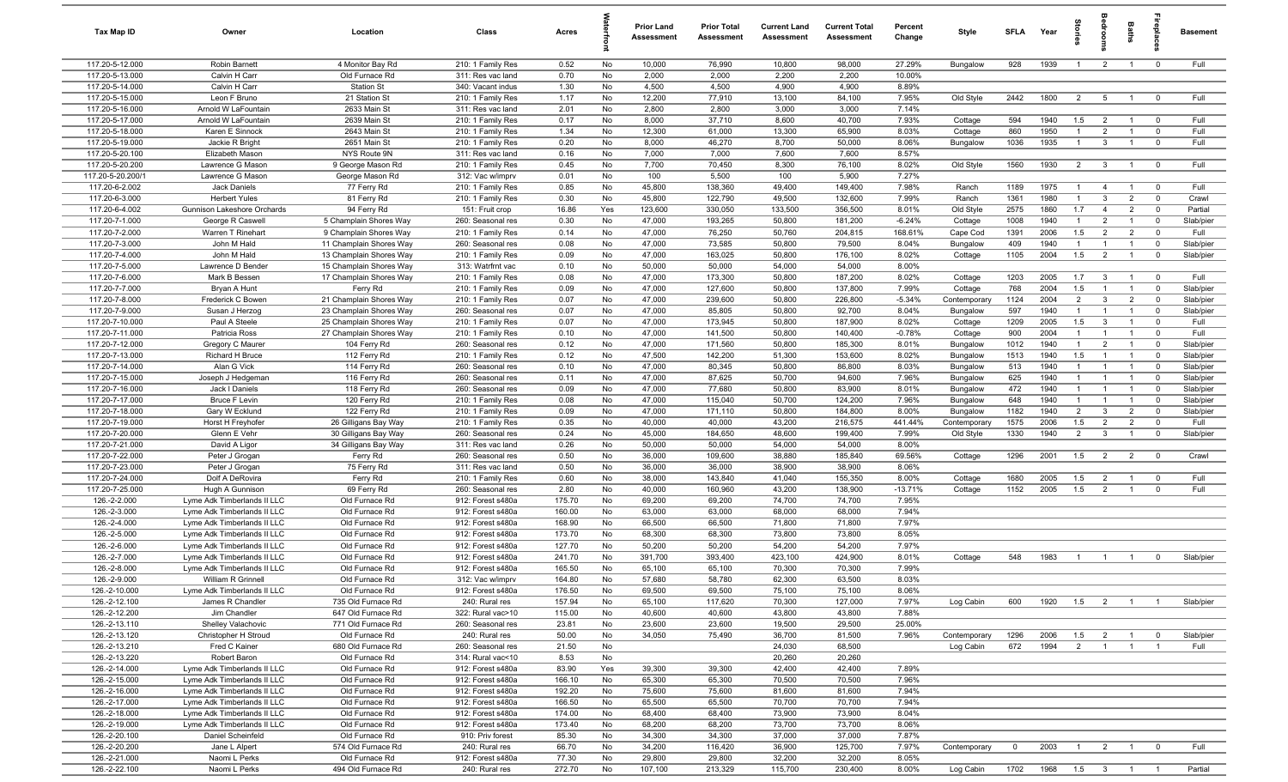| Tax Map ID                         | Owner                                           | Location                             | Class                                  | Acres            |           | Prior Land<br><b>Assessment</b> | <b>Prior Total</b><br>Assessment | <b>Current Land</b><br>Assessment | <b>Current Total</b><br><b>Assessment</b> | Percent<br>Change | Style              | SFLA           | Year               | ã              | å                              | Baths                            |                                  | <b>Basement</b>   |
|------------------------------------|-------------------------------------------------|--------------------------------------|----------------------------------------|------------------|-----------|---------------------------------|----------------------------------|-----------------------------------|-------------------------------------------|-------------------|--------------------|----------------|--------------------|----------------|--------------------------------|----------------------------------|----------------------------------|-------------------|
| 117.20-5-12.000                    | Robin Barnett                                   | 4 Monitor Bay Rd                     | 210: 1 Family Res                      | 0.52             | No        | 10,000                          | 76,990                           | 10,800                            | 98,000                                    | 27.29%            | Bungalow           | 928            | 1939               | $\overline{1}$ | $\overline{2}$                 | $\overline{1}$                   | $\overline{0}$                   | Full              |
| 117.20-5-13.000                    | Calvin H Carr                                   | Old Furnace Rd                       | 311: Res vac land                      | 0.70             | No        | 2,000                           | 2,000                            | 2,200                             | 2,200                                     | 10.00%            |                    |                |                    |                |                                |                                  |                                  |                   |
| 117.20-5-14.000                    | Calvin H Carr                                   | <b>Station St</b>                    | 340: Vacant indus                      | 1.30             | No        | 4,500                           | 4,500                            | 4,900                             | 4,900                                     | 8.89%             |                    |                |                    |                |                                |                                  |                                  |                   |
| 117.20-5-15.000                    | Leon F Bruno                                    | 21 Station St                        | 210: 1 Family Res                      | 1.17             | No        | 12,200                          | 77,910                           | 13,100                            | 84,100                                    | 7.95%             | Old Style          | 2442           | 1800               | $\overline{2}$ | 5                              |                                  | $\overline{0}$                   | Full              |
| 117.20-5-16.000<br>117.20-5-17.000 | Arnold W LaFountain<br>Arnold W LaFountain      | 2633 Main St<br>2639 Main St         | 311: Res vac land<br>210: 1 Family Res | 2.01<br>0.17     | No<br>No  | 2,800<br>8,000                  | 2,800<br>37,710                  | 3,000<br>8,600                    | 3,000<br>40,700                           | 7.14%<br>7.93%    | Cottage            | 594            | 1940               | 1.5            | $\overline{2}$                 | $\overline{1}$                   | $\overline{0}$                   | Full              |
| 117.20-5-18.000                    | Karen E Sinnock                                 | 2643 Main St                         | 210: 1 Family Res                      | 1.34             | No        | 12,300                          | 61,000                           | 13,300                            | 65,900                                    | 8.03%             | Cottage            | 860            | 1950               | $\overline{1}$ | $\overline{2}$                 | $\overline{1}$                   | $\overline{0}$                   | Full              |
| 117.20-5-19.000                    | Jackie R Bright                                 | 2651 Main St                         | 210: 1 Family Res                      | 0.20             | No        | 8,000                           | 46,270                           | 8,700                             | 50,000                                    | 8.06%             | Bungalow           | 1036           | 1935               | $\overline{1}$ | $\overline{3}$                 | $\overline{1}$                   | $\mathbf 0$                      | Full              |
| 117.20-5-20.100                    | Elizabeth Mason                                 | NYS Route 9N                         | 311: Res vac land                      | 0.16             | No        | 7,000                           | 7,000                            | 7,600                             | 7,600                                     | 8.57%             |                    |                |                    |                |                                |                                  |                                  |                   |
| 117.20-5-20.200                    | Lawrence G Mason                                | 9 George Mason Rd                    | 210: 1 Family Res                      | 0.45             | No        | 7,700                           | 70,450                           | 8,300                             | 76,100                                    | 8.02%             | Old Style          | 1560           | 1930               | $\overline{2}$ | $\mathbf{3}$                   | $\overline{1}$                   | $\overline{0}$                   | Full              |
| 117.20-5-20.200/1                  | Lawrence G Mason                                | George Mason Rd                      | 312: Vac w/imprv                       | 0.01             | No        | 100                             | 5,500                            | 100                               | 5,900                                     | 7.27%             |                    |                |                    |                |                                |                                  |                                  |                   |
| 117.20-6-2.002                     | Jack Daniels                                    | 77 Ferry Rd                          | 210: 1 Family Res                      | 0.85             | No        | 45,800                          | 138,360                          | 49,400                            | 149,400                                   | 7.98%             | Ranch              | 1189           | 1975               | $\overline{1}$ | $\overline{4}$                 | $\overline{1}$                   | $\overline{0}$                   | Full              |
| 117.20-6-3.000                     | <b>Herbert Yules</b>                            | 81 Ferry Rd                          | 210: 1 Family Res                      | 0.30             | No        | 45,800                          | 122,790                          | 49,500                            | 132,600                                   | 7.99%             | Ranch              | 1361           | 1980               | $\overline{1}$ | $\overline{3}$                 | $\overline{2}$                   | $\mathbf 0$                      | Crawl             |
| 117.20-6-4.002                     | Gunnison Lakeshore Orchards                     | 94 Ferry Rd                          | 151: Fruit crop                        | 16.86            | Yes       | 123,600                         | 330,050                          | 133,500                           | 356,500                                   | 8.01%             | Old Style          | 2575           | 1860               | 1.7            | $\overline{4}$                 | $\overline{2}$                   | $\overline{0}$                   | Partial           |
| 117.20-7-1.000                     | George R Caswell                                | 5 Champlain Shores Way               | 260: Seasonal res                      | 0.30             | No        | 47,000                          | 193,265                          | 50,800                            | 181,200                                   | $-6.24%$          | Cottage            | 1008           | 1940               | $\overline{1}$ | $\overline{2}$                 |                                  | $\mathbf 0$                      | Slab/pier         |
| 117.20-7-2.000                     | Warren T Rinehart                               | 9 Champlain Shores Way               | 210: 1 Family Res                      | 0.14             | No        | 47,000                          | 76,250                           | 50,760                            | 204,815                                   | 168.61%           | Cape Cod           | 1391           | 2006               | 1.5            | $\overline{2}$                 | $\overline{2}$                   | $\overline{0}$                   | Full              |
| 117.20-7-3.000                     | John M Hald                                     | 11 Champlain Shores Way              | 260: Seasonal res                      | 0.08             | No        | 47,000                          | 73,585                           | 50,800                            | 79,500                                    | 8.04%             | Bungalow           | 409            | 1940               | $\mathbf{1}$   | $\overline{1}$                 |                                  | $\overline{0}$                   | Slab/pier         |
| 117.20-7-4.000                     | John M Hald                                     | 13 Champlain Shores Way              | 210: 1 Family Res                      | 0.09             | No        | 47,000                          | 163,025                          | 50,800                            | 176,100                                   | 8.02%             | Cottage            | 1105           | 2004               | 1.5            | $\overline{2}$                 | $\overline{1}$                   | $\overline{0}$                   | Slab/pier         |
| 117.20-7-5.000                     | Lawrence D Bender                               | 15 Champlain Shores Way              | 313: Watrfrnt vac                      | 0.10             | No        | 50,000                          | 50,000                           | 54,000                            | 54,000                                    | 8.00%             |                    |                |                    |                |                                |                                  |                                  |                   |
| 117.20-7-6.000<br>117.20-7-7.000   | Mark B Bessen<br>Bryan A Hunt                   | 17 Champlain Shores Way<br>Ferry Rd  | 210: 1 Family Res<br>210: 1 Family Res | 0.08<br>0.09     | No<br>No  | 47,000<br>47,000                | 173,300<br>127,600               | 50,800<br>50,800                  | 187,200<br>137,800                        | 8.02%<br>7.99%    | Cottage<br>Cottage | 1203<br>768    | 2005<br>2004       | 1.7<br>1.5     | $\mathbf{3}$<br>$\overline{1}$ | $\overline{1}$<br>$\overline{1}$ | $\overline{0}$<br>$\overline{0}$ | Full<br>Slab/pier |
| 117.20-7-8.000                     | Frederick C Bowen                               | 21 Champlain Shores Way              | 210: 1 Family Res                      | 0.07             | No        | 47,000                          | 239,600                          | 50,800                            | 226,800                                   | $-5.34%$          | Contemporary       | 1124           | 2004               | 2              | $\mathbf{3}$                   | $\overline{2}$                   | $\overline{0}$                   | Slab/pier         |
| 117.20-7-9.000                     | Susan J Herzog                                  | 23 Champlain Shores Way              | 260: Seasonal res                      | 0.07             | No        | 47,000                          | 85,805                           | 50,800                            | 92,700                                    | 8.04%             | Bungalow           | 597            | 1940               | $\overline{1}$ | $\overline{1}$                 | $\overline{1}$                   | $\overline{0}$                   | Slab/pier         |
| 117.20-7-10.000                    | Paul A Steele                                   | 25 Champlain Shores Way              | 210: 1 Family Res                      | 0.07             | No        | 47,000                          | 173,945                          | 50,800                            | 187,900                                   | 8.02%             | Cottage            | 1209           | 2005               | 1.5            | $\overline{3}$                 | $\overline{1}$                   | $\overline{0}$                   | Full              |
| 117.20-7-11.000                    | Patricia Ross                                   | 27 Champlain Shores Way              | 210: 1 Family Res                      | 0.10             | No        | 47,000                          | 141,500                          | 50,800                            | 140,400                                   | $-0.78%$          | Cottage            | 900            | 2004               | $\overline{1}$ | $\overline{1}$                 | $\overline{1}$                   | $\overline{0}$                   | Full              |
| 117.20-7-12.000                    | Gregory C Maurer                                | 104 Ferry Rd                         | 260: Seasonal res                      | 0.12             | No        | 47,000                          | 171,560                          | 50,800                            | 185,300                                   | 8.01%             | Bungalow           | 1012           | 1940               | $\overline{1}$ | 2                              | -1                               | $\mathbf 0$                      | Slab/pier         |
| 117.20-7-13.000                    | Richard H Bruce                                 | 112 Ferry Rd                         | 210: 1 Family Res                      | 0.12             | No        | 47,500                          | 142,200                          | 51,300                            | 153,600                                   | 8.02%             | Bungalow           | 1513           | 1940               | 1.5            | $\overline{1}$                 | $\overline{1}$                   | $\mathbf 0$                      | Slab/pier         |
| 117.20-7-14.000                    | Alan G Vick                                     | 114 Ferry Rd                         | 260: Seasonal res                      | 0.10             | No        | 47,000                          | 80,345                           | 50,800                            | 86,800                                    | 8.03%             | Bungalow           | 513            | 1940               | $\mathbf{1}$   | $\overline{1}$                 |                                  | $^{\circ}$                       | Slab/pier         |
| 117.20-7-15.000                    | Joseph J Hedgeman                               | 116 Ferry Rd                         | 260: Seasonal res                      | 0.11             | No        | 47,000                          | 87,625                           | 50,700                            | 94,600                                    | 7.96%             | Bungalow           | 625            | 1940               | $\mathbf{1}$   |                                |                                  | $^{\circ}$                       | Slab/pier         |
| 117.20-7-16.000                    | Jack I Daniels                                  | 118 Ferry Rd                         | 260: Seasonal res                      | 0.09             | No        | 47,000                          | 77,680                           | 50,800                            | 83,900                                    | 8.01%             | <b>Bungalow</b>    | 472            | 1940               | $\overline{1}$ |                                |                                  | $\mathbf 0$                      | Slab/pier         |
| 117.20-7-17.000                    | <b>Bruce F Levin</b>                            | 120 Ferry Rd                         | 210: 1 Family Res                      | 0.08             | No        | 47,000                          | 115,040                          | 50,700                            | 124,200                                   | 7.96%             | Bungalow           | 648            | 1940               | $\overline{1}$ | $\overline{1}$                 | $\overline{1}$                   | $\mathbf 0$                      | Slab/pier         |
| 117.20-7-18.000                    | Gary W Ecklund                                  | 122 Ferry Rd                         | 210: 1 Family Res                      | 0.09             | No        | 47,000                          | 171,110                          | 50,800                            | 184,800                                   | 8.00%             | Bungalow           | 1182           | 1940               | $\overline{2}$ | $\overline{3}$                 | $\overline{2}$                   | $\mathbf 0$                      | Slab/pier         |
| 117.20-7-19.000                    | Horst H Freyhofer                               | 26 Gilligans Bay Way                 | 210: 1 Family Res                      | 0.35             | No        | 40,000                          | 40,000                           | 43,200                            | 216,575                                   | 441.44%           | Contemporary       | 1575           | 2006               | 1.5            | $\overline{2}$                 | $\overline{2}$                   | $\overline{0}$                   | Full              |
| 117.20-7-20.000                    | Glenn E Vehr                                    | 30 Gilligans Bay Way                 | 260: Seasonal res                      | 0.24             | No        | 45,000                          | 184,650                          | 48,600                            | 199,400                                   | 7.99%             | Old Style          | 1330           | 1940               | 2              | $\overline{3}$                 | $\overline{1}$                   | $\overline{0}$                   | Slab/pier         |
| 117.20-7-21.000<br>117.20-7-22.000 | David A Ligor<br>Peter J Grogan                 | 34 Gilligans Bay Way<br>Ferry Rd     | 311: Res vac land<br>260: Seasonal res | 0.26<br>0.50     | No<br>No  | 50,000<br>36,000                | 50,000<br>109,600                | 54,000<br>38,880                  | 54,000<br>185,840                         | 8.00%<br>69.56%   | Cottage            | 1296           | 2001               | 1.5            | $\overline{2}$                 | $\overline{2}$                   | $\overline{0}$                   | Crawl             |
| 117.20-7-23.000                    | Peter J Grogan                                  | 75 Ferry Rd                          | 311: Res vac land                      | 0.50             | No        | 36,000                          | 36,000                           | 38,900                            | 38,900                                    | 8.06%             |                    |                |                    |                |                                |                                  |                                  |                   |
| 117.20-7-24.000                    | Dolf A DeRovira                                 | Ferry Rd                             | 210: 1 Family Res                      | 0.60             | No        | 38,000                          | 143,840                          | 41,040                            | 155,350                                   | 8.00%             | Cottage            | 1680           | 2005               | 1.5            | $\overline{2}$                 | $\overline{1}$                   | $\overline{0}$                   | Full              |
| 117.20-7-25.000                    | Hugh A Gunnison                                 | 69 Ferry Rd                          | 260: Seasonal res                      | 2.80             | No        | 40,000                          | 160,960                          | 43,200                            | 138,900                                   | $-13.71%$         | Cottage            | 1152           | 2005               | 1.5            | $\overline{2}$                 |                                  | $\mathbf 0$                      | Full              |
| 126.-2-2.000                       | Lyme Adk Timberlands II LLC                     | Old Furnace Rd                       | 912: Forest s480a                      | 175.70           | No        | 69,200                          | 69,200                           | 74,700                            | 74,700                                    | 7.95%             |                    |                |                    |                |                                |                                  |                                  |                   |
| 126.-2-3.000                       | Lyme Adk Timberlands II LLC                     | Old Furnace Rd                       | 912: Forest s480a                      | 160.00           | No        | 63,000                          | 63,000                           | 68,000                            | 68,000                                    | 7.94%             |                    |                |                    |                |                                |                                  |                                  |                   |
| 126.-2-4.000                       | Lyme Adk Timberlands II LLC                     | Old Furnace Rd                       | 912: Forest s480a                      | 168.90           | No        | 66,500                          | 66,500                           | 71,800                            | 71,800                                    | 7.97%             |                    |                |                    |                |                                |                                  |                                  |                   |
| 126.-2-5.000                       | Lyme Adk Timberlands II LLC                     | Old Furnace Rd                       | 912: Forest s480a                      | 173.70           | No        | 68,300                          | 68,300                           | 73,800                            | 73,800                                    | 8.05%             |                    |                |                    |                |                                |                                  |                                  |                   |
| 126.-2-6.000                       | Lyme Adk Timberlands II LLC                     | Old Furnace Rd                       | 912: Forest s480a                      | 127.70           | No        | 50,200                          | 50,200                           | 54,200                            | 54,200                                    | 7.97%             |                    |                |                    |                |                                |                                  |                                  |                   |
| 126.-2-7.000                       | Lyme Adk Timberlands II LLC                     | Old Furnace Rd                       | 912: Forest s480a                      | 241.70           | No        | 391,700                         | 393,400                          | 423,100                           | 424,900                                   | 8.01%             | Cottage            | 548            | 1983               | $\overline{1}$ | $\overline{1}$                 | $\overline{1}$                   | $\overline{0}$                   | Slab/pier         |
| 126.-2-8.000                       | Lyme Adk Timberlands II LLC                     | Old Furnace Rd                       | 912: Forest s480a                      | 165.50           | No        | 65,100                          | 65,100                           | 70,300                            | 70,300                                    | 7.99%             |                    |                |                    |                |                                |                                  |                                  |                   |
| 126.-2-9.000                       | William R Grinnell                              | Old Furnace Rd                       | 312: Vac w/imprv                       | 164.80           | <b>No</b> | 57,680                          | 58,780                           | 62,300                            | 63,500                                    | 8.03%             |                    |                |                    |                |                                |                                  |                                  |                   |
| 126.-2-10.000<br>126.-2-12.100     | Lyme Adk Timberlands II LLC<br>James R Chandler | Old Furnace Rd<br>735 Old Furnace Rd | 912: Forest s480a<br>240: Rural res    | 176.50<br>157.94 | No<br>No  | 69,500<br>65,100                | 69,500<br>117,620                | 75,100<br>70,300                  | 75,100<br>127,000                         | 8.06%<br>7.97%    | Log Cabin          | 600            | 1920               |                | $1.5$ 2 1                      |                                  | $\overline{1}$                   | Slab/pier         |
| 126.-2-12.200                      | Jim Chandler                                    | 647 Old Furnace Rd                   | 322: Rural vac>10                      | 115.00           | No        | 40,600                          | 40,600                           | 43,800                            | 43,800                                    | 7.88%             |                    |                |                    |                |                                |                                  |                                  |                   |
| 126.-2-13.110                      | Shelley Valachovic                              | 771 Old Furnace Rd                   | 260: Seasonal res                      | 23.81            | No        | 23,600                          | 23,600                           | 19,500                            | 29,500                                    | 25.00%            |                    |                |                    |                |                                |                                  |                                  |                   |
| 126.-2-13.120                      | Christopher H Stroud                            | Old Furnace Rd                       | 240: Rural res                         | 50.00            | No        | 34,050                          | 75,490                           | 36,700                            | 81,500                                    | 7.96%             | Contemporary       | 1296           | 2006               | 1.5            | $\overline{\mathbf{2}}$        | $\overline{1}$                   | $\overline{0}$                   | Slab/pier         |
| 126.-2-13.210                      | Fred C Kainer                                   | 680 Old Furnace Rd                   | 260: Seasonal res                      | 21.50            | No        |                                 |                                  | 24,030                            | 68,500                                    |                   | Log Cabin          | 672            | 1994               | $\overline{2}$ | $\overline{1}$                 | $\overline{1}$                   | $\overline{1}$                   | Full              |
| 126.-2-13.220                      | Robert Baron                                    | Old Furnace Rd                       | 314: Rural vac<10                      | 8.53             | No        |                                 |                                  | 20,260                            | 20,260                                    |                   |                    |                |                    |                |                                |                                  |                                  |                   |
| 126.-2-14.000                      | Lyme Adk Timberlands II LLC                     | Old Furnace Rd                       | 912: Forest s480a                      | 83.90            | Yes       | 39,300                          | 39,300                           | 42,400                            | 42,400                                    | 7.89%             |                    |                |                    |                |                                |                                  |                                  |                   |
| 126.-2-15.000                      | Lyme Adk Timberlands II LLC                     | Old Furnace Rd                       | 912: Forest s480a                      | 166.10           | No        | 65,300                          | 65,300                           | 70,500                            | 70,500                                    | 7.96%             |                    |                |                    |                |                                |                                  |                                  |                   |
| 126.-2-16.000                      | Lyme Adk Timberlands II LLC                     | Old Furnace Rd                       | 912: Forest s480a                      | 192.20           | No        | 75,600                          | 75,600                           | 81,600                            | 81,600                                    | 7.94%             |                    |                |                    |                |                                |                                  |                                  |                   |
| 126.-2-17.000                      | Lyme Adk Timberlands II LLC                     | Old Furnace Rd                       | 912: Forest s480a                      | 166.50           | No        | 65,500                          | 65,500                           | 70,700                            | 70,700                                    | 7.94%             |                    |                |                    |                |                                |                                  |                                  |                   |
| 126.-2-18.000                      | Lyme Adk Timberlands II LLC                     | Old Furnace Rd                       | 912: Forest s480a                      | 174.00           | No        | 68,400                          | 68,400                           | 73,900                            | 73,900                                    | 8.04%             |                    |                |                    |                |                                |                                  |                                  |                   |
| 126.-2-19.000                      | Lyme Adk Timberlands II LLC                     | Old Furnace Rd                       | 912: Forest s480a                      | 173.40           | No        | 68,200                          | 68,200                           | 73,700                            | 73,700                                    | 8.06%             |                    |                |                    |                |                                |                                  |                                  |                   |
| 126.-2-20.100                      | Daniel Scheinfeld                               | Old Furnace Rd                       | 910: Priv forest                       | 85.30            | No        | 34,300                          | 34,300                           | 37,000                            | 37,000                                    | 7.87%             |                    |                |                    |                |                                |                                  |                                  |                   |
| 126.-2-20.200                      | Jane L Alpert                                   | 574 Old Furnace Rd                   | 240: Rural res                         | 66.70            | No        | 34,200                          | 116,420                          | 36,900                            | 125,700                                   | 7.97%             | Contemporary       | $\overline{0}$ | 2003               | $\overline{1}$ |                                | $2 \qquad 1$                     | $\overline{0}$                   | Full              |
| 126.-2-21.000<br>126.-2-22.100     | Naomi L Perks<br>Naomi L Perks                  | Old Furnace Rd<br>494 Old Furnace Rd | 912: Forest s480a<br>240: Rural res    | 77.30<br>272.70  | No<br>No  | 29,800<br>107,100               | 29,800<br>213,329                | 32,200<br>115,700                 | 32,200<br>230,400                         | 8.05%<br>8.00%    | Log Cabin          | 1702           | 1968  1.5  3  1  1 |                |                                |                                  |                                  | Partial           |
|                                    |                                                 |                                      |                                        |                  |           |                                 |                                  |                                   |                                           |                   |                    |                |                    |                |                                |                                  |                                  |                   |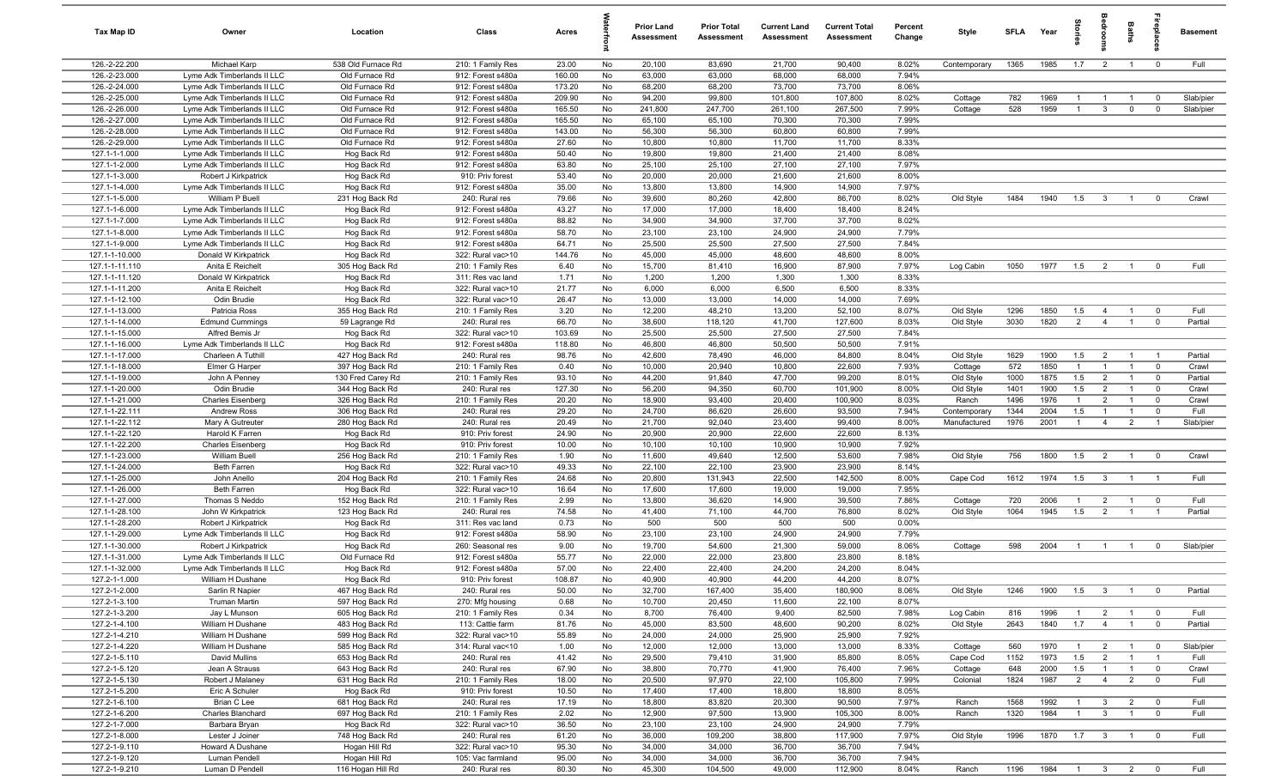| Tax Map ID                       | Owner                                                      | Location                           | Class                                  | Acres            |           | Prior Land<br><b>Assessment</b> | <b>Prior Total</b><br>Assessment | <b>Current Land</b><br>Assessment | <b>Current Total</b><br>Assessment | Percent<br>Change | Style                | SFLA        | Year         | ਤੂ                    |                                  | Baths                            | epla                             | <b>Basement</b>  |
|----------------------------------|------------------------------------------------------------|------------------------------------|----------------------------------------|------------------|-----------|---------------------------------|----------------------------------|-----------------------------------|------------------------------------|-------------------|----------------------|-------------|--------------|-----------------------|----------------------------------|----------------------------------|----------------------------------|------------------|
| 126.-2-22.200                    | Michael Karp                                               | 538 Old Furnace Rd                 | 210: 1 Family Res                      | 23.00            | No        | 20,100                          | 83,690                           | 21,700                            | 90,400                             | 8.02%             | Contemporary         | 1365        | 1985         | 1.7                   | $\overline{2}$                   | $\overline{1}$                   | $\overline{0}$                   | Full             |
| 126.-2-23.000                    | Lyme Adk Timberlands II LLC                                | Old Furnace Rd                     | 912: Forest s480a                      | 160.00           | No        | 63,000                          | 63,000                           | 68,000                            | 68,000                             | 7.94%             |                      |             |              |                       |                                  |                                  |                                  |                  |
| 126.-2-24.000<br>126.-2-25.000   | Lyme Adk Timberlands II LLC<br>Lyme Adk Timberlands II LLC | Old Furnace Rd<br>Old Furnace Rd   | 912: Forest s480a<br>912: Forest s480a | 173.20<br>209.90 | No<br>No  | 68,200<br>94,200                | 68,200<br>99,800                 | 73,700<br>101,800                 | 73,700<br>107,800                  | 8.06%<br>8.02%    | Cottage              | 782         | 1969         | $\overline{1}$        | $\overline{1}$                   | $\overline{1}$                   | $\overline{0}$                   | Slab/pier        |
| 126.-2-26.000                    | Lyme Adk Timberlands II LLC                                | Old Furnace Rd                     | 912: Forest s480a                      | 165.50           | No        | 241,800                         | 247,700                          | 261,100                           | 267,500                            | 7.99%             | Cottage              | 528         | 1959         | $\overline{1}$        | $\mathbf{3}$                     | $\mathbf 0$                      | $\overline{0}$                   | Slab/pier        |
| 126.-2-27.000                    | Lyme Adk Timberlands II LLC                                | Old Furnace Rd                     | 912: Forest s480a                      | 165.50           | No        | 65,100                          | 65,100                           | 70,300                            | 70,300                             | 7.99%             |                      |             |              |                       |                                  |                                  |                                  |                  |
| 126.-2-28.000                    | Lyme Adk Timberlands II LLC                                | Old Furnace Rd                     | 912: Forest s480a                      | 143.00           | No        | 56,300                          | 56,300                           | 60,800                            | 60,800                             | 7.99%             |                      |             |              |                       |                                  |                                  |                                  |                  |
| 126.-2-29.000                    | Lyme Adk Timberlands II LLC                                | Old Furnace Rd                     | 912: Forest s480a                      | 27.60            | No        | 10,800                          | 10,800                           | 11,700                            | 11,700                             | 8.33%             |                      |             |              |                       |                                  |                                  |                                  |                  |
| 127.1-1-1.000                    | Lyme Adk Timberlands II LLC                                | Hog Back Rd                        | 912: Forest s480a                      | 50.40            | No        | 19,800                          | 19,800                           | 21,400                            | 21,400                             | 8.08%             |                      |             |              |                       |                                  |                                  |                                  |                  |
| 127.1-1-2.000                    | Lyme Adk Timberlands II LLC                                | Hog Back Rd                        | 912: Forest s480a                      | 63.80            | No        | 25,100                          | 25,100                           | 27,100                            | 27,100                             | 7.97%             |                      |             |              |                       |                                  |                                  |                                  |                  |
| 127.1-1-3.000<br>127.1-1-4.000   | Robert J Kirkpatrick<br>Lyme Adk Timberlands II LLC        | Hog Back Rd<br>Hog Back Rd         | 910: Priv forest<br>912: Forest s480a  | 53.40<br>35.00   | No<br>No  | 20,000<br>13,800                | 20,000<br>13,800                 | 21,600<br>14,900                  | 21,600<br>14,900                   | 8.00%<br>7.97%    |                      |             |              |                       |                                  |                                  |                                  |                  |
| 127.1-1-5.000                    | William P Buell                                            | 231 Hog Back Rd                    | 240: Rural res                         | 79.66            | No        | 39,600                          | 80,260                           | 42,800                            | 86,700                             | 8.02%             | Old Style            | 1484        | 1940         | 1.5                   | $\mathbf{3}$                     | -1                               | $\mathbf 0$                      | Crawl            |
| 127.1-1-6.000                    | Lyme Adk Timberlands II LLC                                | Hog Back Rd                        | 912: Forest s480a                      | 43.27            | No        | 17,000                          | 17,000                           | 18,400                            | 18,400                             | 8.24%             |                      |             |              |                       |                                  |                                  |                                  |                  |
| 127.1-1-7.000                    | Lyme Adk Timberlands II LLC                                | Hog Back Rd                        | 912: Forest s480a                      | 88.82            | No        | 34,900                          | 34,900                           | 37,700                            | 37,700                             | 8.02%             |                      |             |              |                       |                                  |                                  |                                  |                  |
| 127.1-1-8.000                    | Lyme Adk Timberlands II LLC                                | Hog Back Rd                        | 912: Forest s480a                      | 58.70            | No        | 23,100                          | 23,100                           | 24,900                            | 24,900                             | 7.79%             |                      |             |              |                       |                                  |                                  |                                  |                  |
| 127.1-1-9.000                    | Lyme Adk Timberlands II LLC                                | Hog Back Rd                        | 912: Forest s480a                      | 64.71            | No        | 25,500                          | 25,500                           | 27,500                            | 27,500                             | 7.84%             |                      |             |              |                       |                                  |                                  |                                  |                  |
| 127.1-1-10.000                   | Donald W Kirkpatrick                                       | Hog Back Rd                        | 322: Rural vac>10                      | 144.76           | No        | 45,000                          | 45,000                           | 48,600                            | 48,600                             | 8.00%             |                      |             |              |                       |                                  |                                  |                                  |                  |
| 127.1-1-11.110<br>127.1-1-11.120 | Anita E Reichelt<br>Donald W Kirkpatrick                   | 305 Hog Back Rd<br>Hog Back Rd     | 210: 1 Family Res<br>311: Res vac land | 6.40<br>1.71     | No<br>No  | 15,700<br>1,200                 | 81,410<br>1,200                  | 16,900<br>1,300                   | 87,900<br>1,300                    | 7.97%<br>8.33%    | Log Cabin            | 1050        | 1977         | 1.5                   | $\overline{2}$                   | $\overline{1}$                   | $\overline{\mathbf{0}}$          | Full             |
| 127.1-1-11.200                   | Anita E Reichelt                                           | Hog Back Rd                        | 322: Rural vac>10                      | 21.77            | No        | 6,000                           | 6,000                            | 6,500                             | 6,500                              | 8.33%             |                      |             |              |                       |                                  |                                  |                                  |                  |
| 127.1-1-12.100                   | Odin Brudie                                                | Hog Back Rd                        | 322: Rural vac>10                      | 26.47            | No        | 13,000                          | 13,000                           | 14,000                            | 14,000                             | 7.69%             |                      |             |              |                       |                                  |                                  |                                  |                  |
| 127.1-1-13.000                   | Patricia Ross                                              | 355 Hog Back Rd                    | 210: 1 Family Res                      | 3.20             | No        | 12,200                          | 48,210                           | 13,200                            | 52,100                             | 8.07%             | Old Style            | 1296        | 1850         | 1.5                   | $\overline{4}$                   | $\overline{1}$                   | $\overline{0}$                   | Full             |
| 127.1-1-14.000                   | <b>Edmund Cummings</b>                                     | 59 Lagrange Rd                     | 240: Rural res                         | 66.70            | No        | 38,600                          | 118,120                          | 41,700                            | 127,600                            | 8.03%             | Old Style            | 3030        | 1820         | $\overline{2}$        | $\overline{4}$                   | $\overline{1}$                   | $\overline{0}$                   | Partial          |
| 127.1-1-15.000                   | Alfred Bemis Jr                                            | Hog Back Rd                        | 322: Rural vac>10                      | 103.69           | No        | 25,500                          | 25,500                           | 27,500                            | 27,500                             | 7.84%             |                      |             |              |                       |                                  |                                  |                                  |                  |
| 127.1-1-16.000                   | Lyme Adk Timberlands II LLC                                | Hog Back Rd                        | 912: Forest s480a                      | 118.80           | No        | 46,800                          | 46,800                           | 50,500                            | 50,500                             | 7.91%             |                      |             |              |                       |                                  |                                  |                                  |                  |
| 127.1-1-17.000<br>127.1-1-18.000 | Charleen A Tuthill<br>Elmer G Harper                       | 427 Hog Back Rd<br>397 Hog Back Rd | 240: Rural res<br>210: 1 Family Res    | 98.76<br>0.40    | No<br>No  | 42,600<br>10,000                | 78,490<br>20,940                 | 46,000<br>10,800                  | 84,800<br>22,600                   | 8.04%<br>7.93%    | Old Style<br>Cottage | 1629<br>572 | 1900<br>1850 | 1.5<br>$\overline{1}$ | $\overline{2}$<br>$\overline{1}$ | $\overline{1}$<br>$\overline{1}$ | $\overline{1}$<br>$\overline{0}$ | Partial<br>Crawl |
| 127.1-1-19.000                   | John A Penney                                              | 130 Fred Carey Rd                  | 210: 1 Family Res                      | 93.10            | No        | 44,200                          | 91,840                           | 47,700                            | 99,200                             | 8.01%             | Old Style            | 1000        | 1875         | 1.5                   | $\overline{2}$                   | $\overline{1}$                   | $\overline{\mathbf{0}}$          | Partial          |
| 127.1-1-20.000                   | Odin Brudie                                                | 344 Hog Back Rd                    | 240: Rural res                         | 127.30           | No        | 56,200                          | 94,350                           | 60,700                            | 101,900                            | 8.00%             | Old Style            | 1401        | 1900         | 1.5                   | $\overline{2}$                   | $\overline{1}$                   | $\overline{0}$                   | Crawl            |
| 127.1-1-21.000                   | <b>Charles Eisenberg</b>                                   | 326 Hog Back Rd                    | 210: 1 Family Res                      | 20.20            | No        | 18,900                          | 93,400                           | 20,400                            | 100,900                            | 8.03%             | Ranch                | 1496        | 1976         | $\overline{1}$        | $\overline{2}$                   | $\overline{1}$                   | $\overline{\mathbf{0}}$          | Crawl            |
| 127.1-1-22.111                   | Andrew Ross                                                | 306 Hog Back Rd                    | 240: Rural res                         | 29.20            | No        | 24,700                          | 86,620                           | 26,600                            | 93,500                             | 7.94%             | Contemporary         | 1344        | 2004         | 1.5                   | $\overline{1}$                   | $\overline{1}$                   | $\overline{0}$                   | Full             |
| 127.1-1-22.112                   | Mary A Gutreuter                                           | 280 Hog Back Rd                    | 240: Rural res                         | 20.49            | No        | 21,700                          | 92,040                           | 23,400                            | 99,400                             | 8.00%             | Manufactured         | 1976        | 2001         | $\overline{1}$        | $\overline{4}$                   | $\overline{2}$                   | $\overline{1}$                   | Slab/pier        |
| 127.1-1-22.120                   | Harold K Farren                                            | Hog Back Rd                        | 910: Priv forest                       | 24.90            | No        | 20,900                          | 20,900                           | 22,600                            | 22,600                             | 8.13%             |                      |             |              |                       |                                  |                                  |                                  |                  |
| 127.1-1-22.200<br>127.1-1-23.000 | <b>Charles Eisenberg</b><br><b>William Buell</b>           | Hog Back Rd<br>256 Hog Back Rd     | 910: Priv forest<br>210: 1 Family Res  | 10.00<br>1.90    | No<br>No  | 10,100<br>11,600                | 10,100<br>49,640                 | 10,900<br>12,500                  | 10,900<br>53,600                   | 7.92%<br>7.98%    | Old Style            | 756         | 1800         | 1.5                   | $\overline{2}$                   | $\overline{1}$                   | $\overline{0}$                   | Crawl            |
| 127.1-1-24.000                   | Beth Farren                                                | Hog Back Rd                        | 322: Rural vac>10                      | 49.33            | No        | 22,100                          | 22,100                           | 23,900                            | 23,900                             | 8.14%             |                      |             |              |                       |                                  |                                  |                                  |                  |
| 127.1-1-25.000                   | John Anello                                                | 204 Hog Back Rd                    | 210: 1 Family Res                      | 24.68            | No        | 20,800                          | 131,943                          | 22,500                            | 142,500                            | 8.00%             | Cape Cod             | 1612        | 1974         | 1.5                   | $\overline{\mathbf{3}}$          | $\overline{1}$                   | $\overline{1}$                   | Full             |
| 127.1-1-26.000                   | Beth Farren                                                | Hog Back Rd                        | 322: Rural vac>10                      | 16.64            | No        | 17,600                          | 17,600                           | 19,000                            | 19,000                             | 7.95%             |                      |             |              |                       |                                  |                                  |                                  |                  |
| 127.1-1-27.000                   | Thomas S Neddo                                             | 152 Hog Back Rd                    | 210: 1 Family Res                      | 2.99             | No        | 13,800                          | 36,620                           | 14,900                            | 39,500                             | 7.86%             | Cottage              | 720         | 2006         | $\overline{1}$        | $\overline{2}$                   | $\overline{1}$                   | $\overline{\mathbf{0}}$          | Full             |
| 127.1-1-28.100                   | John W Kirkpatrick                                         | 123 Hog Back Rd                    | 240: Rural res                         | 74.58            | No        | 41,400                          | 71,100                           | 44,700                            | 76,800                             | 8.02%             | Old Style            | 1064        | 1945         | 1.5                   | $\overline{2}$                   | $\overline{1}$                   | $\overline{1}$                   | Partial          |
| 127.1-1-28.200                   | Robert J Kirkpatrick                                       | Hog Back Rd                        | 311: Res vac land                      | 0.73             | No        | 500                             | 500                              | 500                               | 500                                | 0.00%             |                      |             |              |                       |                                  |                                  |                                  |                  |
| 127.1-1-29.000<br>127.1-1-30.000 | Lyme Adk Timberlands II LLC<br>Robert J Kirkpatrick        | Hog Back Rd<br>Hog Back Rd         | 912: Forest s480a<br>260: Seasonal res | 58.90<br>9.00    | No<br>No  | 23,100<br>19,700                | 23,100<br>54,600                 | 24,900<br>21,300                  | 24,900<br>59,000                   | 7.79%<br>8.06%    | Cottage              | 598         | 2004         | $\overline{1}$        | $\overline{1}$                   | $\overline{1}$                   | $^{\circ}$                       | Slab/pier        |
| 127.1-1-31.000                   | Lyme Adk Timberlands II LLC                                | Old Furnace Rd                     | 912: Forest s480a                      | 55.77            | No        | 22,000                          | 22,000                           | 23,800                            | 23,800                             | 8.18%             |                      |             |              |                       |                                  |                                  |                                  |                  |
| 127.1-1-32.000                   | Lyme Adk Timberlands II LLC                                | Hog Back Rd                        | 912: Forest s480a                      | 57.00            | No        | 22,400                          | 22,400                           | 24,200                            | 24,200                             | 8.04%             |                      |             |              |                       |                                  |                                  |                                  |                  |
| 127.2-1-1.000                    | William H Dushane                                          | Hog Back Rd                        | 910: Priv forest                       | 108.87           | <b>No</b> | 40.900                          | 40.900                           | 44.200                            | 44.200                             | 8.07%             |                      |             |              |                       |                                  |                                  |                                  |                  |
| 127.2-1-2.000                    | Sarlin R Napier                                            | 467 Hog Back Rd                    | 240: Rural res                         | 50.00            | No        | 32,700                          | 167,400                          | 35,400                            | 180,900                            | 8.06%             | Old Style            | 1246        | 1900         | 1.5                   | $\overline{\mathbf{3}}$          | $\overline{1}$                   | $\overline{0}$                   | Partial          |
| 127.2-1-3.100                    | Truman Martin                                              | 597 Hog Back Rd                    | 270: Mfg housing                       | 0.68             | No        | 10,700                          | 20,450                           | 11,600                            | 22,100                             | 8.07%             |                      |             |              |                       |                                  |                                  |                                  |                  |
| 127.2-1-3.200                    | Jay L Munson                                               | 605 Hog Back Rd                    | 210: 1 Family Res                      | 0.34             | No        | 8,700                           | 76,400                           | 9,400                             | 82,500                             | 7.98%             | Log Cabin            | 816         | 1996         | $\overline{1}$        | $\overline{2}$                   | $\overline{1}$                   | $\overline{0}$                   | Full             |
| 127.2-1-4.100<br>127.2-1-4.210   | William H Dushane<br>William H Dushane                     | 483 Hog Back Rd<br>599 Hog Back Rd | 113: Cattle farm<br>322: Rural vac>10  | 81.76<br>55.89   | No<br>No  | 45,000<br>24,000                | 83,500<br>24,000                 | 48,600<br>25,900                  | 90,200<br>25,900                   | 8.02%<br>7.92%    | Old Style            | 2643        | 1840         | 1.7                   | $\overline{4}$                   | $\overline{1}$                   | $\overline{0}$                   | Partial          |
| 127.2-1-4.220                    | William H Dushane                                          | 585 Hog Back Rd                    | 314: Rural vac<10                      | 1.00             | No        | 12,000                          | 12,000                           | 13,000                            | 13,000                             | 8.33%             | Cottage              | 560         | 1970         | $\overline{1}$        | $\overline{2}$                   | $\overline{1}$                   | $\overline{0}$                   | Slab/pier        |
| 127.2-1-5.110                    | David Mullins                                              | 653 Hog Back Rd                    | 240: Rural res                         | 41.42            | No        | 29,500                          | 79,410                           | 31,900                            | 85,800                             | 8.05%             | Cape Cod             | 1152        | 1973         | 1.5                   | $\overline{2}$                   | $\overline{1}$                   | $\overline{1}$                   | Full             |
| 127.2-1-5.120                    | Jean A Strauss                                             | 643 Hog Back Rd                    | 240: Rural res                         | 67.90            | No        | 38,800                          | 70,770                           | 41,900                            | 76,400                             | 7.96%             | Cottage              | 648         | 2000         | 1.5                   | $\overline{1}$                   | $\overline{1}$                   | $\overline{0}$                   | Crawl            |
| 127.2-1-5.130                    | Robert J Malaney                                           | 631 Hog Back Rd                    | 210: 1 Family Res                      | 18.00            | No        | 20,500                          | 97,970                           | 22,100                            | 105,800                            | 7.99%             | Colonial             | 1824        | 1987         | $\overline{2}$        | $\overline{4}$                   | $\overline{2}$                   | $\overline{0}$                   | Full             |
| 127.2-1-5.200                    | Eric A Schuler                                             | Hog Back Rd                        | 910: Priv forest                       | 10.50            | No        | 17,400                          | 17,400                           | 18,800                            | 18,800                             | 8.05%             |                      |             |              |                       |                                  |                                  |                                  |                  |
| 127.2-1-6.100                    | Brian C Lee                                                | 681 Hog Back Rd                    | 240: Rural res                         | 17.19            | No        | 18,800                          | 83,820                           | 20,300                            | 90,500                             | 7.97%             | Ranch                | 1568        | 1992         | $\overline{1}$        | $\mathbf{3}$                     | $\overline{2}$                   | $\overline{0}$                   | Full             |
| 127.2-1-6.200                    | <b>Charles Blanchard</b>                                   | 697 Hog Back Rd                    | 210: 1 Family Res                      | 2.02             | No        | 12,900                          | 97,500                           | 13,900                            | 105,300                            | 8.00%             | Ranch                | 1320        | 1984         | $\overline{1}$        | $\mathbf{3}$                     | $\overline{1}$                   | $\overline{0}$                   | Full             |
| 127.2-1-7.000<br>127.2-1-8.000   | Barbara Bryan<br>Lester J Joiner                           | Hog Back Rd<br>748 Hog Back Rd     | 322: Rural vac>10<br>240: Rural res    | 36.50<br>61.20   | No<br>No  | 23,100<br>36,000                | 23,100<br>109,200                | 24,900<br>38,800                  | 24,900<br>117,900                  | 7.79%<br>7.97%    | Old Style            | 1996        | 1870         | 1.7                   | $\overline{\mathbf{3}}$          | $\overline{1}$                   | $\overline{0}$                   | Full             |
| 127.2-1-9.110                    | Howard A Dushane                                           | Hogan Hill Rd                      | 322: Rural vac>10                      | 95.30            | No        | 34,000                          | 34,000                           | 36,700                            | 36,700                             | 7.94%             |                      |             |              |                       |                                  |                                  |                                  |                  |
| 127.2-1-9.120                    | Luman Pendell                                              | Hogan Hill Rd                      | 105: Vac farmland                      | 95.00            | No        | 34,000                          | 34,000                           | 36,700                            | 36,700                             | 7.94%             |                      |             |              |                       |                                  |                                  |                                  |                  |
| 127.2-1-9.210                    | Luman D Pendell                                            | 116 Hogan Hill Rd                  | 240: Rural res                         | 80.30            | No        | 45,300                          | 104,500                          | 49,000                            | 112,900                            | 8.04%             | Ranch                | 1196        | 1984         |                       |                                  | 1 3 2 0                          |                                  | Full             |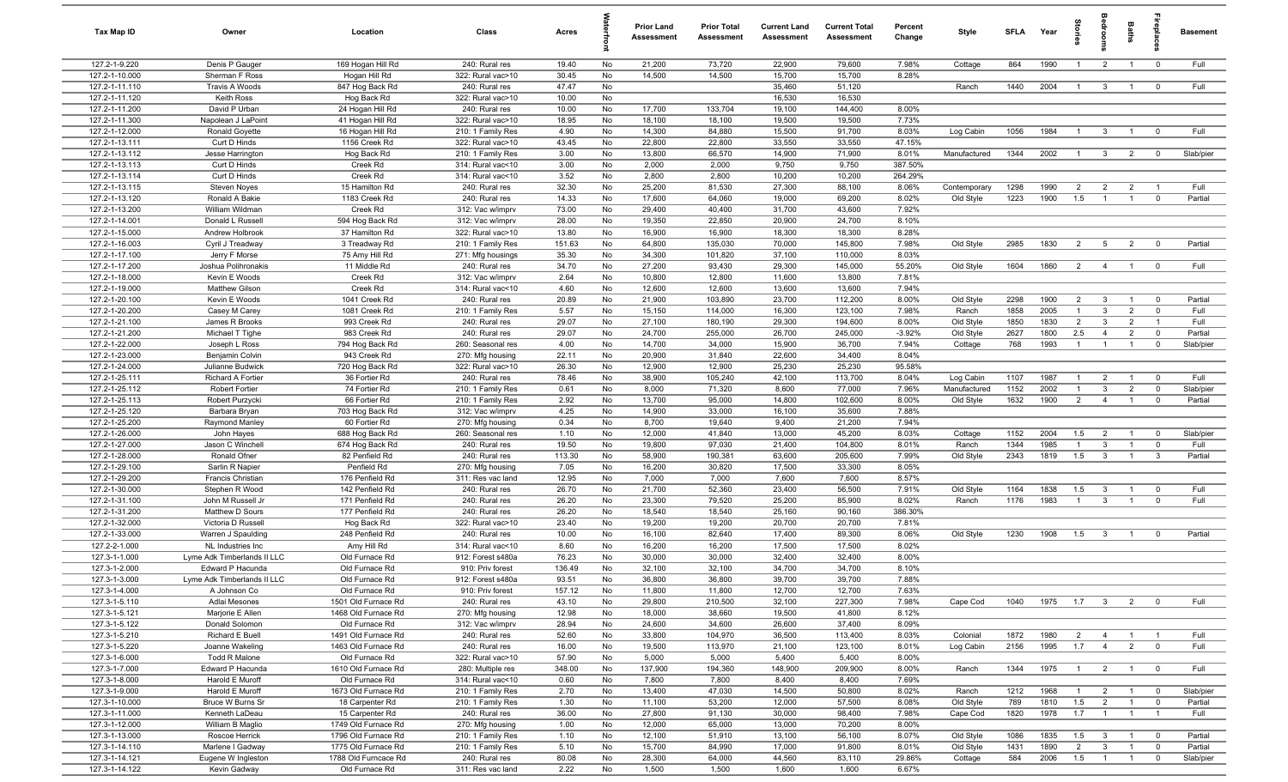| Tax Map ID                       | Owner                                  | Location                                    | Class                               | Acres           |          | Prior Land<br><b>Assessment</b> | <b>Prior Total</b><br>Assessment | <b>Current Land</b><br>Assessment | <b>Current Total</b><br><b>Assessment</b> | Percent<br>Change | Style                | <b>SFLA</b> | Year         | ğ                     |                                  | Baths                          | Lepla                            | <b>Basement</b>      |
|----------------------------------|----------------------------------------|---------------------------------------------|-------------------------------------|-----------------|----------|---------------------------------|----------------------------------|-----------------------------------|-------------------------------------------|-------------------|----------------------|-------------|--------------|-----------------------|----------------------------------|--------------------------------|----------------------------------|----------------------|
| 127.2-1-9.220                    | Denis P Gauger                         | 169 Hogan Hill Rd                           | 240: Rural res                      | 19.40           | No       | 21,200                          | 73,720                           | 22,900                            | 79,600                                    | 7.98%             | Cottage              | 864         | 1990         | $\overline{1}$        | $\overline{2}$                   | $\overline{1}$                 | $\overline{0}$                   | Full                 |
| 127.2-1-10.000                   | Sherman F Ross                         | Hogan Hill Rd                               | 322: Rural vac>10                   | 30.45           | No       | 14,500                          | 14,500                           | 15,700                            | 15,700                                    | 8.28%             |                      |             |              |                       |                                  |                                |                                  |                      |
| 127.2-1-11.110                   | <b>Travis A Woods</b>                  | 847 Hog Back Rd                             | 240: Rural res                      | 47.47           | No       |                                 |                                  | 35,460                            | 51,120                                    |                   | Ranch                | 1440        | 2004         | $\overline{1}$        | $\mathbf{3}$                     | $\overline{1}$                 | $\overline{0}$                   | Full                 |
| 127.2-1-11.120                   | Keith Ross                             | Hog Back Rd                                 | 322: Rural vac>10                   | 10.00           | No       |                                 |                                  | 16,530                            | 16,530                                    |                   |                      |             |              |                       |                                  |                                |                                  |                      |
| 127.2-1-11.200<br>127.2-1-11.300 | David P Urban<br>Napolean J LaPoint    | 24 Hogan Hill Rd<br>41 Hogan Hill Rd        | 240: Rural res<br>322: Rural vac>10 | 10.00<br>18.95  | No<br>No | 17,700<br>18,100                | 133,704<br>18,100                | 19,100<br>19,500                  | 144,400<br>19,500                         | 8.00%<br>7.73%    |                      |             |              |                       |                                  |                                |                                  |                      |
| 127.2-1-12.000                   | <b>Ronald Goyette</b>                  | 16 Hogan Hill Rd                            | 210: 1 Family Res                   | 4.90            | No       | 14,300                          | 84,880                           | 15,500                            | 91,700                                    | 8.03%             | Log Cabin            | 1056        | 1984         | $\overline{1}$        | $\overline{3}$                   | $\overline{1}$                 | $\mathbf 0$                      | Full                 |
| 127.2-1-13.111                   | Curt D Hinds                           | 1156 Creek Rd                               | 322: Rural vac>10                   | 43.45           | No       | 22,800                          | 22,800                           | 33,550                            | 33,550                                    | 47.15%            |                      |             |              |                       |                                  |                                |                                  |                      |
| 127.2-1-13.112                   | Jesse Harrington                       | Hog Back Rd                                 | 210: 1 Family Res                   | 3.00            | No       | 13,800                          | 66,570                           | 14,900                            | 71,900                                    | 8.01%             | Manufactured         | 1344        | 2002         | $\overline{1}$        | $\mathbf{3}$                     | $\overline{2}$                 | $\overline{0}$                   | Slab/pier            |
| 127.2-1-13.113                   | Curt D Hinds                           | Creek Rd                                    | 314: Rural vac<10                   | 3.00            | No       | 2,000                           | 2,000                            | 9,750                             | 9,750                                     | 387.50%           |                      |             |              |                       |                                  |                                |                                  |                      |
| 127.2-1-13.114                   | Curt D Hinds                           | Creek Rd                                    | 314: Rural vac<10                   | 3.52            | No       | 2,800                           | 2,800                            | 10,200                            | 10,200                                    | 264.29%           |                      |             |              |                       |                                  |                                |                                  |                      |
| 127.2-1-13.115                   | Steven Noyes                           | 15 Hamilton Rd                              | 240: Rural res                      | 32.30           | No       | 25,200                          | 81,530                           | 27,300                            | 88,100                                    | 8.06%             | Contemporary         | 1298        | 1990         | $\overline{2}$        | $\overline{2}$                   | $\overline{2}$                 | $\overline{1}$                   | Full                 |
| 127.2-1-13.120                   | Ronald A Bakie                         | 1183 Creek Rd                               | 240: Rural res                      | 14.33           | No       | 17,600                          | 64,060                           | 19,000                            | 69,200                                    | 8.02%             | Old Style            | 1223        | 1900         | 1.5                   | $\overline{1}$                   | $\mathbf{1}$                   | $\overline{0}$                   | Partial              |
| 127.2-1-13.200                   | William Wildman                        | Creek Rd                                    | 312: Vac w/imprv                    | 73.00           | No       | 29,400                          | 40,400                           | 31,700                            | 43,600                                    | 7.92%             |                      |             |              |                       |                                  |                                |                                  |                      |
| 127.2-1-14.001                   | Donald L Russell                       | 594 Hog Back Rd                             | 312: Vac w/imprv                    | 28.00           | No       | 19,350                          | 22,850                           | 20,900                            | 24,700                                    | 8.10%             |                      |             |              |                       |                                  |                                |                                  |                      |
| 127.2-1-15.000                   | Andrew Holbrook                        | 37 Hamilton Rd                              | 322: Rural vac>10                   | 13.80           | No       | 16,900                          | 16,900                           | 18,300                            | 18,300                                    | 8.28%             |                      |             |              |                       |                                  |                                |                                  |                      |
| 127.2-1-16.003                   | Cyril J Treadway                       | 3 Treadway Rd                               | 210: 1 Family Res                   | 151.63          | No       | 64,800                          | 135,030                          | 70,000                            | 145,800                                   | 7.98%             | Old Style            | 2985        | 1830         | $\overline{2}$        | 5                                | $\overline{2}$                 | $\overline{0}$                   | Partial              |
| 127.2-1-17.100<br>127.2-1-17.200 | Jerry F Morse<br>Joshua Polihronakis   | 75 Amy Hill Rd<br>11 Middle Rd              | 271: Mfg housings                   | 35.30<br>34.70  | No<br>No | 34,300<br>27,200                | 101,820<br>93,430                | 37,100<br>29,300                  | 110,000<br>145,000                        | 8.03%<br>55.20%   |                      | 1604        | 1860         | $\overline{2}$        | $\overline{4}$                   | $\overline{1}$                 | $\overline{0}$                   | Full                 |
| 127.2-1-18.000                   | Kevin E Woods                          | Creek Rd                                    | 240: Rural res<br>312: Vac w/imprv  | 2.64            | No       | 10,800                          | 12,800                           | 11,600                            | 13,800                                    | 7.81%             | Old Style            |             |              |                       |                                  |                                |                                  |                      |
| 127.2-1-19.000                   | <b>Matthew Gilson</b>                  | Creek Rd                                    | 314: Rural vac<10                   | 4.60            | No       | 12,600                          | 12,600                           | 13,600                            | 13,600                                    | 7.94%             |                      |             |              |                       |                                  |                                |                                  |                      |
| 127.2-1-20.100                   | Kevin E Woods                          | 1041 Creek Rd                               | 240: Rural res                      | 20.89           | No       | 21,900                          | 103,890                          | 23,700                            | 112,200                                   | 8.00%             | Old Style            | 2298        | 1900         | $\overline{2}$        | $\overline{3}$                   | $\overline{1}$                 | $\overline{0}$                   | Partial              |
| 127.2-1-20.200                   | Casey M Carey                          | 1081 Creek Rd                               | 210: 1 Family Res                   | 5.57            | No       | 15,150                          | 114,000                          | 16,300                            | 123,100                                   | 7.98%             | Ranch                | 1858        | 2005         | $\overline{1}$        | $\mathbf{3}$                     | $\overline{2}$                 | $\overline{0}$                   | Full                 |
| 127.2-1-21.100                   | James R Brooks                         | 993 Creek Rd                                | 240: Rural res                      | 29.07           | No       | 27,100                          | 180,190                          | 29,300                            | 194,600                                   | 8.00%             | Old Style            | 1850        | 1830         | $\overline{2}$        | $\mathbf{3}$                     | $\overline{2}$                 | $\overline{1}$                   | Full                 |
| 127.2-1-21.200                   | Michael T Tighe                        | 983 Creek Rd                                | 240: Rural res                      | 29.07           | No       | 24,700                          | 255,000                          | 26,700                            | 245,000                                   | $-3.92%$          | Old Style            | 2627        | 1800         | 2.5                   | $\overline{4}$                   | $\overline{2}$                 | $\mathbf 0$                      | Partial              |
| 127.2-1-22.000                   | Joseph L Ross                          | 794 Hog Back Rd                             | 260: Seasonal res                   | 4.00            | No       | 14,700                          | 34,000                           | 15,900                            | 36,700                                    | 7.94%             | Cottage              | 768         | 1993         | $\overline{1}$        | $\overline{1}$                   | $\overline{1}$                 | $\mathbf 0$                      | Slab/pier            |
| 127.2-1-23.000                   | Benjamin Colvin                        | 943 Creek Rd                                | 270: Mfg housing                    | 22.11           | No       | 20,900                          | 31,840                           | 22,600                            | 34,400                                    | 8.04%             |                      |             |              |                       |                                  |                                |                                  |                      |
| 127.2-1-24.000                   | Julianne Budwick                       | 720 Hog Back Rd                             | 322: Rural vac>10                   | 26.30           | No       | 12,900                          | 12,900                           | 25,230                            | 25,230                                    | 95.58%            |                      |             |              |                       |                                  |                                |                                  |                      |
| 127.2-1-25.111                   | Richard A Fortier                      | 36 Fortier Rd                               | 240: Rural res                      | 78.46           | No       | 38,900                          | 105,240                          | 42,100                            | 113,700                                   | 8.04%             | Log Cabin            | 1107        | 1987         | $\mathbf{1}$          | $\overline{2}$                   |                                | $\overline{0}$                   | Full                 |
| 127.2-1-25.112                   | <b>Robert Fortier</b>                  | 74 Fortier Rd                               | 210: 1 Family Res                   | 0.61            | No       | 8,000                           | 71,320                           | 8,600                             | 77,000                                    | 7.96%             | Manufactured         | 1152        | 2002         |                       | $\overline{3}$                   | $\overline{2}$                 | $\mathbf 0$                      | Slab/pier            |
| 127.2-1-25.113                   | Robert Purzycki                        | 66 Fortier Rd                               | 210: 1 Family Res                   | 2.92            | No       | 13,700                          | 95,000                           | 14,800                            | 102,600                                   | 8.00%             | Old Style            | 1632        | 1900         | $\overline{2}$        | $\overline{4}$                   |                                | $\mathbf{0}$                     | Partial              |
| 127.2-1-25.120                   | Barbara Bryan                          | 703 Hog Back Rd                             | 312: Vac w/imprv                    | 4.25            | No       | 14,900                          | 33,000                           | 16,100                            | 35,600                                    | 7.88%             |                      |             |              |                       |                                  |                                |                                  |                      |
| 127.2-1-25.200                   | Raymond Manley<br>John Hayes           | 60 Fortier Rd                               | 270: Mfg housing                    | 0.34            | No       | 8,700                           | 19,640                           | 9,400                             | 21,200<br>45,200                          | 7.94%             |                      | 1152        | 2004         |                       |                                  | $\overline{1}$                 |                                  |                      |
| 127.2-1-26.000<br>127.2-1-27.000 | Jason C Winchell                       | 688 Hog Back Rd<br>674 Hog Back Rd          | 260: Seasonal res<br>240: Rural res | 1.10<br>19.50   | No<br>No | 12,000<br>19,800                | 41,840<br>97,030                 | 13,000<br>21,400                  | 104,800                                   | 8.03%<br>8.01%    | Cottage<br>Ranch     | 1344        | 1985         | 1.5<br>$\overline{1}$ | $\overline{2}$<br>3              | $\overline{1}$                 | $\overline{0}$<br>$\overline{0}$ | Slab/pier<br>Full    |
| 127.2-1-28.000                   | Ronald Ofner                           | 82 Penfield Rd                              | 240: Rural res                      | 113.30          | No       | 58,900                          | 190,381                          | 63,600                            | 205,600                                   | 7.99%             | Old Style            | 2343        | 1819         | 1.5                   | $\mathbf{3}$                     | $\overline{1}$                 | $\mathbf{3}$                     | Partial              |
| 127.2-1-29.100                   | Sarlin R Napier                        | Penfield Rd                                 | 270: Mfg housing                    | 7.05            | No       | 16,200                          | 30,820                           | 17,500                            | 33,300                                    | 8.05%             |                      |             |              |                       |                                  |                                |                                  |                      |
| 127.2-1-29.200                   | Francis Christian                      | 176 Penfield Rd                             | 311: Res vac land                   | 12.95           | No       | 7,000                           | 7,000                            | 7,600                             | 7,600                                     | 8.57%             |                      |             |              |                       |                                  |                                |                                  |                      |
| 127.2-1-30.000                   | Stephen R Wood                         | 142 Penfield Rd                             | 240: Rural res                      | 26.70           | No       | 21,700                          | 52,360                           | 23,400                            | 56,500                                    | 7.91%             | Old Style            | 1164        | 1838         | 1.5                   | $\mathbf{3}$                     |                                | $\mathbf 0$                      | Full                 |
| 127.2-1-31.100                   | John M Russell Jr                      | 171 Penfield Rd                             | 240: Rural res                      | 26.20           | No       | 23,300                          | 79,520                           | 25,200                            | 85,900                                    | 8.02%             | Ranch                | 1176        | 1983         | $\overline{1}$        | $\mathbf{3}$                     | $\overline{1}$                 | $\mathbf 0$                      | Full                 |
| 127.2-1-31.200                   | Matthew D Sours                        | 177 Penfield Rd                             | 240: Rural res                      | 26.20           | No       | 18,540                          | 18,540                           | 25,160                            | 90,160                                    | 386.30%           |                      |             |              |                       |                                  |                                |                                  |                      |
| 127.2-1-32.000                   | Victoria D Russell                     | Hog Back Rd                                 | 322: Rural vac>10                   | 23.40           | No       | 19,200                          | 19,200                           | 20,700                            | 20,700                                    | 7.81%             |                      |             |              |                       |                                  |                                |                                  |                      |
| 127.2-1-33.000                   | Warren J Spaulding                     | 248 Penfield Rd                             | 240: Rural res                      | 10.00           | No       | 16,100                          | 82,640                           | 17,400                            | 89,300                                    | 8.06%             | Old Style            | 1230        | 1908         | 1.5                   | $\mathbf{3}$                     |                                | $^{\circ}$                       | Partial              |
| 127.2-2-1.000                    | NL Industries Inc                      | Amy Hill Rd                                 | 314: Rural vac<10                   | 8.60            | No       | 16,200                          | 16,200                           | 17,500                            | 17,500                                    | 8.02%             |                      |             |              |                       |                                  |                                |                                  |                      |
| 127.3-1-1.000                    | Lyme Adk Timberlands II LLC            | Old Furnace Rd                              | 912: Forest s480a                   | 76.23           | No       | 30,000                          | 30,000                           | 32,400                            | 32,400                                    | 8.00%             |                      |             |              |                       |                                  |                                |                                  |                      |
| 127.3-1-2.000                    | Edward P Hacunda                       | Old Furnace Rd<br>Old Furnace Rd            | 910: Priv forest                    | 136.49          | No       | 32,100<br>36,800                | 32,100                           | 34,700                            | 34,700                                    | 8.10%<br>7.88%    |                      |             |              |                       |                                  |                                |                                  |                      |
| 127.3-1-3.000                    | Lyme Adk Timberlands II LLC            |                                             | 912: Forest s480a                   | 93.51<br>157.12 | No       | 11,800                          | 36,800                           | 39,700                            | 39,700                                    | 7.63%             |                      |             |              |                       |                                  |                                |                                  |                      |
| 127.3-1-4.000<br>127.3-1-5.110   | A Johnson Co<br>Adlai Mesones          | Old Furnace Rd<br>1501 Old Furnace Rd       | 910: Priv forest<br>240: Rural res  | 43.10           | No<br>No | 29,800                          | 11,800<br>210,500                | 12,700<br>32,100                  | 12,700<br>227,300                         | 7.98%             | Cape Cod             | 1040        | 1975         | 1.7                   | $\overline{\mathbf{3}}$          | $\overline{2}$                 | $\overline{0}$                   | Full                 |
| 127.3-1-5.121                    | Marjorie E Allen                       | 1468 Old Furnace Rd                         | 270: Mfg housing                    | 12.98           | No       | 18,000                          | 38,660                           | 19,500                            | 41,800                                    | 8.12%             |                      |             |              |                       |                                  |                                |                                  |                      |
| 127.3-1-5.122                    | Donald Solomon                         | Old Furnace Rd                              | 312: Vac w/imprv                    | 28.94           | No       | 24,600                          | 34,600                           | 26,600                            | 37,400                                    | 8.09%             |                      |             |              |                       |                                  |                                |                                  |                      |
| 127.3-1-5.210                    | Richard E Buell                        | 1491 Old Furnace Rd                         | 240: Rural res                      | 52.60           | No       | 33,800                          | 104,970                          | 36,500                            | 113,400                                   | 8.03%             | Colonial             | 1872        | 1980         | $\overline{2}$        | $\overline{4}$                   | $\overline{1}$                 | $\overline{1}$                   | Full                 |
| 127.3-1-5.220                    | Joanne Wakeling                        | 1463 Old Furnace Rd                         | 240: Rural res                      | 16.00           | No       | 19,500                          | 113,970                          | 21,100                            | 123,100                                   | 8.01%             | Log Cabin            | 2156        | 1995         | 1.7                   | $\overline{4}$                   | $\overline{2}$                 | $\overline{0}$                   | Full                 |
| 127.3-1-6.000                    | Todd R Malone                          | Old Furnace Rd                              | 322: Rural vac>10                   | 57.90           | No       | 5,000                           | 5,000                            | 5,400                             | 5,400                                     | 8.00%             |                      |             |              |                       |                                  |                                |                                  |                      |
| 127.3-1-7.000                    | Edward P Hacunda                       | 1610 Old Furnace Rd                         | 280: Multiple res                   | 348.00          | No       | 137,900                         | 194,360                          | 148,900                           | 209,900                                   | 8.00%             | Ranch                | 1344        | 1975         | $\overline{1}$        | $\overline{2}$                   | $\overline{1}$                 | $\overline{\mathbf{0}}$          | Full                 |
| 127.3-1-8.000                    | Harold E Muroff                        | Old Furnace Rd                              | 314: Rural vac<10                   | 0.60            | No       | 7,800                           | 7,800                            | 8,400                             | 8,400                                     | 7.69%             |                      |             |              |                       |                                  |                                |                                  |                      |
| 127.3-1-9.000                    | Harold E Muroff                        | 1673 Old Furnace Rd                         | 210: 1 Family Res                   | 2.70            | No       | 13,400                          | 47,030                           | 14,500                            | 50,800                                    | 8.02%             | Ranch                | 1212        | 1968         | $\overline{1}$        | $\overline{2}$                   | $\overline{1}$                 | $\overline{\mathbf{0}}$          | Slab/pier            |
| 127.3-1-10.000                   | Bruce W Burns Sr                       | 18 Carpenter Rd                             | 210: 1 Family Res                   | 1.30            | No       | 11,100                          | 53,200                           | 12,000                            | 57,500                                    | 8.08%             | Old Style            | 789         | 1810         | 1.5                   | $\overline{2}$                   | $\overline{1}$                 | $\overline{0}$                   | Partial              |
| 127.3-1-11.000                   | Kenneth LaDeau                         | 15 Carpenter Rd                             | 240: Rural res                      | 36.00           | No       | 27,800                          | 91,130                           | 30,000                            | 98,400                                    | 7.98%             | Cape Cod             | 1820        | 1978         | 1.7                   | $\overline{1}$                   | $\overline{1}$                 | $\overline{1}$                   | Full                 |
| 127.3-1-12.000                   | William B Maglio                       | 1749 Old Furnace Rd                         | 270: Mfg housing                    | 1.00            | No       | 12,000                          | 65,000                           | 13,000                            | 70,200                                    | 8.00%             |                      |             |              |                       |                                  |                                |                                  |                      |
| 127.3-1-13.000                   | Roscoe Herrick                         | 1796 Old Furnace Rd                         | 210: 1 Family Res                   | 1.10            | No       | 12,100                          | 51,910                           | 13,100                            | 56,100                                    | 8.07%             | Old Style            | 1086        | 1835         | 1.5                   | $\mathbf{3}$                     | $\overline{1}$                 | $\overline{0}$                   | Partial              |
| 127.3-1-14.110<br>127.3-1-14.121 | Marlene I Gadway<br>Eugene W Ingleston | 1775 Old Furnace Rd<br>1788 Old Furncace Rd | 210: 1 Family Res<br>240: Rural res | 5.10<br>80.08   | No<br>No | 15,700<br>28,300                | 84,990<br>64,000                 | 17,000<br>44,560                  | 91,800<br>83,110                          | 8.01%<br>29.86%   | Old Style<br>Cottage | 1431<br>584 | 1890<br>2006 | $\overline{2}$<br>1.5 | $\overline{3}$<br>$\overline{1}$ | $\overline{1}$<br>$\mathbf{1}$ | $\overline{0}$<br>$\overline{0}$ | Partial<br>Slab/pier |
| 127.3-1-14.122                   | Kevin Gadway                           | Old Furnace Rd                              | 311: Res vac land                   | 2.22            | No       | 1,500                           | 1,500                            | 1,600                             | 1,600                                     | 6.67%             |                      |             |              |                       |                                  |                                |                                  |                      |
|                                  |                                        |                                             |                                     |                 |          |                                 |                                  |                                   |                                           |                   |                      |             |              |                       |                                  |                                |                                  |                      |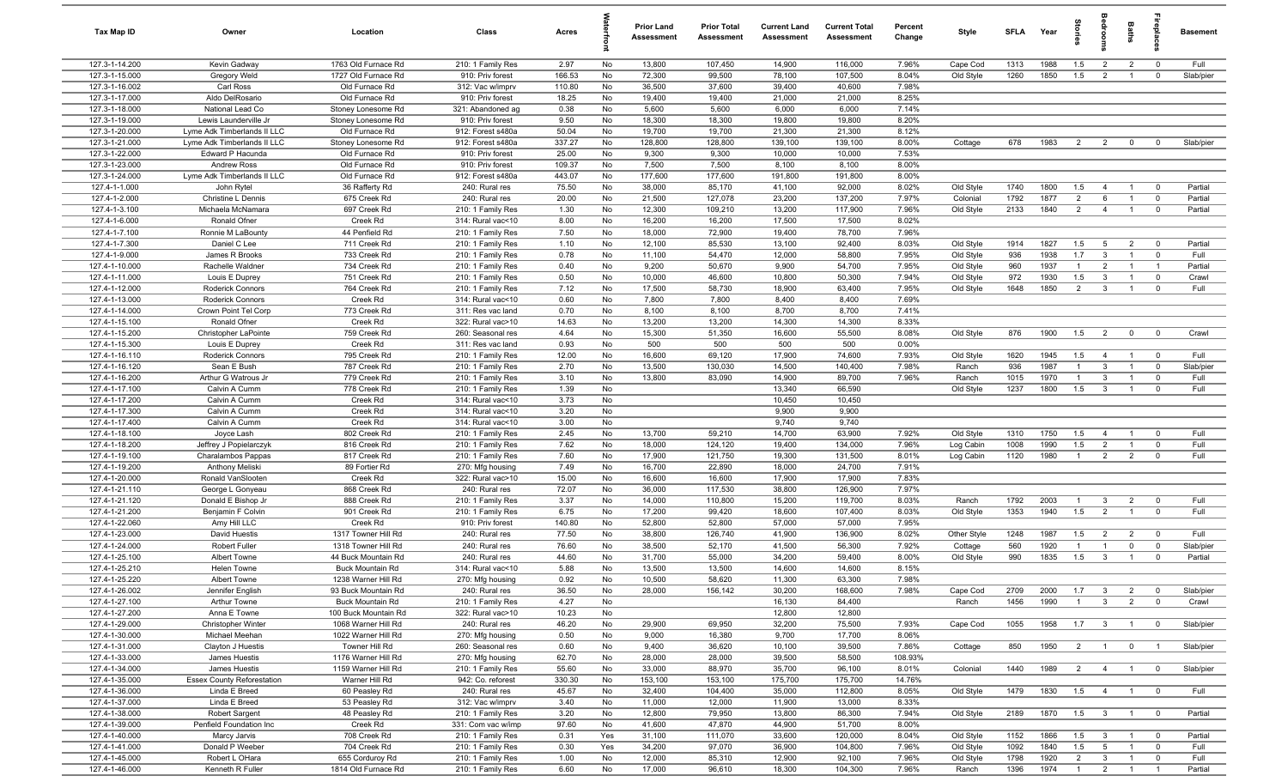| Tax Map ID                       | Owner                                                | Location                                       | Class                                  | Acres         |          | Prior Land<br><b>Assessment</b> | <b>Prior Total</b><br>Assessment | <b>Current Land</b><br>Assessment | <b>Current Total</b><br><b>Assessment</b> | Percent<br>Change | Style                  | <b>SFLA</b>  | Year         | $\frac{1}{2}$         |                                  | Baths                            | -e                                       | <b>Basement</b>    |
|----------------------------------|------------------------------------------------------|------------------------------------------------|----------------------------------------|---------------|----------|---------------------------------|----------------------------------|-----------------------------------|-------------------------------------------|-------------------|------------------------|--------------|--------------|-----------------------|----------------------------------|----------------------------------|------------------------------------------|--------------------|
| 127.3-1-14.200                   | Kevin Gadway                                         | 1763 Old Furnace Rd                            | 210: 1 Family Res                      | 2.97          | No       | 13,800                          | 107,450                          | 14,900                            | 116,000                                   | 7.96%             | Cape Cod               | 1313         | 1988         | 1.5                   | $\overline{2}$                   | $\overline{2}$                   | $\overline{0}$                           | Full               |
| 127.3-1-15.000                   | Gregory Weld                                         | 1727 Old Furnace Rd                            | 910: Priv forest                       | 166.53        | No       | 72,300                          | 99,500                           | 78,100                            | 107,500                                   | 8.04%             | Old Style              | 1260         | 1850         | 1.5                   | $\overline{2}$                   | $\mathbf{1}$                     | $\overline{0}$                           | Slab/pier          |
| 127.3-1-16.002                   | Carl Ross                                            | Old Furnace Rd                                 | 312: Vac w/imprv                       | 110.80        | No       | 36,500                          | 37,600                           | 39,400                            | 40,600                                    | 7.98%             |                        |              |              |                       |                                  |                                  |                                          |                    |
| 127.3-1-17.000                   | Aldo DelRosario                                      | Old Furnace Rd                                 | 910: Priv forest                       | 18.25         | No       | 19,400                          | 19,400                           | 21,000                            | 21,000                                    | 8.25%             |                        |              |              |                       |                                  |                                  |                                          |                    |
| 127.3-1-18.000                   | National Lead Co                                     | Stoney Lonesome Rd                             | 321: Abandoned ag                      | 0.38          | No       | 5,600<br>18,300                 | 5,600                            | 6,000<br>19,800                   | 6,000<br>19,800                           | 7.14%<br>8.20%    |                        |              |              |                       |                                  |                                  |                                          |                    |
| 127.3-1-19.000<br>127.3-1-20.000 | Lewis Launderville Jr<br>Lyme Adk Timberlands II LLC | Stoney Lonesome Rd<br>Old Furnace Rd           | 910: Priv forest<br>912: Forest s480a  | 9.50<br>50.04 | No<br>No | 19,700                          | 18,300<br>19,700                 | 21,300                            | 21,300                                    | 8.12%             |                        |              |              |                       |                                  |                                  |                                          |                    |
| 127.3-1-21.000                   | Lyme Adk Timberlands II LLC                          | Stoney Lonesome Rd                             | 912: Forest s480a                      | 337.27        | No       | 128,800                         | 128,800                          | 139,100                           | 139,100                                   | 8.00%             | Cottage                | 678          | 1983         | $\overline{2}$        | $\overline{2}$                   | $\overline{0}$                   | $\overline{0}$                           | Slab/pier          |
| 127.3-1-22.000                   | Edward P Hacunda                                     | Old Furnace Rd                                 | 910: Priv forest                       | 25.00         | No       | 9,300                           | 9,300                            | 10,000                            | 10,000                                    | 7.53%             |                        |              |              |                       |                                  |                                  |                                          |                    |
| 127.3-1-23.000                   | <b>Andrew Ross</b>                                   | Old Furnace Rd                                 | 910: Priv forest                       | 109.37        | No       | 7,500                           | 7,500                            | 8,100                             | 8,100                                     | 8.00%             |                        |              |              |                       |                                  |                                  |                                          |                    |
| 127.3-1-24.000                   | Lyme Adk Timberlands II LLC                          | Old Furnace Rd                                 | 912: Forest s480a                      | 443.07        | No       | 177,600                         | 177,600                          | 191,800                           | 191,800                                   | 8.00%             |                        |              |              |                       |                                  |                                  |                                          |                    |
| 127.4-1-1.000                    | John Rytel                                           | 36 Rafferty Rd                                 | 240: Rural res                         | 75.50         | No       | 38,000                          | 85,170                           | 41,100                            | 92,000                                    | 8.02%             | Old Style              | 1740         | 1800         | 1.5                   | $\overline{4}$                   | $\overline{1}$                   | $\overline{0}$                           | Partial            |
| 127.4-1-2.000                    | Christine L Dennis                                   | 675 Creek Rd                                   | 240: Rural res                         | 20.00         | No       | 21,500                          | 127,078                          | 23,200                            | 137,200                                   | 7.97%             | Colonial               | 1792         | 1877         | 2                     | 6                                | $\overline{1}$                   | $\overline{0}$                           | Partial            |
| 127.4-1-3.100                    | Michaela McNamara                                    | 697 Creek Rd                                   | 210: 1 Family Res                      | 1.30          | No       | 12,300                          | 109,210                          | 13,200                            | 117,900                                   | 7.96%             | Old Style              | 2133         | 1840         | $\overline{2}$        | $\overline{4}$                   | $\overline{1}$                   | $\overline{0}$                           | Partial            |
| 127.4-1-6.000                    | Ronald Ofner                                         | Creek Rd                                       | 314: Rural vac<10                      | 8.00          | No       | 16,200                          | 16,200                           | 17,500                            | 17,500                                    | 8.02%             |                        |              |              |                       |                                  |                                  |                                          |                    |
| 127.4-1-7.100                    | Ronnie M LaBounty                                    | 44 Penfield Rd                                 | 210: 1 Family Res                      | 7.50          | No       | 18,000                          | 72,900                           | 19,400                            | 78,700                                    | 7.96%             |                        |              |              |                       |                                  |                                  |                                          |                    |
| 127.4-1-7.300                    | Daniel C Lee                                         | 711 Creek Rd                                   | 210: 1 Family Res                      | 1.10          | No       | 12,100                          | 85,530                           | 13,100                            | 92,400                                    | 8.03%             | Old Style              | 1914         | 1827         | 1.5                   | 5                                | $\overline{2}$                   | $\overline{0}$                           | Partial            |
| 127.4-1-9.000                    | James R Brooks                                       | 733 Creek Rd                                   | 210: 1 Family Res                      | 0.78          | No       | 11,100                          | 54,470                           | 12,000                            | 58,800                                    | 7.95%             | Old Style              | 936          | 1938         | 1.7                   | $\overline{3}$                   |                                  | $\overline{0}$                           | Full               |
| 127.4-1-10.000<br>127.4-1-11.000 | Rachelle Waldner                                     | 734 Creek Rd<br>751 Creek Rd                   | 210: 1 Family Res                      | 0.40<br>0.50  | No<br>No | 9,200<br>10,000                 | 50,670<br>46,600                 | 9,900<br>10,800                   | 54,700<br>50,300                          | 7.95%<br>7.94%    | Old Style              | 960<br>972   | 1937<br>1930 | $\overline{1}$<br>1.5 | $\overline{2}$<br>$\overline{3}$ | $\overline{1}$                   | $\overline{\phantom{0}}$<br>$\mathbf{0}$ | Partial<br>Crawl   |
| 127.4-1-12.000                   | Louis E Duprey<br>Roderick Connors                   | 764 Creek Rd                                   | 210: 1 Family Res<br>210: 1 Family Res | 7.12          | No       | 17,500                          | 58,730                           | 18,900                            | 63,400                                    | 7.95%             | Old Style<br>Old Style | 1648         | 1850         | $\overline{2}$        | $\overline{3}$                   | $\overline{1}$                   | $\mathbf 0$                              | Full               |
| 127.4-1-13.000                   | Roderick Connors                                     | Creek Rd                                       | 314: Rural vac<10                      | 0.60          | No       | 7,800                           | 7,800                            | 8,400                             | 8,400                                     | 7.69%             |                        |              |              |                       |                                  |                                  |                                          |                    |
| 127.4-1-14.000                   | Crown Point Tel Corp                                 | 773 Creek Rd                                   | 311: Res vac land                      | 0.70          | No       | 8,100                           | 8,100                            | 8,700                             | 8,700                                     | 7.41%             |                        |              |              |                       |                                  |                                  |                                          |                    |
| 127.4-1-15.100                   | Ronald Ofner                                         | Creek Rd                                       | 322: Rural vac>10                      | 14.63         | No       | 13,200                          | 13,200                           | 14,300                            | 14,300                                    | 8.33%             |                        |              |              |                       |                                  |                                  |                                          |                    |
| 127.4-1-15.200                   | Christopher LaPointe                                 | 759 Creek Rd                                   | 260: Seasonal res                      | 4.64          | No       | 15,300                          | 51,350                           | 16,600                            | 55,500                                    | 8.08%             | Old Style              | 876          | 1900         | 1.5                   | $\overline{2}$                   | $\mathbf 0$                      | $\overline{0}$                           | Crawl              |
| 127.4-1-15.300                   | Louis E Duprey                                       | Creek Rd                                       | 311: Res vac land                      | 0.93          | No       | 500                             | 500                              | 500                               | 500                                       | 0.00%             |                        |              |              |                       |                                  |                                  |                                          |                    |
| 127.4-1-16.110                   | Roderick Connors                                     | 795 Creek Rd                                   | 210: 1 Family Res                      | 12.00         | No       | 16,600                          | 69,120                           | 17,900                            | 74,600                                    | 7.93%             | Old Style              | 1620         | 1945         | 1.5                   | $\overline{4}$                   | $\overline{1}$                   | $\overline{0}$                           | Full               |
| 127.4-1-16.120                   | Sean E Bush                                          | 787 Creek Rd                                   | 210: 1 Family Res                      | 2.70          | No       | 13,500                          | 130,030                          | 14,500                            | 140,400                                   | 7.98%             | Ranch                  | 936          | 1987         | $\mathbf{1}$          | $\overline{3}$                   |                                  | $\overline{0}$                           | Slab/pier          |
| 127.4-1-16.200                   | Arthur G Watrous Jr                                  | 779 Creek Rd                                   | 210: 1 Family Res                      | 3.10          | No       | 13,800                          | 83,090                           | 14,900                            | 89,700                                    | 7.96%             | Ranch                  | 1015         | 1970         | $\mathbf{1}$          | $\overline{3}$                   |                                  | $\mathbf 0$                              | Full               |
| 127.4-1-17.100                   | Calvin A Cumm                                        | 778 Creek Rd                                   | 210: 1 Family Res                      | 1.39          | No       |                                 |                                  | 13,340                            | 66,590                                    |                   | Old Style              | 1237         | 1800         | 1.5                   | $\mathbf{3}$                     |                                  | $\mathbf 0$                              | Full               |
| 127.4-1-17.200                   | Calvin A Cumm                                        | Creek Rd                                       | 314: Rural vac<10                      | 3.73          | No       |                                 |                                  | 10,450                            | 10,450                                    |                   |                        |              |              |                       |                                  |                                  |                                          |                    |
| 127.4-1-17.300                   | Calvin A Cumm                                        | Creek Rd                                       | 314: Rural vac<10                      | 3.20          | No       |                                 |                                  | 9,900                             | 9,900                                     |                   |                        |              |              |                       |                                  |                                  |                                          |                    |
| 127.4-1-17.400                   | Calvin A Cumm                                        | Creek Rd                                       | 314: Rural vac<10                      | 3.00          | No       |                                 |                                  | 9,740                             | 9,740                                     |                   |                        |              |              |                       |                                  |                                  |                                          |                    |
| 127.4-1-18.100<br>127.4-1-18.200 | Joyce Lash<br>Jeffrey J Popielarczyk                 | 802 Creek Rd<br>816 Creek Rd                   | 210: 1 Family Res<br>210: 1 Family Res | 2.45<br>7.62  | No<br>No | 13,700<br>18,000                | 59,210<br>124,120                | 14,700<br>19,400                  | 63,900<br>134,000                         | 7.92%<br>7.96%    | Old Style<br>Log Cabin | 1310<br>1008 | 1750<br>1990 | 1.5<br>1.5            | $\overline{4}$<br>2              | $\overline{1}$<br>$\overline{1}$ | $\overline{0}$<br>$\overline{0}$         | Full<br>Full       |
| 127.4-1-19.100                   | Charalambos Pappas                                   | 817 Creek Rd                                   | 210: 1 Family Res                      | 7.60          | No       | 17,900                          | 121,750                          | 19,300                            | 131,500                                   | 8.01%             | Log Cabin              | 1120         | 1980         | $\overline{1}$        | $\overline{2}$                   | $\overline{2}$                   | $^{\circ}$                               | Full               |
| 127.4-1-19.200                   | Anthony Meliski                                      | 89 Fortier Rd                                  | 270: Mfg housing                       | 7.49          | No       | 16,700                          | 22,890                           | 18,000                            | 24,700                                    | 7.91%             |                        |              |              |                       |                                  |                                  |                                          |                    |
| 127.4-1-20.000                   | Ronald VanSlooten                                    | Creek Rd                                       | 322: Rural vac>10                      | 15.00         | No       | 16,600                          | 16,600                           | 17,900                            | 17,900                                    | 7.83%             |                        |              |              |                       |                                  |                                  |                                          |                    |
| 127.4-1-21.110                   | George L Gonyeau                                     | 868 Creek Rd                                   | 240: Rural res                         | 72.07         | No       | 36,000                          | 117,530                          | 38,800                            | 126,900                                   | 7.97%             |                        |              |              |                       |                                  |                                  |                                          |                    |
| 127.4-1-21.120                   | Donald E Bishop Jr                                   | 888 Creek Rd                                   | 210: 1 Family Res                      | 3.37          | No       | 14,000                          | 110,800                          | 15,200                            | 119,700                                   | 8.03%             | Ranch                  | 1792         | 2003         | $\overline{1}$        | $\mathbf{3}$                     | $\overline{2}$                   | $\mathbf 0$                              | Full               |
| 127.4-1-21.200                   | Benjamin F Colvin                                    | 901 Creek Rd                                   | 210: 1 Family Res                      | 6.75          | No       | 17,200                          | 99,420                           | 18,600                            | 107,400                                   | 8.03%             | Old Style              | 1353         | 1940         | 1.5                   | $\overline{2}$                   |                                  | $\mathbf 0$                              | Full               |
| 127.4-1-22.060                   | Amy Hill LLC                                         | Creek Rd                                       | 910: Priv forest                       | 140.80        | No       | 52,800                          | 52,800                           | 57,000                            | 57,000                                    | 7.95%             |                        |              |              |                       |                                  |                                  |                                          |                    |
| 127.4-1-23.000                   | David Huestis                                        | 1317 Towner Hill Rd                            | 240: Rural res                         | 77.50         | No       | 38,800                          | 126,740                          | 41,900                            | 136,900                                   | 8.02%             | Other Style            | 1248         | 1987         | 1.5                   | $\overline{2}$                   | $\overline{2}$                   | $\overline{0}$                           | Full               |
| 127.4-1-24.000                   | Robert Fuller                                        | 1318 Towner Hill Rd                            | 240: Rural res                         | 76.60         | No       | 38,500                          | 52,170                           | 41,500                            | 56,300                                    | 7.92%             | Cottage                | 560          | 1920         | $\overline{1}$        |                                  | $\mathbf{0}$                     | $\mathbf 0$                              | Slab/pier          |
| 127.4-1-25.100                   | Albert Towne                                         | 44 Buck Mountain Rd                            | 240: Rural res                         | 44.60         | No       | 31,700                          | 55,000                           | 34,200                            | 59,400                                    | 8.00%             | Old Style              | 990          | 1835         | 1.5                   | $\overline{3}$                   |                                  | $\mathbf 0$                              | Partial            |
| 127.4-1-25.210                   | Helen Towne                                          | <b>Buck Mountain Rd</b>                        | 314: Rural vac<10                      | 5.88          | No       | 13,500                          | 13,500                           | 14,600                            | 14,600                                    | 8.15%             |                        |              |              |                       |                                  |                                  |                                          |                    |
| 127.4-1-25.220                   | <b>Albert Towne</b>                                  | 1238 Warner Hill Rd                            | 270: Mfg housing                       | 0.92          | No       | 10,500                          | 58,620                           | 11,300                            | 63,300                                    | 7.98%             |                        |              |              |                       |                                  |                                  |                                          |                    |
| 127.4-1-26.002<br>127.4-1-27.100 | Jennifer English<br><b>Arthur Towne</b>              | 93 Buck Mountain Rd<br><b>Buck Mountain Rd</b> | 240: Rural res<br>210: 1 Family Res    | 36.50<br>4.27 | No<br>No | 28,000                          | 156,142                          | 30,200<br>16,130                  | 168,600<br>84,400                         | 7.98%             | Cape Cod<br>Ranch      | 2709<br>1456 | 2000<br>1990 | 1.7<br>$\overline{1}$ | $\overline{3}$<br>$\mathbf{3}$   | $\overline{2}$<br>$\overline{2}$ | $\overline{0}$<br>$\overline{0}$         | Slab/pier<br>Crawl |
| 127.4-1-27.200                   | Anna E Towne                                         | 100 Buck Mountain Rd                           | 322: Rural vac>10                      | 10.23         | No       |                                 |                                  | 12,800                            | 12,800                                    |                   |                        |              |              |                       |                                  |                                  |                                          |                    |
| 127.4-1-29.000                   | Christopher Winter                                   | 1068 Warner Hill Rd                            | 240: Rural res                         | 46.20         | No       | 29,900                          | 69,950                           | 32,200                            | 75,500                                    | 7.93%             | Cape Cod               | 1055         | 1958         | 1.7                   | $\overline{\mathbf{3}}$          | $\overline{1}$                   | $\overline{0}$                           | Slab/pier          |
| 127.4-1-30.000                   | Michael Meehan                                       | 1022 Warner Hill Rd                            | 270: Mfg housing                       | 0.50          | No       | 9,000                           | 16,380                           | 9,700                             | 17,700                                    | 8.06%             |                        |              |              |                       |                                  |                                  |                                          |                    |
| 127.4-1-31.000                   | Clayton J Huestis                                    | Towner Hill Rd                                 | 260: Seasonal res                      | 0.60          | No       | 9,400                           | 36,620                           | 10,100                            | 39,500                                    | 7.86%             | Cottage                | 850          | 1950         | $\overline{2}$        | $\overline{1}$                   | $\overline{0}$                   | $\overline{1}$                           | Slab/pier          |
| 127.4-1-33.000                   | James Huestis                                        | 1176 Warner Hill Rd                            | 270: Mfg housing                       | 62.70         | No       | 28,000                          | 28,000                           | 39,500                            | 58,500                                    | 108.93%           |                        |              |              |                       |                                  |                                  |                                          |                    |
| 127.4-1-34.000                   | James Huestis                                        | 1159 Warner Hill Rd                            | 210: 1 Family Res                      | 55.60         | No       | 33,000                          | 88,970                           | 35,700                            | 96,100                                    | 8.01%             | Colonial               | 1440         | 1989         | $\overline{2}$        | $\overline{4}$                   | $\overline{1}$                   | $\overline{\mathbf{0}}$                  | Slab/pier          |
| 127.4-1-35.000                   | <b>Essex County Reforestation</b>                    | Warner Hill Rd                                 | 942: Co. reforest                      | 330.30        | No       | 153,100                         | 153,100                          | 175,700                           | 175,700                                   | 14.76%            |                        |              |              |                       |                                  |                                  |                                          |                    |
| 127.4-1-36.000                   | Linda E Breed                                        | 60 Peasley Rd                                  | 240: Rural res                         | 45.67         | No       | 32,400                          | 104,400                          | 35,000                            | 112,800                                   | 8.05%             | Old Style              | 1479         | 1830         | 1.5                   | $\overline{4}$                   | $\overline{1}$                   | $\overline{\mathbf{0}}$                  | Full               |
| 127.4-1-37.000                   | Linda E Breed                                        | 53 Peasley Rd                                  | 312: Vac w/imprv                       | 3.40          | No       | 11,000                          | 12,000                           | 11,900                            | 13,000                                    | 8.33%             |                        |              |              |                       |                                  |                                  |                                          |                    |
| 127.4-1-38.000                   | <b>Robert Sargent</b>                                | 48 Peasley Rd                                  | 210: 1 Family Res                      | 3.20          | No       | 12,800                          | 79,950                           | 13,800                            | 86,300                                    | 7.94%             | Old Style              | 2189         | 1870         | 1.5                   | $\mathbf{3}$                     | $\overline{1}$                   | $\overline{\mathbf{0}}$                  | Partial            |
| 127.4-1-39.000                   | Penfield Foundation Inc                              | Creek Rd                                       | 331: Com vac w/imp                     | 97.60         | No       | 41,600                          | 47,870                           | 44,900                            | 51,700                                    | 8.00%             |                        |              |              |                       |                                  |                                  |                                          |                    |
| 127.4-1-40.000                   | Marcy Jarvis                                         | 708 Creek Rd                                   | 210: 1 Family Res                      | 0.31          | Yes      | 31,100                          | 111,070                          | 33,600                            | 120,000                                   | 8.04%             | Old Style              | 1152         | 1866         | 1.5                   | $\mathbf{3}$                     | $\overline{1}$                   | $\overline{0}$                           | Partial            |
| 127.4-1-41.000                   | Donald P Weeber                                      | 704 Creek Rd                                   | 210: 1 Family Res                      | 0.30          | Yes      | 34,200                          | 97,070                           | 36,900                            | 104,800                                   | 7.96%             | Old Style              | 1092         | 1840         | 1.5                   | $5^{\circ}$                      | $\overline{1}$                   | $\overline{0}$                           | Full               |
| 127.4-1-45.000<br>127.4-1-46.000 | Robert L OHara<br>Kenneth R Fuller                   | 655 Corduroy Rd<br>1814 Old Furnace Rd         | 210: 1 Family Res<br>210: 1 Family Res | 1.00<br>6.60  | No<br>No | 12,000<br>17,000                | 85,310<br>96,610                 | 12,900<br>18,300                  | 92,100<br>104,300                         | 7.96%<br>7.96%    | Old Style<br>Ranch     | 1798<br>1396 | 1920<br>1974 | 2<br>$\overline{1}$   | $\overline{3}$<br>$\overline{2}$ | $\overline{1}$<br>$\overline{1}$ | $\overline{0}$<br>$\overline{1}$         | Full<br>Partial    |
|                                  |                                                      |                                                |                                        |               |          |                                 |                                  |                                   |                                           |                   |                        |              |              |                       |                                  |                                  |                                          |                    |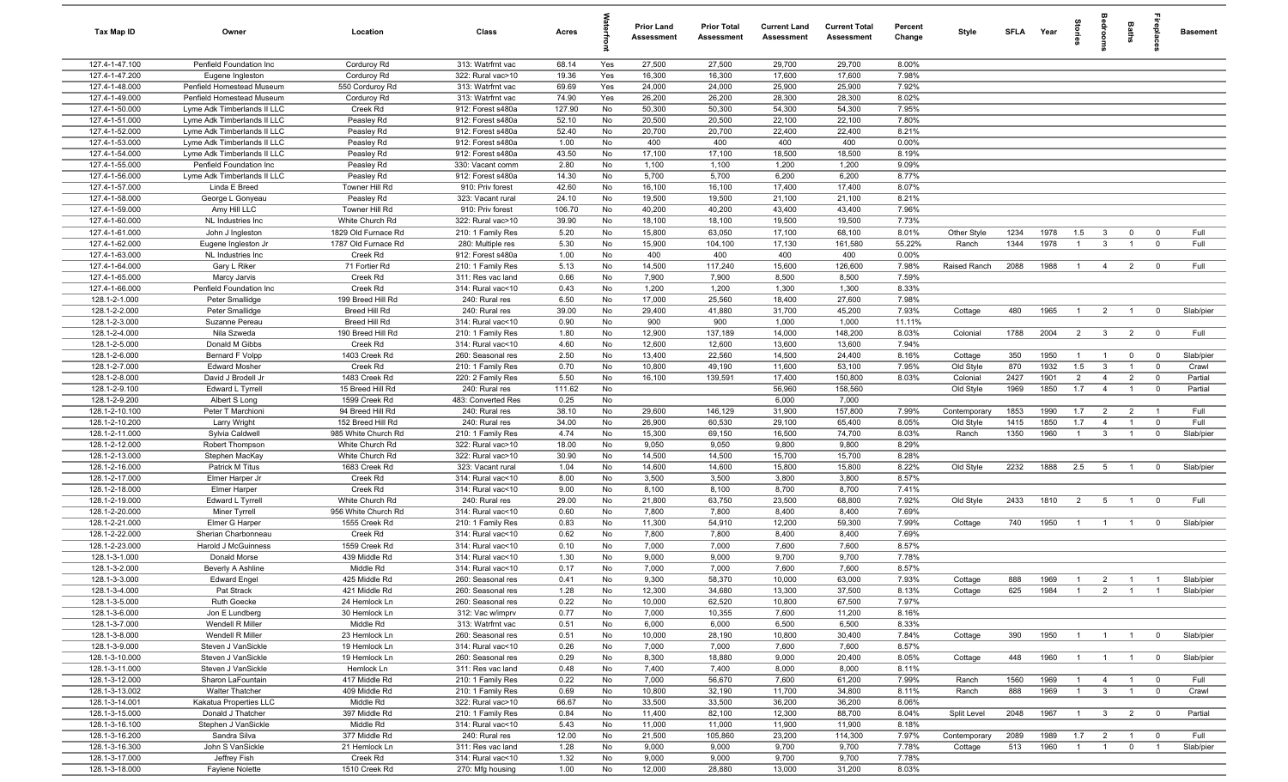| Tax Map ID                       | Owner                                                      | Location                   | Class                                  | Acres         |          | Prior Land<br><b>Assessment</b> | <b>Prior Total</b><br>Assessment | <b>Current Land</b><br>Assessment | <b>Current Total</b><br><b>Assessment</b> | Percent<br>Change | Style                 | <b>SFLA</b> | Year | torie          | å                       | Baths          |                                  | <b>Basement</b>    |
|----------------------------------|------------------------------------------------------------|----------------------------|----------------------------------------|---------------|----------|---------------------------------|----------------------------------|-----------------------------------|-------------------------------------------|-------------------|-----------------------|-------------|------|----------------|-------------------------|----------------|----------------------------------|--------------------|
| 127.4-1-47.100                   | Penfield Foundation Inc                                    | Corduroy Rd                | 313: Watrfrnt vac                      | 68.14         | Yes      | 27,500                          | 27,500                           | 29,700                            | 29,700                                    | 8.00%             |                       |             |      |                |                         |                |                                  |                    |
| 127.4-1-47.200                   | Eugene Ingleston                                           | Corduroy Rd                | 322: Rural vac>10                      | 19.36         | Yes      | 16,300                          | 16,300                           | 17,600                            | 17,600                                    | 7.98%             |                       |             |      |                |                         |                |                                  |                    |
| 127.4-1-48.000                   | Penfield Homestead Museum                                  | 550 Corduroy Rd            | 313: Watrfrnt vac                      | 69.69         | Yes      | 24,000                          | 24,000                           | 25,900                            | 25,900                                    | 7.92%             |                       |             |      |                |                         |                |                                  |                    |
| 127.4-1-49.000                   | Penfield Homestead Museum                                  | Corduroy Rd                | 313: Watrfrnt vac                      | 74.90         | Yes      | 26,200                          | 26,200                           | 28,300                            | 28,300                                    | 8.02%             |                       |             |      |                |                         |                |                                  |                    |
| 127.4-1-50.000                   | Lyme Adk Timberlands II LLC                                | Creek Rd                   | 912: Forest s480a                      | 127.90        | No       | 50,300                          | 50,300                           | 54,300                            | 54,300                                    | 7.95%             |                       |             |      |                |                         |                |                                  |                    |
| 127.4-1-51.000                   | Lyme Adk Timberlands II LLC                                | Peasley Rd                 | 912: Forest s480a                      | 52.10         | No       | 20,500                          | 20,500                           | 22,100                            | 22,100                                    | 7.80%             |                       |             |      |                |                         |                |                                  |                    |
| 127.4-1-52.000<br>127.4-1-53.000 | Lyme Adk Timberlands II LLC<br>Lyme Adk Timberlands II LLC | Peasley Rd<br>Peasley Rd   | 912: Forest s480a<br>912: Forest s480a | 52.40<br>1.00 | No<br>No | 20,700<br>400                   | 20,700<br>400                    | 22,400<br>400                     | 22,400<br>400                             | 8.21%<br>0.00%    |                       |             |      |                |                         |                |                                  |                    |
| 127.4-1-54.000                   | Lyme Adk Timberlands II LLC                                | Peasley Rd                 | 912: Forest s480a                      | 43.50         | No       | 17,100                          | 17,100                           | 18,500                            | 18,500                                    | 8.19%             |                       |             |      |                |                         |                |                                  |                    |
| 127.4-1-55.000                   | Penfield Foundation Inc                                    | Peasley Rd                 | 330: Vacant comm                       | 2.80          | No       | 1,100                           | 1,100                            | 1,200                             | 1,200                                     | 9.09%             |                       |             |      |                |                         |                |                                  |                    |
| 127.4-1-56.000                   | Lyme Adk Timberlands II LLC                                | Peasley Rd                 | 912: Forest s480a                      | 14.30         | No       | 5,700                           | 5,700                            | 6,200                             | 6,200                                     | 8.77%             |                       |             |      |                |                         |                |                                  |                    |
| 127.4-1-57.000                   | Linda E Breed                                              | Towner Hill Rd             | 910: Priv forest                       | 42.60         | No       | 16,100                          | 16,100                           | 17,400                            | 17,400                                    | 8.07%             |                       |             |      |                |                         |                |                                  |                    |
| 127.4-1-58.000                   | George L Gonyeau                                           | Peasley Rd                 | 323: Vacant rural                      | 24.10         | No       | 19,500                          | 19,500                           | 21,100                            | 21,100                                    | 8.21%             |                       |             |      |                |                         |                |                                  |                    |
| 127.4-1-59.000                   | Amy Hill LLC                                               | Towner Hill Rd             | 910: Priv forest                       | 106.70        | No       | 40,200                          | 40,200                           | 43,400                            | 43,400                                    | 7.96%             |                       |             |      |                |                         |                |                                  |                    |
| 127.4-1-60.000                   | NL Industries Inc                                          | White Church Rd            | 322: Rural vac>10                      | 39.90         | No       | 18,100                          | 18,100                           | 19,500                            | 19,500                                    | 7.73%             |                       |             |      |                |                         |                |                                  |                    |
| 127.4-1-61.000                   | John J Ingleston                                           | 1829 Old Furnace Rd        | 210: 1 Family Res                      | 5.20          | No       | 15,800                          | 63,050                           | 17,100                            | 68,100                                    | 8.01%             | Other Style           | 1234        | 1978 | 1.5            | $\mathbf{3}$            | $\mathbf 0$    | $\overline{0}$                   | Full               |
| 127.4-1-62.000                   | Eugene Ingleston Jr                                        | 1787 Old Furnace Rd        | 280: Multiple res                      | 5.30          | No       | 15,900                          | 104,100                          | 17,130                            | 161,580                                   | 55.22%            | Ranch                 | 1344        | 1978 | $\mathbf{1}$   | $\mathbf{3}$            | $\overline{1}$ | $\overline{0}$                   | Full               |
| 127.4-1-63.000                   | NL Industries Inc                                          | Creek Rd                   | 912: Forest s480a                      | 1.00          | No       | 400                             | 400                              | 400                               | 400                                       | 0.00%             |                       |             |      |                |                         |                |                                  |                    |
| 127.4-1-64.000                   | Gary L Riker                                               | 71 Fortier Rd              | 210: 1 Family Res                      | 5.13          | No       | 14,500                          | 117,240                          | 15,600                            | 126,600                                   | 7.98%             | Raised Ranch          | 2088        | 1988 | $\overline{1}$ | $\overline{4}$          | 2              | $\overline{\mathbf{0}}$          | Full               |
| 127.4-1-65.000                   | Marcy Jarvis                                               | Creek Rd                   | 311: Res vac land                      | 0.66          | No       | 7,900                           | 7,900                            | 8,500                             | 8,500                                     | 7.59%             |                       |             |      |                |                         |                |                                  |                    |
| 127.4-1-66.000                   | Penfield Foundation Inc                                    | Creek Rd                   | 314: Rural vac<10                      | 0.43          | No       | 1,200                           | 1,200                            | 1,300                             | 1,300                                     | 8.33%             |                       |             |      |                |                         |                |                                  |                    |
| 128.1-2-1.000                    | Peter Smallidge                                            | 199 Breed Hill Rd          | 240: Rural res                         | 6.50          | No       | 17,000                          | 25,560                           | 18,400                            | 27,600                                    | 7.98%             |                       |             |      |                |                         |                |                                  |                    |
| 128.1-2-2.000                    | Peter Smallidge                                            | Breed Hill Rd              | 240: Rural res                         | 39.00         | No       | 29,400                          | 41,880                           | 31,700                            | 45,200                                    | 7.93%             | Cottage               | 480         | 1965 | $\overline{1}$ | $\overline{2}$          | $\overline{1}$ | $\overline{0}$                   | Slab/pier          |
| 128.1-2-3.000                    | Suzanne Pereau                                             | Breed Hill Rd              | 314: Rural vac<10                      | 0.90          | No       | 900                             | 900                              | 1,000                             | 1,000                                     | 11.11%            |                       |             |      |                |                         |                |                                  |                    |
| 128.1-2-4.000                    | Nila Szweda                                                | 190 Breed Hill Rd          | 210: 1 Family Res                      | 1.80          | No       | 12,900                          | 137,189                          | 14,000                            | 148,200                                   | 8.03%             | Colonial              | 1788        | 2004 | $\overline{2}$ | $\overline{\mathbf{3}}$ | $\overline{2}$ | $\overline{0}$                   | Full               |
| 128.1-2-5.000                    | Donald M Gibbs<br>Bernard F Volpp                          | Creek Rd                   | 314: Rural vac<10                      | 4.60<br>2.50  | No       | 12,600                          | 12,600                           | 13,600                            | 13,600                                    | 7.94%             |                       |             | 1950 | $\overline{1}$ | $\overline{1}$          |                |                                  |                    |
| 128.1-2-6.000<br>128.1-2-7.000   | <b>Edward Mosher</b>                                       | 1403 Creek Rd<br>Creek Rd  | 260: Seasonal res<br>210: 1 Family Res | 0.70          | No<br>No | 13,400<br>10,800                | 22,560<br>49,190                 | 14,500<br>11,600                  | 24,400<br>53,100                          | 8.16%<br>7.95%    | Cottage               | 350<br>870  | 1932 | 1.5            | $\overline{3}$          | $\mathbf{0}$   | $\overline{0}$<br>$\overline{0}$ | Slab/pier<br>Crawl |
| 128.1-2-8.000                    | David J Brodell Jr                                         | 1483 Creek Rd              | 220: 2 Family Res                      | 5.50          | No       | 16,100                          | 139,591                          | 17,400                            | 150,800                                   | 8.03%             | Old Style<br>Colonial | 2427        | 1901 | $\overline{2}$ | $\overline{4}$          | $\overline{2}$ | $\overline{0}$                   | Partial            |
| 128.1-2-9.100                    | Edward L Tyrrell                                           | 15 Breed Hill Rd           | 240: Rural res                         | 111.62        | No       |                                 |                                  | 56,960                            | 158,560                                   |                   | Old Style             | 1969        | 1850 | 1.7            | $\overline{4}$          |                | $\overline{0}$                   | Partial            |
| 128.1-2-9.200                    | Albert S Long                                              | 1599 Creek Rd              | 483: Converted Res                     | 0.25          | No       |                                 |                                  | 6,000                             | 7,000                                     |                   |                       |             |      |                |                         |                |                                  |                    |
| 128.1-2-10.100                   | Peter T Marchioni                                          | 94 Breed Hill Rd           | 240: Rural res                         | 38.10         | No       | 29,600                          | 146,129                          | 31,900                            | 157,800                                   | 7.99%             | Contemporary          | 1853        | 1990 | 1.7            | $\overline{2}$          | $\overline{2}$ | $\overline{1}$                   | Full               |
| 128.1-2-10.200                   | Larry Wright                                               | 152 Breed Hill Rd          | 240: Rural res                         | 34.00         | No       | 26,900                          | 60,530                           | 29,100                            | 65,400                                    | 8.05%             | Old Style             | 1415        | 1850 | 1.7            | $\overline{4}$          | $\overline{1}$ | $\overline{0}$                   | Full               |
| 128.1-2-11.000                   | Sylvia Caldwell                                            | 985 White Church Rd        | 210: 1 Family Res                      | 4.74          | No       | 15,300                          | 69,150                           | 16,500                            | 74,700                                    | 8.03%             | Ranch                 | 1350        | 1960 | $\overline{1}$ | $\mathbf{3}$            | $\overline{1}$ | $\mathbf 0$                      | Slab/pier          |
| 128.1-2-12.000                   | Robert Thompson                                            | White Church Rd            | 322: Rural vac>10                      | 18.00         | No       | 9,050                           | 9,050                            | 9,800                             | 9,800                                     | 8.29%             |                       |             |      |                |                         |                |                                  |                    |
| 128.1-2-13.000                   | Stephen MacKay                                             | White Church Rd            | 322: Rural vac>10                      | 30.90         | No       | 14,500                          | 14,500                           | 15,700                            | 15,700                                    | 8.28%             |                       |             |      |                |                         |                |                                  |                    |
| 128.1-2-16.000                   | Patrick M Titus                                            | 1683 Creek Rd              | 323: Vacant rural                      | 1.04          | No       | 14,600                          | 14,600                           | 15,800                            | 15,800                                    | 8.22%             | Old Style             | 2232        | 1888 | 2.5            | $5\overline{5}$         | $\overline{1}$ | $\overline{0}$                   | Slab/pier          |
| 128.1-2-17.000                   | Elmer Harper Jr                                            | Creek Rd                   | 314: Rural vac<10                      | 8.00          | No       | 3,500                           | 3,500                            | 3,800                             | 3,800                                     | 8.57%             |                       |             |      |                |                         |                |                                  |                    |
| 128.1-2-18.000                   | <b>Elmer Harper</b>                                        | Creek Rd                   | 314: Rural vac<10                      | 9.00          | No       | 8,100                           | 8,100                            | 8,700                             | 8,700                                     | 7.41%             |                       |             |      |                |                         |                |                                  |                    |
| 128.1-2-19.000                   | Edward L Tyrrell                                           | White Church Rd            | 240: Rural res                         | 29.00         | No       | 21,800                          | 63,750                           | 23,500                            | 68,800                                    | 7.92%             | Old Style             | 2433        | 1810 | $\overline{2}$ | $5\overline{)}$         | $\overline{1}$ | $\overline{0}$                   | Full               |
| 128.1-2-20.000                   | Miner Tyrrell                                              | 956 White Church Rd        | 314: Rural vac<10                      | 0.60          | No       | 7,800                           | 7,800                            | 8,400                             | 8,400                                     | 7.69%             |                       |             |      |                |                         |                |                                  |                    |
| 128.1-2-21.000                   | Elmer G Harper                                             | 1555 Creek Rd              | 210: 1 Family Res                      | 0.83          | No       | 11,300                          | 54,910                           | 12,200<br>8,400                   | 59,300                                    | 7.99%<br>7.69%    | Cottage               | 740         | 1950 | $\overline{1}$ | $\overline{1}$          |                | $\mathbf{0}$                     | Slab/pier          |
| 128.1-2-22.000<br>128.1-2-23.000 | Sherian Charbonneau<br>Harold J McGuinness                 | Creek Rd<br>1559 Creek Rd  | 314: Rural vac<10<br>314: Rural vac<10 | 0.62<br>0.10  | No<br>No | 7,800<br>7,000                  | 7,800<br>7,000                   | 7,600                             | 8,400<br>7,600                            | 8.57%             |                       |             |      |                |                         |                |                                  |                    |
| 128.1-3-1.000                    | Donald Morse                                               | 439 Middle Rd              | 314: Rural vac<10                      | 1.30          | No       | 9,000                           | 9,000                            | 9,700                             | 9,700                                     | 7.78%             |                       |             |      |                |                         |                |                                  |                    |
| 128.1-3-2.000                    | <b>Beverly A Ashline</b>                                   | Middle Rd                  | 314: Rural vac<10                      | 0.17          | No       | 7,000                           | 7,000                            | 7,600                             | 7,600                                     | 8.57%             |                       |             |      |                |                         |                |                                  |                    |
| 128.1-3-3.000                    | <b>Edward Engel</b>                                        | 425 Middle Rd              | 260: Seasonal res                      | 0.41          | No.      | 9,300                           | 58,370                           | 10,000                            | 63,000                                    | 7.93%             | Cottage               | 888         | 1969 | $\overline{1}$ | $\overline{2}$          |                |                                  | Slab/pier          |
| 128.1-3-4.000                    | Pat Strack                                                 | 421 Middle Rd              | 260: Seasonal res                      | 1.28          | No       | 12,300                          | 34,680                           | 13,300                            | 37,500                                    | 8.13%             | Cottage               | 625         | 1984 | $\overline{1}$ | $\overline{2}$          | $\overline{1}$ | $\overline{1}$                   | Slab/pier          |
| 128.1-3-5.000                    | <b>Ruth Goecke</b>                                         | 24 Hemlock Ln              | 260: Seasonal res                      | 0.22          | No       | 10,000                          | 62,520                           | 10,800                            | 67,500                                    | 7.97%             |                       |             |      |                |                         |                |                                  |                    |
| 128.1-3-6.000                    | Jon E Lundberg                                             | 30 Hemlock Ln              | 312: Vac w/imprv                       | 0.77          | No       | 7,000                           | 10,355                           | 7,600                             | 11,200                                    | 8.16%             |                       |             |      |                |                         |                |                                  |                    |
| 128.1-3-7.000                    | Wendell R Miller                                           | Middle Rd                  | 313: Watrfrnt vac                      | 0.51          | No       | 6,000                           | 6,000                            | 6,500                             | 6,500                                     | 8.33%             |                       |             |      |                |                         |                |                                  |                    |
| 128.1-3-8.000                    | Wendell R Miller                                           | 23 Hemlock Ln              | 260: Seasonal res                      | 0.51          | No       | 10,000                          | 28,190                           | 10,800                            | 30,400                                    | 7.84%             | Cottage               | 390         | 1950 | $\mathbf{1}$   | $\overline{1}$          | $\overline{1}$ | $\overline{0}$                   | Slab/pier          |
| 128.1-3-9.000                    | Steven J VanSickle                                         | 19 Hemlock Ln              | 314: Rural vac<10                      | 0.26          | No       | 7,000                           | 7,000                            | 7,600                             | 7,600                                     | 8.57%             |                       |             |      |                |                         |                |                                  |                    |
| 128.1-3-10.000                   | Steven J VanSickle                                         | 19 Hemlock Ln              | 260: Seasonal res                      | 0.29          | No       | 8,300                           | 18,880                           | 9,000                             | 20,400                                    | 8.05%             | Cottage               | 448         | 1960 |                |                         | $\overline{1}$ | $\overline{0}$                   | Slab/pier          |
| 128.1-3-11.000                   | Steven J VanSickle                                         | Hemlock Ln                 | 311: Res vac land                      | 0.48          | No       | 7,400                           | 7,400                            | 8,000                             | 8,000                                     | 8.11%             |                       |             |      |                |                         |                |                                  |                    |
| 128.1-3-12.000                   | Sharon LaFountain                                          | 417 Middle Rd              | 210: 1 Family Res                      | 0.22          | No       | 7,000                           | 56,670                           | 7,600                             | 61,200                                    | 7.99%             | Ranch                 | 1560        | 1969 |                | $\overline{4}$          | $\overline{1}$ | $\overline{\mathbf{0}}$          | Full               |
| 128.1-3-13.002                   | <b>Walter Thatcher</b>                                     | 409 Middle Rd              | 210: 1 Family Res                      | 0.69          | No       | 10,800                          | 32,190                           | 11,700                            | 34,800                                    | 8.11%             | Ranch                 | 888         | 1969 | $\overline{1}$ | $\mathbf{3}$            | $\overline{1}$ | $\overline{\mathbf{0}}$          | Crawl              |
| 128.1-3-14.001                   | Kakatua Properties LLC                                     | Middle Rd                  | 322: Rural vac>10                      | 66.67         | No       | 33,500                          | 33,500                           | 36,200                            | 36,200                                    | 8.06%             |                       |             | 1967 |                |                         |                |                                  |                    |
| 128.1-3-15.000<br>128.1-3-16.100 | Donald J Thatcher<br>Stephen J VanSickle                   | 397 Middle Rd<br>Middle Rd | 210: 1 Family Res<br>314: Rural vac<10 | 0.84<br>5.43  | No<br>No | 11,400<br>11,000                | 82,100<br>11,000                 | 12,300<br>11,900                  | 88,700<br>11,900                          | 8.04%<br>8.18%    | Split Level           | 2048        |      | $\overline{1}$ | $\mathbf{3}$            | $\overline{2}$ | $\overline{0}$                   | Partial            |
| 128.1-3-16.200                   | Sandra Silva                                               | 377 Middle Rd              | 240: Rural res                         | 12.00         | No       | 21,500                          | 105,860                          | 23,200                            | 114,300                                   | 7.97%             | Contemporary          | 2089        | 1989 | 1.7            | $\overline{2}$          | $\overline{1}$ | $\overline{0}$                   | Full               |
| 128.1-3-16.300                   | John S VanSickle                                           | 21 Hemlock Ln              | 311: Res vac land                      | 1.28          | No       | 9,000                           | 9,000                            | 9,700                             | 9,700                                     | 7.78%             | Cottage               | 513         | 1960 | $\overline{1}$ | $\overline{1}$          | $\mathbf 0$    | $\overline{1}$                   | Slab/pier          |
| 128.1-3-17.000                   | Jeffrey Fish                                               | Creek Rd                   | 314: Rural vac<10                      | 1.32          | No       | 9,000                           | 9,000                            | 9,700                             | 9,700                                     | 7.78%             |                       |             |      |                |                         |                |                                  |                    |
| 128.1-3-18.000                   | <b>Faylene Nolette</b>                                     | 1510 Creek Rd              | 270: Mfg housing                       | 1.00          | No       | 12,000                          | 28,880                           | 13,000                            | 31,200                                    | 8.03%             |                       |             |      |                |                         |                |                                  |                    |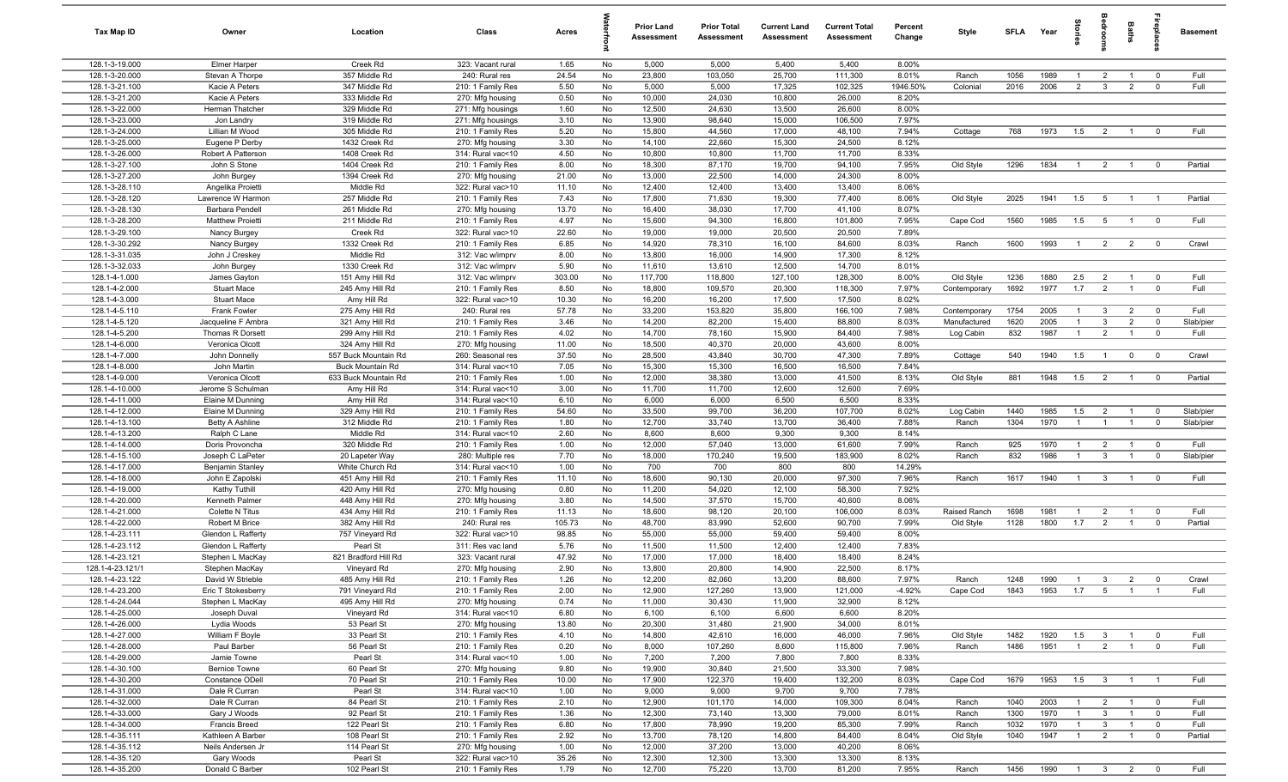| Tax Map ID                       | Owner                               | Location                           | Class                                  | Acres         |          | <b>Prior Land</b><br>Assessment | <b>Prior Total</b><br>Assessment | <b>Current Land</b><br>Assessment | <b>Current Total</b><br>Assessment | Percent<br>Change | Style                        | <b>SFLA</b>  | Year         | Stories        | alroom              | Baths          |                         | Basement  |
|----------------------------------|-------------------------------------|------------------------------------|----------------------------------------|---------------|----------|---------------------------------|----------------------------------|-----------------------------------|------------------------------------|-------------------|------------------------------|--------------|--------------|----------------|---------------------|----------------|-------------------------|-----------|
| 128.1-3-19.000                   | <b>Elmer Harper</b>                 | Creek Rd                           | 323: Vacant rural                      | 1.65          | No       | 5,000                           | 5,000                            | 5,400                             | 5,400                              | 8.00%             |                              |              |              |                |                     |                |                         |           |
| 128.1-3-20.000                   | Stevan A Thorpe                     | 357 Middle Rd                      | 240: Rural res                         | 24.54         | No       | 23,800                          | 103,050                          | 25,700                            | 111,300                            | 8.01%             | Ranch                        | 1056         | 1989         | $\overline{1}$ | $\overline{2}$      | $\overline{1}$ | $\overline{0}$          | Full      |
| 128.1-3-21.100                   | Kacie A Peters                      | 347 Middle Rd                      | 210: 1 Family Res                      | 5.50          | No       | 5,000                           | 5,000                            | 17,325                            | 102,325                            | 1946.50%          | Colonial                     | 2016         | 2006         | $\overline{2}$ | $\mathbf{3}$        | $\overline{2}$ | $\mathbf 0$             | Full      |
| 128.1-3-21.200                   | Kacie A Peters                      | 333 Middle Rd                      | 270: Mfg housing                       | 0.50          | No       | 10,000                          | 24,030                           | 10,800                            | 26,000                             | 8.20%             |                              |              |              |                |                     |                |                         |           |
| 128.1-3-22.000                   | Herman Thatcher                     | 329 Middle Rd                      | 271: Mfg housings                      | 1.60          | No       | 12,500                          | 24,630                           | 13,500                            | 26,600                             | 8.00%             |                              |              |              |                |                     |                |                         |           |
| 128.1-3-23.000                   | Jon Landry                          | 319 Middle Rd                      | 271: Mfg housings                      | 3.10          | No       | 13,900                          | 98,640<br>44,560                 | 15,000                            | 106,500                            | 7.97%             |                              |              |              |                |                     |                |                         | Full      |
| 128.1-3-24.000<br>128.1-3-25.000 | Lillian M Wood<br>Eugene P Derby    | 305 Middle Rd<br>1432 Creek Rd     | 210: 1 Family Res<br>270: Mfg housing  | 5.20<br>3.30  | No<br>No | 15,800<br>14,100                | 22,660                           | 17,000<br>15,300                  | 48,100<br>24,500                   | 7.94%<br>8.12%    | Cottage                      | 768          | 1973         | 1.5            | $\overline{2}$      | $\overline{1}$ | $\overline{0}$          |           |
| 128.1-3-26.000                   | Robert A Patterson                  | 1408 Creek Rd                      | 314: Rural vac<10                      | 4.50          | No       | 10,800                          | 10,800                           | 11,700                            | 11,700                             | 8.33%             |                              |              |              |                |                     |                |                         |           |
| 128.1-3-27.100                   | John S Stone                        | 1404 Creek Rd                      | 210: 1 Family Res                      | 8.00          | No       | 18,300                          | 87,170                           | 19,700                            | 94,100                             | 7.95%             | Old Style                    | 1296         | 1834         | $\overline{1}$ | $\overline{2}$      | $\overline{1}$ | $\overline{0}$          | Partial   |
| 128.1-3-27.200                   | John Burgey                         | 1394 Creek Rd                      | 270: Mfg housing                       | 21.00         | No       | 13,000                          | 22,500                           | 14,000                            | 24,300                             | 8.00%             |                              |              |              |                |                     |                |                         |           |
| 128.1-3-28.110                   | Angelika Proietti                   | Middle Rd                          | 322: Rural vac>10                      | 11.10         | No       | 12,400                          | 12,400                           | 13,400                            | 13,400                             | 8.06%             |                              |              |              |                |                     |                |                         |           |
| 128.1-3-28.120                   | Lawrence W Harmon                   | 257 Middle Rd                      | 210: 1 Family Res                      | 7.43          | No       | 17,800                          | 71,630                           | 19,300                            | 77,400                             | 8.06%             | Old Style                    | 2025         | 1941         | 1.5            | 5                   | $\overline{1}$ | $\overline{1}$          | Partial   |
| 128.1-3-28.130                   | Barbara Pendell                     | 261 Middle Rd                      | 270: Mfg housing                       | 13.70         | No       | 16,400                          | 38,030                           | 17,700                            | 41,100                             | 8.07%             |                              |              |              |                |                     |                |                         |           |
| 128.1-3-28.200                   | <b>Matthew Proietti</b>             | 211 Middle Rd                      | 210: 1 Family Res                      | 4.97          | No       | 15,600                          | 94,300                           | 16,800                            | 101,800                            | 7.95%             | Cape Cod                     | 1560         | 1985         | 1.5            | 5                   | $\overline{1}$ | $\overline{0}$          | Full      |
| 128.1-3-29.100                   | Nancy Burgey                        | Creek Rd                           | 322: Rural vac>10                      | 22.60         | No       | 19,000                          | 19,000                           | 20,500                            | 20,500                             | 7.89%             |                              |              |              |                |                     |                |                         |           |
| 128.1-3-30.292                   | Nancy Burgey                        | 1332 Creek Rd                      | 210: 1 Family Res                      | 6.85          | No       | 14,920                          | 78,310                           | 16,100                            | 84,600                             | 8.03%             | Ranch                        | 1600         | 1993         | $\mathbf{1}$   | $\overline{2}$      | $\overline{2}$ | $\overline{0}$          | Crawl     |
| 128.1-3-31.035                   | John J Creskey                      | Middle Rd                          | 312: Vac w/imprv                       | 8.00          | No       | 13,800                          | 16,000                           | 14,900                            | 17,300                             | 8.12%             |                              |              |              |                |                     |                |                         |           |
| 128.1-3-32.033                   | John Burgey                         | 1330 Creek Rd                      | 312: Vac w/imprv                       | 5.90          | No       | 11,610                          | 13,610                           | 12,500                            | 14,700                             | 8.01%             |                              |              |              |                |                     |                |                         |           |
| 128.1-4-1.000                    | James Gayton                        | 151 Amy Hill Rd                    | 312: Vac w/imprv                       | 303.00        | No       | 117,700                         | 118,800                          | 127,100                           | 128,300                            | 8.00%             | Old Style                    | 1236         | 1880         | 2.5            | $\overline{2}$      |                | $\overline{0}$          | Full      |
| 128.1-4-2.000                    | <b>Stuart Mace</b>                  | 245 Amy Hill Rd                    | 210: 1 Family Res                      | 8.50          | No       | 18,800                          | 109,570                          | 20,300                            | 118,300                            | 7.97%             | Contemporary                 | 1692         | 1977         | 1.7            | $\overline{2}$      | $\overline{1}$ | $\overline{0}$          | Full      |
| 128.1-4-3.000<br>128.1-4-5.110   | <b>Stuart Mace</b>                  | Amy Hill Rd                        | 322: Rural vac>10                      | 10.30         | No       | 16,200                          | 16,200                           | 17,500                            | 17,500                             | 8.02%             |                              |              |              | $\overline{1}$ | $\overline{3}$      | $\overline{2}$ | $\overline{0}$          | Full      |
| 128.1-4-5.120                    | Frank Fowler<br>Jacqueline F Ambra  | 275 Amy Hill Rd<br>321 Amy Hill Rd | 240: Rural res<br>210: 1 Family Res    | 57.78<br>3.46 | No<br>No | 33,200<br>14,200                | 153,820<br>82,200                | 35,800<br>15,400                  | 166,100<br>88,800                  | 7.98%<br>8.03%    | Contemporary<br>Manufactured | 1754<br>1620 | 2005<br>2005 | $\overline{1}$ | $\mathbf{3}$        | $\overline{2}$ | $\mathbf 0$             | Slab/pier |
| 128.1-4-5.200                    | Thomas R Dorsett                    | 299 Amy Hill Rd                    | 210: 1 Family Res                      | 4.02          | No       | 14,700                          | 78,160                           | 15,900                            | 84,400                             | 7.98%             | Log Cabin                    | 832          | 1987         | $\overline{1}$ | $\overline{2}$      | $\mathbf{1}$   | $\overline{0}$          | Full      |
| 128.1-4-6.000                    | Veronica Olcott                     | 324 Amy Hill Rd                    | 270: Mfg housing                       | 11.00         | No       | 18,500                          | 40,370                           | 20,000                            | 43,600                             | 8.00%             |                              |              |              |                |                     |                |                         |           |
| 128.1-4-7.000                    | John Donnelly                       | 557 Buck Mountain Rd               | 260: Seasonal res                      | 37.50         | No       | 28,500                          | 43,840                           | 30,700                            | 47,300                             | 7.89%             | Cottage                      | 540          | 1940         | 1.5            | $\overline{1}$      | $\mathbf 0$    | $\overline{0}$          | Crawl     |
| 128.1-4-8.000                    | John Martin                         | Buck Mountain Rd                   | 314: Rural vac<10                      | 7.05          | No       | 15,300                          | 15,300                           | 16,500                            | 16,500                             | 7.84%             |                              |              |              |                |                     |                |                         |           |
| 128.1-4-9.000                    | Veronica Olcott                     | 633 Buck Mountain Rd               | 210: 1 Family Res                      | 1.00          | No       | 12,000                          | 38,380                           | 13,000                            | 41,500                             | 8.13%             | Old Style                    | 881          | 1948         | 1.5            | $\overline{2}$      | $\overline{1}$ | $\overline{0}$          | Partial   |
| 128.1-4-10.000                   | Jerome S Schulman                   | Amy Hill Rd                        | 314: Rural vac<10                      | 3.00          | No       | 11,700                          | 11,700                           | 12,600                            | 12,600                             | 7.69%             |                              |              |              |                |                     |                |                         |           |
| 128.1-4-11.000                   | Elaine M Dunning                    | Amy Hill Rd                        | 314: Rural vac<10                      | 6.10          | No       | 6,000                           | 6,000                            | 6,500                             | 6,500                              | 8.33%             |                              |              |              |                |                     |                |                         |           |
| 128.1-4-12.000                   | Elaine M Dunning                    | 329 Amy Hill Rd                    | 210: 1 Family Res                      | 54.60         | No       | 33,500                          | 99,700                           | 36,200                            | 107,700                            | 8.02%             | Log Cabin                    | 1440         | 1985         | 1.5            | $\overline{2}$      | $\overline{1}$ | $\overline{0}$          | Slab/pier |
| 128.1-4-13.100                   | <b>Betty A Ashline</b>              | 312 Middle Rd                      | 210: 1 Family Res                      | 1.80          | No       | 12,700                          | 33,740                           | 13,700                            | 36,400                             | 7.88%             | Ranch                        | 1304         | 1970         | $\overline{1}$ | $\overline{1}$      | $\overline{1}$ | $\overline{0}$          | Slab/pier |
| 128.1-4-13.200                   | Ralph C Lane                        | Middle Rd                          | 314: Rural vac<10                      | 2.60          | No       | 8,600                           | 8,600                            | 9,300                             | 9,300                              | 8.14%             |                              |              |              |                |                     |                |                         |           |
| 128.1-4-14.000                   | Doris Provoncha                     | 320 Middle Rd                      | 210: 1 Family Res                      | 1.00          | No       | 12,000                          | 57,040                           | 13,000                            | 61,600                             | 7.99%             | Ranch                        | 925          | 1970         | $\overline{1}$ | $\overline{2}$      | $\overline{1}$ | $\overline{0}$          | Full      |
| 128.1-4-15.100<br>128.1-4-17.000 | Joseph C LaPeter                    | 20 Lapeter Way                     | 280: Multiple res                      | 7.70<br>1.00  | No       | 18,000<br>700                   | 170,240<br>700                   | 19,500<br>800                     | 183,900<br>800                     | 8.02%<br>14.29%   | Ranch                        | 832          | 1986         | $\overline{1}$ | $\overline{3}$      | $\overline{1}$ | $\mathbf 0$             | Slab/pier |
| 128.1-4-18.000                   | Benjamin Stanley<br>John E Zapolski | White Church Rd<br>451 Amy Hill Rd | 314: Rural vac<10<br>210: 1 Family Res | 11.10         | No<br>No | 18,600                          | 90,130                           | 20,000                            | 97,300                             | 7.96%             | Ranch                        | 1617         | 1940         | $\overline{1}$ | $\mathbf{3}$        | $\overline{1}$ | $\mathbf 0$             | Full      |
| 128.1-4-19.000                   | Kathy Tuthill                       | 420 Amy Hill Rd                    | 270: Mfg housing                       | 0.80          | No       | 11,200                          | 54,020                           | 12,100                            | 58,300                             | 7.92%             |                              |              |              |                |                     |                |                         |           |
| 128.1-4-20.000                   | Kenneth Palmer                      | 448 Amy Hill Rd                    | 270: Mfg housing                       | 3.80          | No       | 14,500                          | 37,570                           | 15,700                            | 40,600                             | 8.06%             |                              |              |              |                |                     |                |                         |           |
| 128.1-4-21.000                   | Colette N Titus                     | 434 Amy Hill Rd                    | 210: 1 Family Res                      | 11.13         | No       | 18,600                          | 98,120                           | 20,100                            | 106,000                            | 8.03%             | Raised Ranch                 | 1698         | 1981         | $\overline{1}$ | $\overline{2}$      | $\overline{1}$ | $\mathbf 0$             | Full      |
| 128.1-4-22.000                   | Robert M Brice                      | 382 Amy Hill Rd                    | 240: Rural res                         | 105.73        | No       | 48,700                          | 83,990                           | 52,600                            | 90,700                             | 7.99%             | Old Style                    | 1128         | 1800         | 1.7            | $\overline{2}$      |                | $\overline{0}$          | Partial   |
| 128.1-4-23.111                   | Glendon L Rafferty                  | 757 Vineyard Rd                    | 322: Rural vac>10                      | 98.85         | No       | 55,000                          | 55,000                           | 59,400                            | 59,400                             | 8.00%             |                              |              |              |                |                     |                |                         |           |
| 128.1-4-23.112                   | Glendon L Rafferty                  | Pearl St                           | 311: Res vac land                      | 5.76          | No       | 11,500                          | 11,500                           | 12,400                            | 12,400                             | 7.83%             |                              |              |              |                |                     |                |                         |           |
| 128.1-4-23.121                   | Stephen L MacKay                    | 821 Bradford Hill Rd               | 323: Vacant rural                      | 47.92         | No       | 17,000                          | 17,000                           | 18,400                            | 18,400                             | 8.24%             |                              |              |              |                |                     |                |                         |           |
| 128.1-4-23.121/1                 | Stephen MacKay                      | Vineyard Rd                        | 270: Mfg housing                       | 2.90          | No       | 13,800                          | 20,800                           | 14,900                            | 22,500                             | 8.17%             |                              |              |              |                |                     |                |                         |           |
| 128.1-4-23.122                   | David W Strieble                    | 485 Amy Hill Rd                    | 210: 1 Family Res                      | 1.26          | No       | 12,200                          | 82,060                           | 13,200                            | 88,600                             | 7.97%             | Ranch                        | 1248         | 1990         |                | $\mathbf{3}$        | $\overline{2}$ |                         | Crawl     |
| 128.1-4-23.200                   | Eric T Stokesberry                  | 791 Vineyard Rd                    | 210: 1 Family Res                      | 2.00          | No       | 12,900                          | 127,260                          | 13,900                            | 121,000                            | $-4.92%$          | Cape Cod                     | 1843         | 1953         | $1.7$ 5        |                     | $\overline{1}$ | $\overline{1}$          | Full      |
| 128.1-4-24.044                   | Stephen L MacKay                    | 495 Amy Hill Rd                    | 270: Mfg housing                       | 0.74          | No       | 11,000                          | 30,430                           | 11,900                            | 32,900                             | 8.12%             |                              |              |              |                |                     |                |                         |           |
| 128.1-4-25.000                   | Joseph Duval                        | Vineyard Rd                        | 314: Rural vac<10                      | 6.80          | No       | 6,100                           | 6,100                            | 6,600                             | 6,600                              | 8.20%             |                              |              |              |                |                     |                |                         |           |
| 128.1-4-26.000<br>128.1-4-27.000 | Lydia Woods<br>William F Boyle      | 53 Pearl St<br>33 Pearl St         | 270: Mfg housing<br>210: 1 Family Res  | 13.80<br>4.10 | No<br>No | 20,300<br>14,800                | 31,480<br>42,610                 | 21,900<br>16,000                  | 34,000<br>46,000                   | 8.01%<br>7.96%    | Old Style                    | 1482         | 1920         | 1.5            | $\mathbf{3}$        | $\mathbf{1}$   | $\overline{0}$          | Full      |
| 128.1-4-28.000                   | Paul Barber                         | 56 Pearl St                        | 210: 1 Family Res                      | 0.20          | No       | 8,000                           | 107,260                          | 8,600                             | 115,800                            | 7.96%             | Ranch                        | 1486         | 1951         | $\overline{1}$ | $\overline{2}$      | $\overline{1}$ | $\overline{0}$          | Full      |
| 128.1-4-29.000                   | Jamie Towne                         | Pearl St                           | 314: Rural vac<10                      | 1.00          | No       | 7,200                           | 7,200                            | 7,800                             | 7,800                              | 8.33%             |                              |              |              |                |                     |                |                         |           |
| 128.1-4-30.100                   | <b>Bernice Towne</b>                | 60 Pearl St                        | 270: Mfg housing                       | 9.80          | No       | 19,900                          | 30,840                           | 21,500                            | 33,300                             | 7.98%             |                              |              |              |                |                     |                |                         |           |
| 128.1-4-30.200                   | Constance ODell                     | 70 Pearl St                        | 210: 1 Family Res                      | 10.00         | No       | 17,900                          | 122,370                          | 19,400                            | 132,200                            | 8.03%             | Cape Cod                     | 1679         | 1953         | 1.5            | $\overline{3}$      |                | $\overline{1}$          | Full      |
| 128.1-4-31.000                   | Dale R Curran                       | Pearl St                           | 314: Rural vac<10                      | 1.00          | No       | 9,000                           | 9,000                            | 9,700                             | 9,700                              | 7.78%             |                              |              |              |                |                     |                |                         |           |
| 128.1-4-32.000                   | Dale R Curran                       | 84 Pearl St                        | 210: 1 Family Res                      | 2.10          | No       | 12,900                          | 101,170                          | 14,000                            | 109,300                            | 8.04%             | Ranch                        | 1040         | 2003         | $\overline{1}$ | $\overline{2}$      | $\overline{1}$ | $\overline{\mathbf{0}}$ | Full      |
| 128.1-4-33.000                   | Gary J Woods                        | 92 Pearl St                        | 210: 1 Family Res                      | 1.36          | No       | 12,300                          | 73,140                           | 13,300                            | 79,000                             | 8.01%             | Ranch                        | 1300         | 1970         | $\overline{1}$ | $3\overline{3}$     | $\overline{1}$ | $\overline{0}$          | Full      |
| 128.1-4-34.000                   | Francis Breed                       | 122 Pearl St                       | 210: 1 Family Res                      | 6.80          | No       | 17,800                          | 78,990                           | 19,200                            | 85,300                             | 7.99%             | Ranch                        | 1032         | 1970         | $\overline{1}$ | $\mathbf{3}$        | $\overline{1}$ | $\mathbf 0$             | Full      |
| 128.1-4-35.111                   | Kathleen A Barber                   | 108 Pearl St                       | 210: 1 Family Res                      | 2.92          | No       | 13,700                          | 78,120                           | 14,800                            | 84,400                             | 8.04%             | Old Style                    | 1040         | 1947         | $\overline{1}$ | $\overline{2}$      | $\overline{1}$ | $\mathbf 0$             | Partial   |
| 128.1-4-35.112                   | Neils Andersen Jr                   | 114 Pearl St                       | 270: Mfg housing                       | 1.00          | No       | 12,000                          | 37,200                           | 13,000                            | 40,200                             | 8.06%             |                              |              |              |                |                     |                |                         |           |
| 128.1-4-35.120                   | Gary Woods                          | Pearl St                           | 322: Rural vac>10                      | 35.26         | No       | 12,300                          | 12,300                           | 13,300                            | 13,300                             | 8.13%             |                              |              |              |                |                     |                |                         |           |
| 128.1-4-35.200                   | Donald C Barber                     | 102 Pearl St                       | 210: 1 Family Res                      | 1.79          | No       | 12,700                          | 75,220                           | 13,700                            | 81,200                             | 7.95%             | Ranch                        | 1456         | 1990         |                | $1 \quad 3 \quad 2$ |                | $\overline{0}$          | Full      |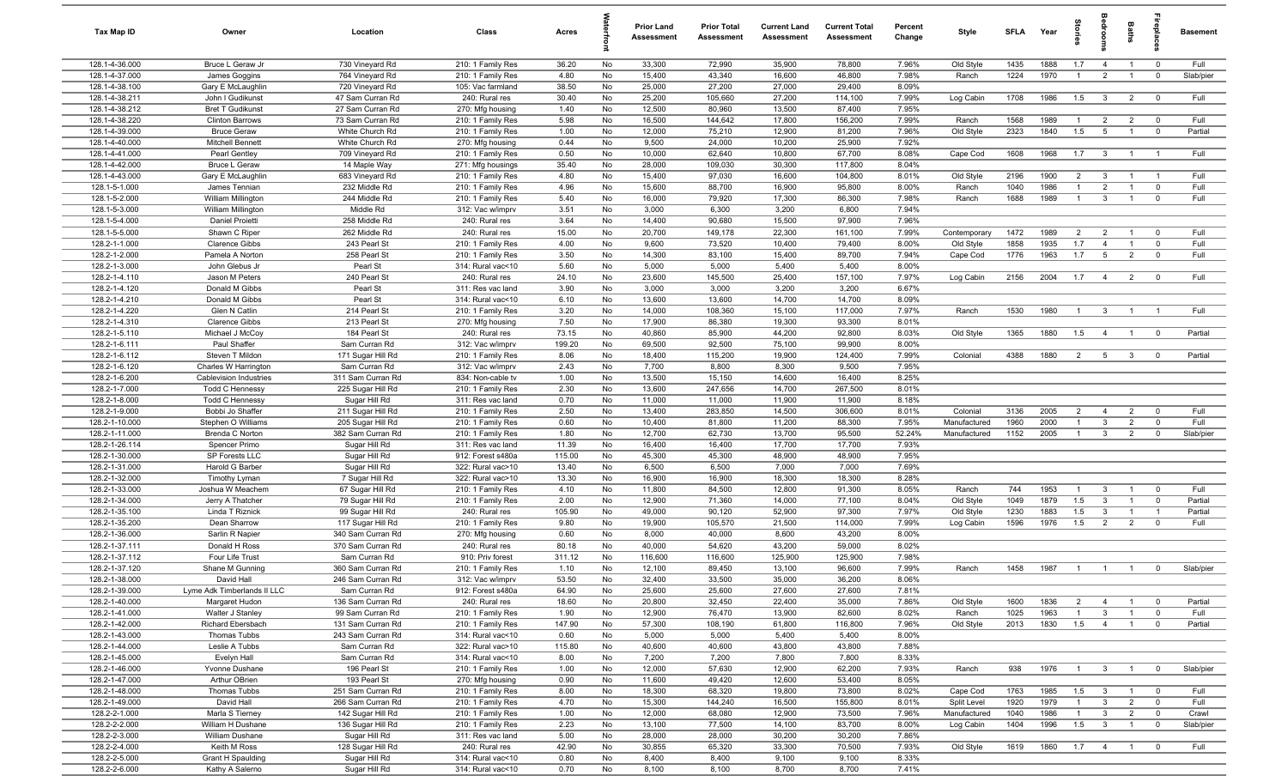| Tax Map ID                       | Owner                                             | Location                               | Class                                  | Acres          |           | Prior Land<br>Assessment | <b>Prior Total</b><br>Assessment | <b>Current Land</b><br>Assessment | <b>Current Total</b><br>Assessment | Percent<br>Change | Style                     | <b>SFLA</b>  | Year         | Storie                | droom                            | Baths                            |                                  | <b>Basement</b>    |
|----------------------------------|---------------------------------------------------|----------------------------------------|----------------------------------------|----------------|-----------|--------------------------|----------------------------------|-----------------------------------|------------------------------------|-------------------|---------------------------|--------------|--------------|-----------------------|----------------------------------|----------------------------------|----------------------------------|--------------------|
| 128.1-4-36.000                   | Bruce L Geraw Jr                                  | 730 Vineyard Rd                        | 210: 1 Family Res                      | 36.20          | No        | 33,300                   | 72,990                           | 35,900                            | 78,800                             | 7.96%             | Old Style                 | 1435         | 1888         | 1.7                   | $\overline{4}$                   | $\overline{1}$                   | $\overline{0}$                   | Full               |
| 128.1-4-37.000                   | James Goggins                                     | 764 Vineyard Rd                        | 210: 1 Family Res                      | 4.80           | No        | 15,400                   | 43,340                           | 16,600                            | 46,800                             | 7.98%             | Ranch                     | 1224         | 1970         | $\overline{1}$        | $\overline{2}$                   | $\overline{1}$                   | $\overline{0}$                   | Slab/pier          |
| 128.1-4-38.100                   | Gary E McLaughlin                                 | 720 Vineyard Rd                        | 105: Vac farmland                      | 38.50          | No        | 25,000                   | 27,200                           | 27,000                            | 29,400                             | 8.09%             |                           |              |              |                       |                                  |                                  |                                  |                    |
| 128.1-4-38.211<br>128.1-4-38.212 | John I Gudikunst                                  | 47 Sam Curran Rd                       | 240: Rural res                         | 30.40<br>1.40  | No        | 25,200<br>12,500         | 105,660<br>80,960                | 27,200<br>13,500                  | 114,100<br>87,400                  | 7.99%<br>7.95%    | Log Cabin                 | 1708         | 1986         | 1.5                   | $\mathbf{3}$                     | $\overline{2}$                   | $\overline{0}$                   | Full               |
| 128.1-4-38.220                   | <b>Bret T Gudikunst</b><br><b>Clinton Barrows</b> | 27 Sam Curran Rd<br>73 Sam Curran Rd   | 270: Mfg housing<br>210: 1 Family Res  | 5.98           | No<br>No  | 16,500                   | 144,642                          | 17,800                            | 156,200                            | 7.99%             | Ranch                     | 1568         | 1989         | $\overline{1}$        | $\overline{2}$                   | $\overline{2}$                   | $\overline{0}$                   | Full               |
| 128.1-4-39.000                   | <b>Bruce Geraw</b>                                | White Church Rd                        | 210: 1 Family Res                      | 1.00           | No        | 12,000                   | 75,210                           | 12,900                            | 81,200                             | 7.96%             | Old Style                 | 2323         | 1840         | 1.5                   | $5\overline{5}$                  | $\overline{1}$                   | $\overline{0}$                   | Partial            |
| 128.1-4-40.000                   | Mitchell Bennett                                  | White Church Rd                        | 270: Mfg housing                       | 0.44           | No        | 9,500                    | 24,000                           | 10,200                            | 25,900                             | 7.92%             |                           |              |              |                       |                                  |                                  |                                  |                    |
| 128.1-4-41.000                   | Pearl Gentley                                     | 709 Vineyard Rd                        | 210: 1 Family Res                      | 0.50           | No        | 10,000                   | 62,640                           | 10,800                            | 67,700                             | 8.08%             | Cape Cod                  | 1608         | 1968         | 1.7                   | $\overline{\mathbf{3}}$          | $\overline{1}$                   | $\overline{1}$                   | Full               |
| 128.1-4-42.000                   | <b>Bruce L Geraw</b>                              | 14 Maple Way                           | 271: Mfg housings                      | 35.40          | No        | 28,000                   | 109,030                          | 30,300                            | 117,800                            | 8.04%             |                           |              |              |                       |                                  |                                  |                                  |                    |
| 128.1-4-43.000                   | Gary E McLaughlin                                 | 683 Vineyard Rd                        | 210: 1 Family Res                      | 4.80           | No        | 15,400                   | 97,030                           | 16,600                            | 104,800                            | 8.01%             | Old Style                 | 2196         | 1900         | $\overline{2}$        | $\mathbf{3}$                     | $\overline{1}$                   | $\overline{1}$                   | Full               |
| 128.1-5-1.000                    | James Tennian                                     | 232 Middle Rd                          | 210: 1 Family Res                      | 4.96           | No        | 15,600                   | 88,700                           | 16,900                            | 95,800                             | 8.00%             | Ranch                     | 1040         | 1986         | $\overline{1}$        | 2                                | $\overline{1}$                   | $\overline{0}$                   | Full               |
| 128.1-5-2.000                    | William Millington                                | 244 Middle Rd                          | 210: 1 Family Res                      | 5.40           | No        | 16,000                   | 79,920                           | 17,300                            | 86,300                             | 7.98%             | Ranch                     | 1688         | 1989         | $\overline{1}$        | $\mathbf{3}$                     | $\overline{1}$                   | $\overline{0}$                   | Full               |
| 128.1-5-3.000                    | William Millington                                | Middle Rd                              | 312: Vac w/imprv                       | 3.51           | No        | 3,000                    | 6,300                            | 3,200                             | 6,800                              | 7.94%             |                           |              |              |                       |                                  |                                  |                                  |                    |
| 128.1-5-4.000                    | Daniel Proietti                                   | 258 Middle Rd                          | 240: Rural res                         | 3.64           | No        | 14,400                   | 90,680                           | 15,500                            | 97,900                             | 7.96%             |                           |              |              |                       |                                  |                                  |                                  |                    |
| 128.1-5-5.000<br>128.2-1-1.000   | Shawn C Riper<br><b>Clarence Gibbs</b>            | 262 Middle Rd<br>243 Pearl St          | 240: Rural res<br>210: 1 Family Res    | 15.00<br>4.00  | No<br>No  | 20,700<br>9,600          | 149,178<br>73,520                | 22,300<br>10,400                  | 161,100<br>79,400                  | 7.99%<br>8.00%    | Contemporary<br>Old Style | 1472<br>1858 | 1989<br>1935 | $\overline{2}$<br>1.7 | $\overline{2}$<br>$\overline{4}$ | $\overline{1}$<br>$\overline{1}$ | $\overline{0}$<br>$\overline{0}$ | Full<br>Full       |
| 128.2-1-2.000                    | Pamela A Norton                                   | 258 Pearl St                           | 210: 1 Family Res                      | 3.50           | No        | 14,300                   | 83,100                           | 15,400                            | 89,700                             | 7.94%             | Cape Cod                  | 1776         | 1963         | 1.7                   | $5\overline{5}$                  | $\overline{2}$                   | $\overline{0}$                   | Full               |
| 128.2-1-3.000                    | John Glebus Jr                                    | Pearl St                               | 314: Rural vac<10                      | 5.60           | No        | 5,000                    | 5,000                            | 5,400                             | 5,400                              | 8.00%             |                           |              |              |                       |                                  |                                  |                                  |                    |
| 128.2-1-4.110                    | Jason M Peters                                    | 240 Pearl St                           | 240: Rural res                         | 24.10          | No        | 23,600                   | 145,500                          | 25,400                            | 157,100                            | 7.97%             | Log Cabin                 | 2156         | 2004         | 1.7                   | $\overline{4}$                   | $\overline{2}$                   | $\overline{\mathbf{0}}$          | Full               |
| 128.2-1-4.120                    | Donald M Gibbs                                    | Pearl St                               | 311: Res vac land                      | 3.90           | No        | 3,000                    | 3,000                            | 3,200                             | 3,200                              | 6.67%             |                           |              |              |                       |                                  |                                  |                                  |                    |
| 128.2-1-4.210                    | Donald M Gibbs                                    | Pearl St                               | 314: Rural vac<10                      | 6.10           | No        | 13,600                   | 13,600                           | 14,700                            | 14,700                             | 8.09%             |                           |              |              |                       |                                  |                                  |                                  |                    |
| 128.2-1-4.220                    | Glen N Catlin                                     | 214 Pearl St                           | 210: 1 Family Res                      | 3.20           | No        | 14,000                   | 108,360                          | 15,100                            | 117,000                            | 7.97%             | Ranch                     | 1530         | 1980         | $\overline{1}$        | $\mathbf{3}$                     | $\overline{1}$                   | $\overline{1}$                   | Full               |
| 128.2-1-4.310                    | <b>Clarence Gibbs</b>                             | 213 Pearl St                           | 270: Mfg housing                       | 7.50           | No        | 17,900                   | 86,380                           | 19,300                            | 93,300                             | 8.01%             |                           |              |              |                       |                                  |                                  |                                  |                    |
| 128.2-1-5.110                    | Michael J McCoy                                   | 184 Pearl St                           | 240: Rural res                         | 73.15          | No        | 40,860                   | 85,900                           | 44,200                            | 92,800                             | 8.03%             | Old Style                 | 1365         | 1880         | 1.5                   | $\overline{4}$                   | $\overline{1}$                   | $\overline{0}$                   | Partial            |
| 128.2-1-6.111                    | Paul Shaffer                                      | Sam Curran Rd                          | 312: Vac w/imprv                       | 199.20         | No        | 69,500                   | 92,500                           | 75,100                            | 99,900                             | 8.00%<br>7.99%    |                           |              |              |                       |                                  |                                  |                                  | Partial            |
| 128.2-1-6.112<br>128.2-1-6.120   | Steven T Mildon<br>Charles W Harrington           | 171 Sugar Hill Rd<br>Sam Curran Rd     | 210: 1 Family Res<br>312: Vac w/imprv  | 8.06<br>2.43   | No<br>No  | 18,400<br>7,700          | 115,200<br>8,800                 | 19,900<br>8,300                   | 124,400<br>9,500                   | 7.95%             | Colonial                  | 4388         | 1880         | $\overline{2}$        | $5\overline{5}$                  | $\mathbf{3}$                     | $\overline{0}$                   |                    |
| 128.2-1-6.200                    | <b>Cablevision Industries</b>                     | 311 Sam Curran Rd                      | 834: Non-cable tv                      | 1.00           | No        | 13,500                   | 15,150                           | 14,600                            | 16,400                             | 8.25%             |                           |              |              |                       |                                  |                                  |                                  |                    |
| 128.2-1-7.000                    | <b>Todd C Hennessy</b>                            | 225 Sugar Hill Rd                      | 210: 1 Family Res                      | 2.30           | No        | 13,600                   | 247,656                          | 14,700                            | 267,500                            | 8.01%             |                           |              |              |                       |                                  |                                  |                                  |                    |
| 128.2-1-8.000                    | <b>Todd C Hennessy</b>                            | Sugar Hill Rd                          | 311: Res vac land                      | 0.70           | No        | 11,000                   | 11,000                           | 11,900                            | 11,900                             | 8.18%             |                           |              |              |                       |                                  |                                  |                                  |                    |
| 128.2-1-9.000                    | Bobbi Jo Shaffer                                  | 211 Sugar Hill Rd                      | 210: 1 Family Res                      | 2.50           | No        | 13,400                   | 283,850                          | 14,500                            | 306,600                            | 8.01%             | Colonial                  | 3136         | 2005         | $\overline{2}$        | $\overline{4}$                   | $\overline{2}$                   | $\overline{0}$                   | Full               |
| 128.2-1-10.000                   | Stephen O Williams                                | 205 Sugar Hill Rd                      | 210: 1 Family Res                      | 0.60           | No        | 10,400                   | 81,800                           | 11,200                            | 88,300                             | 7.95%             | Manufactured              | 1960         | 2000         | $\overline{1}$        | $\mathbf{3}$                     | $\overline{2}$                   | $\overline{0}$                   | Full               |
| 128.2-1-11.000                   | Brenda C Norton                                   | 382 Sam Curran Rd                      | 210: 1 Family Res                      | 1.80           | No        | 12,700                   | 62,730                           | 13,700                            | 95,500                             | 52.24%            | Manufactured              | 1152         | 2005         | $\overline{1}$        | $\mathbf{3}$                     | $\overline{2}$                   | $\overline{0}$                   | Slab/pier          |
| 128.2-1-26.114                   | Spencer Primo                                     | Sugar Hill Rd                          | 311: Res vac land                      | 11.39          | No        | 16,400                   | 16,400                           | 17,700                            | 17,700                             | 7.93%             |                           |              |              |                       |                                  |                                  |                                  |                    |
| 128.2-1-30.000                   | SP Forests LLC                                    | Sugar Hill Rd                          | 912: Forest s480a                      | 115.00         | No        | 45,300                   | 45,300                           | 48,900                            | 48,900                             | 7.95%             |                           |              |              |                       |                                  |                                  |                                  |                    |
| 128.2-1-31.000                   | Harold G Barber                                   | Sugar Hill Rd                          | 322: Rural vac>10                      | 13.40          | No        | 6,500                    | 6,500                            | 7,000                             | 7,000                              | 7.69%             |                           |              |              |                       |                                  |                                  |                                  |                    |
| 128.2-1-32.000<br>128.2-1-33.000 | Timothy Lyman<br>Joshua W Meachem                 | 7 Sugar Hill Rd<br>67 Sugar Hill Rd    | 322: Rural vac>10<br>210: 1 Family Res | 13.30<br>4.10  | No<br>No  | 16,900<br>11,800         | 16,900<br>84,500                 | 18,300<br>12,800                  | 18,300<br>91,300                   | 8.28%<br>8.05%    | Ranch                     | 744          | 1953         | $\overline{1}$        | $\mathbf{3}$                     | $\overline{1}$                   | $\overline{0}$                   | Full               |
| 128.2-1-34.000                   | Jerry A Thatcher                                  | 79 Sugar Hill Rd                       | 210: 1 Family Res                      | 2.00           | No        | 12,900                   | 71,360                           | 14,000                            | 77,100                             | 8.04%             | Old Style                 | 1049         | 1879         | 1.5                   | $\mathbf{3}$                     | $\overline{1}$                   | $\mathbf{0}$                     | Partial            |
| 128.2-1-35.100                   | Linda T Riznick                                   | 99 Sugar Hill Rd                       | 240: Rural res                         | 105.90         | No        | 49,000                   | 90,120                           | 52,900                            | 97,300                             | 7.97%             | Old Style                 | 1230         | 1883         | 1.5                   | $\mathbf{3}$                     | $\overline{1}$                   | $\overline{1}$                   | Partial            |
| 128.2-1-35.200                   | Dean Sharrow                                      | 117 Sugar Hill Rd                      | 210: 1 Family Res                      | 9.80           | No        | 19,900                   | 105,570                          | 21,500                            | 114,000                            | 7.99%             | Log Cabin                 | 1596         | 1976         | 1.5                   | $\overline{2}$                   | $\overline{2}$                   | $\overline{0}$                   | Full               |
| 128.2-1-36.000                   | Sarlin R Napier                                   | 340 Sam Curran Rd                      | 270: Mfg housing                       | 0.60           | No        | 8,000                    | 40,000                           | 8,600                             | 43,200                             | 8.00%             |                           |              |              |                       |                                  |                                  |                                  |                    |
| 128.2-1-37.111                   | Donald H Ross                                     | 370 Sam Curran Rd                      | 240: Rural res                         | 80.18          | No        | 40,000                   | 54,620                           | 43,200                            | 59,000                             | 8.02%             |                           |              |              |                       |                                  |                                  |                                  |                    |
| 128.2-1-37.112                   | Four Life Trust                                   | Sam Curran Rd                          | 910: Priv forest                       | 311.12         | No        | 116,600                  | 116,600                          | 125,900                           | 125,900                            | 7.98%             |                           |              |              |                       |                                  |                                  |                                  |                    |
| 128.2-1-37.120                   | Shane M Gunning                                   | 360 Sam Curran Rd                      | 210: 1 Family Res                      | 1.10           | No        | 12,100                   | 89,450                           | 13,100                            | 96,600                             | 7.99%             | Ranch                     | 1458         | 1987         | $\overline{1}$        | $\overline{1}$                   | $\overline{1}$                   | $\mathbf 0$                      | Slab/pier          |
| 128.2-1-38.000                   | David Hall                                        | 246 Sam Curran Rd                      | 312: Vac w/imprv                       | 53.50          | <b>No</b> | 32,400                   | 33,500                           | 35,000                            | 36,200                             | 8.06%             |                           |              |              |                       |                                  |                                  |                                  |                    |
| 128.2-1-39.000<br>128.2-1-40.000 | Lyme Adk Timberlands II LLC<br>Margaret Hudon     | Sam Curran Rd<br>136 Sam Curran Rd     | 912: Forest s480a<br>240: Rural res    | 64.90<br>18.60 | No<br>No  | 25,600<br>20,800         | 25,600<br>32,450                 | 27,600<br>22,400                  | 27,600<br>35,000                   | 7.81%<br>7.86%    | Old Style                 | 1600         | 1836         | $\overline{2}$        | $\overline{4}$                   | $\overline{1}$                   | $\overline{0}$                   | Partial            |
| 128.2-1-41.000                   | Walter J Stanley                                  | 99 Sam Curran Rd                       | 210: 1 Family Res                      | 1.90           | No        | 12,900                   | 76,470                           | 13,900                            | 82,600                             | 8.02%             | Ranch                     | 1025         | 1963         | $\overline{1}$        | $\mathbf{3}$                     | $\overline{1}$                   | $\overline{0}$                   | Full               |
| 128.2-1-42.000                   | Richard Ebersbach                                 | 131 Sam Curran Rd                      | 210: 1 Family Res                      | 147.90         | No        | 57,300                   | 108,190                          | 61,800                            | 116,800                            | 7.96%             | Old Style                 | 2013         | 1830         | 1.5                   | $\overline{4}$                   | $\overline{1}$                   | $\overline{0}$                   | Partial            |
| 128.2-1-43.000                   | Thomas Tubbs                                      | 243 Sam Curran Rd                      | 314: Rural vac<10                      | 0.60           | No        | 5,000                    | 5,000                            | 5,400                             | 5,400                              | 8.00%             |                           |              |              |                       |                                  |                                  |                                  |                    |
| 128.2-1-44.000                   | Leslie A Tubbs                                    | Sam Curran Rd                          | 322: Rural vac>10                      | 115.80         | No        | 40,600                   | 40,600                           | 43,800                            | 43,800                             | 7.88%             |                           |              |              |                       |                                  |                                  |                                  |                    |
| 128.2-1-45.000                   | Evelyn Hall                                       | Sam Curran Rd                          | 314: Rural vac<10                      | 8.00           | No        | 7,200                    | 7,200                            | 7,800                             | 7,800                              | 8.33%             |                           |              |              |                       |                                  |                                  |                                  |                    |
| 128.2-1-46.000                   | Yvonne Dushane                                    | 196 Pearl St                           | 210: 1 Family Res                      | 1.00           | No        | 12,000                   | 57,630                           | 12,900                            | 62,200                             | 7.93%             | Ranch                     | 938          | 1976         | $\overline{1}$        | $\mathbf{3}$                     | $\overline{1}$                   | $\overline{0}$                   | Slab/pier          |
| 128.2-1-47.000                   | Arthur OBrien                                     | 193 Pearl St                           | 270: Mfg housing                       | 0.90           | No        | 11,600                   | 49,420                           | 12,600                            | 53,400                             | 8.05%             |                           |              |              |                       |                                  |                                  |                                  |                    |
| 128.2-1-48.000                   | Thomas Tubbs                                      | 251 Sam Curran Rd                      | 210: 1 Family Res                      | 8.00           | No        | 18,300                   | 68,320                           | 19,800                            | 73,800                             | 8.02%             | Cape Cod                  | 1763         | 1985         | 1.5                   | $\overline{\mathbf{3}}$          | $\overline{1}$                   | $\overline{0}$                   | Full               |
| 128.2-1-49.000                   | David Hall                                        | 266 Sam Curran Rd                      | 210: 1 Family Res                      | 4.70           | No        | 15,300                   | 144,240                          | 16,500                            | 155,800                            | 8.01%             | Split Level               | 1920         | 1979         | $\overline{1}$        | $\mathbf{3}$                     | $\overline{2}$                   | $\overline{0}$                   | Full               |
| 128.2-2-1.000<br>128.2-2-2.000   | Marla S Tierney<br>William H Dushane              | 142 Sugar Hill Rd<br>136 Sugar Hill Rd | 210: 1 Family Res<br>210: 1 Family Res | 1.00<br>2.23   | No<br>No  | 12,000<br>13,100         | 68,080<br>77,500                 | 12,900<br>14,100                  | 73,500<br>83,700                   | 7.96%<br>8.00%    | Manufactured<br>Log Cabin | 1040<br>1404 | 1986<br>1996 | $\overline{1}$<br>1.5 | $\mathbf{3}$<br>$\mathbf{3}$     | $\overline{2}$<br>$\overline{1}$ | $\overline{0}$<br>$\overline{0}$ | Crawl<br>Slab/pier |
| 128.2-2-3.000                    | William Dushane                                   | Sugar Hill Rd                          | 311: Res vac land                      | 5.00           | No        | 28,000                   | 28,000                           | 30,200                            | 30,200                             | 7.86%             |                           |              |              |                       |                                  |                                  |                                  |                    |
| 128.2-2-4.000                    | Keith M Ross                                      | 128 Sugar Hill Rd                      | 240: Rural res                         | 42.90          | No        | 30,855                   | 65,320                           | 33,300                            | 70,500                             | 7.93%             | Old Style                 | 1619         | 1860         | 1.7                   | $\overline{4}$                   | $\overline{1}$                   | $\overline{0}$                   | Full               |
| 128.2-2-5.000                    | Grant H Spaulding                                 | Sugar Hill Rd                          | 314: Rural vac<10                      | 0.80           | No        | 8,400                    | 8,400                            | 9,100                             | 9,100                              | 8.33%             |                           |              |              |                       |                                  |                                  |                                  |                    |
| 128.2-2-6.000                    | Kathy A Salerno                                   | Sugar Hill Rd                          | 314: Rural vac<10                      | 0.70           | No        | 8,100                    | 8,100                            | 8,700                             | 8,700                              | 7.41%             |                           |              |              |                       |                                  |                                  |                                  |                    |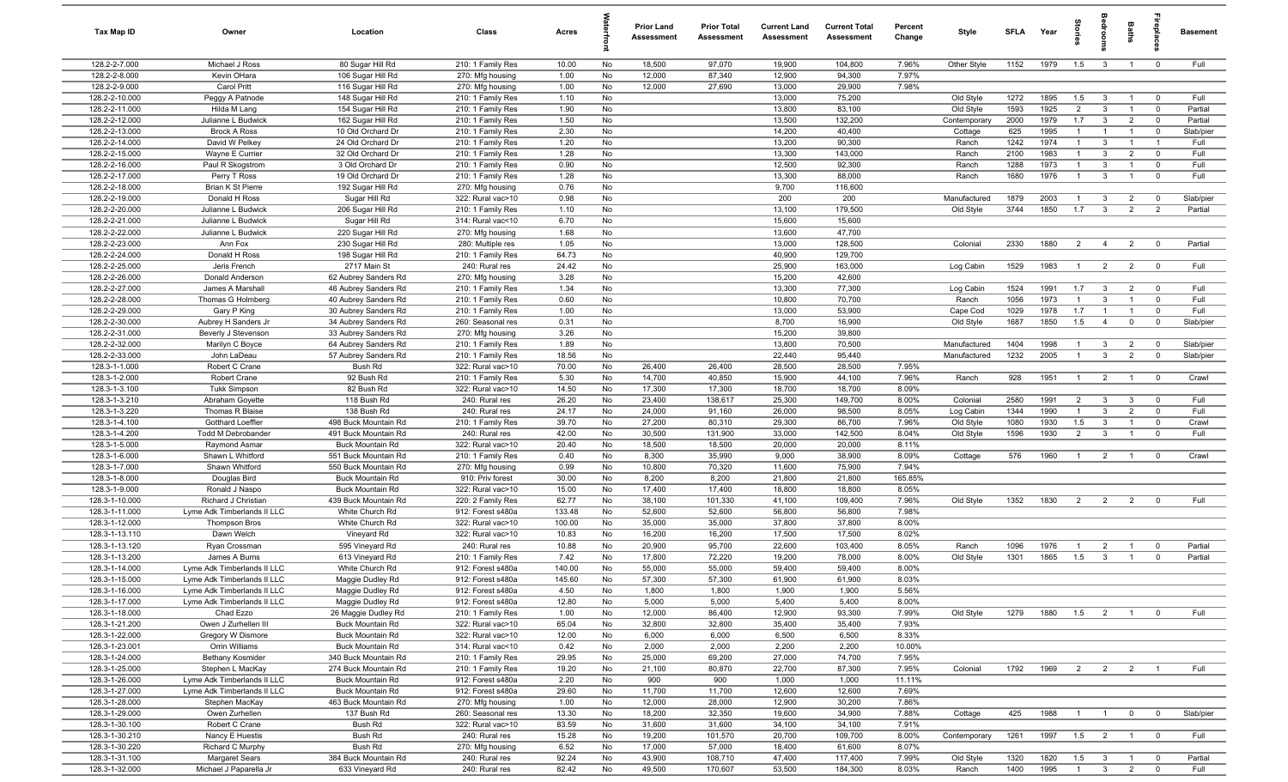| Tax Map ID                       | Owner                                                      | Location                                 | Class                                  | Acres          |          | Prior Land<br><b>Assessment</b> | <b>Prior Total</b><br><b>Assessment</b> | <b>Current Land</b><br>Assessment | <b>Current Total</b><br><b>Assessment</b> | Percent<br>Change | Style                   | <b>SFLA</b>  | Year         | $\overline{a}$        | ã                                                  | Baths                            | epla                                      | <b>Basement</b>    |
|----------------------------------|------------------------------------------------------------|------------------------------------------|----------------------------------------|----------------|----------|---------------------------------|-----------------------------------------|-----------------------------------|-------------------------------------------|-------------------|-------------------------|--------------|--------------|-----------------------|----------------------------------------------------|----------------------------------|-------------------------------------------|--------------------|
| 128.2-2-7.000                    | Michael J Ross                                             | 80 Sugar Hill Rd                         | 210: 1 Family Res                      | 10.00          | No       | 18,500                          | 97,070                                  | 19,900                            | 104,800                                   | 7.96%             | Other Style             | 1152         | 1979         | 1.5                   | $\mathbf{3}$                                       | $\mathbf{1}$                     | $\overline{0}$                            | Full               |
| 128.2-2-8.000                    | Kevin OHara                                                | 106 Sugar Hill Rd                        | 270: Mfg housing                       | 1.00           | No       | 12,000                          | 87,340                                  | 12,900                            | 94,300                                    | 7.97%             |                         |              |              |                       |                                                    |                                  |                                           |                    |
| 128.2-2-9.000                    | Carol Pritt                                                | 116 Sugar Hill Rd                        | 270: Mfg housing                       | 1.00           | No       | 12,000                          | 27,690                                  | 13,000                            | 29,900                                    | 7.98%             |                         |              |              |                       |                                                    |                                  |                                           |                    |
| 128.2-2-10.000                   | Peggy A Patnode                                            | 148 Sugar Hill Rd                        | 210: 1 Family Res                      | 1.10           | No       |                                 |                                         | 13,000                            | 75,200                                    |                   | Old Style               | 1272         | 1895         | 1.5                   | $\mathbf{3}$                                       | $\overline{1}$                   | $\overline{0}$                            | Full               |
| 128.2-2-11.000<br>128.2-2-12.000 | Hilda M Lang<br>Julianne L Budwick                         | 154 Sugar Hill Rd                        | 210: 1 Family Res                      | 1.90           | No<br>No |                                 |                                         | 13,800<br>13,500                  | 83,100<br>132,200                         |                   | Old Style               | 1593<br>2000 | 1925<br>1979 | $\overline{2}$<br>1.7 | $\mathbf{3}$                                       | $\overline{1}$                   | $\overline{0}$<br>$\overline{0}$          | Partial<br>Partial |
| 128.2-2-13.000                   | <b>Brock A Ross</b>                                        | 162 Sugar Hill Rd<br>10 Old Orchard Dr   | 210: 1 Family Res<br>210: 1 Family Res | 1.50<br>2.30   | No       |                                 |                                         | 14,200                            | 40,400                                    |                   | Contemporary<br>Cottage | 625          | 1995         | $\mathbf{1}$          | $\mathbf{3}$                                       | $\overline{2}$<br>$\overline{1}$ | $\overline{0}$                            | Slab/pier          |
| 128.2-2-14.000                   | David W Pelkey                                             | 24 Old Orchard Dr                        | 210: 1 Family Res                      | 1.20           | No       |                                 |                                         | 13,200                            | 90,300                                    |                   | Ranch                   | 1242         | 1974         | $\overline{1}$        | $\mathbf{3}$                                       | $\overline{1}$                   | $\overline{1}$                            | Full               |
| 128.2-2-15.000                   | Wayne E Currier                                            | 32 Old Orchard Dr                        | 210: 1 Family Res                      | 1.28           | No       |                                 |                                         | 13,300                            | 143,000                                   |                   | Ranch                   | 2100         | 1983         | $\mathbf{1}$          | $\mathbf{3}$                                       | $\overline{2}$                   | $\overline{0}$                            | Full               |
| 128.2-2-16.000                   | Paul R Skogstrom                                           | 3 Old Orchard Dr                         | 210: 1 Family Res                      | 0.90           | No       |                                 |                                         | 12,500                            | 92,300                                    |                   | Ranch                   | 1288         | 1973         | $\overline{1}$        | $\mathbf{3}$                                       | $\overline{1}$                   | $\overline{0}$                            | Full               |
| 128.2-2-17.000                   | Perry T Ross                                               | 19 Old Orchard Dr                        | 210: 1 Family Res                      | 1.28           | No       |                                 |                                         | 13,300                            | 88,000                                    |                   | Ranch                   | 1680         | 1976         | $\overline{1}$        | $\mathbf{3}$                                       | $\mathbf{1}$                     | $\overline{0}$                            | Full               |
| 128.2-2-18.000                   | <b>Brian K St Pierre</b>                                   | 192 Sugar Hill Rd                        | 270: Mfg housing                       | 0.76           | No       |                                 |                                         | 9,700                             | 116,600                                   |                   |                         |              |              |                       |                                                    |                                  |                                           |                    |
| 128.2-2-19.000                   | Donald H Ross                                              | Sugar Hill Rd                            | 322: Rural vac>10                      | 0.98           | No       |                                 |                                         | 200                               | 200                                       |                   | Manufactured            | 1879         | 2003         | $\mathbf{1}$          | 3                                                  | $\overline{2}$                   | $\overline{0}$                            | Slab/pier          |
| 128.2-2-20.000                   | Julianne L Budwick                                         | 206 Sugar Hill Rd                        | 210: 1 Family Res                      | 1.10           | No       |                                 |                                         | 13,100                            | 179,500                                   |                   | Old Style               | 3744         | 1850         | 1.7                   | $\mathbf{3}$                                       | $\overline{2}$                   | $\overline{2}$                            | Partial            |
| 128.2-2-21.000                   | Julianne L Budwick                                         | Sugar Hill Rd                            | 314: Rural vac<10                      | 6.70           | No       |                                 |                                         | 15,600                            | 15,600                                    |                   |                         |              |              |                       |                                                    |                                  |                                           |                    |
| 128.2-2-22.000                   | Julianne L Budwick                                         | 220 Sugar Hill Rd                        | 270: Mfg housing                       | 1.68           | No       |                                 |                                         | 13,600                            | 47,700                                    |                   |                         |              |              |                       |                                                    |                                  |                                           |                    |
| 128.2-2-23.000                   | Ann Fox                                                    | 230 Sugar Hill Rd                        | 280: Multiple res                      | 1.05           | No       |                                 |                                         | 13,000                            | 128,500                                   |                   | Colonial                | 2330         | 1880         | $\overline{2}$        | $\overline{4}$                                     | $\overline{2}$                   | $\overline{0}$                            | Partial            |
| 128.2-2-24.000                   | Donald H Ross                                              | 198 Sugar Hill Rd                        | 210: 1 Family Res                      | 64.73          | No       |                                 |                                         | 40,900                            | 129,700                                   |                   |                         |              |              |                       |                                                    |                                  |                                           |                    |
| 128.2-2-25.000<br>128.2-2-26.000 | Jeris French<br>Donald Anderson                            | 2717 Main St<br>62 Aubrey Sanders Rd     | 240: Rural res                         | 24.42<br>3.28  | No<br>No |                                 |                                         | 25,900<br>15,200                  | 163,000<br>42,600                         |                   | Log Cabin               | 1529         | 1983         | $\mathbf{1}$          | 2                                                  | $\overline{2}$                   | $\overline{\mathbf{0}}$                   | Full               |
| 128.2-2-27.000                   | James A Marshall                                           | 46 Aubrey Sanders Rd                     | 270: Mfg housing<br>210: 1 Family Res  | 1.34           | No       |                                 |                                         | 13,300                            | 77,300                                    |                   | Log Cabin               | 1524         | 1991         | 1.7                   | $\mathbf{3}$                                       | $\overline{2}$                   | $\overline{0}$                            | Full               |
| 128.2-2-28.000                   | Thomas G Holmberg                                          | 40 Aubrey Sanders Rd                     | 210: 1 Family Res                      | 0.60           | No       |                                 |                                         | 10,800                            | 70,700                                    |                   | Ranch                   | 1056         | 1973         | $\overline{1}$        | $\mathbf{3}$                                       | $\overline{1}$                   | $\overline{0}$                            | Full               |
| 128.2-2-29.000                   | Gary P King                                                | 30 Aubrey Sanders Rd                     | 210: 1 Family Res                      | 1.00           | No       |                                 |                                         | 13,000                            | 53,900                                    |                   | Cape Cod                | 1029         | 1978         | 1.7                   |                                                    | $\overline{1}$                   | $\overline{0}$                            | Full               |
| 128.2-2-30.000                   | Aubrey H Sanders Jr                                        | 34 Aubrey Sanders Rd                     | 260: Seasonal res                      | 0.31           | No       |                                 |                                         | 8,700                             | 16,900                                    |                   | Old Style               | 1687         | 1850         | 1.5                   | $\overline{4}$                                     | $\mathbf 0$                      | $\overline{0}$                            | Slab/pier          |
| 128.2-2-31.000                   | Beverly J Stevenson                                        | 33 Aubrey Sanders Rd                     | 270: Mfg housing                       | 3.26           | No       |                                 |                                         | 15,200                            | 39,800                                    |                   |                         |              |              |                       |                                                    |                                  |                                           |                    |
| 128.2-2-32.000                   | Marilyn C Boyce                                            | 64 Aubrey Sanders Rd                     | 210: 1 Family Res                      | 1.89           | No       |                                 |                                         | 13,800                            | 70,500                                    |                   | Manufactured            | 1404         | 1998         | $\mathbf{1}$          | 3                                                  | $\overline{2}$                   | $\overline{0}$                            | Slab/pier          |
| 128.2-2-33.000                   | John LaDeau                                                | 57 Aubrey Sanders Rd                     | 210: 1 Family Res                      | 18.56          | No       |                                 |                                         | 22,440                            | 95,440                                    |                   | Manufactured            | 1232         | 2005         | $\mathbf{1}$          | $\mathbf{3}$                                       | $\overline{2}$                   | $\overline{0}$                            | Slab/pier          |
| 128.3-1-1.000                    | Robert C Crane                                             | Bush Rd                                  | 322: Rural vac>10                      | 70.00          | No       | 26,400                          | 26,400                                  | 28,500                            | 28,500                                    | 7.95%             |                         |              |              |                       |                                                    |                                  |                                           |                    |
| 128.3-1-2.000                    | Robert Crane                                               | 92 Bush Rd                               | 210: 1 Family Res                      | 5.30           | No       | 14,700                          | 40,850                                  | 15,900                            | 44,100                                    | 7.96%             | Ranch                   | 928          | 1951         | $\overline{1}$        | $\overline{2}$                                     | $\overline{1}$                   | $\overline{0}$                            | Crawl              |
| 128.3-1-3.100                    | <b>Tukk Simpson</b>                                        | 82 Bush Rd                               | 322: Rural vac>10                      | 14.50          | No       | 17,300                          | 17,300                                  | 18,700                            | 18,700                                    | 8.09%             |                         |              |              |                       |                                                    |                                  |                                           |                    |
| 128.3-1-3.210                    | Abraham Goyette                                            | 118 Bush Rd                              | 240: Rural res                         | 26.20          | No       | 23,400                          | 138,617                                 | 25,300                            | 149,700                                   | 8.00%             | Colonial                | 2580         | 1991         | $\overline{2}$        | $\mathbf{3}$                                       | $\mathbf{3}$                     | $\overline{0}$                            | Full               |
| 128.3-1-3.220                    | Thomas R Blaise                                            | 138 Bush Rd                              | 240: Rural res                         | 24.17          | No       | 24,000                          | 91,160                                  | 26,000                            | 98,500                                    | 8.05%             | Log Cabin               | 1344         | 1990         | $\overline{1}$        | 3                                                  | $\overline{2}$                   | $\overline{0}$                            | Full               |
| 128.3-1-4.100                    | Gotthard Loeffler                                          | 498 Buck Mountain Rd                     | 210: 1 Family Res                      | 39.70          | No       | 27,200                          | 80,310                                  | 29,300                            | 86,700                                    | 7.96%             | Old Style               | 1080         | 1930         | 1.5                   | $\mathbf{3}$                                       | $\overline{1}$                   | $\overline{0}$                            | Crawl              |
| 128.3-1-4.200<br>128.3-1-5.000   | Todd M Debrobander                                         | 491 Buck Mountain Rd<br>Buck Mountain Rd | 240: Rural res<br>322: Rural vac>10    | 42.00<br>20.40 | No<br>No | 30,500<br>18,500                | 131,900<br>18,500                       | 33,000<br>20,000                  | 142,500<br>20,000                         | 8.04%<br>8.11%    | Old Style               | 1596         | 1930         | 2                     | $\mathbf{3}$                                       | $\mathbf{1}$                     | $\overline{0}$                            | Full               |
| 128.3-1-6.000                    | Raymond Asmar<br>Shawn L Whitford                          | 551 Buck Mountain Rd                     | 210: 1 Family Res                      | 0.40           | No       | 8,300                           | 35,990                                  | 9,000                             | 38,900                                    | 8.09%             | Cottage                 | 576          | 1960         | $\overline{1}$        | $\overline{2}$                                     | $\overline{1}$                   | $\overline{0}$                            | Crawl              |
| 128.3-1-7.000                    | Shawn Whitford                                             | 550 Buck Mountain Rd                     | 270: Mfg housing                       | 0.99           | No       | 10,800                          | 70,320                                  | 11,600                            | 75,900                                    | 7.94%             |                         |              |              |                       |                                                    |                                  |                                           |                    |
| 128.3-1-8.000                    | Douglas Bird                                               | Buck Mountain Rd                         | 910: Priv forest                       | 30.00          | No       | 8,200                           | 8,200                                   | 21,800                            | 21,800                                    | 165.85%           |                         |              |              |                       |                                                    |                                  |                                           |                    |
| 128.3-1-9.000                    | Ronald J Naspo                                             | Buck Mountain Rd                         | 322: Rural vac>10                      | 15.00          | No       | 17,400                          | 17,400                                  | 18,800                            | 18,800                                    | 8.05%             |                         |              |              |                       |                                                    |                                  |                                           |                    |
| 128.3-1-10.000                   | Richard J Christian                                        | 439 Buck Mountain Rd                     | 220: 2 Family Res                      | 62.77          | No       | 38,100                          | 101,330                                 | 41,100                            | 109,400                                   | 7.96%             | Old Style               | 1352         | 1830         | $\overline{2}$        | $\overline{2}$                                     | $\overline{2}$                   | $\mathbf 0$                               | Full               |
| 128.3-1-11.000                   | Lyme Adk Timberlands II LLC                                | White Church Rd                          | 912: Forest s480a                      | 133.48         | No       | 52,600                          | 52,600                                  | 56,800                            | 56,800                                    | 7.98%             |                         |              |              |                       |                                                    |                                  |                                           |                    |
| 128.3-1-12.000                   | <b>Thompson Bros</b>                                       | White Church Rd                          | 322: Rural vac>10                      | 100.00         | No       | 35,000                          | 35,000                                  | 37,800                            | 37,800                                    | 8.00%             |                         |              |              |                       |                                                    |                                  |                                           |                    |
| 128.3-1-13.110                   | Dawn Welch                                                 | Vineyard Rd                              | 322: Rural vac>10                      | 10.83          | No       | 16,200                          | 16,200                                  | 17,500                            | 17,500                                    | 8.02%             |                         |              |              |                       |                                                    |                                  |                                           |                    |
| 128.3-1-13.120                   | Ryan Crossman                                              | 595 Vineyard Rd                          | 240: Rural res                         | 10.88          | No       | 20,900                          | 95,700                                  | 22,600                            | 103,400                                   | 8.05%             | Ranch                   | 1096         | 1976         | $\mathbf{1}$          | $\overline{2}$                                     | $\overline{1}$                   | $\overline{0}$                            | Partial            |
| 128.3-1-13.200                   | James A Burns                                              | 613 Vineyard Rd                          | 210: 1 Family Res                      | 7.42           | No       | 17,800                          | 72,220                                  | 19,200                            | 78,000                                    | 8.00%             | Old Style               | 1301         | 1865         | 1.5                   | $\mathbf{3}$                                       | $\overline{1}$                   | $\overline{0}$                            | Partial            |
| 128.3-1-14.000                   | Lyme Adk Timberlands II LLC                                | White Church Rd                          | 912: Forest s480a                      | 140.00         | No       | 55,000                          | 55,000                                  | 59,400                            | 59,400                                    | 8.00%             |                         |              |              |                       |                                                    |                                  |                                           |                    |
| 128.3-1-15.000                   | Lyme Adk Timberlands II LLC                                | Maggie Dudley Rd                         | 912: Forest s480a                      | 145.60         | No       | 57,300                          | 57,300                                  | 61,900                            | 61,900                                    | 8.03%             |                         |              |              |                       |                                                    |                                  |                                           |                    |
| 128.3-1-16.000<br>128.3-1-17.000 | Lyme Adk Timberlands II LLC<br>Lyme Adk Timberlands II LLC | Maggie Dudley Rd<br>Maggie Dudley Rd     | 912: Forest s480a<br>912: Forest s480a | 4.50<br>12.80  | No<br>No | 1,800<br>5,000                  | 1,800<br>5,000                          | 1,900<br>5,400                    | 1,900<br>5,400                            | 5.56%<br>8.00%    |                         |              |              |                       |                                                    |                                  |                                           |                    |
| 128.3-1-18.000                   | Chad Ezzo                                                  | 26 Maggie Dudley Rd                      | 210: 1 Family Res                      | 1.00           | No       | 12,000                          | 86,400                                  | 12,900                            | 93,300                                    | 7.99%             | Old Style               | 1279         | 1880         | 1.5                   | $\overline{\mathbf{2}}$                            | $\overline{1}$                   | $\overline{0}$                            | Full               |
| 128.3-1-21.200                   | Owen J Zurhellen III                                       | Buck Mountain Rd                         | 322: Rural vac>10                      | 65.04          | No       | 32,800                          | 32,800                                  | 35,400                            | 35,400                                    | 7.93%             |                         |              |              |                       |                                                    |                                  |                                           |                    |
| 128.3-1-22.000                   | Gregory W Dismore                                          | Buck Mountain Rd                         | 322: Rural vac>10                      | 12.00          | No       | 6,000                           | 6,000                                   | 6,500                             | 6,500                                     | 8.33%             |                         |              |              |                       |                                                    |                                  |                                           |                    |
| 128.3-1-23.001                   | Orrin Williams                                             | <b>Buck Mountain Rd</b>                  | 314: Rural vac<10                      | 0.42           | No       | 2,000                           | 2,000                                   | 2,200                             | 2,200                                     | 10.00%            |                         |              |              |                       |                                                    |                                  |                                           |                    |
| 128.3-1-24.000                   | Bethany Kosmider                                           | 340 Buck Mountain Rd                     | 210: 1 Family Res                      | 29.95          | No       | 25,000                          | 69,200                                  | 27,000                            | 74,700                                    | 7.95%             |                         |              |              |                       |                                                    |                                  |                                           |                    |
| 128.3-1-25.000                   | Stephen L MacKay                                           | 274 Buck Mountain Rd                     | 210: 1 Family Res                      | 19.20          | No       | 21,100                          | 80,870                                  | 22,700                            | 87,300                                    | 7.95%             | Colonial                | 1792         | 1969         | $\overline{2}$        | $\overline{2}$                                     | $\overline{2}$                   |                                           | Full               |
| 128.3-1-26.000                   | Lyme Adk Timberlands II LLC                                | <b>Buck Mountain Rd</b>                  | 912: Forest s480a                      | 2.20           | No       | 900                             | 900                                     | 1,000                             | 1,000                                     | 11.11%            |                         |              |              |                       |                                                    |                                  |                                           |                    |
| 128.3-1-27.000                   | Lyme Adk Timberlands II LLC                                | <b>Buck Mountain Rd</b>                  | 912: Forest s480a                      | 29.60          | No       | 11,700                          | 11,700                                  | 12,600                            | 12,600                                    | 7.69%             |                         |              |              |                       |                                                    |                                  |                                           |                    |
| 128.3-1-28.000                   | Stephen MacKay                                             | 463 Buck Mountain Rd                     | 270: Mfg housing                       | 1.00           | No       | 12,000                          | 28,000                                  | 12,900                            | 30,200                                    | 7.86%             |                         |              |              |                       |                                                    |                                  |                                           |                    |
| 128.3-1-29.000                   | Owen Zurhellen                                             | 137 Bush Rd                              | 260: Seasonal res                      | 13.30          | No       | 18,200                          | 32,350                                  | 19,600                            | 34,900                                    | 7.88%             | Cottage                 | 425          | 1988         | $\overline{1}$        | $\overline{1}$                                     | $\mathbf 0$                      | $\overline{0}$                            | Slab/pier          |
| 128.3-1-30.100                   | Robert C Crane                                             | Bush Rd                                  | 322: Rural vac>10                      | 83.59          | No       | 31,600                          | 31,600                                  | 34,100                            | 34,100                                    | 7.91%             |                         |              |              |                       |                                                    |                                  |                                           |                    |
| 128.3-1-30.210                   | Nancy E Huestis                                            | Bush Rd                                  | 240: Rural res                         | 15.28          | No       | 19,200                          | 101,570                                 | 20,700                            | 109,700                                   | 8.00%             | Contemporary            | 1261         | 1997         | 1.5                   | $\overline{2}$                                     | $\overline{1}$                   | $\overline{0}$                            | Full               |
| 128.3-1-30.220                   | Richard C Murphy                                           | Bush Rd                                  | 270: Mfg housing                       | 6.52           | No       | 17,000                          | 57,000                                  | 18,400                            | 61,600                                    | 8.07%             |                         |              |              |                       |                                                    |                                  |                                           |                    |
| 128.3-1-31.100<br>128.3-1-32.000 | <b>Margaret Sears</b><br>Michael J Paparella Jr            | 384 Buck Mountain Rd<br>633 Vineyard Rd  | 240: Rural res<br>240: Rural res       | 92.24<br>82.42 | No<br>No | 43,900<br>49,500                | 108,710<br>170,607                      | 47,400<br>53,500                  | 117,400<br>184,300                        | 7.99%<br>8.03%    | Old Style<br>Ranch      | 1320<br>1400 | 1820<br>1995 | 1.5<br>$\overline{1}$ | $\overline{\mathbf{3}}$<br>$\overline{\mathbf{3}}$ | $\overline{1}$<br>$\overline{2}$ | $\overline{\mathbf{0}}$<br>$\overline{0}$ | Partial<br>Full    |
|                                  |                                                            |                                          |                                        |                |          |                                 |                                         |                                   |                                           |                   |                         |              |              |                       |                                                    |                                  |                                           |                    |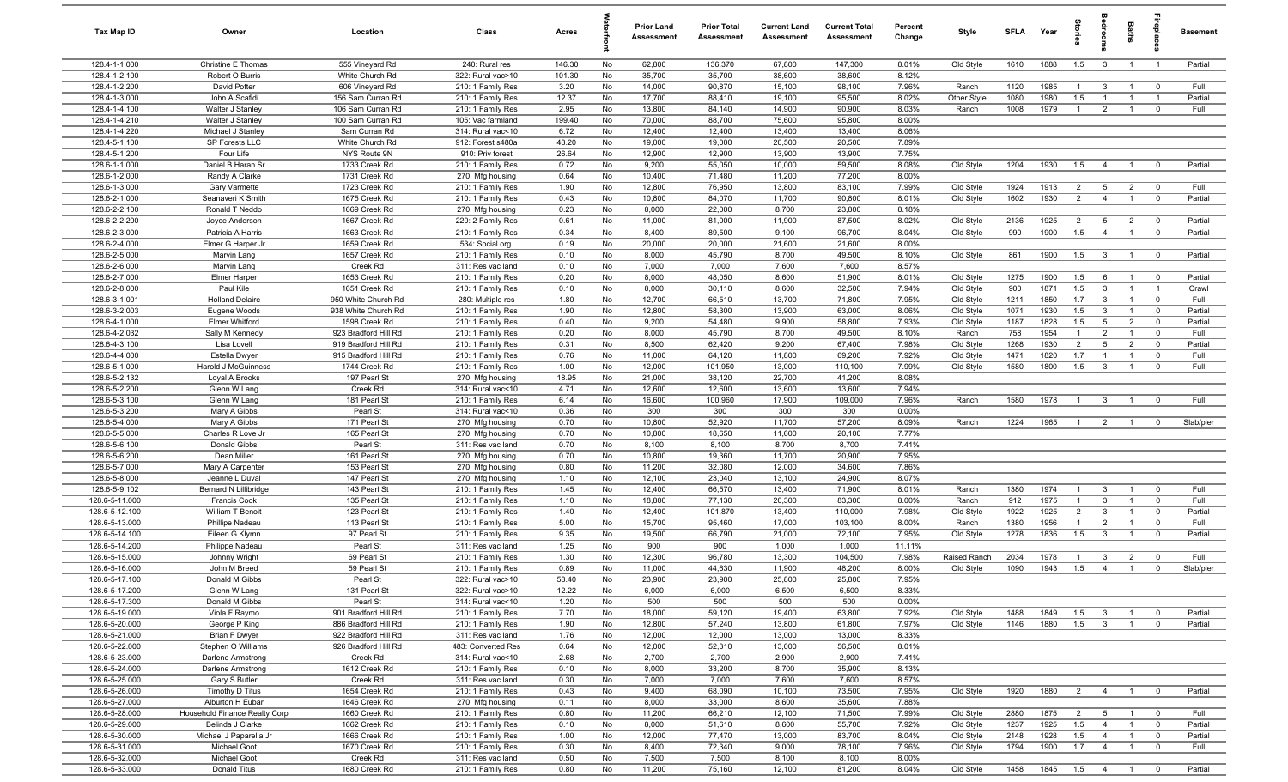| Tax Map ID                       | Owner                                      | Location                                     | Class                                   | Acres         |           | Prior Land<br><b>Assessment</b> | <b>Prior Total</b><br>Assessment | <b>Current Land</b><br>Assessment | <b>Current Total</b><br><b>Assessment</b> | Percent<br>Change | Style                  | SFLA         | Year         | ਤੂ                    |                                  | Baths                            | 음<br>말                                 | <b>Basement</b> |
|----------------------------------|--------------------------------------------|----------------------------------------------|-----------------------------------------|---------------|-----------|---------------------------------|----------------------------------|-----------------------------------|-------------------------------------------|-------------------|------------------------|--------------|--------------|-----------------------|----------------------------------|----------------------------------|----------------------------------------|-----------------|
| 128.4-1-1.000                    | Christine E Thomas                         | 555 Vineyard Rd                              | 240: Rural res                          | 146.30        | No        | 62,800                          | 136,370                          | 67,800                            | 147,300                                   | 8.01%             | Old Style              | 1610         | 1888         | 1.5                   | $\mathbf{3}$                     | $\overline{1}$                   | $\overline{1}$                         | Partial         |
| 128.4-1-2.100                    | Robert O Burris                            | White Church Rd                              | 322: Rural vac>10                       | 101.30        | No        | 35,700                          | 35,700                           | 38,600                            | 38,600                                    | 8.12%<br>7.96%    |                        |              |              |                       |                                  |                                  |                                        |                 |
| 128.4-1-2.200<br>128.4-1-3.000   | David Potter<br>John A Scafidi             | 606 Vineyard Rd<br>156 Sam Curran Rd         | 210: 1 Family Res<br>210: 1 Family Res  | 3.20<br>12.37 | No<br>No  | 14,000<br>17,700                | 90,870<br>88,410                 | 15,100<br>19,100                  | 98,100<br>95,500                          | 8.02%             | Ranch<br>Other Style   | 1120<br>1080 | 1985<br>1980 | $\overline{1}$<br>1.5 | $\mathbf{3}$<br>$\overline{1}$   | $\overline{1}$<br>$\overline{1}$ | $\overline{0}$<br>$\overline{1}$       | Full<br>Partial |
| 128.4-1-4.100                    | Walter J Stanley                           | 106 Sam Curran Rd                            | 210: 1 Family Res                       | 2.95          | No        | 13,800                          | 84,140                           | 14,900                            | 90,900                                    | 8.03%             | Ranch                  | 1008         | 1979         | $\overline{1}$        | $\overline{2}$                   | $\overline{1}$                   | $\overline{0}$                         | Full            |
| 128.4-1-4.210                    | Walter J Stanley                           | 100 Sam Curran Rd                            | 105: Vac farmland                       | 199.40        | No        | 70,000                          | 88,700                           | 75,600                            | 95,800                                    | 8.00%             |                        |              |              |                       |                                  |                                  |                                        |                 |
| 128.4-1-4.220                    | Michael J Stanley                          | Sam Curran Rd                                | 314: Rural vac<10                       | 6.72          | No        | 12,400                          | 12,400                           | 13,400                            | 13,400                                    | 8.06%             |                        |              |              |                       |                                  |                                  |                                        |                 |
| 128.4-5-1.100                    | SP Forests LLC                             | White Church Rd                              | 912: Forest s480a                       | 48.20         | No        | 19,000                          | 19,000                           | 20,500                            | 20,500                                    | 7.89%             |                        |              |              |                       |                                  |                                  |                                        |                 |
| 128.4-5-1.200                    | Four Life                                  | NYS Route 9N                                 | 910: Priv forest                        | 26.64         | No        | 12,900                          | 12,900                           | 13,900                            | 13,900                                    | 7.75%             |                        |              |              |                       |                                  |                                  |                                        |                 |
| 128.6-1-1.000                    | Daniel B Haran Sr                          | 1733 Creek Rd                                | 210: 1 Family Res                       | 0.72          | No        | 9,200                           | 55,050                           | 10,000                            | 59,500                                    | 8.08%             | Old Style              | 1204         | 1930         | 1.5                   | $\overline{4}$                   | $\overline{1}$                   | $\overline{0}$                         | Partial         |
| 128.6-1-2.000<br>128.6-1-3.000   | Randy A Clarke<br>Gary Varmette            | 1731 Creek Rd<br>1723 Creek Rd               | 270: Mfg housing<br>210: 1 Family Res   | 0.64<br>1.90  | No<br>No  | 10,400<br>12,800                | 71,480<br>76,950                 | 11,200<br>13,800                  | 77,200<br>83,100                          | 8.00%<br>7.99%    | Old Style              | 1924         | 1913         | 2                     | $5\overline{)}$                  | $\overline{2}$                   | $\overline{0}$                         | Full            |
| 128.6-2-1.000                    | Seanaveri K Smith                          | 1675 Creek Rd                                | 210: 1 Family Res                       | 0.43          | No        | 10,800                          | 84,070                           | 11,700                            | 90,800                                    | 8.01%             | Old Style              | 1602         | 1930         | $\overline{2}$        | $\overline{4}$                   | $\mathbf{1}$                     | $\overline{0}$                         | Partial         |
| 128.6-2-2.100                    | Ronald T Neddo                             | 1669 Creek Rd                                | 270: Mfg housing                        | 0.23          | No        | 8,000                           | 22,000                           | 8,700                             | 23,800                                    | 8.18%             |                        |              |              |                       |                                  |                                  |                                        |                 |
| 128.6-2-2.200                    | Joyce Anderson                             | 1667 Creek Rd                                | 220: 2 Family Res                       | 0.61          | No        | 11,000                          | 81,000                           | 11,900                            | 87,500                                    | 8.02%             | Old Style              | 2136         | 1925         | $\overline{2}$        | 5                                | $\overline{2}$                   | $\overline{\mathbf{0}}$                | Partial         |
| 128.6-2-3.000                    | Patricia A Harris                          | 1663 Creek Rd                                | 210: 1 Family Res                       | 0.34          | No        | 8,400                           | 89,500                           | 9,100                             | 96,700                                    | 8.04%             | Old Style              | 990          | 1900         | 1.5                   | $\overline{4}$                   | $\overline{1}$                   | $\overline{0}$                         | Partial         |
| 128.6-2-4.000                    | Elmer G Harper Jr                          | 1659 Creek Rd                                | 534: Social org.                        | 0.19          | No        | 20,000                          | 20,000                           | 21,600                            | 21,600                                    | 8.00%             |                        |              |              |                       |                                  |                                  |                                        |                 |
| 128.6-2-5.000                    | Marvin Lang                                | 1657 Creek Rd                                | 210: 1 Family Res                       | 0.10          | No        | 8,000                           | 45,790                           | 8,700                             | 49,500                                    | 8.10%             | Old Style              | 861          | 1900         | 1.5                   | $\mathbf{3}$                     | $\overline{1}$                   | $\overline{0}$                         | Partial         |
| 128.6-2-6.000<br>128.6-2-7.000   | Marvin Lang<br>Elmer Harper                | Creek Rd<br>1653 Creek Rd                    | 311: Res vac land<br>210: 1 Family Res  | 0.10<br>0.20  | No<br>No  | 7,000<br>8,000                  | 7,000<br>48,050                  | 7,600<br>8,600                    | 7,600<br>51,900                           | 8.57%<br>8.01%    | Old Style              | 1275         | 1900         | 1.5                   | 6                                | $\overline{1}$                   | $\overline{0}$                         | Partial         |
| 128.6-2-8.000                    | Paul Kile                                  | 1651 Creek Rd                                | 210: 1 Family Res                       | 0.10          | No        | 8,000                           | 30,110                           | 8,600                             | 32,500                                    | 7.94%             | Old Style              | 900          | 1871         | 1.5                   | $\mathbf{3}$                     | $\overline{1}$                   | $\overline{1}$                         | Crawl           |
| 128.6-3-1.001                    | <b>Holland Delaire</b>                     | 950 White Church Rd                          | 280: Multiple res                       | 1.80          | No        | 12,700                          | 66,510                           | 13,700                            | 71,800                                    | 7.95%             | Old Style              | 1211         | 1850         | 1.7                   | $\mathbf{3}$                     | $\overline{1}$                   | $\overline{0}$                         | Full            |
| 128.6-3-2.003                    | Eugene Woods                               | 938 White Church Rd                          | 210: 1 Family Res                       | 1.90          | No        | 12,800                          | 58,300                           | 13,900                            | 63,000                                    | 8.06%             | Old Style              | 1071         | 1930         | 1.5                   | $\mathbf{3}$                     | $\overline{1}$                   | $\overline{0}$                         | Partial         |
| 128.6-4-1.000                    | Elmer Whitford                             | 1598 Creek Rd                                | 210: 1 Family Res                       | 0.40          | No        | 9,200                           | 54,480                           | 9,900                             | 58,800                                    | 7.93%             | Old Style              | 1187         | 1828         | 1.5                   | 5                                | $\overline{2}$                   | $\overline{0}$                         | Partial         |
| 128.6-4-2.032                    | Sally M Kennedy                            | 923 Bradford Hill Rd                         | 210: 1 Family Res                       | 0.20          | No        | 8,000                           | 45,790                           | 8,700                             | 49,500                                    | 8.10%             | Ranch                  | 758          | 1954         | $\overline{1}$        | $\overline{2}$                   | $\overline{1}$                   | $\overline{0}$                         | Full            |
| 128.6-4-3.100                    | Lisa Lovell                                | 919 Bradford Hill Rd                         | 210: 1 Family Res                       | 0.31          | No        | 8,500                           | 62,420                           | 9,200                             | 67,400                                    | 7.98%             | Old Style              | 1268         | 1930         | $\overline{2}$        | 5                                | 2                                | $\mathbf 0$                            | Partial         |
| 128.6-4-4.000<br>128.6-5-1.000   | Estella Dwyer<br>Harold J McGuinness       | 915 Bradford Hill Rd<br>1744 Creek Rd        | 210: 1 Family Res<br>210: 1 Family Res  | 0.76<br>1.00  | No<br>No  | 11,000<br>12,000                | 64,120<br>101,950                | 11,800<br>13,000                  | 69,200<br>110,100                         | 7.92%<br>7.99%    | Old Style<br>Old Style | 1471<br>1580 | 1820<br>1800 | 1.7<br>1.5            | $\overline{1}$<br>$\mathbf{3}$   | $\overline{1}$<br>$\overline{1}$ | $\overline{\mathbf{0}}$<br>$\mathbf 0$ | Full<br>Full    |
| 128.6-5-2.132                    | Loyal A Brooks                             | 197 Pearl St                                 | 270: Mfg housing                        | 18.95         | No        | 21,000                          | 38,120                           | 22,700                            | 41,200                                    | 8.08%             |                        |              |              |                       |                                  |                                  |                                        |                 |
| 128.6-5-2.200                    | Glenn W Lang                               | Creek Rd                                     | 314: Rural vac<10                       | 4.71          | No        | 12,600                          | 12,600                           | 13,600                            | 13,600                                    | 7.94%             |                        |              |              |                       |                                  |                                  |                                        |                 |
| 128.6-5-3.100                    | Glenn W Lang                               | 181 Pearl St                                 | 210: 1 Family Res                       | 6.14          | No        | 16,600                          | 100,960                          | 17,900                            | 109,000                                   | 7.96%             | Ranch                  | 1580         | 1978         | $\overline{1}$        | $\mathbf{3}$                     | $\overline{1}$                   | $\overline{\mathbf{0}}$                | Full            |
| 128.6-5-3.200                    | Mary A Gibbs                               | Pearl St                                     | 314: Rural vac<10                       | 0.36          | No        | 300                             | 300                              | 300                               | 300                                       | 0.00%             |                        |              |              |                       |                                  |                                  |                                        |                 |
| 128.6-5-4.000                    | Mary A Gibbs                               | 171 Pearl St                                 | 270: Mfg housing                        | 0.70          | No        | 10,800                          | 52,920                           | 11,700                            | 57,200                                    | 8.09%             | Ranch                  | 1224         | 1965         | $\overline{1}$        | $\overline{2}$                   | $\mathbf{1}$                     | $\mathbf 0$                            | Slab/pier       |
| 128.6-5-5.000                    | Charles R Love Jr                          | 165 Pearl St                                 | 270: Mfg housing                        | 0.70          | No        | 10,800                          | 18,650                           | 11,600                            | 20,100                                    | 7.77%             |                        |              |              |                       |                                  |                                  |                                        |                 |
| 128.6-5-6.100<br>128.6-5-6.200   | Donald Gibbs<br>Dean Miller                | Pearl St<br>161 Pearl St                     | 311: Res vac land                       | 0.70<br>0.70  | No<br>No  | 8,100<br>10,800                 | 8,100<br>19,360                  | 8,700<br>11,700                   | 8,700<br>20,900                           | 7.41%<br>7.95%    |                        |              |              |                       |                                  |                                  |                                        |                 |
| 128.6-5-7.000                    | Mary A Carpenter                           | 153 Pearl St                                 | 270: Mfg housing<br>270: Mfg housing    | 0.80          | No        | 11,200                          | 32,080                           | 12,000                            | 34,600                                    | 7.86%             |                        |              |              |                       |                                  |                                  |                                        |                 |
| 128.6-5-8.000                    | Jeanne L Duval                             | 147 Pearl St                                 | 270: Mfg housing                        | 1.10          | No        | 12,100                          | 23,040                           | 13,100                            | 24,900                                    | 8.07%             |                        |              |              |                       |                                  |                                  |                                        |                 |
| 128.6-5-9.102                    | Bernard N Lillibridge                      | 143 Pearl St                                 | 210: 1 Family Res                       | 1.45          | No        | 12,400                          | 66,570                           | 13,400                            | 71,900                                    | 8.01%             | Ranch                  | 1380         | 1974         | $\mathbf{1}$          | $\mathbf{3}$                     | $\mathbf{1}$                     | $\overline{0}$                         | Full            |
| 128.6-5-11.000                   | Francis Cook                               | 135 Pearl St                                 | 210: 1 Family Res                       | 1.10          | No        | 18,800                          | 77,130                           | 20,300                            | 83,300                                    | 8.00%             | Ranch                  | 912          | 1975         | $\mathbf{1}$          | $\mathbf{3}$                     | $\overline{1}$                   | $\overline{0}$                         | Full            |
| 128.6-5-12.100                   | <b>William T Benoit</b>                    | 123 Pearl St                                 | 210: 1 Family Res                       | 1.40          | No        | 12,400                          | 101,870                          | 13,400                            | 110,000                                   | 7.98%             | Old Style              | 1922         | 1925         | $\overline{2}$        | $\mathbf{3}$                     | $\overline{1}$                   | $\overline{0}$                         | Partial         |
| 128.6-5-13.000                   | Phillipe Nadeau                            | 113 Pearl St                                 | 210: 1 Family Res                       | 5.00          | No        | 15,700                          | 95,460                           | 17,000                            | 103,100                                   | 8.00%             | Ranch                  | 1380         | 1956         | $\overline{1}$        | $\overline{2}$                   | $\overline{1}$                   | $\overline{0}$                         | Full            |
| 128.6-5-14.100<br>128.6-5-14.200 | Eileen G Klymn                             | 97 Pearl St                                  | 210: 1 Family Res                       | 9.35          | No        | 19,500                          | 66,790                           | 21,000                            | 72,100                                    | 7.95%             | Old Style              | 1278         | 1836         | 1.5                   | $\overline{3}$                   | $\overline{1}$                   | $\overline{0}$                         | Partial         |
| 128.6-5-15.000                   | Philippe Nadeau<br>Johnny Wright           | Pearl St<br>69 Pearl St                      | 311: Res vac land<br>210: 1 Family Res  | 1.25<br>1.30  | No<br>No  | 900<br>12,300                   | 900<br>96,780                    | 1,000<br>13,300                   | 1,000<br>104,500                          | 11.11%<br>7.98%   | Raised Ranch           | 2034         | 1978         | $\overline{1}$        | $\mathbf{3}$                     | $\overline{2}$                   | $\overline{0}$                         | Full            |
| 128.6-5-16.000                   | John M Breed                               | 59 Pearl St                                  | 210: 1 Family Res                       | 0.89          | No        | 11,000                          | 44,630                           | 11,900                            | 48,200                                    | 8.00%             | Old Style              | 1090         | 1943         | 1.5                   | $\overline{4}$                   | $\overline{1}$                   | $\overline{0}$                         | Slab/pier       |
| 128.6-5-17.100                   | Donald M Gibbs                             | Pearl St                                     | 322: Rural vac>10                       | 58.40         | <b>No</b> | 23.900                          | 23,900                           | 25,800                            | 25,800                                    | 7.95%             |                        |              |              |                       |                                  |                                  |                                        |                 |
| 128.6-5-17.200                   | Glenn W Lang                               | 131 Pearl St                                 | 322: Rural vac>10                       | 12.22         | No        | 6,000                           | 6,000                            | 6,500                             | 6,500                                     | 8.33%             |                        |              |              |                       |                                  |                                  |                                        |                 |
| 128.6-5-17.300                   | Donald M Gibbs                             | Pearl St                                     | 314: Rural vac<10                       | 1.20          | No        | 500                             | 500                              | 500                               | 500                                       | 0.00%             |                        |              |              |                       |                                  |                                  |                                        |                 |
| 128.6-5-19.000                   | Viola F Raymo                              | 901 Bradford Hill Rd                         | 210: 1 Family Res                       | 7.70          | No        | 18,000                          | 59,120                           | 19,400                            | 63,800                                    | 7.92%             | Old Style              | 1488         | 1849         | 1.5                   | $\mathbf{3}$                     | $\overline{1}$                   | $\overline{0}$                         | Partial         |
| 128.6-5-20.000                   | George P King                              | 886 Bradford Hill Rd                         | 210: 1 Family Res                       | 1.90          | No        | 12,800                          | 57,240                           | 13,800                            | 61,800                                    | 7.97%             | Old Style              | 1146         | 1880         | 1.5                   | $\overline{\mathbf{3}}$          | $\overline{1}$                   | $\mathbf 0$                            | Partial         |
| 128.6-5-21.000<br>128.6-5-22.000 | <b>Brian F Dwyer</b><br>Stephen O Williams | 922 Bradford Hill Rd<br>926 Bradford Hill Rd | 311: Res vac land<br>483: Converted Res | 1.76<br>0.64  | No<br>No  | 12,000<br>12,000                | 12,000<br>52,310                 | 13,000<br>13,000                  | 13,000<br>56,500                          | 8.33%<br>8.01%    |                        |              |              |                       |                                  |                                  |                                        |                 |
| 128.6-5-23.000                   | Darlene Armstrong                          | Creek Rd                                     | 314: Rural vac<10                       | 2.68          | No        | 2,700                           | 2,700                            | 2,900                             | 2,900                                     | 7.41%             |                        |              |              |                       |                                  |                                  |                                        |                 |
| 128.6-5-24.000                   | Darlene Armstrong                          | 1612 Creek Rd                                | 210: 1 Family Res                       | 0.10          | No        | 8,000                           | 33,200                           | 8,700                             | 35,900                                    | 8.13%             |                        |              |              |                       |                                  |                                  |                                        |                 |
| 128.6-5-25.000                   | Gary S Butler                              | Creek Rd                                     | 311: Res vac land                       | 0.30          | No        | 7,000                           | 7,000                            | 7,600                             | 7,600                                     | 8.57%             |                        |              |              |                       |                                  |                                  |                                        |                 |
| 128.6-5-26.000                   | Timothy D Titus                            | 1654 Creek Rd                                | 210: 1 Family Res                       | 0.43          | No        | 9,400                           | 68,090                           | 10,100                            | 73,500                                    | 7.95%             | Old Style              | 1920         | 1880         | $\overline{2}$        | $\overline{4}$                   | $\overline{1}$                   | $\overline{0}$                         | Partial         |
| 128.6-5-27.000                   | Alburton H Eubar                           | 1646 Creek Rd                                | 270: Mfg housing                        | 0.11          | No        | 8,000                           | 33,000                           | 8,600                             | 35,600                                    | 7.88%             |                        |              |              |                       |                                  |                                  |                                        |                 |
| 128.6-5-28.000                   | Household Finance Realty Corp              | 1660 Creek Rd                                | 210: 1 Family Res                       | 0.80          | No        | 11,200                          | 66,210                           | 12,100                            | 71,500                                    | 7.99%             | Old Style              | 2880         | 1875         | $\overline{2}$        | $5\overline{)}$                  | $\overline{1}$                   | $\overline{0}$                         | Full            |
| 128.6-5-29.000                   | Belinda J Clarke                           | 1662 Creek Rd                                | 210: 1 Family Res                       | 0.10          | No        | 8,000                           | 51,610                           | 8,600                             | 55,700                                    | 7.92%             | Old Style              | 1237         | 1925         | 1.5                   | $\overline{4}$                   | $\overline{1}$                   | $\overline{0}$                         | Partial         |
| 128.6-5-30.000<br>128.6-5-31.000 | Michael J Paparella Jr<br>Michael Goot     | 1666 Creek Rd<br>1670 Creek Rd               | 210: 1 Family Res<br>210: 1 Family Res  | 1.00<br>0.30  | No<br>No  | 12,000<br>8,400                 | 77,470<br>72,340                 | 13,000<br>9,000                   | 83,700<br>78,100                          | 8.04%<br>7.96%    | Old Style<br>Old Style | 2148<br>1794 | 1928<br>1900 | 1.5<br>1.7            | $\overline{4}$<br>$\overline{4}$ | $\overline{1}$<br>$\overline{1}$ | $\overline{0}$<br>$\overline{0}$       | Partial<br>Full |
| 128.6-5-32.000                   | Michael Goot                               | Creek Rd                                     | 311: Res vac land                       | 0.50          | No        | 7,500                           | 7,500                            | 8,100                             | 8,100                                     | 8.00%             |                        |              |              |                       |                                  |                                  |                                        |                 |
| 128.6-5-33.000                   | Donald Titus                               | 1680 Creek Rd                                | 210: 1 Family Res                       | 0.80          | No        | 11,200                          | 75,160                           | 12,100                            | 81,200                                    | 8.04%             | Old Style              | 1458         | 1845         | $1.5$ 4 1 0           |                                  |                                  |                                        | Partial         |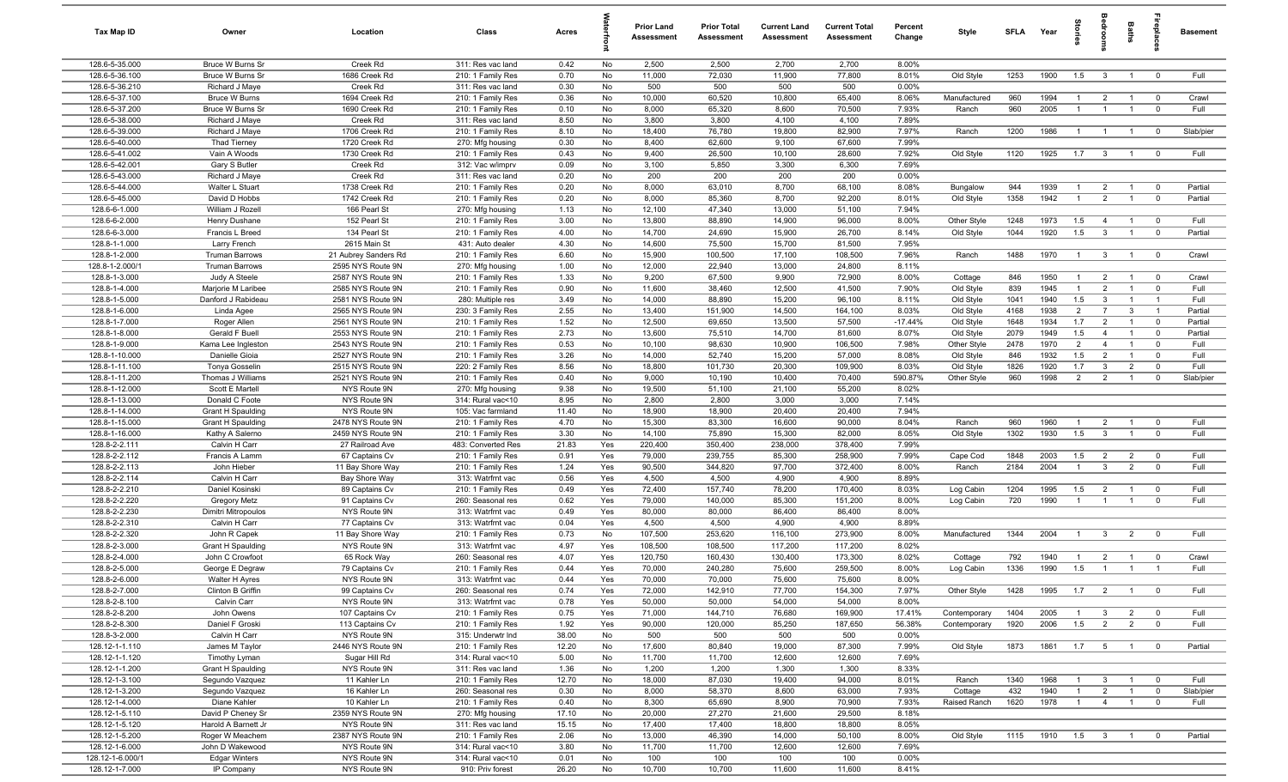| Tax Map ID                       | Owner                                          | Location                                  | Class                                  | Acres          |            | Prior Land<br>Assessment | <b>Prior Total</b><br>Assessment | <b>Current Land</b><br>Assessment | <b>Current Total</b><br><b>Assessment</b> | Percent<br>Change | Style        | SFLA Year |          | tories         | droom                   | <b>Baths</b>                   | <b>Repla</b>            | <b>Basement</b> |
|----------------------------------|------------------------------------------------|-------------------------------------------|----------------------------------------|----------------|------------|--------------------------|----------------------------------|-----------------------------------|-------------------------------------------|-------------------|--------------|-----------|----------|----------------|-------------------------|--------------------------------|-------------------------|-----------------|
| 128.6-5-35.000                   | Bruce W Burns Sr                               | Creek Rd                                  | 311: Res vac land                      | 0.42           | No         | 2,500                    | 2,500                            | 2,700                             | 2,700                                     | 8.00%             |              |           |          |                |                         |                                |                         |                 |
| 128.6-5-36.100                   | Bruce W Burns Sr                               | 1686 Creek Rd                             | 210: 1 Family Res                      | 0.70           | No         | 11,000                   | 72,030                           | 11,900                            | 77,800                                    | 8.01%             | Old Style    | 1253      | 1900     | 1.5            | $\overline{\mathbf{3}}$ | $\overline{1}$                 | $\overline{0}$          | Full            |
| 128.6-5-36.210                   | Richard J Maye                                 | Creek Rd                                  | 311: Res vac land                      | 0.30           | No         | 500                      | 500                              | 500                               | 500                                       | 0.00%             |              |           |          |                |                         |                                |                         |                 |
| 128.6-5-37.100                   | <b>Bruce W Burns</b>                           | 1694 Creek Rd                             | 210: 1 Family Res                      | 0.36           | No         | 10,000                   | 60,520                           | 10,800                            | 65,400                                    | 8.06%             | Manufactured | 960       | 1994     | $\overline{1}$ | $\overline{2}$          | $\overline{1}$                 | $\overline{0}$          | Crawl           |
| 128.6-5-37.200<br>128.6-5-38.000 | Bruce W Burns Sr<br>Richard J Maye             | 1690 Creek Rd<br>Creek Rd                 | 210: 1 Family Res<br>311: Res vac land | 0.10<br>8.50   | No<br>No   | 8,000<br>3,800           | 65,320<br>3,800                  | 8,600<br>4,100                    | 70,500<br>4,100                           | 7.93%<br>7.89%    | Ranch        | 960       | 2005     |                |                         | $\overline{1}$                 | $\overline{0}$          | Full            |
| 128.6-5-39.000                   | Richard J Maye                                 | 1706 Creek Rd                             | 210: 1 Family Res                      | 8.10           | No         | 18,400                   | 76,780                           | 19,800                            | 82,900                                    | 7.97%             | Ranch        | 1200      | 1986     |                | $\overline{1}$          | $\overline{1}$                 | $\overline{0}$          | Slab/pier       |
| 128.6-5-40.000                   | <b>Thad Tierney</b>                            | 1720 Creek Rd                             | 270: Mfg housing                       | 0.30           | No         | 8,400                    | 62,600                           | 9,100                             | 67,600                                    | 7.99%             |              |           |          |                |                         |                                |                         |                 |
| 128.6-5-41.002                   | Vain A Woods                                   | 1730 Creek Rd                             | 210: 1 Family Res                      | 0.43           | No         | 9,400                    | 26,500                           | 10,100                            | 28,600                                    | 7.92%             | Old Style    | 1120      | 1925     | 1.7            | $\overline{\mathbf{3}}$ | $\overline{1}$                 | $\overline{\mathbf{0}}$ | Full            |
| 128.6-5-42.001                   | Gary S Butler                                  | Creek Rd                                  | 312: Vac w/imprv                       | 0.09           | No         | 3,100                    | 5,850                            | 3,300                             | 6,300                                     | 7.69%             |              |           |          |                |                         |                                |                         |                 |
| 128.6-5-43.000                   | Richard J Maye                                 | Creek Rd                                  | 311: Res vac land                      | 0.20           | No         | 200                      | 200                              | 200                               | 200                                       | 0.00%             |              |           |          |                |                         |                                |                         |                 |
| 128.6-5-44.000                   | Walter L Stuart                                | 1738 Creek Rd                             | 210: 1 Family Res                      | 0.20           | No         | 8,000                    | 63,010                           | 8,700                             | 68,100                                    | 8.08%             | Bungalow     | 944       | 1939     | $\overline{1}$ | $\overline{2}$          | $\overline{1}$                 | $\overline{0}$          | Partial         |
| 128.6-5-45.000                   | David D Hobbs                                  | 1742 Creek Rd                             | 210: 1 Family Res                      | 0.20           | No         | 8,000                    | 85,360                           | 8,700                             | 92,200                                    | 8.01%             | Old Style    | 1358      | 1942     | $\overline{1}$ | $\overline{2}$          | $\overline{1}$                 | $\overline{0}$          | Partial         |
| 128.6-6-1.000                    | William J Rozell                               | 166 Pearl St                              | 270: Mfg housing                       | 1.13           | No         | 12,100                   | 47,340                           | 13,000                            | 51,100                                    | 7.94%             |              |           |          |                |                         |                                |                         |                 |
| 128.6-6-2.000                    | Henry Dushane                                  | 152 Pearl St                              | 210: 1 Family Res                      | 3.00           | No         | 13,800                   | 88,890                           | 14,900                            | 96,000                                    | 8.00%             | Other Style  | 1248      | 1973     | 1.5            | $\overline{4}$          | $\overline{1}$                 | $\overline{0}$          | Full            |
| 128.6-6-3.000                    | Francis L Breed                                | 134 Pearl St                              | 210: 1 Family Res                      | 4.00           | No         | 14,700                   | 24,690                           | 15,900                            | 26,700                                    | 8.14%             | Old Style    | 1044      | 1920     | 1.5            | $\mathbf{3}$            | $\overline{1}$                 | $\overline{0}$          | Partial         |
| 128.8-1-1.000                    | Larry French                                   | 2615 Main St                              | 431: Auto dealer                       | 4.30           | No         | 14,600                   | 75,500                           | 15,700                            | 81,500                                    | 7.95%             |              |           |          |                |                         |                                |                         |                 |
| 128.8-1-2.000<br>128.8-1-2.000/  | <b>Truman Barrows</b><br><b>Truman Barrows</b> | 21 Aubrey Sanders Rd<br>2595 NYS Route 9N | 210: 1 Family Res<br>270: Mfg housing  | 6.60<br>1.00   | No<br>No   | 15,900<br>12,000         | 100,500<br>22,940                | 17,100<br>13,000                  | 108,500<br>24,800                         | 7.96%<br>8.11%    | Ranch        | 1488      | 1970     | $\overline{1}$ | $\mathbf{3}$            | $\overline{1}$                 | $\overline{0}$          | Crawl           |
| 128.8-1-3.000                    | Judy A Steele                                  | 2587 NYS Route 9N                         | 210: 1 Family Res                      | 1.33           | No         | 9,200                    | 67,500                           | 9,900                             | 72,900                                    | 8.00%             | Cottage      | 846       | 1950     | $\overline{1}$ | $\overline{2}$          | $\overline{1}$                 | $\overline{\mathbf{0}}$ | Crawl           |
| 128.8-1-4.000                    | Marjorie M Laribee                             | 2585 NYS Route 9N                         | 210: 1 Family Res                      | 0.90           | No         | 11,600                   | 38,460                           | 12,500                            | 41,500                                    | 7.90%             | Old Style    | 839       | 1945     | $\overline{1}$ | $\overline{2}$          | $\overline{1}$                 | $\overline{0}$          | Full            |
| 128.8-1-5.000                    | Danford J Rabideau                             | 2581 NYS Route 9N                         | 280: Multiple res                      | 3.49           | No         | 14,000                   | 88,890                           | 15,200                            | 96,100                                    | 8.11%             | Old Style    | 1041      | 1940     | 1.5            | $\mathbf{3}$            | $\mathbf{1}$                   | $\overline{1}$          | Full            |
| 128.8-1-6.000                    | Linda Agee                                     | 2565 NYS Route 9N                         | 230: 3 Family Res                      | 2.55           | No         | 13,400                   | 151,900                          | 14,500                            | 164,100                                   | 8.03%             | Old Style    | 4168      | 1938     | 2              | $\overline{7}$          | $\mathbf{3}$                   | $\overline{1}$          | Partial         |
| 128.8-1-7.000                    | Roger Allen                                    | 2561 NYS Route 9N                         | 210: 1 Family Res                      | 1.52           | No         | 12,500                   | 69,650                           | 13,500                            | 57,500                                    | $-17.44%$         | Old Style    | 1648      | 1934     | 1.7            | $\overline{2}$          | $\overline{1}$                 | $\overline{0}$          | Partial         |
| 128.8-1-8.000                    | Gerald F Buell                                 | 2553 NYS Route 9N                         | 210: 1 Family Res                      | 2.73           | No         | 13,600                   | 75,510                           | 14,700                            | 81,600                                    | 8.07%             | Old Style    | 2079      | 1949     | 1.5            | $\overline{4}$          | $\mathbf{1}$                   | $\overline{0}$          | Partial         |
| 128.8-1-9.000                    | Kama Lee Ingleston                             | 2543 NYS Route 9N                         | 210: 1 Family Res                      | 0.53           | No         | 10,100                   | 98,630                           | 10,900                            | 106,500                                   | 7.98%             | Other Style  | 2478      | 1970     | 2              | $\overline{4}$          | -1                             | $\overline{\mathbf{0}}$ | Full            |
| 128.8-1-10.000                   | Danielle Gioia                                 | 2527 NYS Route 9N                         | 210: 1 Family Res                      | 3.26           | No         | 14,000                   | 52,740                           | 15,200                            | 57,000                                    | 8.08%             | Old Style    | 846       | 1932     | 1.5            | $\overline{2}$          | $\mathbf{1}$                   | $\overline{0}$          | Full            |
| 128.8-1-11.100                   | Tonya Gosselin                                 | 2515 NYS Route 9N                         | 220: 2 Family Res                      | 8.56           | No         | 18,800                   | 101,730                          | 20,300                            | 109,900                                   | 8.03%             | Old Style    | 1826      | 1920     | 1.7            | $\mathbf{3}$            | $\overline{2}$                 | $\mathbf 0$             | Full            |
| 128.8-1-11.200                   | Thomas J Williams                              | 2521 NYS Route 9N                         | 210: 1 Family Res                      | 0.40           | No         | 9,000                    | 10,190                           | 10,400                            | 70,400                                    | 590.87%           | Other Style  | 960       | 1998     | $\overline{2}$ | $\overline{2}$          | $\overline{1}$                 | $\mathbf 0$             | Slab/pier       |
| 128.8-1-12.000                   | Scott E Martell                                | NYS Route 9N                              | 270: Mfg housing                       | 9.38           | No         | 19,500                   | 51,100                           | 21,100                            | 55,200                                    | 8.02%             |              |           |          |                |                         |                                |                         |                 |
| 128.8-1-13.000                   | Donald C Foote                                 | NYS Route 9N                              | 314: Rural vac<10                      | 8.95           | No         | 2,800                    | 2,800                            | 3,000                             | 3,000                                     | 7.14%             |              |           |          |                |                         |                                |                         |                 |
| 128.8-1-14.000<br>128.8-1-15.000 | <b>Grant H Spaulding</b>                       | NYS Route 9N<br>2478 NYS Route 9N         | 105: Vac farmland                      | 11.40<br>4.70  | No         | 18,900<br>15,300         | 18,900<br>83,300                 | 20,400<br>16,600                  | 20,400<br>90,000                          | 7.94%<br>8.04%    | Ranch        | 960       | 1960     | $\overline{1}$ | $\overline{2}$          |                                | $\overline{\mathbf{0}}$ | Full            |
| 128.8-1-16.000                   | <b>Grant H Spaulding</b><br>Kathy A Salerno    | 2459 NYS Route 9N                         | 210: 1 Family Res<br>210: 1 Family Res | 3.30           | No<br>No   | 14,100                   | 75,890                           | 15,300                            | 82,000                                    | 8.05%             | Old Style    | 1302      | 1930     | 1.5            | $\mathbf{3}$            | $\overline{1}$<br>$\mathbf{1}$ | $\overline{0}$          | Full            |
| 128.8-2-2.111                    | Calvin H Carr                                  | 27 Railroad Ave                           | 483: Converted Res                     | 21.83          | Yes        | 220,400                  | 350,400                          | 238,000                           | 378,400                                   | 7.99%             |              |           |          |                |                         |                                |                         |                 |
| 128.8-2-2.112                    | Francis A Lamm                                 | 67 Captains Cv                            | 210: 1 Family Res                      | 0.91           | Yes        | 79,000                   | 239,755                          | 85,300                            | 258,900                                   | 7.99%             | Cape Cod     | 1848      | 2003     | 1.5            | $\overline{2}$          | $\overline{2}$                 | $\overline{0}$          | Full            |
| 128.8-2-2.113                    | John Hieber                                    | 11 Bay Shore Way                          | 210: 1 Family Res                      | 1.24           | Yes        | 90,500                   | 344,820                          | 97,700                            | 372,400                                   | 8.00%             | Ranch        | 2184      | 2004     | $\overline{1}$ | $\mathbf{3}$            | $\overline{2}$                 | $\overline{0}$          | Full            |
| 128.8-2-2.114                    | Calvin H Carr                                  | Bay Shore Way                             | 313: Watrfrnt vac                      | 0.56           | Yes        | 4,500                    | 4,500                            | 4,900                             | 4,900                                     | 8.89%             |              |           |          |                |                         |                                |                         |                 |
| 128.8-2-2.210                    | Daniel Kosinski                                | 89 Captains Cv                            | 210: 1 Family Res                      | 0.49           | Yes        | 72,400                   | 157,740                          | 78,200                            | 170,400                                   | 8.03%             | Log Cabin    | 1204      | 1995     | 1.5            | $\overline{2}$          | $\overline{1}$                 | $\overline{0}$          | Full            |
| 128.8-2-2.220                    | Gregory Metz                                   | 91 Captains Cv                            | 260: Seasonal res                      | 0.62           | Yes        | 79,000                   | 140,000                          | 85,300                            | 151,200                                   | 8.00%             | Log Cabin    | 720       | 1990     | $\overline{1}$ | $\overline{1}$          | $\overline{1}$                 | $\overline{0}$          | Full            |
| 128.8-2-2.230                    | Dimitri Mitropoulos                            | NYS Route 9N                              | 313: Watrfrnt vac                      | 0.49           | Yes        | 80,000                   | 80,000                           | 86,400                            | 86,400                                    | 8.00%             |              |           |          |                |                         |                                |                         |                 |
| 128.8-2-2.310                    | Calvin H Carr                                  | 77 Captains Cv                            | 313: Watrfrnt vac                      | 0.04           | Yes        | 4,500                    | 4,500                            | 4,900                             | 4,900                                     | 8.89%             |              |           |          |                |                         |                                |                         |                 |
| 128.8-2-2.320                    | John R Capek                                   | 11 Bay Shore Way                          | 210: 1 Family Res                      | 0.73           | No         | 107,500                  | 253,620                          | 116,100                           | 273,900                                   | 8.00%             | Manufactured | 1344      | 2004     |                | $\mathbf{3}$            | $\overline{2}$                 | $\overline{0}$          | Full            |
| 128.8-2-3.000                    | Grant H Spaulding                              | NYS Route 9N                              | 313: Watrfrnt vac                      | 4.97           | Yes        | 108,500                  | 108,500                          | 117,200                           | 117,200                                   | 8.02%             |              |           |          |                |                         |                                |                         |                 |
| 128.8-2-4.000                    | John C Crowfoot                                | 65 Rock Way                               | 260: Seasonal res                      | 4.07           | Yes        | 120,750                  | 160,430                          | 130,400                           | 173,300                                   | 8.02%             | Cottage      | 792       | 1940     |                | $\overline{2}$          | $\overline{1}$                 | $\overline{\mathbf{0}}$ | Crawl           |
| 128.8-2-5.000<br>128.8-2-6.000   | George E Degraw<br>Walter H Ayres              | 79 Captains Cv<br>NYS Route 9N            | 210: 1 Family Res<br>313: Watrfrnt vac | 0.44<br>0.44   | Yes<br>Yes | 70,000<br>70,000         | 240,280<br>70,000                | 75,600<br>75,600                  | 259,500<br>75,600                         | 8.00%<br>8.00%    | Log Cabin    | 1336      | 1990     | 1.5            | $\overline{1}$          | $\overline{1}$                 | $\overline{1}$          | Full            |
| 128.8-2-7.000                    | Clinton B Griffin                              | 99 Captains Cv                            | 260: Seasonal res                      | 0.74           | Yes        | 72,000                   | 142,910                          | 77,700                            | 154,300                                   | 7.97%             | Other Style  | 1428      | 1995     | 1.7            | $\overline{2}$          | $\overline{1}$                 | $\overline{\mathbf{0}}$ | Full            |
| 128.8-2-8.100                    | Calvin Carr                                    | NYS Route 9N                              | 313: Watrfrnt vac                      | 0.78           | Yes        | 50,000                   | 50,000                           | 54,000                            | 54,000                                    | 8.00%             |              |           |          |                |                         |                                |                         |                 |
| 128.8-2-8.200                    | John Owens                                     | 107 Captains Cv                           | 210: 1 Family Res                      | 0.75           | Yes        | 71,000                   | 144,710                          | 76,680                            | 169,900                                   | 17.41%            | Contemporary | 1404      | 2005     | $\overline{1}$ | $\overline{3}$          | $\overline{2}$                 | $\overline{0}$          | Full            |
| 128.8-2-8.300                    | Daniel F Groski                                | 113 Captains Cv                           | 210: 1 Family Res                      | 1.92           | Yes        | 90,000                   | 120,000                          | 85,250                            | 187,650                                   | 56.38%            | Contemporary | 1920      | 2006     | 1.5            | $\overline{2}$          | $\overline{2}$                 | $\overline{0}$          | Full            |
| 128.8-3-2.000                    | Calvin H Carr                                  | NYS Route 9N                              | 315: Underwtr Ind                      | 38.00          | No         | 500                      | 500                              | 500                               | 500                                       | 0.00%             |              |           |          |                |                         |                                |                         |                 |
| 128.12-1-1.110                   | James M Taylor                                 | 2446 NYS Route 9N                         | 210: 1 Family Res                      | 12.20          | No         | 17,600                   | 80,840                           | 19,000                            | 87,300                                    | 7.99%             | Old Style    | 1873      | 1861     | 1.7            | 5 <sup>5</sup>          | $\overline{1}$                 | $\overline{0}$          | Partial         |
| 128.12-1-1.120                   | Timothy Lyman                                  | Sugar Hill Rd                             | 314: Rural vac<10                      | 5.00           | No         | 11,700                   | 11,700                           | 12,600                            | 12,600                                    | 7.69%             |              |           |          |                |                         |                                |                         |                 |
| 128.12-1-1.200                   | Grant H Spaulding                              | NYS Route 9N                              | 311: Res vac land                      | 1.36           | No         | 1,200                    | 1,200                            | 1,300                             | 1,300                                     | 8.33%             |              |           |          |                |                         |                                |                         |                 |
| 128.12-1-3.100                   | Segundo Vazquez                                | 11 Kahler Ln                              | 210: 1 Family Res                      | 12.70          | No         | 18,000                   | 87,030                           | 19,400                            | 94,000                                    | 8.01%             | Ranch        | 1340      | 1968     |                | $\mathbf{3}$            | $\overline{1}$                 | $\overline{0}$          | Full            |
| 128.12-1-3.200                   | Segundo Vazquez                                | 16 Kahler Ln                              | 260: Seasonal res                      | 0.30           | No         | 8,000                    | 58,370                           | 8,600                             | 63,000                                    | 7.93%             | Cottage      | 432       | 1940     | $\overline{1}$ | $\overline{2}$          | $\overline{1}$                 | $\overline{0}$          | Slab/pier       |
| 128.12-1-4.000                   | Diane Kahler                                   | 10 Kahler Ln                              | 210: 1 Family Res                      | 0.40           | No         | 8,300                    | 65,690                           | 8,900                             | 70,900                                    | 7.93%             | Raised Ranch | 1620      | 1978     | $\overline{1}$ | $\overline{4}$          | $\overline{1}$                 | $\overline{0}$          | Full            |
| 128.12-1-5.110<br>128.12-1-5.120 | David P Cheney Sr<br>Harold A Barnett Jr       | 2359 NYS Route 9N<br>NYS Route 9N         | 270: Mfg housing<br>311: Res vac land  | 17.10<br>15.15 | No<br>No   | 20,000<br>17,400         | 27,270<br>17,400                 | 21,600<br>18,800                  | 29,500<br>18,800                          | 8.18%<br>8.05%    |              |           |          |                |                         |                                |                         |                 |
| 128.12-1-5.200                   | Roger W Meachem                                | 2387 NYS Route 9N                         | 210: 1 Family Res                      | 2.06           | No         | 13,000                   | 46,390                           | 14,000                            | 50,100                                    | 8.00%             | Old Style    | 1115      | 1910 1.5 |                | $\overline{\mathbf{3}}$ | $\overline{1}$                 | $\overline{0}$          | Partial         |
| 128.12-1-6.000                   | John D Wakewood                                | NYS Route 9N                              | 314: Rural vac<10                      | 3.80           | No         | 11,700                   | 11,700                           | 12,600                            | 12,600                                    | 7.69%             |              |           |          |                |                         |                                |                         |                 |
| 128.12-1-6.000/1                 | <b>Edgar Winters</b>                           | NYS Route 9N                              | 314: Rural vac<10                      | 0.01           | No         | 100                      | 100                              | 100                               | 100                                       | 0.00%             |              |           |          |                |                         |                                |                         |                 |
| 128.12-1-7.000                   | IP Company                                     | NYS Route 9N                              | 910: Priv forest                       | 26.20          | No         | 10,700                   | 10,700                           | 11,600                            | 11,600                                    | 8.41%             |              |           |          |                |                         |                                |                         |                 |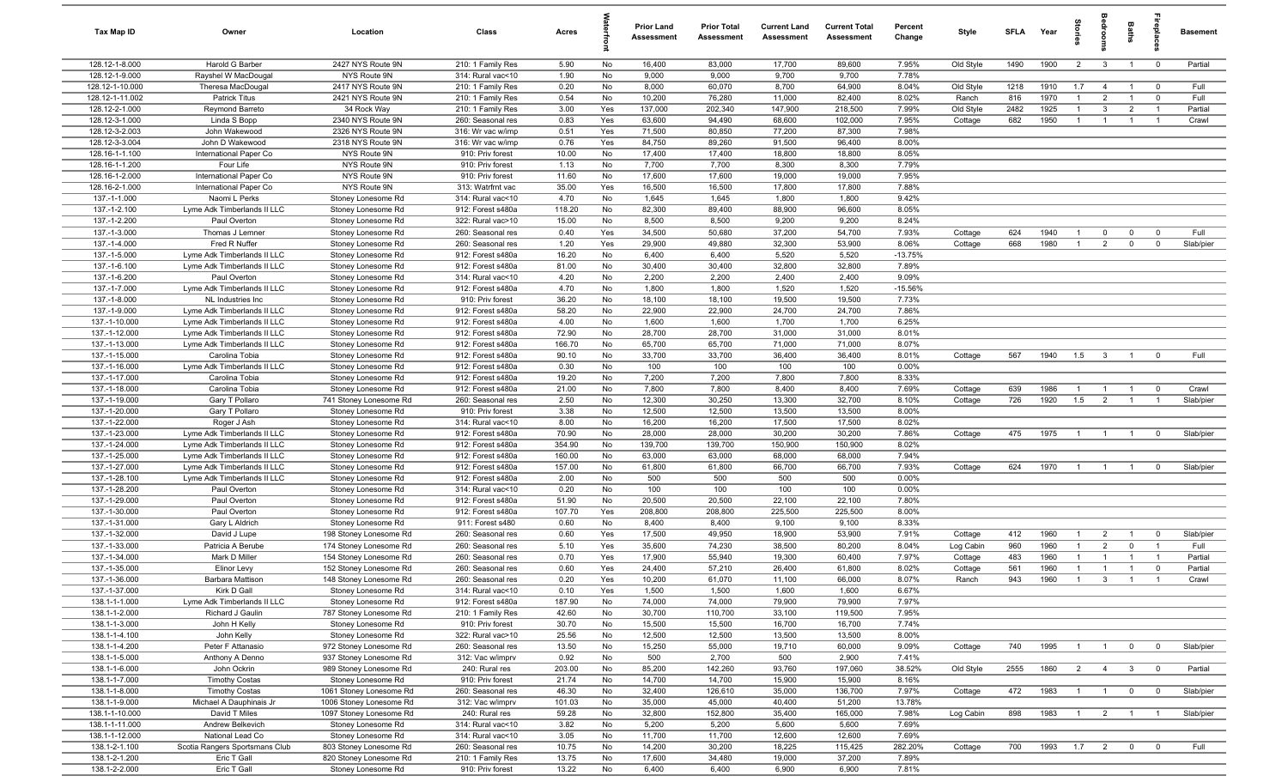| 128.12-1-8.000<br>Harold G Barber<br>2427 NYS Route 9N<br>210: 1 Family Res<br>No<br>16,400<br>83,000<br>17,700<br>89,600<br>7.95%<br>Old Style<br>1490<br>1900<br>$\overline{2}$<br>$\overline{\mathbf{3}}$<br>$\overline{0}$<br>Partial<br>5.90<br>$\overline{1}$<br>128.12-1-9.000<br>7.78%<br>NYS Route 9N<br>1.90<br>No<br>9,000<br>9,000<br>9,700<br>9,700<br>Rayshel W MacDougal<br>314: Rural vac<10<br>128.12-1-10.000<br>2417 NYS Route 9N<br>0.20<br>8,000<br>60,070<br>8,700<br>64,900<br>8.04%<br>1218<br>1910<br>1.7<br>Full<br>Theresa MacDougal<br>210: 1 Family Res<br>No<br>Old Style<br>$\overline{4}$<br>$\mathbf 0$<br>$\overline{1}$<br>128.12-1-11.002<br>2421 NYS Route 9N<br>0.54<br>No<br>10,200<br>76,280<br>11,000<br>82,400<br>8.02%<br>816<br>1970<br>$\overline{2}$<br>$\mathbf 0$<br>Full<br><b>Patrick Titus</b><br>210: 1 Family Res<br>Ranch<br>$\overline{1}$<br>$\overline{1}$<br>128.12-2-1.000<br>3.00<br>137,000<br>202,340<br>147,900<br>218,500<br>7.99%<br>Old Style<br>2482<br>1925<br>3<br>$\overline{2}$<br>Partial<br>Reymond Barreto<br>34 Rock Way<br>210: 1 Family Res<br>Yes<br>$\mathbf{1}$<br>$\overline{1}$<br>128.12-3-1.000<br>0.83<br>63,600<br>94,490<br>68,600<br>102,000<br>7.95%<br>682<br>1950<br>Linda S Bopp<br>2340 NYS Route 9N<br>260: Seasonal res<br>Yes<br>Cottage<br>$\overline{1}$<br>$\overline{1}$<br>$\overline{1}$<br>Crawl<br>$\overline{1}$<br>128.12-3-2.003<br>2326 NYS Route 9N<br>0.51<br>71,500<br>80,850<br>77,200<br>87,300<br>7.98%<br>John Wakewood<br>316: Wr vac w/imp<br>Yes<br>128.12-3-3.004<br>2318 NYS Route 9N<br>0.76<br>84,750<br>89,260<br>91,500<br>8.00%<br>John D Wakewood<br>316: Wr vac w/imp<br>Yes<br>96,400<br>8.05%<br>128.16-1-1.100<br>NYS Route 9N<br>10.00<br>17,400<br>17,400<br>18,800<br>18,800<br>International Paper Co<br>910: Priv forest<br>No<br>128.16-1-1.200<br>NYS Route 9N<br>1.13<br>7,700<br>7,700<br>8,300<br>8,300<br>7.79%<br>Four Life<br>910: Priv forest<br>No<br>128.16-1-2.000<br>11.60<br>17,600<br>17,600<br>19,000<br>19,000<br>7.95%<br>International Paper Co<br>NYS Route 9N<br>910: Priv forest<br>No<br>35.00<br>128.16-2-1.000<br>NYS Route 9N<br>313: Watrfrnt vac<br>16,500<br>16,500<br>17,800<br>17,800<br>7.88%<br>International Paper Co<br>Yes<br>137.-1-1.000<br>1,800<br>1,800<br>9.42%<br>Naomi L Perks<br>Stoney Lonesome Rd<br>314: Rural vac<10<br>4.70<br>No<br>1,645<br>1,645<br>137.-1-2.100<br>118.20<br>82,300<br>89,400<br>88,900<br>96,600<br>8.05%<br>Lyme Adk Timberlands II LLC<br>Stoney Lonesome Rd<br>912: Forest s480a<br>No<br>137.-1-2.200<br>15.00<br>8,500<br>8,500<br>9,200<br>9,200<br>8.24%<br>Paul Overton<br>322: Rural vac>10<br>No<br>Stoney Lonesome Rd<br>137.-1-3.000<br>0.40<br>34,500<br>50,680<br>37,200<br>54,700<br>7.93%<br>624<br>1940<br>Full<br>Thomas J Lemner<br>Stoney Lonesome Rd<br>260: Seasonal res<br>Yes<br>Cottage<br>$\mathbf 0$<br>$\overline{0}$<br>$\mathbf 0$<br>$\overline{1}$<br>137.-1-4.000<br>Fred R Nuffer<br>1.20<br>29,900<br>49,880<br>32,300<br>53,900<br>8.06%<br>668<br>1980<br>$\overline{2}$<br>$\mathbf 0$<br>Slab/pier<br>Stoney Lonesome Rd<br>260: Seasonal res<br>Yes<br>Cottage<br>$\overline{1}$<br>$\mathbf 0$<br>5,520<br>137.-1-5.000<br>Lyme Adk Timberlands II LLC<br>16.20<br>No<br>6,400<br>6,400<br>5,520<br>$-13.75%$<br>Stoney Lonesome Rd<br>912: Forest s480a<br>137.-1-6.100<br>81.00<br>30,400<br>32,800<br>32,800<br>7.89%<br>Lyme Adk Timberlands II LLC<br>Stoney Lonesome Rd<br>912: Forest s480a<br>No<br>30,400<br>137.-1-6.200<br>4.20<br>2,200<br>2,200<br>2,400<br>2,400<br>9.09%<br>314: Rural vac<10<br>No<br>Paul Overton<br>Stoney Lonesome Rd<br>137.-1-7.000<br>1,520<br>1,520<br>$-15.56%$<br>4.70<br>No<br>1,800<br>1,800<br>Lyme Adk Timberlands II LLC<br>Stoney Lonesome Rd<br>912: Forest s480a<br>137.-1-8.000<br>36.20<br>18,100<br>18,100<br>19,500<br>19,500<br>7.73%<br>NL Industries Inc<br>Stoney Lonesome Rd<br>910: Priv forest<br>No<br>137.-1-9.000<br>Lyme Adk Timberlands II LLC<br>58.20<br>No<br>22,900<br>22,900<br>24,700<br>24,700<br>7.86%<br>Stoney Lonesome Rd<br>912: Forest s480a<br>137.-1-10.000<br>4.00<br>1,600<br>1,600<br>1,700<br>1,700<br>6.25%<br>Lyme Adk Timberlands II LLC<br>912: Forest s480a<br>No<br>Stoney Lonesome Rd<br>137.-1-12.000<br>72.90<br>28,700<br>31,000<br>Lyme Adk Timberlands II LLC<br>912: Forest s480a<br>No<br>28,700<br>31,000<br>8.01%<br>Stoney Lonesome Rd<br>137.-1-13.000<br>166.70<br>65,700<br>71,000<br>71,000<br>8.07%<br>Lyme Adk Timberlands II LLC<br>912: Forest s480a<br>No<br>65,700<br>Stoney Lonesome Rd<br>137.-1-15.000<br>90.10<br>33,700<br>33,700<br>36,400<br>36,400<br>8.01%<br>567<br>1940<br>1.5<br>$\overline{\mathbf{3}}$<br>Full<br>Carolina Tobia<br>912: Forest s480a<br>No<br>Cottage<br>$\overline{\mathbf{0}}$<br>Stoney Lonesome Rd<br>$\overline{1}$<br>137.-1-16.000<br>Lyme Adk Timberlands II LLC<br>0.30<br>No<br>100<br>100<br>100<br>100<br>0.00%<br>Stoney Lonesome Rd<br>912: Forest s480a<br>137.-1-17.000<br>19.20<br>7,200<br>7,200<br>7,800<br>7,800<br>8.33%<br>Carolina Tobia<br>Stoney Lonesome Rd<br>912: Forest s480a<br>No<br>137.-1-18.000<br>Carolina Tobia<br>21.00<br>No<br>7,800<br>7,800<br>8,400<br>8,400<br>7.69%<br>639<br>1986<br>Stoney Lonesome Rd<br>912: Forest s480a<br>Cottage<br>$\overline{1}$<br>$\mathbf 0$<br>Crawl<br>$\overline{1}$<br>$\overline{1}$<br>726<br>1920<br>1.5<br>137.-1-19.000<br>2.50<br>12,300<br>30,250<br>13,300<br>32,700<br>8.10%<br>$\overline{2}$<br>Gary T Pollaro<br>741 Stoney Lonesome Rd<br>260: Seasonal res<br>No<br>Cottage<br>$\overline{1}$<br>Slab/pier<br>$\overline{1}$<br>137.-1-20.000<br>910: Priv forest<br>3.38<br>Gary T Pollaro<br>Stoney Lonesome Rd<br>No<br>12,500<br>12,500<br>13,500<br>13,500<br>8.00%<br>16,200<br>8.02%<br>137.-1-22.000<br>8.00<br>No<br>16,200<br>17,500<br>17,500<br>Roger J Ash<br>Stoney Lonesome Rd<br>314: Rural vac<10<br>137.-1-23.000<br>70.90<br>7.86%<br>912: Forest s480a<br>No<br>28,000<br>28,000<br>30,200<br>30,200<br>475<br>1975<br>Slab/pier<br>Lyme Adk Timberlands II LLC<br>Stoney Lonesome Rd<br>Cottage<br>$\mathbf 0$<br>$\overline{1}$<br>$\overline{1}$<br>$\overline{1}$<br>137.-1-24.000<br>354.90<br>No<br>139,700<br>139,700<br>150,900<br>150,900<br>8.02%<br>Lyme Adk Timberlands II LLC<br>912: Forest s480a<br>Stoney Lonesome Rd<br>137.-1-25.000<br>160.00<br>No<br>63,000<br>63,000<br>68,000<br>7.94%<br>Lyme Adk Timberlands II LLC<br>Stoney Lonesome Rd<br>912: Forest s480a<br>68,000<br>137.-1-27.000<br>157.00<br>No<br>61,800<br>61,800<br>66,700<br>66,700<br>7.93%<br>Cottage<br>624<br>1970<br>Slab/pier<br>Lyme Adk Timberlands II LLC<br>Stoney Lonesome Rd<br>912: Forest s480a<br>$\overline{1}$<br>$\overline{1}$<br>$\mathbf 0$<br>$\overline{1}$<br>137.-1-28.100<br>2.00<br>500<br>500<br>500<br>0.00%<br>Lyme Adk Timberlands II LLC<br>Stoney Lonesome Rd<br>912: Forest s480a<br>No<br>500<br>137.-1-28.200<br>0.20<br>100<br>100<br>100<br>100<br>0.00%<br>Paul Overton<br>314: Rural vac<10<br>No<br>Stoney Lonesome Rd<br>137.-1-29.000<br>51.90<br>22,100<br>22,100<br>20,500<br>20,500<br>7.80%<br>Paul Overton<br>Stoney Lonesome Rd<br>912: Forest s480a<br>No<br>137.-1-30.000<br>107.70<br>208,800<br>208,800<br>225,500<br>225,500<br>8.00%<br>Paul Overton<br>912: Forest s480a<br>Yes<br>Stoney Lonesome Rd<br>137.-1-31.000<br>0.60<br>8,400<br>9,100<br>9,100<br>8.33%<br>Gary L Aldrich<br>Stoney Lonesome Rd<br>911: Forest s480<br>No<br>8,400<br>137.-1-32.000<br>0.60<br>Yes<br>17,500<br>49,950<br>18,900<br>53,900<br>7.91%<br>412<br>1960<br>Slab/pier<br>David J Lupe<br>198 Stoney Lonesome Rd<br>260: Seasonal res<br>Cottage<br>$\overline{1}$<br>$\overline{2}$<br>$\mathbf 0$<br>$\overline{1}$<br>137.-1-33.000<br>35,600<br>38,500<br>1960<br>Patricia A Berube<br>174 Stoney Lonesome Rd<br>260: Seasonal res<br>5.10<br>Yes<br>74,230<br>80,200<br>8.04%<br>960<br>$\mathbf{1}$<br>$\overline{2}$<br>$\mathbf 0$<br>$\overline{1}$<br>Full<br>Log Cabin<br>137.-1-34.000<br>Mark D Miller<br>0.70<br>17,900<br>55,940<br>19,300<br>60,400<br>7.97%<br>483<br>1960<br>154 Stoney Lonesome Rd<br>260: Seasonal res<br>Yes<br>Cottage<br>Partial<br>$\overline{1}$<br>$\overline{1}$<br>$\overline{1}$<br>-1<br>0.60<br>57,210<br>8.02%<br>137.-1-35.000<br>Yes<br>24,400<br>26,400<br>61,800<br>561<br>1960<br>$\mathbf 0$<br>Elinor Levy<br>152 Stoney Lonesome Rd<br>260: Seasonal res<br>Cottage<br>Partial<br>$\overline{1}$<br>$\overline{1}$<br>137.-1-36.000<br>148 Stoney Lonesome Rd<br>0.20<br>Yes<br>10,200<br>61,070<br>11,100<br>66,000<br>8.07%<br>943<br>1960<br>Barbara Mattison<br>260: Seasonal res<br>Ranch<br>3<br>Crawl<br>1,500<br>1,600<br>137.-1-37.000<br>Kirk D Gall<br>Stoney Lonesome Rd<br>314: Rural vac<10<br>0.10<br>Yes<br>1,500<br>1,600<br>6.67%<br>7.97%<br>187.90<br>74,000<br>74,000<br>79,900<br>79,900<br>138.1-1-1.000<br>Lyme Adk Timberlands II LLC<br>Stoney Lonesome Rd<br>912: Forest s480a<br>No<br>42.60<br>30,700<br>33,100<br>119,500<br>7.95%<br>138.1-1-2.000<br>Richard J Gaulin<br>787 Stoney Lonesome Rd<br>No<br>110,700<br>210: 1 Family Res<br>30.70<br>15,500<br>15,500<br>16,700<br>16,700<br>7.74%<br>138.1-1-3.000<br>John H Kelly<br>Stoney Lonesome Rd<br>910: Priv forest<br>No<br>138.1-1-4.100<br>25.56<br>12,500<br>12,500<br>13,500<br>13,500<br>8.00%<br>John Kelly<br>Stoney Lonesome Rd<br>322: Rural vac>10<br>No<br>13.50<br>9.09%<br>138.1-1-4.200<br>Peter F Attanasio<br>972 Stoney Lonesome Rd<br>260: Seasonal res<br>No<br>15,250<br>55,000<br>19,710<br>60,000<br>Cottage<br>740<br>1995<br>$\overline{0}$<br>$\mathbf 0$<br>Slab/pier<br>$\overline{1}$<br>$\overline{1}$<br>0.92<br>500<br>2,700<br>500<br>2,900<br>7.41%<br>138.1-1-5.000<br>Anthony A Denno<br>937 Stoney Lonesome Rd<br>312: Vac w/imprv<br>No<br>85,200<br>197,060<br>38.52%<br>138.1-1-6.000<br>John Ockrin<br>989 Stoney Lonesome Rd<br>240: Rural res<br>203.00<br>No<br>142,260<br>93,760<br>Old Style<br>2555<br>1860<br>$\overline{2}$<br>$\overline{4}$<br>$\mathbf{3}$<br>Partial<br>$\mathbf 0$<br>910: Priv forest<br>No<br>14,700<br>14,700<br>15,900<br>8.16%<br>138.1-1-7.000<br><b>Timothy Costas</b><br>Stoney Lonesome Rd<br>21.74<br>15,900<br>32,400<br>138.1-1-8.000<br><b>Timothy Costas</b><br>1061 Stoney Lonesome Rd<br>46.30<br>126,610<br>35,000<br>136,700<br>7.97%<br>Cottage<br>472<br>1983<br>Slab/pier<br>260: Seasonal res<br>No<br>$\overline{1}$<br>$\overline{1}$<br>$\overline{0}$<br>$\mathbf 0$<br>35,000<br>13.78%<br>138.1-1-9.000<br>Michael A Dauphinais Jr<br>1006 Stoney Lonesome Rd<br>312: Vac w/imprv<br>101.03<br>No<br>45,000<br>40,400<br>51,200<br>32,800<br>152,800<br>7.98%<br>898<br>1983<br>138.1-1-10.000<br>David T Miles<br>1097 Stoney Lonesome Rd<br>240: Rural res<br>59.28<br>35,400<br>165,000<br>Log Cabin<br>$\overline{1}$<br>$\overline{2}$<br>Slab/pier<br>No<br>$\overline{1}$<br>$\overline{1}$<br>138.1-1-11.000<br>Andrew Belkevich<br>Stoney Lonesome Rd<br>314: Rural vac<10<br>3.82<br>No<br>5,200<br>5,200<br>5,600<br>5,600<br>7.69%<br>3.05<br>12,600<br>7.69%<br>138.1-1-12.000<br>National Lead Co<br>Stoney Lonesome Rd<br>314: Rural vac<10<br>No<br>11,700<br>11,700<br>12,600<br>30,200<br>18,225<br>115,425<br>282.20%<br>Cottage<br>1993<br>1.7<br>Full<br>138.1-2-1.100<br>Scotia Rangers Sportsmans Club<br>803 Stoney Lonesome Rd<br>260: Seasonal res<br>10.75<br>No<br>14,200<br>700<br>$\overline{2}$<br>$\overline{0}$<br>$\overline{\mathbf{0}}$<br>138.1-2-1.200<br>13.75<br>17,600<br>34,480<br>19,000<br>7.89%<br>Eric T Gall<br>820 Stoney Lonesome Rd<br>210: 1 Family Res<br>No<br>37,200 | Tax Map ID    | Owner       | Location           | Class            | Acres |    | <b>Prior Land</b><br>Assessment | <b>Prior Total</b><br>Assessment | <b>Current Land</b><br>Assessment | <b>Current Total</b><br>Assessment | Percent<br>Change | Style | SFLA | Year | tories | hedroom | Baths | replac | <b>Basement</b> |
|------------------------------------------------------------------------------------------------------------------------------------------------------------------------------------------------------------------------------------------------------------------------------------------------------------------------------------------------------------------------------------------------------------------------------------------------------------------------------------------------------------------------------------------------------------------------------------------------------------------------------------------------------------------------------------------------------------------------------------------------------------------------------------------------------------------------------------------------------------------------------------------------------------------------------------------------------------------------------------------------------------------------------------------------------------------------------------------------------------------------------------------------------------------------------------------------------------------------------------------------------------------------------------------------------------------------------------------------------------------------------------------------------------------------------------------------------------------------------------------------------------------------------------------------------------------------------------------------------------------------------------------------------------------------------------------------------------------------------------------------------------------------------------------------------------------------------------------------------------------------------------------------------------------------------------------------------------------------------------------------------------------------------------------------------------------------------------------------------------------------------------------------------------------------------------------------------------------------------------------------------------------------------------------------------------------------------------------------------------------------------------------------------------------------------------------------------------------------------------------------------------------------------------------------------------------------------------------------------------------------------------------------------------------------------------------------------------------------------------------------------------------------------------------------------------------------------------------------------------------------------------------------------------------------------------------------------------------------------------------------------------------------------------------------------------------------------------------------------------------------------------------------------------------------------------------------------------------------------------------------------------------------------------------------------------------------------------------------------------------------------------------------------------------------------------------------------------------------------------------------------------------------------------------------------------------------------------------------------------------------------------------------------------------------------------------------------------------------------------------------------------------------------------------------------------------------------------------------------------------------------------------------------------------------------------------------------------------------------------------------------------------------------------------------------------------------------------------------------------------------------------------------------------------------------------------------------------------------------------------------------------------------------------------------------------------------------------------------------------------------------------------------------------------------------------------------------------------------------------------------------------------------------------------------------------------------------------------------------------------------------------------------------------------------------------------------------------------------------------------------------------------------------------------------------------------------------------------------------------------------------------------------------------------------------------------------------------------------------------------------------------------------------------------------------------------------------------------------------------------------------------------------------------------------------------------------------------------------------------------------------------------------------------------------------------------------------------------------------------------------------------------------------------------------------------------------------------------------------------------------------------------------------------------------------------------------------------------------------------------------------------------------------------------------------------------------------------------------------------------------------------------------------------------------------------------------------------------------------------------------------------------------------------------------------------------------------------------------------------------------------------------------------------------------------------------------------------------------------------------------------------------------------------------------------------------------------------------------------------------------------------------------------------------------------------------------------------------------------------------------------------------------------------------------------------------------------------------------------------------------------------------------------------------------------------------------------------------------------------------------------------------------------------------------------------------------------------------------------------------------------------------------------------------------------------------------------------------------------------------------------------------------------------------------------------------------------------------------------------------------------------------------------------------------------------------------------------------------------------------------------------------------------------------------------------------------------------------------------------------------------------------------------------------------------------------------------------------------------------------------------------------------------------------------------------------------------------------------------------------------------------------------------------------------------------------------------------------------------------------------------------------------------------------------------------------------------------------------------------------------------------------------------------------------------------------------------------------------------------------------------------------------------------------------------------------------------------------------------------------------------------------------------------------------------------------------------------------------------------------------------------------------------------------------------------------------------------------------------------------------------------------------------------------------------------------------------------------------------------------------------------------------------------------------------------------------------------------------------------------------------------------------------------------------------------------------------------------------------------------------------------------------------------------------------------------------------------------------------------------------------------------------------------------------------------------------------------------------------------------------------------------------------------------------------------------------------------------------------------------------------------------------------------------------------------------------------------------------------------------------------------------------------------------------------------------------------------------------------------------------------------------------------------------------------------------------------------------------------------------------------------------------------------------------------------------------------------------------------------------------------------------------------------------------------------------------------------------------------------------------------------------------------------------------------------------------------------------------------------------------------------------------------------------------------------------------------------------------------------------------------------------------------------------------------------------------------------------------------------------------------------------------------------------------------------------------------------------------------------------------------------------------------------------------------------------------------------------------------------------------------------------------------------------------------------------------------------------------------------------------------------------------------------------------------------------------------------------------------------------------------------------------------------------------------------------------------------------------------------------------------------------------------------------------------------------------------------------------------------------------------------------------------------------------------------------------------------------------------------------------------------------------------------------------------------------------------------------------------------------------------------------------------------------------------------------------------------------------------------------------------------------------------------------------------------------------------------------------------------------------------------------------------------------------------------------------------------------------------------------------------------------------------------------------------------------------------------------------------------------------------------------------------------------------------------------------------------------------------------------------------------------------------------------------------------------------------------------------------------------------------------------------------------------------------------------------------------|---------------|-------------|--------------------|------------------|-------|----|---------------------------------|----------------------------------|-----------------------------------|------------------------------------|-------------------|-------|------|------|--------|---------|-------|--------|-----------------|
|                                                                                                                                                                                                                                                                                                                                                                                                                                                                                                                                                                                                                                                                                                                                                                                                                                                                                                                                                                                                                                                                                                                                                                                                                                                                                                                                                                                                                                                                                                                                                                                                                                                                                                                                                                                                                                                                                                                                                                                                                                                                                                                                                                                                                                                                                                                                                                                                                                                                                                                                                                                                                                                                                                                                                                                                                                                                                                                                                                                                                                                                                                                                                                                                                                                                                                                                                                                                                                                                                                                                                                                                                                                                                                                                                                                                                                                                                                                                                                                                                                                                                                                                                                                                                                                                                                                                                                                                                                                                                                                                                                                                                                                                                                                                                                                                                                                                                                                                                                                                                                                                                                                                                                                                                                                                                                                                                                                                                                                                                                                                                                                                                                                                                                                                                                                                                                                                                                                                                                                                                                                                                                                                                                                                                                                                                                                                                                                                                                                                                                                                                                                                                                                                                                                                                                                                                                                                                                                                                                                                                                                                                                                                                                                                                                                                                                                                                                                                                                                                                                                                                                                                                                                                                                                                                                                                                                                                                                                                                                                                                                                                                                                                                                                                                                                                                                                                                                                                                                                                                                                                                                                                                                                                                                                                                                                                                                                                                                                                                                                                                                                                                                                                                                                                                                                                                                                                                                                                                                                                                                                                                                                                                                                                                                                                                                                                                                                                                                                                                                                                                                                                                                                                                                                                                                                                                                                                                                                                                                                                                                                                                                                                                                                                                                                                                                                                                                                                                                                                                                                                                                                                                                                                                                                                                                                                                                                                                                                                                                                                                                                                                                                                                                                                                                                                                                                                                                    |               |             |                    |                  |       |    |                                 |                                  |                                   |                                    |                   |       |      |      |        |         |       |        |                 |
|                                                                                                                                                                                                                                                                                                                                                                                                                                                                                                                                                                                                                                                                                                                                                                                                                                                                                                                                                                                                                                                                                                                                                                                                                                                                                                                                                                                                                                                                                                                                                                                                                                                                                                                                                                                                                                                                                                                                                                                                                                                                                                                                                                                                                                                                                                                                                                                                                                                                                                                                                                                                                                                                                                                                                                                                                                                                                                                                                                                                                                                                                                                                                                                                                                                                                                                                                                                                                                                                                                                                                                                                                                                                                                                                                                                                                                                                                                                                                                                                                                                                                                                                                                                                                                                                                                                                                                                                                                                                                                                                                                                                                                                                                                                                                                                                                                                                                                                                                                                                                                                                                                                                                                                                                                                                                                                                                                                                                                                                                                                                                                                                                                                                                                                                                                                                                                                                                                                                                                                                                                                                                                                                                                                                                                                                                                                                                                                                                                                                                                                                                                                                                                                                                                                                                                                                                                                                                                                                                                                                                                                                                                                                                                                                                                                                                                                                                                                                                                                                                                                                                                                                                                                                                                                                                                                                                                                                                                                                                                                                                                                                                                                                                                                                                                                                                                                                                                                                                                                                                                                                                                                                                                                                                                                                                                                                                                                                                                                                                                                                                                                                                                                                                                                                                                                                                                                                                                                                                                                                                                                                                                                                                                                                                                                                                                                                                                                                                                                                                                                                                                                                                                                                                                                                                                                                                                                                                                                                                                                                                                                                                                                                                                                                                                                                                                                                                                                                                                                                                                                                                                                                                                                                                                                                                                                                                                                                                                                                                                                                                                                                                                                                                                                                                                                                                                                                                                    |               |             |                    |                  |       |    |                                 |                                  |                                   |                                    |                   |       |      |      |        |         |       |        |                 |
|                                                                                                                                                                                                                                                                                                                                                                                                                                                                                                                                                                                                                                                                                                                                                                                                                                                                                                                                                                                                                                                                                                                                                                                                                                                                                                                                                                                                                                                                                                                                                                                                                                                                                                                                                                                                                                                                                                                                                                                                                                                                                                                                                                                                                                                                                                                                                                                                                                                                                                                                                                                                                                                                                                                                                                                                                                                                                                                                                                                                                                                                                                                                                                                                                                                                                                                                                                                                                                                                                                                                                                                                                                                                                                                                                                                                                                                                                                                                                                                                                                                                                                                                                                                                                                                                                                                                                                                                                                                                                                                                                                                                                                                                                                                                                                                                                                                                                                                                                                                                                                                                                                                                                                                                                                                                                                                                                                                                                                                                                                                                                                                                                                                                                                                                                                                                                                                                                                                                                                                                                                                                                                                                                                                                                                                                                                                                                                                                                                                                                                                                                                                                                                                                                                                                                                                                                                                                                                                                                                                                                                                                                                                                                                                                                                                                                                                                                                                                                                                                                                                                                                                                                                                                                                                                                                                                                                                                                                                                                                                                                                                                                                                                                                                                                                                                                                                                                                                                                                                                                                                                                                                                                                                                                                                                                                                                                                                                                                                                                                                                                                                                                                                                                                                                                                                                                                                                                                                                                                                                                                                                                                                                                                                                                                                                                                                                                                                                                                                                                                                                                                                                                                                                                                                                                                                                                                                                                                                                                                                                                                                                                                                                                                                                                                                                                                                                                                                                                                                                                                                                                                                                                                                                                                                                                                                                                                                                                                                                                                                                                                                                                                                                                                                                                                                                                                                                                                    |               |             |                    |                  |       |    |                                 |                                  |                                   |                                    |                   |       |      |      |        |         |       |        |                 |
|                                                                                                                                                                                                                                                                                                                                                                                                                                                                                                                                                                                                                                                                                                                                                                                                                                                                                                                                                                                                                                                                                                                                                                                                                                                                                                                                                                                                                                                                                                                                                                                                                                                                                                                                                                                                                                                                                                                                                                                                                                                                                                                                                                                                                                                                                                                                                                                                                                                                                                                                                                                                                                                                                                                                                                                                                                                                                                                                                                                                                                                                                                                                                                                                                                                                                                                                                                                                                                                                                                                                                                                                                                                                                                                                                                                                                                                                                                                                                                                                                                                                                                                                                                                                                                                                                                                                                                                                                                                                                                                                                                                                                                                                                                                                                                                                                                                                                                                                                                                                                                                                                                                                                                                                                                                                                                                                                                                                                                                                                                                                                                                                                                                                                                                                                                                                                                                                                                                                                                                                                                                                                                                                                                                                                                                                                                                                                                                                                                                                                                                                                                                                                                                                                                                                                                                                                                                                                                                                                                                                                                                                                                                                                                                                                                                                                                                                                                                                                                                                                                                                                                                                                                                                                                                                                                                                                                                                                                                                                                                                                                                                                                                                                                                                                                                                                                                                                                                                                                                                                                                                                                                                                                                                                                                                                                                                                                                                                                                                                                                                                                                                                                                                                                                                                                                                                                                                                                                                                                                                                                                                                                                                                                                                                                                                                                                                                                                                                                                                                                                                                                                                                                                                                                                                                                                                                                                                                                                                                                                                                                                                                                                                                                                                                                                                                                                                                                                                                                                                                                                                                                                                                                                                                                                                                                                                                                                                                                                                                                                                                                                                                                                                                                                                                                                                                                                                                                    |               |             |                    |                  |       |    |                                 |                                  |                                   |                                    |                   |       |      |      |        |         |       |        |                 |
|                                                                                                                                                                                                                                                                                                                                                                                                                                                                                                                                                                                                                                                                                                                                                                                                                                                                                                                                                                                                                                                                                                                                                                                                                                                                                                                                                                                                                                                                                                                                                                                                                                                                                                                                                                                                                                                                                                                                                                                                                                                                                                                                                                                                                                                                                                                                                                                                                                                                                                                                                                                                                                                                                                                                                                                                                                                                                                                                                                                                                                                                                                                                                                                                                                                                                                                                                                                                                                                                                                                                                                                                                                                                                                                                                                                                                                                                                                                                                                                                                                                                                                                                                                                                                                                                                                                                                                                                                                                                                                                                                                                                                                                                                                                                                                                                                                                                                                                                                                                                                                                                                                                                                                                                                                                                                                                                                                                                                                                                                                                                                                                                                                                                                                                                                                                                                                                                                                                                                                                                                                                                                                                                                                                                                                                                                                                                                                                                                                                                                                                                                                                                                                                                                                                                                                                                                                                                                                                                                                                                                                                                                                                                                                                                                                                                                                                                                                                                                                                                                                                                                                                                                                                                                                                                                                                                                                                                                                                                                                                                                                                                                                                                                                                                                                                                                                                                                                                                                                                                                                                                                                                                                                                                                                                                                                                                                                                                                                                                                                                                                                                                                                                                                                                                                                                                                                                                                                                                                                                                                                                                                                                                                                                                                                                                                                                                                                                                                                                                                                                                                                                                                                                                                                                                                                                                                                                                                                                                                                                                                                                                                                                                                                                                                                                                                                                                                                                                                                                                                                                                                                                                                                                                                                                                                                                                                                                                                                                                                                                                                                                                                                                                                                                                                                                                                                                                                                    |               |             |                    |                  |       |    |                                 |                                  |                                   |                                    |                   |       |      |      |        |         |       |        |                 |
|                                                                                                                                                                                                                                                                                                                                                                                                                                                                                                                                                                                                                                                                                                                                                                                                                                                                                                                                                                                                                                                                                                                                                                                                                                                                                                                                                                                                                                                                                                                                                                                                                                                                                                                                                                                                                                                                                                                                                                                                                                                                                                                                                                                                                                                                                                                                                                                                                                                                                                                                                                                                                                                                                                                                                                                                                                                                                                                                                                                                                                                                                                                                                                                                                                                                                                                                                                                                                                                                                                                                                                                                                                                                                                                                                                                                                                                                                                                                                                                                                                                                                                                                                                                                                                                                                                                                                                                                                                                                                                                                                                                                                                                                                                                                                                                                                                                                                                                                                                                                                                                                                                                                                                                                                                                                                                                                                                                                                                                                                                                                                                                                                                                                                                                                                                                                                                                                                                                                                                                                                                                                                                                                                                                                                                                                                                                                                                                                                                                                                                                                                                                                                                                                                                                                                                                                                                                                                                                                                                                                                                                                                                                                                                                                                                                                                                                                                                                                                                                                                                                                                                                                                                                                                                                                                                                                                                                                                                                                                                                                                                                                                                                                                                                                                                                                                                                                                                                                                                                                                                                                                                                                                                                                                                                                                                                                                                                                                                                                                                                                                                                                                                                                                                                                                                                                                                                                                                                                                                                                                                                                                                                                                                                                                                                                                                                                                                                                                                                                                                                                                                                                                                                                                                                                                                                                                                                                                                                                                                                                                                                                                                                                                                                                                                                                                                                                                                                                                                                                                                                                                                                                                                                                                                                                                                                                                                                                                                                                                                                                                                                                                                                                                                                                                                                                                                                                                                    |               |             |                    |                  |       |    |                                 |                                  |                                   |                                    |                   |       |      |      |        |         |       |        |                 |
|                                                                                                                                                                                                                                                                                                                                                                                                                                                                                                                                                                                                                                                                                                                                                                                                                                                                                                                                                                                                                                                                                                                                                                                                                                                                                                                                                                                                                                                                                                                                                                                                                                                                                                                                                                                                                                                                                                                                                                                                                                                                                                                                                                                                                                                                                                                                                                                                                                                                                                                                                                                                                                                                                                                                                                                                                                                                                                                                                                                                                                                                                                                                                                                                                                                                                                                                                                                                                                                                                                                                                                                                                                                                                                                                                                                                                                                                                                                                                                                                                                                                                                                                                                                                                                                                                                                                                                                                                                                                                                                                                                                                                                                                                                                                                                                                                                                                                                                                                                                                                                                                                                                                                                                                                                                                                                                                                                                                                                                                                                                                                                                                                                                                                                                                                                                                                                                                                                                                                                                                                                                                                                                                                                                                                                                                                                                                                                                                                                                                                                                                                                                                                                                                                                                                                                                                                                                                                                                                                                                                                                                                                                                                                                                                                                                                                                                                                                                                                                                                                                                                                                                                                                                                                                                                                                                                                                                                                                                                                                                                                                                                                                                                                                                                                                                                                                                                                                                                                                                                                                                                                                                                                                                                                                                                                                                                                                                                                                                                                                                                                                                                                                                                                                                                                                                                                                                                                                                                                                                                                                                                                                                                                                                                                                                                                                                                                                                                                                                                                                                                                                                                                                                                                                                                                                                                                                                                                                                                                                                                                                                                                                                                                                                                                                                                                                                                                                                                                                                                                                                                                                                                                                                                                                                                                                                                                                                                                                                                                                                                                                                                                                                                                                                                                                                                                                                                                                    |               |             |                    |                  |       |    |                                 |                                  |                                   |                                    |                   |       |      |      |        |         |       |        |                 |
|                                                                                                                                                                                                                                                                                                                                                                                                                                                                                                                                                                                                                                                                                                                                                                                                                                                                                                                                                                                                                                                                                                                                                                                                                                                                                                                                                                                                                                                                                                                                                                                                                                                                                                                                                                                                                                                                                                                                                                                                                                                                                                                                                                                                                                                                                                                                                                                                                                                                                                                                                                                                                                                                                                                                                                                                                                                                                                                                                                                                                                                                                                                                                                                                                                                                                                                                                                                                                                                                                                                                                                                                                                                                                                                                                                                                                                                                                                                                                                                                                                                                                                                                                                                                                                                                                                                                                                                                                                                                                                                                                                                                                                                                                                                                                                                                                                                                                                                                                                                                                                                                                                                                                                                                                                                                                                                                                                                                                                                                                                                                                                                                                                                                                                                                                                                                                                                                                                                                                                                                                                                                                                                                                                                                                                                                                                                                                                                                                                                                                                                                                                                                                                                                                                                                                                                                                                                                                                                                                                                                                                                                                                                                                                                                                                                                                                                                                                                                                                                                                                                                                                                                                                                                                                                                                                                                                                                                                                                                                                                                                                                                                                                                                                                                                                                                                                                                                                                                                                                                                                                                                                                                                                                                                                                                                                                                                                                                                                                                                                                                                                                                                                                                                                                                                                                                                                                                                                                                                                                                                                                                                                                                                                                                                                                                                                                                                                                                                                                                                                                                                                                                                                                                                                                                                                                                                                                                                                                                                                                                                                                                                                                                                                                                                                                                                                                                                                                                                                                                                                                                                                                                                                                                                                                                                                                                                                                                                                                                                                                                                                                                                                                                                                                                                                                                                                                                                                    |               |             |                    |                  |       |    |                                 |                                  |                                   |                                    |                   |       |      |      |        |         |       |        |                 |
|                                                                                                                                                                                                                                                                                                                                                                                                                                                                                                                                                                                                                                                                                                                                                                                                                                                                                                                                                                                                                                                                                                                                                                                                                                                                                                                                                                                                                                                                                                                                                                                                                                                                                                                                                                                                                                                                                                                                                                                                                                                                                                                                                                                                                                                                                                                                                                                                                                                                                                                                                                                                                                                                                                                                                                                                                                                                                                                                                                                                                                                                                                                                                                                                                                                                                                                                                                                                                                                                                                                                                                                                                                                                                                                                                                                                                                                                                                                                                                                                                                                                                                                                                                                                                                                                                                                                                                                                                                                                                                                                                                                                                                                                                                                                                                                                                                                                                                                                                                                                                                                                                                                                                                                                                                                                                                                                                                                                                                                                                                                                                                                                                                                                                                                                                                                                                                                                                                                                                                                                                                                                                                                                                                                                                                                                                                                                                                                                                                                                                                                                                                                                                                                                                                                                                                                                                                                                                                                                                                                                                                                                                                                                                                                                                                                                                                                                                                                                                                                                                                                                                                                                                                                                                                                                                                                                                                                                                                                                                                                                                                                                                                                                                                                                                                                                                                                                                                                                                                                                                                                                                                                                                                                                                                                                                                                                                                                                                                                                                                                                                                                                                                                                                                                                                                                                                                                                                                                                                                                                                                                                                                                                                                                                                                                                                                                                                                                                                                                                                                                                                                                                                                                                                                                                                                                                                                                                                                                                                                                                                                                                                                                                                                                                                                                                                                                                                                                                                                                                                                                                                                                                                                                                                                                                                                                                                                                                                                                                                                                                                                                                                                                                                                                                                                                                                                                                                                    |               |             |                    |                  |       |    |                                 |                                  |                                   |                                    |                   |       |      |      |        |         |       |        |                 |
|                                                                                                                                                                                                                                                                                                                                                                                                                                                                                                                                                                                                                                                                                                                                                                                                                                                                                                                                                                                                                                                                                                                                                                                                                                                                                                                                                                                                                                                                                                                                                                                                                                                                                                                                                                                                                                                                                                                                                                                                                                                                                                                                                                                                                                                                                                                                                                                                                                                                                                                                                                                                                                                                                                                                                                                                                                                                                                                                                                                                                                                                                                                                                                                                                                                                                                                                                                                                                                                                                                                                                                                                                                                                                                                                                                                                                                                                                                                                                                                                                                                                                                                                                                                                                                                                                                                                                                                                                                                                                                                                                                                                                                                                                                                                                                                                                                                                                                                                                                                                                                                                                                                                                                                                                                                                                                                                                                                                                                                                                                                                                                                                                                                                                                                                                                                                                                                                                                                                                                                                                                                                                                                                                                                                                                                                                                                                                                                                                                                                                                                                                                                                                                                                                                                                                                                                                                                                                                                                                                                                                                                                                                                                                                                                                                                                                                                                                                                                                                                                                                                                                                                                                                                                                                                                                                                                                                                                                                                                                                                                                                                                                                                                                                                                                                                                                                                                                                                                                                                                                                                                                                                                                                                                                                                                                                                                                                                                                                                                                                                                                                                                                                                                                                                                                                                                                                                                                                                                                                                                                                                                                                                                                                                                                                                                                                                                                                                                                                                                                                                                                                                                                                                                                                                                                                                                                                                                                                                                                                                                                                                                                                                                                                                                                                                                                                                                                                                                                                                                                                                                                                                                                                                                                                                                                                                                                                                                                                                                                                                                                                                                                                                                                                                                                                                                                                                                                                    |               |             |                    |                  |       |    |                                 |                                  |                                   |                                    |                   |       |      |      |        |         |       |        |                 |
|                                                                                                                                                                                                                                                                                                                                                                                                                                                                                                                                                                                                                                                                                                                                                                                                                                                                                                                                                                                                                                                                                                                                                                                                                                                                                                                                                                                                                                                                                                                                                                                                                                                                                                                                                                                                                                                                                                                                                                                                                                                                                                                                                                                                                                                                                                                                                                                                                                                                                                                                                                                                                                                                                                                                                                                                                                                                                                                                                                                                                                                                                                                                                                                                                                                                                                                                                                                                                                                                                                                                                                                                                                                                                                                                                                                                                                                                                                                                                                                                                                                                                                                                                                                                                                                                                                                                                                                                                                                                                                                                                                                                                                                                                                                                                                                                                                                                                                                                                                                                                                                                                                                                                                                                                                                                                                                                                                                                                                                                                                                                                                                                                                                                                                                                                                                                                                                                                                                                                                                                                                                                                                                                                                                                                                                                                                                                                                                                                                                                                                                                                                                                                                                                                                                                                                                                                                                                                                                                                                                                                                                                                                                                                                                                                                                                                                                                                                                                                                                                                                                                                                                                                                                                                                                                                                                                                                                                                                                                                                                                                                                                                                                                                                                                                                                                                                                                                                                                                                                                                                                                                                                                                                                                                                                                                                                                                                                                                                                                                                                                                                                                                                                                                                                                                                                                                                                                                                                                                                                                                                                                                                                                                                                                                                                                                                                                                                                                                                                                                                                                                                                                                                                                                                                                                                                                                                                                                                                                                                                                                                                                                                                                                                                                                                                                                                                                                                                                                                                                                                                                                                                                                                                                                                                                                                                                                                                                                                                                                                                                                                                                                                                                                                                                                                                                                                                                                                    |               |             |                    |                  |       |    |                                 |                                  |                                   |                                    |                   |       |      |      |        |         |       |        |                 |
|                                                                                                                                                                                                                                                                                                                                                                                                                                                                                                                                                                                                                                                                                                                                                                                                                                                                                                                                                                                                                                                                                                                                                                                                                                                                                                                                                                                                                                                                                                                                                                                                                                                                                                                                                                                                                                                                                                                                                                                                                                                                                                                                                                                                                                                                                                                                                                                                                                                                                                                                                                                                                                                                                                                                                                                                                                                                                                                                                                                                                                                                                                                                                                                                                                                                                                                                                                                                                                                                                                                                                                                                                                                                                                                                                                                                                                                                                                                                                                                                                                                                                                                                                                                                                                                                                                                                                                                                                                                                                                                                                                                                                                                                                                                                                                                                                                                                                                                                                                                                                                                                                                                                                                                                                                                                                                                                                                                                                                                                                                                                                                                                                                                                                                                                                                                                                                                                                                                                                                                                                                                                                                                                                                                                                                                                                                                                                                                                                                                                                                                                                                                                                                                                                                                                                                                                                                                                                                                                                                                                                                                                                                                                                                                                                                                                                                                                                                                                                                                                                                                                                                                                                                                                                                                                                                                                                                                                                                                                                                                                                                                                                                                                                                                                                                                                                                                                                                                                                                                                                                                                                                                                                                                                                                                                                                                                                                                                                                                                                                                                                                                                                                                                                                                                                                                                                                                                                                                                                                                                                                                                                                                                                                                                                                                                                                                                                                                                                                                                                                                                                                                                                                                                                                                                                                                                                                                                                                                                                                                                                                                                                                                                                                                                                                                                                                                                                                                                                                                                                                                                                                                                                                                                                                                                                                                                                                                                                                                                                                                                                                                                                                                                                                                                                                                                                                                                                                    |               |             |                    |                  |       |    |                                 |                                  |                                   |                                    |                   |       |      |      |        |         |       |        |                 |
|                                                                                                                                                                                                                                                                                                                                                                                                                                                                                                                                                                                                                                                                                                                                                                                                                                                                                                                                                                                                                                                                                                                                                                                                                                                                                                                                                                                                                                                                                                                                                                                                                                                                                                                                                                                                                                                                                                                                                                                                                                                                                                                                                                                                                                                                                                                                                                                                                                                                                                                                                                                                                                                                                                                                                                                                                                                                                                                                                                                                                                                                                                                                                                                                                                                                                                                                                                                                                                                                                                                                                                                                                                                                                                                                                                                                                                                                                                                                                                                                                                                                                                                                                                                                                                                                                                                                                                                                                                                                                                                                                                                                                                                                                                                                                                                                                                                                                                                                                                                                                                                                                                                                                                                                                                                                                                                                                                                                                                                                                                                                                                                                                                                                                                                                                                                                                                                                                                                                                                                                                                                                                                                                                                                                                                                                                                                                                                                                                                                                                                                                                                                                                                                                                                                                                                                                                                                                                                                                                                                                                                                                                                                                                                                                                                                                                                                                                                                                                                                                                                                                                                                                                                                                                                                                                                                                                                                                                                                                                                                                                                                                                                                                                                                                                                                                                                                                                                                                                                                                                                                                                                                                                                                                                                                                                                                                                                                                                                                                                                                                                                                                                                                                                                                                                                                                                                                                                                                                                                                                                                                                                                                                                                                                                                                                                                                                                                                                                                                                                                                                                                                                                                                                                                                                                                                                                                                                                                                                                                                                                                                                                                                                                                                                                                                                                                                                                                                                                                                                                                                                                                                                                                                                                                                                                                                                                                                                                                                                                                                                                                                                                                                                                                                                                                                                                                                                                                    |               |             |                    |                  |       |    |                                 |                                  |                                   |                                    |                   |       |      |      |        |         |       |        |                 |
|                                                                                                                                                                                                                                                                                                                                                                                                                                                                                                                                                                                                                                                                                                                                                                                                                                                                                                                                                                                                                                                                                                                                                                                                                                                                                                                                                                                                                                                                                                                                                                                                                                                                                                                                                                                                                                                                                                                                                                                                                                                                                                                                                                                                                                                                                                                                                                                                                                                                                                                                                                                                                                                                                                                                                                                                                                                                                                                                                                                                                                                                                                                                                                                                                                                                                                                                                                                                                                                                                                                                                                                                                                                                                                                                                                                                                                                                                                                                                                                                                                                                                                                                                                                                                                                                                                                                                                                                                                                                                                                                                                                                                                                                                                                                                                                                                                                                                                                                                                                                                                                                                                                                                                                                                                                                                                                                                                                                                                                                                                                                                                                                                                                                                                                                                                                                                                                                                                                                                                                                                                                                                                                                                                                                                                                                                                                                                                                                                                                                                                                                                                                                                                                                                                                                                                                                                                                                                                                                                                                                                                                                                                                                                                                                                                                                                                                                                                                                                                                                                                                                                                                                                                                                                                                                                                                                                                                                                                                                                                                                                                                                                                                                                                                                                                                                                                                                                                                                                                                                                                                                                                                                                                                                                                                                                                                                                                                                                                                                                                                                                                                                                                                                                                                                                                                                                                                                                                                                                                                                                                                                                                                                                                                                                                                                                                                                                                                                                                                                                                                                                                                                                                                                                                                                                                                                                                                                                                                                                                                                                                                                                                                                                                                                                                                                                                                                                                                                                                                                                                                                                                                                                                                                                                                                                                                                                                                                                                                                                                                                                                                                                                                                                                                                                                                                                                                                                                    |               |             |                    |                  |       |    |                                 |                                  |                                   |                                    |                   |       |      |      |        |         |       |        |                 |
|                                                                                                                                                                                                                                                                                                                                                                                                                                                                                                                                                                                                                                                                                                                                                                                                                                                                                                                                                                                                                                                                                                                                                                                                                                                                                                                                                                                                                                                                                                                                                                                                                                                                                                                                                                                                                                                                                                                                                                                                                                                                                                                                                                                                                                                                                                                                                                                                                                                                                                                                                                                                                                                                                                                                                                                                                                                                                                                                                                                                                                                                                                                                                                                                                                                                                                                                                                                                                                                                                                                                                                                                                                                                                                                                                                                                                                                                                                                                                                                                                                                                                                                                                                                                                                                                                                                                                                                                                                                                                                                                                                                                                                                                                                                                                                                                                                                                                                                                                                                                                                                                                                                                                                                                                                                                                                                                                                                                                                                                                                                                                                                                                                                                                                                                                                                                                                                                                                                                                                                                                                                                                                                                                                                                                                                                                                                                                                                                                                                                                                                                                                                                                                                                                                                                                                                                                                                                                                                                                                                                                                                                                                                                                                                                                                                                                                                                                                                                                                                                                                                                                                                                                                                                                                                                                                                                                                                                                                                                                                                                                                                                                                                                                                                                                                                                                                                                                                                                                                                                                                                                                                                                                                                                                                                                                                                                                                                                                                                                                                                                                                                                                                                                                                                                                                                                                                                                                                                                                                                                                                                                                                                                                                                                                                                                                                                                                                                                                                                                                                                                                                                                                                                                                                                                                                                                                                                                                                                                                                                                                                                                                                                                                                                                                                                                                                                                                                                                                                                                                                                                                                                                                                                                                                                                                                                                                                                                                                                                                                                                                                                                                                                                                                                                                                                                                                                                                                    |               |             |                    |                  |       |    |                                 |                                  |                                   |                                    |                   |       |      |      |        |         |       |        |                 |
|                                                                                                                                                                                                                                                                                                                                                                                                                                                                                                                                                                                                                                                                                                                                                                                                                                                                                                                                                                                                                                                                                                                                                                                                                                                                                                                                                                                                                                                                                                                                                                                                                                                                                                                                                                                                                                                                                                                                                                                                                                                                                                                                                                                                                                                                                                                                                                                                                                                                                                                                                                                                                                                                                                                                                                                                                                                                                                                                                                                                                                                                                                                                                                                                                                                                                                                                                                                                                                                                                                                                                                                                                                                                                                                                                                                                                                                                                                                                                                                                                                                                                                                                                                                                                                                                                                                                                                                                                                                                                                                                                                                                                                                                                                                                                                                                                                                                                                                                                                                                                                                                                                                                                                                                                                                                                                                                                                                                                                                                                                                                                                                                                                                                                                                                                                                                                                                                                                                                                                                                                                                                                                                                                                                                                                                                                                                                                                                                                                                                                                                                                                                                                                                                                                                                                                                                                                                                                                                                                                                                                                                                                                                                                                                                                                                                                                                                                                                                                                                                                                                                                                                                                                                                                                                                                                                                                                                                                                                                                                                                                                                                                                                                                                                                                                                                                                                                                                                                                                                                                                                                                                                                                                                                                                                                                                                                                                                                                                                                                                                                                                                                                                                                                                                                                                                                                                                                                                                                                                                                                                                                                                                                                                                                                                                                                                                                                                                                                                                                                                                                                                                                                                                                                                                                                                                                                                                                                                                                                                                                                                                                                                                                                                                                                                                                                                                                                                                                                                                                                                                                                                                                                                                                                                                                                                                                                                                                                                                                                                                                                                                                                                                                                                                                                                                                                                                                                                    |               |             |                    |                  |       |    |                                 |                                  |                                   |                                    |                   |       |      |      |        |         |       |        |                 |
|                                                                                                                                                                                                                                                                                                                                                                                                                                                                                                                                                                                                                                                                                                                                                                                                                                                                                                                                                                                                                                                                                                                                                                                                                                                                                                                                                                                                                                                                                                                                                                                                                                                                                                                                                                                                                                                                                                                                                                                                                                                                                                                                                                                                                                                                                                                                                                                                                                                                                                                                                                                                                                                                                                                                                                                                                                                                                                                                                                                                                                                                                                                                                                                                                                                                                                                                                                                                                                                                                                                                                                                                                                                                                                                                                                                                                                                                                                                                                                                                                                                                                                                                                                                                                                                                                                                                                                                                                                                                                                                                                                                                                                                                                                                                                                                                                                                                                                                                                                                                                                                                                                                                                                                                                                                                                                                                                                                                                                                                                                                                                                                                                                                                                                                                                                                                                                                                                                                                                                                                                                                                                                                                                                                                                                                                                                                                                                                                                                                                                                                                                                                                                                                                                                                                                                                                                                                                                                                                                                                                                                                                                                                                                                                                                                                                                                                                                                                                                                                                                                                                                                                                                                                                                                                                                                                                                                                                                                                                                                                                                                                                                                                                                                                                                                                                                                                                                                                                                                                                                                                                                                                                                                                                                                                                                                                                                                                                                                                                                                                                                                                                                                                                                                                                                                                                                                                                                                                                                                                                                                                                                                                                                                                                                                                                                                                                                                                                                                                                                                                                                                                                                                                                                                                                                                                                                                                                                                                                                                                                                                                                                                                                                                                                                                                                                                                                                                                                                                                                                                                                                                                                                                                                                                                                                                                                                                                                                                                                                                                                                                                                                                                                                                                                                                                                                                                                                                    |               |             |                    |                  |       |    |                                 |                                  |                                   |                                    |                   |       |      |      |        |         |       |        |                 |
|                                                                                                                                                                                                                                                                                                                                                                                                                                                                                                                                                                                                                                                                                                                                                                                                                                                                                                                                                                                                                                                                                                                                                                                                                                                                                                                                                                                                                                                                                                                                                                                                                                                                                                                                                                                                                                                                                                                                                                                                                                                                                                                                                                                                                                                                                                                                                                                                                                                                                                                                                                                                                                                                                                                                                                                                                                                                                                                                                                                                                                                                                                                                                                                                                                                                                                                                                                                                                                                                                                                                                                                                                                                                                                                                                                                                                                                                                                                                                                                                                                                                                                                                                                                                                                                                                                                                                                                                                                                                                                                                                                                                                                                                                                                                                                                                                                                                                                                                                                                                                                                                                                                                                                                                                                                                                                                                                                                                                                                                                                                                                                                                                                                                                                                                                                                                                                                                                                                                                                                                                                                                                                                                                                                                                                                                                                                                                                                                                                                                                                                                                                                                                                                                                                                                                                                                                                                                                                                                                                                                                                                                                                                                                                                                                                                                                                                                                                                                                                                                                                                                                                                                                                                                                                                                                                                                                                                                                                                                                                                                                                                                                                                                                                                                                                                                                                                                                                                                                                                                                                                                                                                                                                                                                                                                                                                                                                                                                                                                                                                                                                                                                                                                                                                                                                                                                                                                                                                                                                                                                                                                                                                                                                                                                                                                                                                                                                                                                                                                                                                                                                                                                                                                                                                                                                                                                                                                                                                                                                                                                                                                                                                                                                                                                                                                                                                                                                                                                                                                                                                                                                                                                                                                                                                                                                                                                                                                                                                                                                                                                                                                                                                                                                                                                                                                                                                                                                    |               |             |                    |                  |       |    |                                 |                                  |                                   |                                    |                   |       |      |      |        |         |       |        |                 |
|                                                                                                                                                                                                                                                                                                                                                                                                                                                                                                                                                                                                                                                                                                                                                                                                                                                                                                                                                                                                                                                                                                                                                                                                                                                                                                                                                                                                                                                                                                                                                                                                                                                                                                                                                                                                                                                                                                                                                                                                                                                                                                                                                                                                                                                                                                                                                                                                                                                                                                                                                                                                                                                                                                                                                                                                                                                                                                                                                                                                                                                                                                                                                                                                                                                                                                                                                                                                                                                                                                                                                                                                                                                                                                                                                                                                                                                                                                                                                                                                                                                                                                                                                                                                                                                                                                                                                                                                                                                                                                                                                                                                                                                                                                                                                                                                                                                                                                                                                                                                                                                                                                                                                                                                                                                                                                                                                                                                                                                                                                                                                                                                                                                                                                                                                                                                                                                                                                                                                                                                                                                                                                                                                                                                                                                                                                                                                                                                                                                                                                                                                                                                                                                                                                                                                                                                                                                                                                                                                                                                                                                                                                                                                                                                                                                                                                                                                                                                                                                                                                                                                                                                                                                                                                                                                                                                                                                                                                                                                                                                                                                                                                                                                                                                                                                                                                                                                                                                                                                                                                                                                                                                                                                                                                                                                                                                                                                                                                                                                                                                                                                                                                                                                                                                                                                                                                                                                                                                                                                                                                                                                                                                                                                                                                                                                                                                                                                                                                                                                                                                                                                                                                                                                                                                                                                                                                                                                                                                                                                                                                                                                                                                                                                                                                                                                                                                                                                                                                                                                                                                                                                                                                                                                                                                                                                                                                                                                                                                                                                                                                                                                                                                                                                                                                                                                                                                                                    |               |             |                    |                  |       |    |                                 |                                  |                                   |                                    |                   |       |      |      |        |         |       |        |                 |
|                                                                                                                                                                                                                                                                                                                                                                                                                                                                                                                                                                                                                                                                                                                                                                                                                                                                                                                                                                                                                                                                                                                                                                                                                                                                                                                                                                                                                                                                                                                                                                                                                                                                                                                                                                                                                                                                                                                                                                                                                                                                                                                                                                                                                                                                                                                                                                                                                                                                                                                                                                                                                                                                                                                                                                                                                                                                                                                                                                                                                                                                                                                                                                                                                                                                                                                                                                                                                                                                                                                                                                                                                                                                                                                                                                                                                                                                                                                                                                                                                                                                                                                                                                                                                                                                                                                                                                                                                                                                                                                                                                                                                                                                                                                                                                                                                                                                                                                                                                                                                                                                                                                                                                                                                                                                                                                                                                                                                                                                                                                                                                                                                                                                                                                                                                                                                                                                                                                                                                                                                                                                                                                                                                                                                                                                                                                                                                                                                                                                                                                                                                                                                                                                                                                                                                                                                                                                                                                                                                                                                                                                                                                                                                                                                                                                                                                                                                                                                                                                                                                                                                                                                                                                                                                                                                                                                                                                                                                                                                                                                                                                                                                                                                                                                                                                                                                                                                                                                                                                                                                                                                                                                                                                                                                                                                                                                                                                                                                                                                                                                                                                                                                                                                                                                                                                                                                                                                                                                                                                                                                                                                                                                                                                                                                                                                                                                                                                                                                                                                                                                                                                                                                                                                                                                                                                                                                                                                                                                                                                                                                                                                                                                                                                                                                                                                                                                                                                                                                                                                                                                                                                                                                                                                                                                                                                                                                                                                                                                                                                                                                                                                                                                                                                                                                                                                                                                                    |               |             |                    |                  |       |    |                                 |                                  |                                   |                                    |                   |       |      |      |        |         |       |        |                 |
|                                                                                                                                                                                                                                                                                                                                                                                                                                                                                                                                                                                                                                                                                                                                                                                                                                                                                                                                                                                                                                                                                                                                                                                                                                                                                                                                                                                                                                                                                                                                                                                                                                                                                                                                                                                                                                                                                                                                                                                                                                                                                                                                                                                                                                                                                                                                                                                                                                                                                                                                                                                                                                                                                                                                                                                                                                                                                                                                                                                                                                                                                                                                                                                                                                                                                                                                                                                                                                                                                                                                                                                                                                                                                                                                                                                                                                                                                                                                                                                                                                                                                                                                                                                                                                                                                                                                                                                                                                                                                                                                                                                                                                                                                                                                                                                                                                                                                                                                                                                                                                                                                                                                                                                                                                                                                                                                                                                                                                                                                                                                                                                                                                                                                                                                                                                                                                                                                                                                                                                                                                                                                                                                                                                                                                                                                                                                                                                                                                                                                                                                                                                                                                                                                                                                                                                                                                                                                                                                                                                                                                                                                                                                                                                                                                                                                                                                                                                                                                                                                                                                                                                                                                                                                                                                                                                                                                                                                                                                                                                                                                                                                                                                                                                                                                                                                                                                                                                                                                                                                                                                                                                                                                                                                                                                                                                                                                                                                                                                                                                                                                                                                                                                                                                                                                                                                                                                                                                                                                                                                                                                                                                                                                                                                                                                                                                                                                                                                                                                                                                                                                                                                                                                                                                                                                                                                                                                                                                                                                                                                                                                                                                                                                                                                                                                                                                                                                                                                                                                                                                                                                                                                                                                                                                                                                                                                                                                                                                                                                                                                                                                                                                                                                                                                                                                                                                                                                    |               |             |                    |                  |       |    |                                 |                                  |                                   |                                    |                   |       |      |      |        |         |       |        |                 |
|                                                                                                                                                                                                                                                                                                                                                                                                                                                                                                                                                                                                                                                                                                                                                                                                                                                                                                                                                                                                                                                                                                                                                                                                                                                                                                                                                                                                                                                                                                                                                                                                                                                                                                                                                                                                                                                                                                                                                                                                                                                                                                                                                                                                                                                                                                                                                                                                                                                                                                                                                                                                                                                                                                                                                                                                                                                                                                                                                                                                                                                                                                                                                                                                                                                                                                                                                                                                                                                                                                                                                                                                                                                                                                                                                                                                                                                                                                                                                                                                                                                                                                                                                                                                                                                                                                                                                                                                                                                                                                                                                                                                                                                                                                                                                                                                                                                                                                                                                                                                                                                                                                                                                                                                                                                                                                                                                                                                                                                                                                                                                                                                                                                                                                                                                                                                                                                                                                                                                                                                                                                                                                                                                                                                                                                                                                                                                                                                                                                                                                                                                                                                                                                                                                                                                                                                                                                                                                                                                                                                                                                                                                                                                                                                                                                                                                                                                                                                                                                                                                                                                                                                                                                                                                                                                                                                                                                                                                                                                                                                                                                                                                                                                                                                                                                                                                                                                                                                                                                                                                                                                                                                                                                                                                                                                                                                                                                                                                                                                                                                                                                                                                                                                                                                                                                                                                                                                                                                                                                                                                                                                                                                                                                                                                                                                                                                                                                                                                                                                                                                                                                                                                                                                                                                                                                                                                                                                                                                                                                                                                                                                                                                                                                                                                                                                                                                                                                                                                                                                                                                                                                                                                                                                                                                                                                                                                                                                                                                                                                                                                                                                                                                                                                                                                                                                                                                                                    |               |             |                    |                  |       |    |                                 |                                  |                                   |                                    |                   |       |      |      |        |         |       |        |                 |
|                                                                                                                                                                                                                                                                                                                                                                                                                                                                                                                                                                                                                                                                                                                                                                                                                                                                                                                                                                                                                                                                                                                                                                                                                                                                                                                                                                                                                                                                                                                                                                                                                                                                                                                                                                                                                                                                                                                                                                                                                                                                                                                                                                                                                                                                                                                                                                                                                                                                                                                                                                                                                                                                                                                                                                                                                                                                                                                                                                                                                                                                                                                                                                                                                                                                                                                                                                                                                                                                                                                                                                                                                                                                                                                                                                                                                                                                                                                                                                                                                                                                                                                                                                                                                                                                                                                                                                                                                                                                                                                                                                                                                                                                                                                                                                                                                                                                                                                                                                                                                                                                                                                                                                                                                                                                                                                                                                                                                                                                                                                                                                                                                                                                                                                                                                                                                                                                                                                                                                                                                                                                                                                                                                                                                                                                                                                                                                                                                                                                                                                                                                                                                                                                                                                                                                                                                                                                                                                                                                                                                                                                                                                                                                                                                                                                                                                                                                                                                                                                                                                                                                                                                                                                                                                                                                                                                                                                                                                                                                                                                                                                                                                                                                                                                                                                                                                                                                                                                                                                                                                                                                                                                                                                                                                                                                                                                                                                                                                                                                                                                                                                                                                                                                                                                                                                                                                                                                                                                                                                                                                                                                                                                                                                                                                                                                                                                                                                                                                                                                                                                                                                                                                                                                                                                                                                                                                                                                                                                                                                                                                                                                                                                                                                                                                                                                                                                                                                                                                                                                                                                                                                                                                                                                                                                                                                                                                                                                                                                                                                                                                                                                                                                                                                                                                                                                                                                                    |               |             |                    |                  |       |    |                                 |                                  |                                   |                                    |                   |       |      |      |        |         |       |        |                 |
|                                                                                                                                                                                                                                                                                                                                                                                                                                                                                                                                                                                                                                                                                                                                                                                                                                                                                                                                                                                                                                                                                                                                                                                                                                                                                                                                                                                                                                                                                                                                                                                                                                                                                                                                                                                                                                                                                                                                                                                                                                                                                                                                                                                                                                                                                                                                                                                                                                                                                                                                                                                                                                                                                                                                                                                                                                                                                                                                                                                                                                                                                                                                                                                                                                                                                                                                                                                                                                                                                                                                                                                                                                                                                                                                                                                                                                                                                                                                                                                                                                                                                                                                                                                                                                                                                                                                                                                                                                                                                                                                                                                                                                                                                                                                                                                                                                                                                                                                                                                                                                                                                                                                                                                                                                                                                                                                                                                                                                                                                                                                                                                                                                                                                                                                                                                                                                                                                                                                                                                                                                                                                                                                                                                                                                                                                                                                                                                                                                                                                                                                                                                                                                                                                                                                                                                                                                                                                                                                                                                                                                                                                                                                                                                                                                                                                                                                                                                                                                                                                                                                                                                                                                                                                                                                                                                                                                                                                                                                                                                                                                                                                                                                                                                                                                                                                                                                                                                                                                                                                                                                                                                                                                                                                                                                                                                                                                                                                                                                                                                                                                                                                                                                                                                                                                                                                                                                                                                                                                                                                                                                                                                                                                                                                                                                                                                                                                                                                                                                                                                                                                                                                                                                                                                                                                                                                                                                                                                                                                                                                                                                                                                                                                                                                                                                                                                                                                                                                                                                                                                                                                                                                                                                                                                                                                                                                                                                                                                                                                                                                                                                                                                                                                                                                                                                                                                                                                    |               |             |                    |                  |       |    |                                 |                                  |                                   |                                    |                   |       |      |      |        |         |       |        |                 |
|                                                                                                                                                                                                                                                                                                                                                                                                                                                                                                                                                                                                                                                                                                                                                                                                                                                                                                                                                                                                                                                                                                                                                                                                                                                                                                                                                                                                                                                                                                                                                                                                                                                                                                                                                                                                                                                                                                                                                                                                                                                                                                                                                                                                                                                                                                                                                                                                                                                                                                                                                                                                                                                                                                                                                                                                                                                                                                                                                                                                                                                                                                                                                                                                                                                                                                                                                                                                                                                                                                                                                                                                                                                                                                                                                                                                                                                                                                                                                                                                                                                                                                                                                                                                                                                                                                                                                                                                                                                                                                                                                                                                                                                                                                                                                                                                                                                                                                                                                                                                                                                                                                                                                                                                                                                                                                                                                                                                                                                                                                                                                                                                                                                                                                                                                                                                                                                                                                                                                                                                                                                                                                                                                                                                                                                                                                                                                                                                                                                                                                                                                                                                                                                                                                                                                                                                                                                                                                                                                                                                                                                                                                                                                                                                                                                                                                                                                                                                                                                                                                                                                                                                                                                                                                                                                                                                                                                                                                                                                                                                                                                                                                                                                                                                                                                                                                                                                                                                                                                                                                                                                                                                                                                                                                                                                                                                                                                                                                                                                                                                                                                                                                                                                                                                                                                                                                                                                                                                                                                                                                                                                                                                                                                                                                                                                                                                                                                                                                                                                                                                                                                                                                                                                                                                                                                                                                                                                                                                                                                                                                                                                                                                                                                                                                                                                                                                                                                                                                                                                                                                                                                                                                                                                                                                                                                                                                                                                                                                                                                                                                                                                                                                                                                                                                                                                                                                                                    |               |             |                    |                  |       |    |                                 |                                  |                                   |                                    |                   |       |      |      |        |         |       |        |                 |
|                                                                                                                                                                                                                                                                                                                                                                                                                                                                                                                                                                                                                                                                                                                                                                                                                                                                                                                                                                                                                                                                                                                                                                                                                                                                                                                                                                                                                                                                                                                                                                                                                                                                                                                                                                                                                                                                                                                                                                                                                                                                                                                                                                                                                                                                                                                                                                                                                                                                                                                                                                                                                                                                                                                                                                                                                                                                                                                                                                                                                                                                                                                                                                                                                                                                                                                                                                                                                                                                                                                                                                                                                                                                                                                                                                                                                                                                                                                                                                                                                                                                                                                                                                                                                                                                                                                                                                                                                                                                                                                                                                                                                                                                                                                                                                                                                                                                                                                                                                                                                                                                                                                                                                                                                                                                                                                                                                                                                                                                                                                                                                                                                                                                                                                                                                                                                                                                                                                                                                                                                                                                                                                                                                                                                                                                                                                                                                                                                                                                                                                                                                                                                                                                                                                                                                                                                                                                                                                                                                                                                                                                                                                                                                                                                                                                                                                                                                                                                                                                                                                                                                                                                                                                                                                                                                                                                                                                                                                                                                                                                                                                                                                                                                                                                                                                                                                                                                                                                                                                                                                                                                                                                                                                                                                                                                                                                                                                                                                                                                                                                                                                                                                                                                                                                                                                                                                                                                                                                                                                                                                                                                                                                                                                                                                                                                                                                                                                                                                                                                                                                                                                                                                                                                                                                                                                                                                                                                                                                                                                                                                                                                                                                                                                                                                                                                                                                                                                                                                                                                                                                                                                                                                                                                                                                                                                                                                                                                                                                                                                                                                                                                                                                                                                                                                                                                                                                                    |               |             |                    |                  |       |    |                                 |                                  |                                   |                                    |                   |       |      |      |        |         |       |        |                 |
|                                                                                                                                                                                                                                                                                                                                                                                                                                                                                                                                                                                                                                                                                                                                                                                                                                                                                                                                                                                                                                                                                                                                                                                                                                                                                                                                                                                                                                                                                                                                                                                                                                                                                                                                                                                                                                                                                                                                                                                                                                                                                                                                                                                                                                                                                                                                                                                                                                                                                                                                                                                                                                                                                                                                                                                                                                                                                                                                                                                                                                                                                                                                                                                                                                                                                                                                                                                                                                                                                                                                                                                                                                                                                                                                                                                                                                                                                                                                                                                                                                                                                                                                                                                                                                                                                                                                                                                                                                                                                                                                                                                                                                                                                                                                                                                                                                                                                                                                                                                                                                                                                                                                                                                                                                                                                                                                                                                                                                                                                                                                                                                                                                                                                                                                                                                                                                                                                                                                                                                                                                                                                                                                                                                                                                                                                                                                                                                                                                                                                                                                                                                                                                                                                                                                                                                                                                                                                                                                                                                                                                                                                                                                                                                                                                                                                                                                                                                                                                                                                                                                                                                                                                                                                                                                                                                                                                                                                                                                                                                                                                                                                                                                                                                                                                                                                                                                                                                                                                                                                                                                                                                                                                                                                                                                                                                                                                                                                                                                                                                                                                                                                                                                                                                                                                                                                                                                                                                                                                                                                                                                                                                                                                                                                                                                                                                                                                                                                                                                                                                                                                                                                                                                                                                                                                                                                                                                                                                                                                                                                                                                                                                                                                                                                                                                                                                                                                                                                                                                                                                                                                                                                                                                                                                                                                                                                                                                                                                                                                                                                                                                                                                                                                                                                                                                                                                                                                    |               |             |                    |                  |       |    |                                 |                                  |                                   |                                    |                   |       |      |      |        |         |       |        |                 |
|                                                                                                                                                                                                                                                                                                                                                                                                                                                                                                                                                                                                                                                                                                                                                                                                                                                                                                                                                                                                                                                                                                                                                                                                                                                                                                                                                                                                                                                                                                                                                                                                                                                                                                                                                                                                                                                                                                                                                                                                                                                                                                                                                                                                                                                                                                                                                                                                                                                                                                                                                                                                                                                                                                                                                                                                                                                                                                                                                                                                                                                                                                                                                                                                                                                                                                                                                                                                                                                                                                                                                                                                                                                                                                                                                                                                                                                                                                                                                                                                                                                                                                                                                                                                                                                                                                                                                                                                                                                                                                                                                                                                                                                                                                                                                                                                                                                                                                                                                                                                                                                                                                                                                                                                                                                                                                                                                                                                                                                                                                                                                                                                                                                                                                                                                                                                                                                                                                                                                                                                                                                                                                                                                                                                                                                                                                                                                                                                                                                                                                                                                                                                                                                                                                                                                                                                                                                                                                                                                                                                                                                                                                                                                                                                                                                                                                                                                                                                                                                                                                                                                                                                                                                                                                                                                                                                                                                                                                                                                                                                                                                                                                                                                                                                                                                                                                                                                                                                                                                                                                                                                                                                                                                                                                                                                                                                                                                                                                                                                                                                                                                                                                                                                                                                                                                                                                                                                                                                                                                                                                                                                                                                                                                                                                                                                                                                                                                                                                                                                                                                                                                                                                                                                                                                                                                                                                                                                                                                                                                                                                                                                                                                                                                                                                                                                                                                                                                                                                                                                                                                                                                                                                                                                                                                                                                                                                                                                                                                                                                                                                                                                                                                                                                                                                                                                                                                                                    |               |             |                    |                  |       |    |                                 |                                  |                                   |                                    |                   |       |      |      |        |         |       |        |                 |
|                                                                                                                                                                                                                                                                                                                                                                                                                                                                                                                                                                                                                                                                                                                                                                                                                                                                                                                                                                                                                                                                                                                                                                                                                                                                                                                                                                                                                                                                                                                                                                                                                                                                                                                                                                                                                                                                                                                                                                                                                                                                                                                                                                                                                                                                                                                                                                                                                                                                                                                                                                                                                                                                                                                                                                                                                                                                                                                                                                                                                                                                                                                                                                                                                                                                                                                                                                                                                                                                                                                                                                                                                                                                                                                                                                                                                                                                                                                                                                                                                                                                                                                                                                                                                                                                                                                                                                                                                                                                                                                                                                                                                                                                                                                                                                                                                                                                                                                                                                                                                                                                                                                                                                                                                                                                                                                                                                                                                                                                                                                                                                                                                                                                                                                                                                                                                                                                                                                                                                                                                                                                                                                                                                                                                                                                                                                                                                                                                                                                                                                                                                                                                                                                                                                                                                                                                                                                                                                                                                                                                                                                                                                                                                                                                                                                                                                                                                                                                                                                                                                                                                                                                                                                                                                                                                                                                                                                                                                                                                                                                                                                                                                                                                                                                                                                                                                                                                                                                                                                                                                                                                                                                                                                                                                                                                                                                                                                                                                                                                                                                                                                                                                                                                                                                                                                                                                                                                                                                                                                                                                                                                                                                                                                                                                                                                                                                                                                                                                                                                                                                                                                                                                                                                                                                                                                                                                                                                                                                                                                                                                                                                                                                                                                                                                                                                                                                                                                                                                                                                                                                                                                                                                                                                                                                                                                                                                                                                                                                                                                                                                                                                                                                                                                                                                                                                                                                                    |               |             |                    |                  |       |    |                                 |                                  |                                   |                                    |                   |       |      |      |        |         |       |        |                 |
|                                                                                                                                                                                                                                                                                                                                                                                                                                                                                                                                                                                                                                                                                                                                                                                                                                                                                                                                                                                                                                                                                                                                                                                                                                                                                                                                                                                                                                                                                                                                                                                                                                                                                                                                                                                                                                                                                                                                                                                                                                                                                                                                                                                                                                                                                                                                                                                                                                                                                                                                                                                                                                                                                                                                                                                                                                                                                                                                                                                                                                                                                                                                                                                                                                                                                                                                                                                                                                                                                                                                                                                                                                                                                                                                                                                                                                                                                                                                                                                                                                                                                                                                                                                                                                                                                                                                                                                                                                                                                                                                                                                                                                                                                                                                                                                                                                                                                                                                                                                                                                                                                                                                                                                                                                                                                                                                                                                                                                                                                                                                                                                                                                                                                                                                                                                                                                                                                                                                                                                                                                                                                                                                                                                                                                                                                                                                                                                                                                                                                                                                                                                                                                                                                                                                                                                                                                                                                                                                                                                                                                                                                                                                                                                                                                                                                                                                                                                                                                                                                                                                                                                                                                                                                                                                                                                                                                                                                                                                                                                                                                                                                                                                                                                                                                                                                                                                                                                                                                                                                                                                                                                                                                                                                                                                                                                                                                                                                                                                                                                                                                                                                                                                                                                                                                                                                                                                                                                                                                                                                                                                                                                                                                                                                                                                                                                                                                                                                                                                                                                                                                                                                                                                                                                                                                                                                                                                                                                                                                                                                                                                                                                                                                                                                                                                                                                                                                                                                                                                                                                                                                                                                                                                                                                                                                                                                                                                                                                                                                                                                                                                                                                                                                                                                                                                                                                                                                    |               |             |                    |                  |       |    |                                 |                                  |                                   |                                    |                   |       |      |      |        |         |       |        |                 |
|                                                                                                                                                                                                                                                                                                                                                                                                                                                                                                                                                                                                                                                                                                                                                                                                                                                                                                                                                                                                                                                                                                                                                                                                                                                                                                                                                                                                                                                                                                                                                                                                                                                                                                                                                                                                                                                                                                                                                                                                                                                                                                                                                                                                                                                                                                                                                                                                                                                                                                                                                                                                                                                                                                                                                                                                                                                                                                                                                                                                                                                                                                                                                                                                                                                                                                                                                                                                                                                                                                                                                                                                                                                                                                                                                                                                                                                                                                                                                                                                                                                                                                                                                                                                                                                                                                                                                                                                                                                                                                                                                                                                                                                                                                                                                                                                                                                                                                                                                                                                                                                                                                                                                                                                                                                                                                                                                                                                                                                                                                                                                                                                                                                                                                                                                                                                                                                                                                                                                                                                                                                                                                                                                                                                                                                                                                                                                                                                                                                                                                                                                                                                                                                                                                                                                                                                                                                                                                                                                                                                                                                                                                                                                                                                                                                                                                                                                                                                                                                                                                                                                                                                                                                                                                                                                                                                                                                                                                                                                                                                                                                                                                                                                                                                                                                                                                                                                                                                                                                                                                                                                                                                                                                                                                                                                                                                                                                                                                                                                                                                                                                                                                                                                                                                                                                                                                                                                                                                                                                                                                                                                                                                                                                                                                                                                                                                                                                                                                                                                                                                                                                                                                                                                                                                                                                                                                                                                                                                                                                                                                                                                                                                                                                                                                                                                                                                                                                                                                                                                                                                                                                                                                                                                                                                                                                                                                                                                                                                                                                                                                                                                                                                                                                                                                                                                                                                                                    |               |             |                    |                  |       |    |                                 |                                  |                                   |                                    |                   |       |      |      |        |         |       |        |                 |
|                                                                                                                                                                                                                                                                                                                                                                                                                                                                                                                                                                                                                                                                                                                                                                                                                                                                                                                                                                                                                                                                                                                                                                                                                                                                                                                                                                                                                                                                                                                                                                                                                                                                                                                                                                                                                                                                                                                                                                                                                                                                                                                                                                                                                                                                                                                                                                                                                                                                                                                                                                                                                                                                                                                                                                                                                                                                                                                                                                                                                                                                                                                                                                                                                                                                                                                                                                                                                                                                                                                                                                                                                                                                                                                                                                                                                                                                                                                                                                                                                                                                                                                                                                                                                                                                                                                                                                                                                                                                                                                                                                                                                                                                                                                                                                                                                                                                                                                                                                                                                                                                                                                                                                                                                                                                                                                                                                                                                                                                                                                                                                                                                                                                                                                                                                                                                                                                                                                                                                                                                                                                                                                                                                                                                                                                                                                                                                                                                                                                                                                                                                                                                                                                                                                                                                                                                                                                                                                                                                                                                                                                                                                                                                                                                                                                                                                                                                                                                                                                                                                                                                                                                                                                                                                                                                                                                                                                                                                                                                                                                                                                                                                                                                                                                                                                                                                                                                                                                                                                                                                                                                                                                                                                                                                                                                                                                                                                                                                                                                                                                                                                                                                                                                                                                                                                                                                                                                                                                                                                                                                                                                                                                                                                                                                                                                                                                                                                                                                                                                                                                                                                                                                                                                                                                                                                                                                                                                                                                                                                                                                                                                                                                                                                                                                                                                                                                                                                                                                                                                                                                                                                                                                                                                                                                                                                                                                                                                                                                                                                                                                                                                                                                                                                                                                                                                                                                                    |               |             |                    |                  |       |    |                                 |                                  |                                   |                                    |                   |       |      |      |        |         |       |        |                 |
|                                                                                                                                                                                                                                                                                                                                                                                                                                                                                                                                                                                                                                                                                                                                                                                                                                                                                                                                                                                                                                                                                                                                                                                                                                                                                                                                                                                                                                                                                                                                                                                                                                                                                                                                                                                                                                                                                                                                                                                                                                                                                                                                                                                                                                                                                                                                                                                                                                                                                                                                                                                                                                                                                                                                                                                                                                                                                                                                                                                                                                                                                                                                                                                                                                                                                                                                                                                                                                                                                                                                                                                                                                                                                                                                                                                                                                                                                                                                                                                                                                                                                                                                                                                                                                                                                                                                                                                                                                                                                                                                                                                                                                                                                                                                                                                                                                                                                                                                                                                                                                                                                                                                                                                                                                                                                                                                                                                                                                                                                                                                                                                                                                                                                                                                                                                                                                                                                                                                                                                                                                                                                                                                                                                                                                                                                                                                                                                                                                                                                                                                                                                                                                                                                                                                                                                                                                                                                                                                                                                                                                                                                                                                                                                                                                                                                                                                                                                                                                                                                                                                                                                                                                                                                                                                                                                                                                                                                                                                                                                                                                                                                                                                                                                                                                                                                                                                                                                                                                                                                                                                                                                                                                                                                                                                                                                                                                                                                                                                                                                                                                                                                                                                                                                                                                                                                                                                                                                                                                                                                                                                                                                                                                                                                                                                                                                                                                                                                                                                                                                                                                                                                                                                                                                                                                                                                                                                                                                                                                                                                                                                                                                                                                                                                                                                                                                                                                                                                                                                                                                                                                                                                                                                                                                                                                                                                                                                                                                                                                                                                                                                                                                                                                                                                                                                                                                                                                    |               |             |                    |                  |       |    |                                 |                                  |                                   |                                    |                   |       |      |      |        |         |       |        |                 |
|                                                                                                                                                                                                                                                                                                                                                                                                                                                                                                                                                                                                                                                                                                                                                                                                                                                                                                                                                                                                                                                                                                                                                                                                                                                                                                                                                                                                                                                                                                                                                                                                                                                                                                                                                                                                                                                                                                                                                                                                                                                                                                                                                                                                                                                                                                                                                                                                                                                                                                                                                                                                                                                                                                                                                                                                                                                                                                                                                                                                                                                                                                                                                                                                                                                                                                                                                                                                                                                                                                                                                                                                                                                                                                                                                                                                                                                                                                                                                                                                                                                                                                                                                                                                                                                                                                                                                                                                                                                                                                                                                                                                                                                                                                                                                                                                                                                                                                                                                                                                                                                                                                                                                                                                                                                                                                                                                                                                                                                                                                                                                                                                                                                                                                                                                                                                                                                                                                                                                                                                                                                                                                                                                                                                                                                                                                                                                                                                                                                                                                                                                                                                                                                                                                                                                                                                                                                                                                                                                                                                                                                                                                                                                                                                                                                                                                                                                                                                                                                                                                                                                                                                                                                                                                                                                                                                                                                                                                                                                                                                                                                                                                                                                                                                                                                                                                                                                                                                                                                                                                                                                                                                                                                                                                                                                                                                                                                                                                                                                                                                                                                                                                                                                                                                                                                                                                                                                                                                                                                                                                                                                                                                                                                                                                                                                                                                                                                                                                                                                                                                                                                                                                                                                                                                                                                                                                                                                                                                                                                                                                                                                                                                                                                                                                                                                                                                                                                                                                                                                                                                                                                                                                                                                                                                                                                                                                                                                                                                                                                                                                                                                                                                                                                                                                                                                                                                                                    |               |             |                    |                  |       |    |                                 |                                  |                                   |                                    |                   |       |      |      |        |         |       |        |                 |
|                                                                                                                                                                                                                                                                                                                                                                                                                                                                                                                                                                                                                                                                                                                                                                                                                                                                                                                                                                                                                                                                                                                                                                                                                                                                                                                                                                                                                                                                                                                                                                                                                                                                                                                                                                                                                                                                                                                                                                                                                                                                                                                                                                                                                                                                                                                                                                                                                                                                                                                                                                                                                                                                                                                                                                                                                                                                                                                                                                                                                                                                                                                                                                                                                                                                                                                                                                                                                                                                                                                                                                                                                                                                                                                                                                                                                                                                                                                                                                                                                                                                                                                                                                                                                                                                                                                                                                                                                                                                                                                                                                                                                                                                                                                                                                                                                                                                                                                                                                                                                                                                                                                                                                                                                                                                                                                                                                                                                                                                                                                                                                                                                                                                                                                                                                                                                                                                                                                                                                                                                                                                                                                                                                                                                                                                                                                                                                                                                                                                                                                                                                                                                                                                                                                                                                                                                                                                                                                                                                                                                                                                                                                                                                                                                                                                                                                                                                                                                                                                                                                                                                                                                                                                                                                                                                                                                                                                                                                                                                                                                                                                                                                                                                                                                                                                                                                                                                                                                                                                                                                                                                                                                                                                                                                                                                                                                                                                                                                                                                                                                                                                                                                                                                                                                                                                                                                                                                                                                                                                                                                                                                                                                                                                                                                                                                                                                                                                                                                                                                                                                                                                                                                                                                                                                                                                                                                                                                                                                                                                                                                                                                                                                                                                                                                                                                                                                                                                                                                                                                                                                                                                                                                                                                                                                                                                                                                                                                                                                                                                                                                                                                                                                                                                                                                                                                                                                                    |               |             |                    |                  |       |    |                                 |                                  |                                   |                                    |                   |       |      |      |        |         |       |        |                 |
|                                                                                                                                                                                                                                                                                                                                                                                                                                                                                                                                                                                                                                                                                                                                                                                                                                                                                                                                                                                                                                                                                                                                                                                                                                                                                                                                                                                                                                                                                                                                                                                                                                                                                                                                                                                                                                                                                                                                                                                                                                                                                                                                                                                                                                                                                                                                                                                                                                                                                                                                                                                                                                                                                                                                                                                                                                                                                                                                                                                                                                                                                                                                                                                                                                                                                                                                                                                                                                                                                                                                                                                                                                                                                                                                                                                                                                                                                                                                                                                                                                                                                                                                                                                                                                                                                                                                                                                                                                                                                                                                                                                                                                                                                                                                                                                                                                                                                                                                                                                                                                                                                                                                                                                                                                                                                                                                                                                                                                                                                                                                                                                                                                                                                                                                                                                                                                                                                                                                                                                                                                                                                                                                                                                                                                                                                                                                                                                                                                                                                                                                                                                                                                                                                                                                                                                                                                                                                                                                                                                                                                                                                                                                                                                                                                                                                                                                                                                                                                                                                                                                                                                                                                                                                                                                                                                                                                                                                                                                                                                                                                                                                                                                                                                                                                                                                                                                                                                                                                                                                                                                                                                                                                                                                                                                                                                                                                                                                                                                                                                                                                                                                                                                                                                                                                                                                                                                                                                                                                                                                                                                                                                                                                                                                                                                                                                                                                                                                                                                                                                                                                                                                                                                                                                                                                                                                                                                                                                                                                                                                                                                                                                                                                                                                                                                                                                                                                                                                                                                                                                                                                                                                                                                                                                                                                                                                                                                                                                                                                                                                                                                                                                                                                                                                                                                                                                                                                    |               |             |                    |                  |       |    |                                 |                                  |                                   |                                    |                   |       |      |      |        |         |       |        |                 |
|                                                                                                                                                                                                                                                                                                                                                                                                                                                                                                                                                                                                                                                                                                                                                                                                                                                                                                                                                                                                                                                                                                                                                                                                                                                                                                                                                                                                                                                                                                                                                                                                                                                                                                                                                                                                                                                                                                                                                                                                                                                                                                                                                                                                                                                                                                                                                                                                                                                                                                                                                                                                                                                                                                                                                                                                                                                                                                                                                                                                                                                                                                                                                                                                                                                                                                                                                                                                                                                                                                                                                                                                                                                                                                                                                                                                                                                                                                                                                                                                                                                                                                                                                                                                                                                                                                                                                                                                                                                                                                                                                                                                                                                                                                                                                                                                                                                                                                                                                                                                                                                                                                                                                                                                                                                                                                                                                                                                                                                                                                                                                                                                                                                                                                                                                                                                                                                                                                                                                                                                                                                                                                                                                                                                                                                                                                                                                                                                                                                                                                                                                                                                                                                                                                                                                                                                                                                                                                                                                                                                                                                                                                                                                                                                                                                                                                                                                                                                                                                                                                                                                                                                                                                                                                                                                                                                                                                                                                                                                                                                                                                                                                                                                                                                                                                                                                                                                                                                                                                                                                                                                                                                                                                                                                                                                                                                                                                                                                                                                                                                                                                                                                                                                                                                                                                                                                                                                                                                                                                                                                                                                                                                                                                                                                                                                                                                                                                                                                                                                                                                                                                                                                                                                                                                                                                                                                                                                                                                                                                                                                                                                                                                                                                                                                                                                                                                                                                                                                                                                                                                                                                                                                                                                                                                                                                                                                                                                                                                                                                                                                                                                                                                                                                                                                                                                                                                                                    |               |             |                    |                  |       |    |                                 |                                  |                                   |                                    |                   |       |      |      |        |         |       |        |                 |
|                                                                                                                                                                                                                                                                                                                                                                                                                                                                                                                                                                                                                                                                                                                                                                                                                                                                                                                                                                                                                                                                                                                                                                                                                                                                                                                                                                                                                                                                                                                                                                                                                                                                                                                                                                                                                                                                                                                                                                                                                                                                                                                                                                                                                                                                                                                                                                                                                                                                                                                                                                                                                                                                                                                                                                                                                                                                                                                                                                                                                                                                                                                                                                                                                                                                                                                                                                                                                                                                                                                                                                                                                                                                                                                                                                                                                                                                                                                                                                                                                                                                                                                                                                                                                                                                                                                                                                                                                                                                                                                                                                                                                                                                                                                                                                                                                                                                                                                                                                                                                                                                                                                                                                                                                                                                                                                                                                                                                                                                                                                                                                                                                                                                                                                                                                                                                                                                                                                                                                                                                                                                                                                                                                                                                                                                                                                                                                                                                                                                                                                                                                                                                                                                                                                                                                                                                                                                                                                                                                                                                                                                                                                                                                                                                                                                                                                                                                                                                                                                                                                                                                                                                                                                                                                                                                                                                                                                                                                                                                                                                                                                                                                                                                                                                                                                                                                                                                                                                                                                                                                                                                                                                                                                                                                                                                                                                                                                                                                                                                                                                                                                                                                                                                                                                                                                                                                                                                                                                                                                                                                                                                                                                                                                                                                                                                                                                                                                                                                                                                                                                                                                                                                                                                                                                                                                                                                                                                                                                                                                                                                                                                                                                                                                                                                                                                                                                                                                                                                                                                                                                                                                                                                                                                                                                                                                                                                                                                                                                                                                                                                                                                                                                                                                                                                                                                                                                                    |               |             |                    |                  |       |    |                                 |                                  |                                   |                                    |                   |       |      |      |        |         |       |        |                 |
|                                                                                                                                                                                                                                                                                                                                                                                                                                                                                                                                                                                                                                                                                                                                                                                                                                                                                                                                                                                                                                                                                                                                                                                                                                                                                                                                                                                                                                                                                                                                                                                                                                                                                                                                                                                                                                                                                                                                                                                                                                                                                                                                                                                                                                                                                                                                                                                                                                                                                                                                                                                                                                                                                                                                                                                                                                                                                                                                                                                                                                                                                                                                                                                                                                                                                                                                                                                                                                                                                                                                                                                                                                                                                                                                                                                                                                                                                                                                                                                                                                                                                                                                                                                                                                                                                                                                                                                                                                                                                                                                                                                                                                                                                                                                                                                                                                                                                                                                                                                                                                                                                                                                                                                                                                                                                                                                                                                                                                                                                                                                                                                                                                                                                                                                                                                                                                                                                                                                                                                                                                                                                                                                                                                                                                                                                                                                                                                                                                                                                                                                                                                                                                                                                                                                                                                                                                                                                                                                                                                                                                                                                                                                                                                                                                                                                                                                                                                                                                                                                                                                                                                                                                                                                                                                                                                                                                                                                                                                                                                                                                                                                                                                                                                                                                                                                                                                                                                                                                                                                                                                                                                                                                                                                                                                                                                                                                                                                                                                                                                                                                                                                                                                                                                                                                                                                                                                                                                                                                                                                                                                                                                                                                                                                                                                                                                                                                                                                                                                                                                                                                                                                                                                                                                                                                                                                                                                                                                                                                                                                                                                                                                                                                                                                                                                                                                                                                                                                                                                                                                                                                                                                                                                                                                                                                                                                                                                                                                                                                                                                                                                                                                                                                                                                                                                                                                                                                    |               |             |                    |                  |       |    |                                 |                                  |                                   |                                    |                   |       |      |      |        |         |       |        |                 |
|                                                                                                                                                                                                                                                                                                                                                                                                                                                                                                                                                                                                                                                                                                                                                                                                                                                                                                                                                                                                                                                                                                                                                                                                                                                                                                                                                                                                                                                                                                                                                                                                                                                                                                                                                                                                                                                                                                                                                                                                                                                                                                                                                                                                                                                                                                                                                                                                                                                                                                                                                                                                                                                                                                                                                                                                                                                                                                                                                                                                                                                                                                                                                                                                                                                                                                                                                                                                                                                                                                                                                                                                                                                                                                                                                                                                                                                                                                                                                                                                                                                                                                                                                                                                                                                                                                                                                                                                                                                                                                                                                                                                                                                                                                                                                                                                                                                                                                                                                                                                                                                                                                                                                                                                                                                                                                                                                                                                                                                                                                                                                                                                                                                                                                                                                                                                                                                                                                                                                                                                                                                                                                                                                                                                                                                                                                                                                                                                                                                                                                                                                                                                                                                                                                                                                                                                                                                                                                                                                                                                                                                                                                                                                                                                                                                                                                                                                                                                                                                                                                                                                                                                                                                                                                                                                                                                                                                                                                                                                                                                                                                                                                                                                                                                                                                                                                                                                                                                                                                                                                                                                                                                                                                                                                                                                                                                                                                                                                                                                                                                                                                                                                                                                                                                                                                                                                                                                                                                                                                                                                                                                                                                                                                                                                                                                                                                                                                                                                                                                                                                                                                                                                                                                                                                                                                                                                                                                                                                                                                                                                                                                                                                                                                                                                                                                                                                                                                                                                                                                                                                                                                                                                                                                                                                                                                                                                                                                                                                                                                                                                                                                                                                                                                                                                                                                                                                                                    |               |             |                    |                  |       |    |                                 |                                  |                                   |                                    |                   |       |      |      |        |         |       |        |                 |
|                                                                                                                                                                                                                                                                                                                                                                                                                                                                                                                                                                                                                                                                                                                                                                                                                                                                                                                                                                                                                                                                                                                                                                                                                                                                                                                                                                                                                                                                                                                                                                                                                                                                                                                                                                                                                                                                                                                                                                                                                                                                                                                                                                                                                                                                                                                                                                                                                                                                                                                                                                                                                                                                                                                                                                                                                                                                                                                                                                                                                                                                                                                                                                                                                                                                                                                                                                                                                                                                                                                                                                                                                                                                                                                                                                                                                                                                                                                                                                                                                                                                                                                                                                                                                                                                                                                                                                                                                                                                                                                                                                                                                                                                                                                                                                                                                                                                                                                                                                                                                                                                                                                                                                                                                                                                                                                                                                                                                                                                                                                                                                                                                                                                                                                                                                                                                                                                                                                                                                                                                                                                                                                                                                                                                                                                                                                                                                                                                                                                                                                                                                                                                                                                                                                                                                                                                                                                                                                                                                                                                                                                                                                                                                                                                                                                                                                                                                                                                                                                                                                                                                                                                                                                                                                                                                                                                                                                                                                                                                                                                                                                                                                                                                                                                                                                                                                                                                                                                                                                                                                                                                                                                                                                                                                                                                                                                                                                                                                                                                                                                                                                                                                                                                                                                                                                                                                                                                                                                                                                                                                                                                                                                                                                                                                                                                                                                                                                                                                                                                                                                                                                                                                                                                                                                                                                                                                                                                                                                                                                                                                                                                                                                                                                                                                                                                                                                                                                                                                                                                                                                                                                                                                                                                                                                                                                                                                                                                                                                                                                                                                                                                                                                                                                                                                                                                                                                                    |               |             |                    |                  |       |    |                                 |                                  |                                   |                                    |                   |       |      |      |        |         |       |        |                 |
|                                                                                                                                                                                                                                                                                                                                                                                                                                                                                                                                                                                                                                                                                                                                                                                                                                                                                                                                                                                                                                                                                                                                                                                                                                                                                                                                                                                                                                                                                                                                                                                                                                                                                                                                                                                                                                                                                                                                                                                                                                                                                                                                                                                                                                                                                                                                                                                                                                                                                                                                                                                                                                                                                                                                                                                                                                                                                                                                                                                                                                                                                                                                                                                                                                                                                                                                                                                                                                                                                                                                                                                                                                                                                                                                                                                                                                                                                                                                                                                                                                                                                                                                                                                                                                                                                                                                                                                                                                                                                                                                                                                                                                                                                                                                                                                                                                                                                                                                                                                                                                                                                                                                                                                                                                                                                                                                                                                                                                                                                                                                                                                                                                                                                                                                                                                                                                                                                                                                                                                                                                                                                                                                                                                                                                                                                                                                                                                                                                                                                                                                                                                                                                                                                                                                                                                                                                                                                                                                                                                                                                                                                                                                                                                                                                                                                                                                                                                                                                                                                                                                                                                                                                                                                                                                                                                                                                                                                                                                                                                                                                                                                                                                                                                                                                                                                                                                                                                                                                                                                                                                                                                                                                                                                                                                                                                                                                                                                                                                                                                                                                                                                                                                                                                                                                                                                                                                                                                                                                                                                                                                                                                                                                                                                                                                                                                                                                                                                                                                                                                                                                                                                                                                                                                                                                                                                                                                                                                                                                                                                                                                                                                                                                                                                                                                                                                                                                                                                                                                                                                                                                                                                                                                                                                                                                                                                                                                                                                                                                                                                                                                                                                                                                                                                                                                                                                                                                    |               |             |                    |                  |       |    |                                 |                                  |                                   |                                    |                   |       |      |      |        |         |       |        |                 |
|                                                                                                                                                                                                                                                                                                                                                                                                                                                                                                                                                                                                                                                                                                                                                                                                                                                                                                                                                                                                                                                                                                                                                                                                                                                                                                                                                                                                                                                                                                                                                                                                                                                                                                                                                                                                                                                                                                                                                                                                                                                                                                                                                                                                                                                                                                                                                                                                                                                                                                                                                                                                                                                                                                                                                                                                                                                                                                                                                                                                                                                                                                                                                                                                                                                                                                                                                                                                                                                                                                                                                                                                                                                                                                                                                                                                                                                                                                                                                                                                                                                                                                                                                                                                                                                                                                                                                                                                                                                                                                                                                                                                                                                                                                                                                                                                                                                                                                                                                                                                                                                                                                                                                                                                                                                                                                                                                                                                                                                                                                                                                                                                                                                                                                                                                                                                                                                                                                                                                                                                                                                                                                                                                                                                                                                                                                                                                                                                                                                                                                                                                                                                                                                                                                                                                                                                                                                                                                                                                                                                                                                                                                                                                                                                                                                                                                                                                                                                                                                                                                                                                                                                                                                                                                                                                                                                                                                                                                                                                                                                                                                                                                                                                                                                                                                                                                                                                                                                                                                                                                                                                                                                                                                                                                                                                                                                                                                                                                                                                                                                                                                                                                                                                                                                                                                                                                                                                                                                                                                                                                                                                                                                                                                                                                                                                                                                                                                                                                                                                                                                                                                                                                                                                                                                                                                                                                                                                                                                                                                                                                                                                                                                                                                                                                                                                                                                                                                                                                                                                                                                                                                                                                                                                                                                                                                                                                                                                                                                                                                                                                                                                                                                                                                                                                                                                                                                                                    |               |             |                    |                  |       |    |                                 |                                  |                                   |                                    |                   |       |      |      |        |         |       |        |                 |
|                                                                                                                                                                                                                                                                                                                                                                                                                                                                                                                                                                                                                                                                                                                                                                                                                                                                                                                                                                                                                                                                                                                                                                                                                                                                                                                                                                                                                                                                                                                                                                                                                                                                                                                                                                                                                                                                                                                                                                                                                                                                                                                                                                                                                                                                                                                                                                                                                                                                                                                                                                                                                                                                                                                                                                                                                                                                                                                                                                                                                                                                                                                                                                                                                                                                                                                                                                                                                                                                                                                                                                                                                                                                                                                                                                                                                                                                                                                                                                                                                                                                                                                                                                                                                                                                                                                                                                                                                                                                                                                                                                                                                                                                                                                                                                                                                                                                                                                                                                                                                                                                                                                                                                                                                                                                                                                                                                                                                                                                                                                                                                                                                                                                                                                                                                                                                                                                                                                                                                                                                                                                                                                                                                                                                                                                                                                                                                                                                                                                                                                                                                                                                                                                                                                                                                                                                                                                                                                                                                                                                                                                                                                                                                                                                                                                                                                                                                                                                                                                                                                                                                                                                                                                                                                                                                                                                                                                                                                                                                                                                                                                                                                                                                                                                                                                                                                                                                                                                                                                                                                                                                                                                                                                                                                                                                                                                                                                                                                                                                                                                                                                                                                                                                                                                                                                                                                                                                                                                                                                                                                                                                                                                                                                                                                                                                                                                                                                                                                                                                                                                                                                                                                                                                                                                                                                                                                                                                                                                                                                                                                                                                                                                                                                                                                                                                                                                                                                                                                                                                                                                                                                                                                                                                                                                                                                                                                                                                                                                                                                                                                                                                                                                                                                                                                                                                                                                                    |               |             |                    |                  |       |    |                                 |                                  |                                   |                                    |                   |       |      |      |        |         |       |        |                 |
|                                                                                                                                                                                                                                                                                                                                                                                                                                                                                                                                                                                                                                                                                                                                                                                                                                                                                                                                                                                                                                                                                                                                                                                                                                                                                                                                                                                                                                                                                                                                                                                                                                                                                                                                                                                                                                                                                                                                                                                                                                                                                                                                                                                                                                                                                                                                                                                                                                                                                                                                                                                                                                                                                                                                                                                                                                                                                                                                                                                                                                                                                                                                                                                                                                                                                                                                                                                                                                                                                                                                                                                                                                                                                                                                                                                                                                                                                                                                                                                                                                                                                                                                                                                                                                                                                                                                                                                                                                                                                                                                                                                                                                                                                                                                                                                                                                                                                                                                                                                                                                                                                                                                                                                                                                                                                                                                                                                                                                                                                                                                                                                                                                                                                                                                                                                                                                                                                                                                                                                                                                                                                                                                                                                                                                                                                                                                                                                                                                                                                                                                                                                                                                                                                                                                                                                                                                                                                                                                                                                                                                                                                                                                                                                                                                                                                                                                                                                                                                                                                                                                                                                                                                                                                                                                                                                                                                                                                                                                                                                                                                                                                                                                                                                                                                                                                                                                                                                                                                                                                                                                                                                                                                                                                                                                                                                                                                                                                                                                                                                                                                                                                                                                                                                                                                                                                                                                                                                                                                                                                                                                                                                                                                                                                                                                                                                                                                                                                                                                                                                                                                                                                                                                                                                                                                                                                                                                                                                                                                                                                                                                                                                                                                                                                                                                                                                                                                                                                                                                                                                                                                                                                                                                                                                                                                                                                                                                                                                                                                                                                                                                                                                                                                                                                                                                                                                                                                    |               |             |                    |                  |       |    |                                 |                                  |                                   |                                    |                   |       |      |      |        |         |       |        |                 |
|                                                                                                                                                                                                                                                                                                                                                                                                                                                                                                                                                                                                                                                                                                                                                                                                                                                                                                                                                                                                                                                                                                                                                                                                                                                                                                                                                                                                                                                                                                                                                                                                                                                                                                                                                                                                                                                                                                                                                                                                                                                                                                                                                                                                                                                                                                                                                                                                                                                                                                                                                                                                                                                                                                                                                                                                                                                                                                                                                                                                                                                                                                                                                                                                                                                                                                                                                                                                                                                                                                                                                                                                                                                                                                                                                                                                                                                                                                                                                                                                                                                                                                                                                                                                                                                                                                                                                                                                                                                                                                                                                                                                                                                                                                                                                                                                                                                                                                                                                                                                                                                                                                                                                                                                                                                                                                                                                                                                                                                                                                                                                                                                                                                                                                                                                                                                                                                                                                                                                                                                                                                                                                                                                                                                                                                                                                                                                                                                                                                                                                                                                                                                                                                                                                                                                                                                                                                                                                                                                                                                                                                                                                                                                                                                                                                                                                                                                                                                                                                                                                                                                                                                                                                                                                                                                                                                                                                                                                                                                                                                                                                                                                                                                                                                                                                                                                                                                                                                                                                                                                                                                                                                                                                                                                                                                                                                                                                                                                                                                                                                                                                                                                                                                                                                                                                                                                                                                                                                                                                                                                                                                                                                                                                                                                                                                                                                                                                                                                                                                                                                                                                                                                                                                                                                                                                                                                                                                                                                                                                                                                                                                                                                                                                                                                                                                                                                                                                                                                                                                                                                                                                                                                                                                                                                                                                                                                                                                                                                                                                                                                                                                                                                                                                                                                                                                                                                                                    |               |             |                    |                  |       |    |                                 |                                  |                                   |                                    |                   |       |      |      |        |         |       |        |                 |
|                                                                                                                                                                                                                                                                                                                                                                                                                                                                                                                                                                                                                                                                                                                                                                                                                                                                                                                                                                                                                                                                                                                                                                                                                                                                                                                                                                                                                                                                                                                                                                                                                                                                                                                                                                                                                                                                                                                                                                                                                                                                                                                                                                                                                                                                                                                                                                                                                                                                                                                                                                                                                                                                                                                                                                                                                                                                                                                                                                                                                                                                                                                                                                                                                                                                                                                                                                                                                                                                                                                                                                                                                                                                                                                                                                                                                                                                                                                                                                                                                                                                                                                                                                                                                                                                                                                                                                                                                                                                                                                                                                                                                                                                                                                                                                                                                                                                                                                                                                                                                                                                                                                                                                                                                                                                                                                                                                                                                                                                                                                                                                                                                                                                                                                                                                                                                                                                                                                                                                                                                                                                                                                                                                                                                                                                                                                                                                                                                                                                                                                                                                                                                                                                                                                                                                                                                                                                                                                                                                                                                                                                                                                                                                                                                                                                                                                                                                                                                                                                                                                                                                                                                                                                                                                                                                                                                                                                                                                                                                                                                                                                                                                                                                                                                                                                                                                                                                                                                                                                                                                                                                                                                                                                                                                                                                                                                                                                                                                                                                                                                                                                                                                                                                                                                                                                                                                                                                                                                                                                                                                                                                                                                                                                                                                                                                                                                                                                                                                                                                                                                                                                                                                                                                                                                                                                                                                                                                                                                                                                                                                                                                                                                                                                                                                                                                                                                                                                                                                                                                                                                                                                                                                                                                                                                                                                                                                                                                                                                                                                                                                                                                                                                                                                                                                                                                                                                                    |               |             |                    |                  |       |    |                                 |                                  |                                   |                                    |                   |       |      |      |        |         |       |        |                 |
|                                                                                                                                                                                                                                                                                                                                                                                                                                                                                                                                                                                                                                                                                                                                                                                                                                                                                                                                                                                                                                                                                                                                                                                                                                                                                                                                                                                                                                                                                                                                                                                                                                                                                                                                                                                                                                                                                                                                                                                                                                                                                                                                                                                                                                                                                                                                                                                                                                                                                                                                                                                                                                                                                                                                                                                                                                                                                                                                                                                                                                                                                                                                                                                                                                                                                                                                                                                                                                                                                                                                                                                                                                                                                                                                                                                                                                                                                                                                                                                                                                                                                                                                                                                                                                                                                                                                                                                                                                                                                                                                                                                                                                                                                                                                                                                                                                                                                                                                                                                                                                                                                                                                                                                                                                                                                                                                                                                                                                                                                                                                                                                                                                                                                                                                                                                                                                                                                                                                                                                                                                                                                                                                                                                                                                                                                                                                                                                                                                                                                                                                                                                                                                                                                                                                                                                                                                                                                                                                                                                                                                                                                                                                                                                                                                                                                                                                                                                                                                                                                                                                                                                                                                                                                                                                                                                                                                                                                                                                                                                                                                                                                                                                                                                                                                                                                                                                                                                                                                                                                                                                                                                                                                                                                                                                                                                                                                                                                                                                                                                                                                                                                                                                                                                                                                                                                                                                                                                                                                                                                                                                                                                                                                                                                                                                                                                                                                                                                                                                                                                                                                                                                                                                                                                                                                                                                                                                                                                                                                                                                                                                                                                                                                                                                                                                                                                                                                                                                                                                                                                                                                                                                                                                                                                                                                                                                                                                                                                                                                                                                                                                                                                                                                                                                                                                                                                                                                    |               |             |                    |                  |       |    |                                 |                                  |                                   |                                    |                   |       |      |      |        |         |       |        |                 |
|                                                                                                                                                                                                                                                                                                                                                                                                                                                                                                                                                                                                                                                                                                                                                                                                                                                                                                                                                                                                                                                                                                                                                                                                                                                                                                                                                                                                                                                                                                                                                                                                                                                                                                                                                                                                                                                                                                                                                                                                                                                                                                                                                                                                                                                                                                                                                                                                                                                                                                                                                                                                                                                                                                                                                                                                                                                                                                                                                                                                                                                                                                                                                                                                                                                                                                                                                                                                                                                                                                                                                                                                                                                                                                                                                                                                                                                                                                                                                                                                                                                                                                                                                                                                                                                                                                                                                                                                                                                                                                                                                                                                                                                                                                                                                                                                                                                                                                                                                                                                                                                                                                                                                                                                                                                                                                                                                                                                                                                                                                                                                                                                                                                                                                                                                                                                                                                                                                                                                                                                                                                                                                                                                                                                                                                                                                                                                                                                                                                                                                                                                                                                                                                                                                                                                                                                                                                                                                                                                                                                                                                                                                                                                                                                                                                                                                                                                                                                                                                                                                                                                                                                                                                                                                                                                                                                                                                                                                                                                                                                                                                                                                                                                                                                                                                                                                                                                                                                                                                                                                                                                                                                                                                                                                                                                                                                                                                                                                                                                                                                                                                                                                                                                                                                                                                                                                                                                                                                                                                                                                                                                                                                                                                                                                                                                                                                                                                                                                                                                                                                                                                                                                                                                                                                                                                                                                                                                                                                                                                                                                                                                                                                                                                                                                                                                                                                                                                                                                                                                                                                                                                                                                                                                                                                                                                                                                                                                                                                                                                                                                                                                                                                                                                                                                                                                                                                                                    |               |             |                    |                  |       |    |                                 |                                  |                                   |                                    |                   |       |      |      |        |         |       |        |                 |
|                                                                                                                                                                                                                                                                                                                                                                                                                                                                                                                                                                                                                                                                                                                                                                                                                                                                                                                                                                                                                                                                                                                                                                                                                                                                                                                                                                                                                                                                                                                                                                                                                                                                                                                                                                                                                                                                                                                                                                                                                                                                                                                                                                                                                                                                                                                                                                                                                                                                                                                                                                                                                                                                                                                                                                                                                                                                                                                                                                                                                                                                                                                                                                                                                                                                                                                                                                                                                                                                                                                                                                                                                                                                                                                                                                                                                                                                                                                                                                                                                                                                                                                                                                                                                                                                                                                                                                                                                                                                                                                                                                                                                                                                                                                                                                                                                                                                                                                                                                                                                                                                                                                                                                                                                                                                                                                                                                                                                                                                                                                                                                                                                                                                                                                                                                                                                                                                                                                                                                                                                                                                                                                                                                                                                                                                                                                                                                                                                                                                                                                                                                                                                                                                                                                                                                                                                                                                                                                                                                                                                                                                                                                                                                                                                                                                                                                                                                                                                                                                                                                                                                                                                                                                                                                                                                                                                                                                                                                                                                                                                                                                                                                                                                                                                                                                                                                                                                                                                                                                                                                                                                                                                                                                                                                                                                                                                                                                                                                                                                                                                                                                                                                                                                                                                                                                                                                                                                                                                                                                                                                                                                                                                                                                                                                                                                                                                                                                                                                                                                                                                                                                                                                                                                                                                                                                                                                                                                                                                                                                                                                                                                                                                                                                                                                                                                                                                                                                                                                                                                                                                                                                                                                                                                                                                                                                                                                                                                                                                                                                                                                                                                                                                                                                                                                                                                                                                                    |               |             |                    |                  |       |    |                                 |                                  |                                   |                                    |                   |       |      |      |        |         |       |        |                 |
|                                                                                                                                                                                                                                                                                                                                                                                                                                                                                                                                                                                                                                                                                                                                                                                                                                                                                                                                                                                                                                                                                                                                                                                                                                                                                                                                                                                                                                                                                                                                                                                                                                                                                                                                                                                                                                                                                                                                                                                                                                                                                                                                                                                                                                                                                                                                                                                                                                                                                                                                                                                                                                                                                                                                                                                                                                                                                                                                                                                                                                                                                                                                                                                                                                                                                                                                                                                                                                                                                                                                                                                                                                                                                                                                                                                                                                                                                                                                                                                                                                                                                                                                                                                                                                                                                                                                                                                                                                                                                                                                                                                                                                                                                                                                                                                                                                                                                                                                                                                                                                                                                                                                                                                                                                                                                                                                                                                                                                                                                                                                                                                                                                                                                                                                                                                                                                                                                                                                                                                                                                                                                                                                                                                                                                                                                                                                                                                                                                                                                                                                                                                                                                                                                                                                                                                                                                                                                                                                                                                                                                                                                                                                                                                                                                                                                                                                                                                                                                                                                                                                                                                                                                                                                                                                                                                                                                                                                                                                                                                                                                                                                                                                                                                                                                                                                                                                                                                                                                                                                                                                                                                                                                                                                                                                                                                                                                                                                                                                                                                                                                                                                                                                                                                                                                                                                                                                                                                                                                                                                                                                                                                                                                                                                                                                                                                                                                                                                                                                                                                                                                                                                                                                                                                                                                                                                                                                                                                                                                                                                                                                                                                                                                                                                                                                                                                                                                                                                                                                                                                                                                                                                                                                                                                                                                                                                                                                                                                                                                                                                                                                                                                                                                                                                                                                                                                                                                    |               |             |                    |                  |       |    |                                 |                                  |                                   |                                    |                   |       |      |      |        |         |       |        |                 |
|                                                                                                                                                                                                                                                                                                                                                                                                                                                                                                                                                                                                                                                                                                                                                                                                                                                                                                                                                                                                                                                                                                                                                                                                                                                                                                                                                                                                                                                                                                                                                                                                                                                                                                                                                                                                                                                                                                                                                                                                                                                                                                                                                                                                                                                                                                                                                                                                                                                                                                                                                                                                                                                                                                                                                                                                                                                                                                                                                                                                                                                                                                                                                                                                                                                                                                                                                                                                                                                                                                                                                                                                                                                                                                                                                                                                                                                                                                                                                                                                                                                                                                                                                                                                                                                                                                                                                                                                                                                                                                                                                                                                                                                                                                                                                                                                                                                                                                                                                                                                                                                                                                                                                                                                                                                                                                                                                                                                                                                                                                                                                                                                                                                                                                                                                                                                                                                                                                                                                                                                                                                                                                                                                                                                                                                                                                                                                                                                                                                                                                                                                                                                                                                                                                                                                                                                                                                                                                                                                                                                                                                                                                                                                                                                                                                                                                                                                                                                                                                                                                                                                                                                                                                                                                                                                                                                                                                                                                                                                                                                                                                                                                                                                                                                                                                                                                                                                                                                                                                                                                                                                                                                                                                                                                                                                                                                                                                                                                                                                                                                                                                                                                                                                                                                                                                                                                                                                                                                                                                                                                                                                                                                                                                                                                                                                                                                                                                                                                                                                                                                                                                                                                                                                                                                                                                                                                                                                                                                                                                                                                                                                                                                                                                                                                                                                                                                                                                                                                                                                                                                                                                                                                                                                                                                                                                                                                                                                                                                                                                                                                                                                                                                                                                                                                                                                                                                                                    |               |             |                    |                  |       |    |                                 |                                  |                                   |                                    |                   |       |      |      |        |         |       |        |                 |
|                                                                                                                                                                                                                                                                                                                                                                                                                                                                                                                                                                                                                                                                                                                                                                                                                                                                                                                                                                                                                                                                                                                                                                                                                                                                                                                                                                                                                                                                                                                                                                                                                                                                                                                                                                                                                                                                                                                                                                                                                                                                                                                                                                                                                                                                                                                                                                                                                                                                                                                                                                                                                                                                                                                                                                                                                                                                                                                                                                                                                                                                                                                                                                                                                                                                                                                                                                                                                                                                                                                                                                                                                                                                                                                                                                                                                                                                                                                                                                                                                                                                                                                                                                                                                                                                                                                                                                                                                                                                                                                                                                                                                                                                                                                                                                                                                                                                                                                                                                                                                                                                                                                                                                                                                                                                                                                                                                                                                                                                                                                                                                                                                                                                                                                                                                                                                                                                                                                                                                                                                                                                                                                                                                                                                                                                                                                                                                                                                                                                                                                                                                                                                                                                                                                                                                                                                                                                                                                                                                                                                                                                                                                                                                                                                                                                                                                                                                                                                                                                                                                                                                                                                                                                                                                                                                                                                                                                                                                                                                                                                                                                                                                                                                                                                                                                                                                                                                                                                                                                                                                                                                                                                                                                                                                                                                                                                                                                                                                                                                                                                                                                                                                                                                                                                                                                                                                                                                                                                                                                                                                                                                                                                                                                                                                                                                                                                                                                                                                                                                                                                                                                                                                                                                                                                                                                                                                                                                                                                                                                                                                                                                                                                                                                                                                                                                                                                                                                                                                                                                                                                                                                                                                                                                                                                                                                                                                                                                                                                                                                                                                                                                                                                                                                                                                                                                                                                                    |               |             |                    |                  |       |    |                                 |                                  |                                   |                                    |                   |       |      |      |        |         |       |        |                 |
|                                                                                                                                                                                                                                                                                                                                                                                                                                                                                                                                                                                                                                                                                                                                                                                                                                                                                                                                                                                                                                                                                                                                                                                                                                                                                                                                                                                                                                                                                                                                                                                                                                                                                                                                                                                                                                                                                                                                                                                                                                                                                                                                                                                                                                                                                                                                                                                                                                                                                                                                                                                                                                                                                                                                                                                                                                                                                                                                                                                                                                                                                                                                                                                                                                                                                                                                                                                                                                                                                                                                                                                                                                                                                                                                                                                                                                                                                                                                                                                                                                                                                                                                                                                                                                                                                                                                                                                                                                                                                                                                                                                                                                                                                                                                                                                                                                                                                                                                                                                                                                                                                                                                                                                                                                                                                                                                                                                                                                                                                                                                                                                                                                                                                                                                                                                                                                                                                                                                                                                                                                                                                                                                                                                                                                                                                                                                                                                                                                                                                                                                                                                                                                                                                                                                                                                                                                                                                                                                                                                                                                                                                                                                                                                                                                                                                                                                                                                                                                                                                                                                                                                                                                                                                                                                                                                                                                                                                                                                                                                                                                                                                                                                                                                                                                                                                                                                                                                                                                                                                                                                                                                                                                                                                                                                                                                                                                                                                                                                                                                                                                                                                                                                                                                                                                                                                                                                                                                                                                                                                                                                                                                                                                                                                                                                                                                                                                                                                                                                                                                                                                                                                                                                                                                                                                                                                                                                                                                                                                                                                                                                                                                                                                                                                                                                                                                                                                                                                                                                                                                                                                                                                                                                                                                                                                                                                                                                                                                                                                                                                                                                                                                                                                                                                                                                                                                                                                    |               |             |                    |                  |       |    |                                 |                                  |                                   |                                    |                   |       |      |      |        |         |       |        |                 |
|                                                                                                                                                                                                                                                                                                                                                                                                                                                                                                                                                                                                                                                                                                                                                                                                                                                                                                                                                                                                                                                                                                                                                                                                                                                                                                                                                                                                                                                                                                                                                                                                                                                                                                                                                                                                                                                                                                                                                                                                                                                                                                                                                                                                                                                                                                                                                                                                                                                                                                                                                                                                                                                                                                                                                                                                                                                                                                                                                                                                                                                                                                                                                                                                                                                                                                                                                                                                                                                                                                                                                                                                                                                                                                                                                                                                                                                                                                                                                                                                                                                                                                                                                                                                                                                                                                                                                                                                                                                                                                                                                                                                                                                                                                                                                                                                                                                                                                                                                                                                                                                                                                                                                                                                                                                                                                                                                                                                                                                                                                                                                                                                                                                                                                                                                                                                                                                                                                                                                                                                                                                                                                                                                                                                                                                                                                                                                                                                                                                                                                                                                                                                                                                                                                                                                                                                                                                                                                                                                                                                                                                                                                                                                                                                                                                                                                                                                                                                                                                                                                                                                                                                                                                                                                                                                                                                                                                                                                                                                                                                                                                                                                                                                                                                                                                                                                                                                                                                                                                                                                                                                                                                                                                                                                                                                                                                                                                                                                                                                                                                                                                                                                                                                                                                                                                                                                                                                                                                                                                                                                                                                                                                                                                                                                                                                                                                                                                                                                                                                                                                                                                                                                                                                                                                                                                                                                                                                                                                                                                                                                                                                                                                                                                                                                                                                                                                                                                                                                                                                                                                                                                                                                                                                                                                                                                                                                                                                                                                                                                                                                                                                                                                                                                                                                                                                                                                                                    |               |             |                    |                  |       |    |                                 |                                  |                                   |                                    |                   |       |      |      |        |         |       |        |                 |
|                                                                                                                                                                                                                                                                                                                                                                                                                                                                                                                                                                                                                                                                                                                                                                                                                                                                                                                                                                                                                                                                                                                                                                                                                                                                                                                                                                                                                                                                                                                                                                                                                                                                                                                                                                                                                                                                                                                                                                                                                                                                                                                                                                                                                                                                                                                                                                                                                                                                                                                                                                                                                                                                                                                                                                                                                                                                                                                                                                                                                                                                                                                                                                                                                                                                                                                                                                                                                                                                                                                                                                                                                                                                                                                                                                                                                                                                                                                                                                                                                                                                                                                                                                                                                                                                                                                                                                                                                                                                                                                                                                                                                                                                                                                                                                                                                                                                                                                                                                                                                                                                                                                                                                                                                                                                                                                                                                                                                                                                                                                                                                                                                                                                                                                                                                                                                                                                                                                                                                                                                                                                                                                                                                                                                                                                                                                                                                                                                                                                                                                                                                                                                                                                                                                                                                                                                                                                                                                                                                                                                                                                                                                                                                                                                                                                                                                                                                                                                                                                                                                                                                                                                                                                                                                                                                                                                                                                                                                                                                                                                                                                                                                                                                                                                                                                                                                                                                                                                                                                                                                                                                                                                                                                                                                                                                                                                                                                                                                                                                                                                                                                                                                                                                                                                                                                                                                                                                                                                                                                                                                                                                                                                                                                                                                                                                                                                                                                                                                                                                                                                                                                                                                                                                                                                                                                                                                                                                                                                                                                                                                                                                                                                                                                                                                                                                                                                                                                                                                                                                                                                                                                                                                                                                                                                                                                                                                                                                                                                                                                                                                                                                                                                                                                                                                                                                                                                                    |               |             |                    |                  |       |    |                                 |                                  |                                   |                                    |                   |       |      |      |        |         |       |        |                 |
|                                                                                                                                                                                                                                                                                                                                                                                                                                                                                                                                                                                                                                                                                                                                                                                                                                                                                                                                                                                                                                                                                                                                                                                                                                                                                                                                                                                                                                                                                                                                                                                                                                                                                                                                                                                                                                                                                                                                                                                                                                                                                                                                                                                                                                                                                                                                                                                                                                                                                                                                                                                                                                                                                                                                                                                                                                                                                                                                                                                                                                                                                                                                                                                                                                                                                                                                                                                                                                                                                                                                                                                                                                                                                                                                                                                                                                                                                                                                                                                                                                                                                                                                                                                                                                                                                                                                                                                                                                                                                                                                                                                                                                                                                                                                                                                                                                                                                                                                                                                                                                                                                                                                                                                                                                                                                                                                                                                                                                                                                                                                                                                                                                                                                                                                                                                                                                                                                                                                                                                                                                                                                                                                                                                                                                                                                                                                                                                                                                                                                                                                                                                                                                                                                                                                                                                                                                                                                                                                                                                                                                                                                                                                                                                                                                                                                                                                                                                                                                                                                                                                                                                                                                                                                                                                                                                                                                                                                                                                                                                                                                                                                                                                                                                                                                                                                                                                                                                                                                                                                                                                                                                                                                                                                                                                                                                                                                                                                                                                                                                                                                                                                                                                                                                                                                                                                                                                                                                                                                                                                                                                                                                                                                                                                                                                                                                                                                                                                                                                                                                                                                                                                                                                                                                                                                                                                                                                                                                                                                                                                                                                                                                                                                                                                                                                                                                                                                                                                                                                                                                                                                                                                                                                                                                                                                                                                                                                                                                                                                                                                                                                                                                                                                                                                                                                                                                                                                    |               |             |                    |                  |       |    |                                 |                                  |                                   |                                    |                   |       |      |      |        |         |       |        |                 |
|                                                                                                                                                                                                                                                                                                                                                                                                                                                                                                                                                                                                                                                                                                                                                                                                                                                                                                                                                                                                                                                                                                                                                                                                                                                                                                                                                                                                                                                                                                                                                                                                                                                                                                                                                                                                                                                                                                                                                                                                                                                                                                                                                                                                                                                                                                                                                                                                                                                                                                                                                                                                                                                                                                                                                                                                                                                                                                                                                                                                                                                                                                                                                                                                                                                                                                                                                                                                                                                                                                                                                                                                                                                                                                                                                                                                                                                                                                                                                                                                                                                                                                                                                                                                                                                                                                                                                                                                                                                                                                                                                                                                                                                                                                                                                                                                                                                                                                                                                                                                                                                                                                                                                                                                                                                                                                                                                                                                                                                                                                                                                                                                                                                                                                                                                                                                                                                                                                                                                                                                                                                                                                                                                                                                                                                                                                                                                                                                                                                                                                                                                                                                                                                                                                                                                                                                                                                                                                                                                                                                                                                                                                                                                                                                                                                                                                                                                                                                                                                                                                                                                                                                                                                                                                                                                                                                                                                                                                                                                                                                                                                                                                                                                                                                                                                                                                                                                                                                                                                                                                                                                                                                                                                                                                                                                                                                                                                                                                                                                                                                                                                                                                                                                                                                                                                                                                                                                                                                                                                                                                                                                                                                                                                                                                                                                                                                                                                                                                                                                                                                                                                                                                                                                                                                                                                                                                                                                                                                                                                                                                                                                                                                                                                                                                                                                                                                                                                                                                                                                                                                                                                                                                                                                                                                                                                                                                                                                                                                                                                                                                                                                                                                                                                                                                                                                                                                                                    |               |             |                    |                  |       |    |                                 |                                  |                                   |                                    |                   |       |      |      |        |         |       |        |                 |
|                                                                                                                                                                                                                                                                                                                                                                                                                                                                                                                                                                                                                                                                                                                                                                                                                                                                                                                                                                                                                                                                                                                                                                                                                                                                                                                                                                                                                                                                                                                                                                                                                                                                                                                                                                                                                                                                                                                                                                                                                                                                                                                                                                                                                                                                                                                                                                                                                                                                                                                                                                                                                                                                                                                                                                                                                                                                                                                                                                                                                                                                                                                                                                                                                                                                                                                                                                                                                                                                                                                                                                                                                                                                                                                                                                                                                                                                                                                                                                                                                                                                                                                                                                                                                                                                                                                                                                                                                                                                                                                                                                                                                                                                                                                                                                                                                                                                                                                                                                                                                                                                                                                                                                                                                                                                                                                                                                                                                                                                                                                                                                                                                                                                                                                                                                                                                                                                                                                                                                                                                                                                                                                                                                                                                                                                                                                                                                                                                                                                                                                                                                                                                                                                                                                                                                                                                                                                                                                                                                                                                                                                                                                                                                                                                                                                                                                                                                                                                                                                                                                                                                                                                                                                                                                                                                                                                                                                                                                                                                                                                                                                                                                                                                                                                                                                                                                                                                                                                                                                                                                                                                                                                                                                                                                                                                                                                                                                                                                                                                                                                                                                                                                                                                                                                                                                                                                                                                                                                                                                                                                                                                                                                                                                                                                                                                                                                                                                                                                                                                                                                                                                                                                                                                                                                                                                                                                                                                                                                                                                                                                                                                                                                                                                                                                                                                                                                                                                                                                                                                                                                                                                                                                                                                                                                                                                                                                                                                                                                                                                                                                                                                                                                                                                                                                                                                                                                                    | 138.1-2-2.000 | Eric T Gall | Stoney Lonesome Rd | 910: Priv forest | 13.22 | No | 6,400                           | 6,400                            | 6,900                             | 6,900                              | 7.81%             |       |      |      |        |         |       |        |                 |